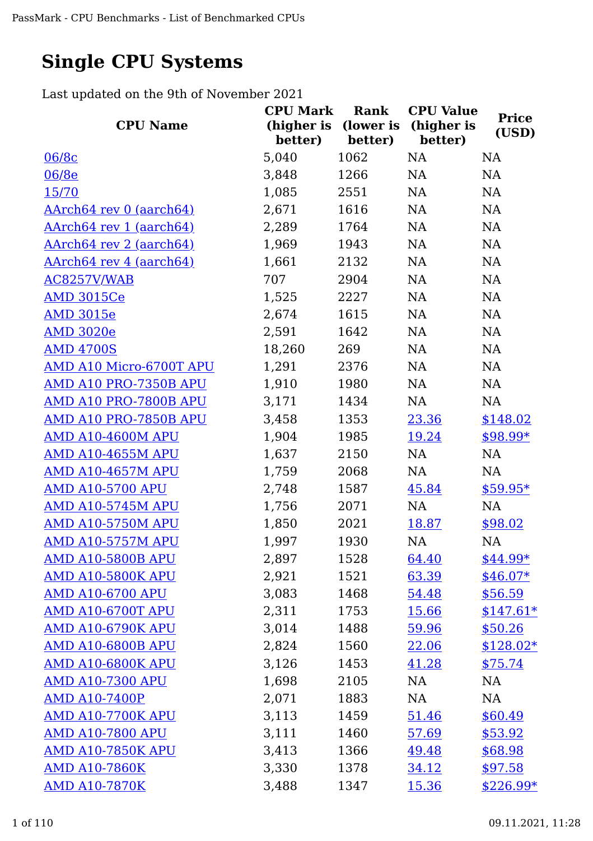## **Single CPU Systems**

Last updated on the 9th of November 2021

|                                | <b>CPU Mark</b>                 | Rank    | <b>CPU Value</b>      | <b>Price</b> |
|--------------------------------|---------------------------------|---------|-----------------------|--------------|
| <b>CPU Name</b>                | (higher is (lower is<br>better) | better) | (higher is<br>better) | (USD)        |
| 06/8c                          | 5,040                           | 1062    | <b>NA</b>             | <b>NA</b>    |
| 06/8e                          | 3,848                           | 1266    | NA                    | NA           |
| 15/70                          | 1,085                           | 2551    | NA                    | NA           |
| <u>AArch64 rev 0 (aarch64)</u> | 2,671                           | 1616    | NA                    | NA           |
| AArch64 rev 1 (aarch64)        | 2,289                           | 1764    | NA                    | <b>NA</b>    |
| <u>AArch64 rev 2 (aarch64)</u> | 1,969                           | 1943    | NA                    | <b>NA</b>    |
| <u>AArch64 rev 4 (aarch64)</u> | 1,661                           | 2132    | NA                    | <b>NA</b>    |
| AC8257V/WAB                    | 707                             | 2904    | NA                    | <b>NA</b>    |
| <b>AMD 3015Ce</b>              | 1,525                           | 2227    | NA                    | NA           |
| <b>AMD 3015e</b>               | 2,674                           | 1615    | <b>NA</b>             | NA           |
| <b>AMD 3020e</b>               | 2,591                           | 1642    | NA                    | NA           |
| <b>AMD 4700S</b>               | 18,260                          | 269     | NA                    | NA           |
| AMD A10 Micro-6700T APU        | 1,291                           | 2376    | NA                    | NA           |
| AMD A10 PRO-7350B APU          | 1,910                           | 1980    | NA                    | NA           |
| AMD A10 PRO-7800B APU          | 3,171                           | 1434    | NA                    | NA           |
| AMD A10 PRO-7850B APU          | 3,458                           | 1353    | 23.36                 | \$148.02     |
| AMD A10-4600M APU              | 1,904                           | 1985    | 19.24                 | $$98.99*$    |
| <b>AMD A10-4655M APU</b>       | 1,637                           | 2150    | <b>NA</b>             | <b>NA</b>    |
| <b>AMD A10-4657M APU</b>       | 1,759                           | 2068    | <b>NA</b>             | <b>NA</b>    |
| <u>AMD A10-5700 APU</u>        | 2,748                           | 1587    | 45.84                 | $$59.95*$    |
| <b>AMD A10-5745M APU</b>       | 1,756                           | 2071    | NA                    | <b>NA</b>    |
| <b>AMD A10-5750M APU</b>       | 1,850                           | 2021    | 18.87                 | \$98.02      |
| <b>AMD A10-5757M APU</b>       | 1,997                           | 1930    | NA                    | <b>NA</b>    |
| <b>AMD A10-5800B APU</b>       | 2,897                           | 1528    | 64.40                 | $$44.99*$    |
| <b>AMD A10-5800K APU</b>       | 2,921                           | 1521    | 63.39                 | $$46.07*$    |
| <b>AMD A10-6700 APU</b>        | 3,083                           | 1468    | 54.48                 | \$56.59      |
| AMD A10-6700T APU              | 2,311                           | 1753    | <u>15.66</u>          | $$147.61*$   |
| <b>AMD A10-6790K APU</b>       | 3,014                           | 1488    | 59.96                 | \$50.26      |
| <b>AMD A10-6800B APU</b>       | 2,824                           | 1560    | 22.06                 | $$128.02*$   |
| AMD A10-6800K APU              | 3,126                           | 1453    | 41.28                 | \$75.74      |
| <b>AMD A10-7300 APU</b>        | 1,698                           | 2105    | NA                    | NA           |
| <b>AMD A10-7400P</b>           | 2,071                           | 1883    | NA                    | NA           |
| <b>AMD A10-7700K APU</b>       | 3,113                           | 1459    | 51.46                 | \$60.49      |
| <b>AMD A10-7800 APU</b>        | 3,111                           | 1460    | 57.69                 | \$53.92      |
| <b>AMD A10-7850K APU</b>       | 3,413                           | 1366    | 49.48                 | \$68.98      |
| <b>AMD A10-7860K</b>           | 3,330                           | 1378    | 34.12                 | \$97.58      |
| <b>AMD A10-7870K</b>           | 3,488                           | 1347    | <u>15.36</u>          | $$226.99*$   |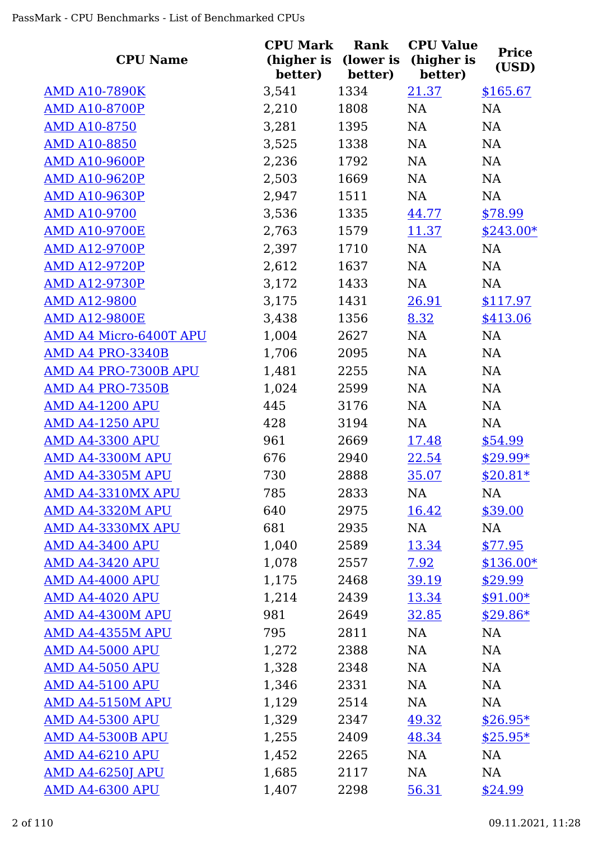| <b>CPU Name</b>         | <b>CPU Mark</b><br>(higher is<br>better) | <b>Rank</b><br>(lower is<br>better) | <b>CPU Value</b><br>(higher is<br>better) | <b>Price</b><br>(USD) |
|-------------------------|------------------------------------------|-------------------------------------|-------------------------------------------|-----------------------|
| <b>AMD A10-7890K</b>    | 3,541                                    | 1334                                | 21.37                                     | \$165.67              |
| <b>AMD A10-8700P</b>    | 2,210                                    | 1808                                | NA                                        | NA                    |
| <b>AMD A10-8750</b>     | 3,281                                    | 1395                                | NA                                        | <b>NA</b>             |
| <b>AMD A10-8850</b>     | 3,525                                    | 1338                                | NA                                        | <b>NA</b>             |
| <b>AMD A10-9600P</b>    | 2,236                                    | 1792                                | NA                                        | NA                    |
| <b>AMD A10-9620P</b>    | 2,503                                    | 1669                                | NA                                        | <b>NA</b>             |
| <b>AMD A10-9630P</b>    | 2,947                                    | 1511                                | NA                                        | <b>NA</b>             |
| <b>AMD A10-9700</b>     | 3,536                                    | 1335                                | 44.77                                     | \$78.99               |
| <b>AMD A10-9700E</b>    | 2,763                                    | 1579                                | <u>11.37</u>                              | $$243.00*$            |
| <b>AMD A12-9700P</b>    | 2,397                                    | 1710                                | NA                                        | NA                    |
| <b>AMD A12-9720P</b>    | 2,612                                    | 1637                                | NA                                        | NA                    |
| <b>AMD A12-9730P</b>    | 3,172                                    | 1433                                | NA                                        | NA                    |
| <b>AMD A12-9800</b>     | 3,175                                    | 1431                                | 26.91                                     | \$117.97              |
| <b>AMD A12-9800E</b>    | 3,438                                    | 1356                                | 8.32                                      | \$413.06              |
| AMD A4 Micro-6400T APU  | 1,004                                    | 2627                                | NA                                        | NA                    |
| AMD A4 PRO-3340B        | 1,706                                    | 2095                                | NA                                        | NA                    |
| AMD A4 PRO-7300B APU    | 1,481                                    | 2255                                | NA                                        | NA                    |
| AMD A4 PRO-7350B        | 1,024                                    | 2599                                | NA                                        | NA                    |
| <b>AMD A4-1200 APU</b>  | 445                                      | 3176                                | NA                                        | NA                    |
| <b>AMD A4-1250 APU</b>  | 428                                      | 3194                                | NA                                        | NA                    |
| <b>AMD A4-3300 APU</b>  | 961                                      | 2669                                | <u>17.48</u>                              | \$54.99               |
| AMD A4-3300M APU        | 676                                      | 2940                                | 22.54                                     | $$29.99*$             |
| <b>AMD A4-3305M APU</b> | 730                                      | 2888                                | 35.07                                     | $$20.81*$             |
| AMD A4-3310MX APU       | 785                                      | 2833                                | NA                                        | <b>NA</b>             |
| AMD A4-3320M APU        | 640                                      | 2975                                | 16.42                                     | \$39.00               |
| AMD A4-3330MX APU       | 681                                      | 2935                                | NA                                        | <b>NA</b>             |
| <b>AMD A4-3400 APU</b>  | 1,040                                    | 2589                                | 13.34                                     | \$77.95               |
| <b>AMD A4-3420 APU</b>  | 1,078                                    | 2557                                | <u>7.92</u>                               | $$136.00*$            |
| <b>AMD A4-4000 APU</b>  | 1,175                                    | 2468                                | 39.19                                     | \$29.99               |
| <b>AMD A4-4020 APU</b>  | 1,214                                    | 2439                                | 13.34                                     | $$91.00*$             |
| AMD A4-4300M APU        | 981                                      | 2649                                | 32.85                                     | $$29.86*$             |
| <b>AMD A4-4355M APU</b> | 795                                      | 2811                                | NA                                        | <b>NA</b>             |
| <b>AMD A4-5000 APU</b>  | 1,272                                    | 2388                                | NA                                        | NA                    |
| <b>AMD A4-5050 APU</b>  | 1,328                                    | 2348                                | NA                                        | NA                    |
| <b>AMD A4-5100 APU</b>  | 1,346                                    | 2331                                | NA                                        | NA                    |
| AMD A4-5150M APU        | 1,129                                    | 2514                                | NA                                        | <b>NA</b>             |
| <b>AMD A4-5300 APU</b>  | 1,329                                    | 2347                                | 49.32                                     | $$26.95*$             |
| AMD A4-5300B APU        | 1,255                                    | 2409                                | 48.34                                     | $$25.95*$             |
| <b>AMD A4-6210 APU</b>  | 1,452                                    | 2265                                | NA                                        | NA                    |
| <u>AMD A4-6250J APU</u> | 1,685                                    | 2117                                | NA                                        | NA                    |
| <b>AMD A4-6300 APU</b>  | 1,407                                    | 2298                                | 56.31                                     | \$24.99               |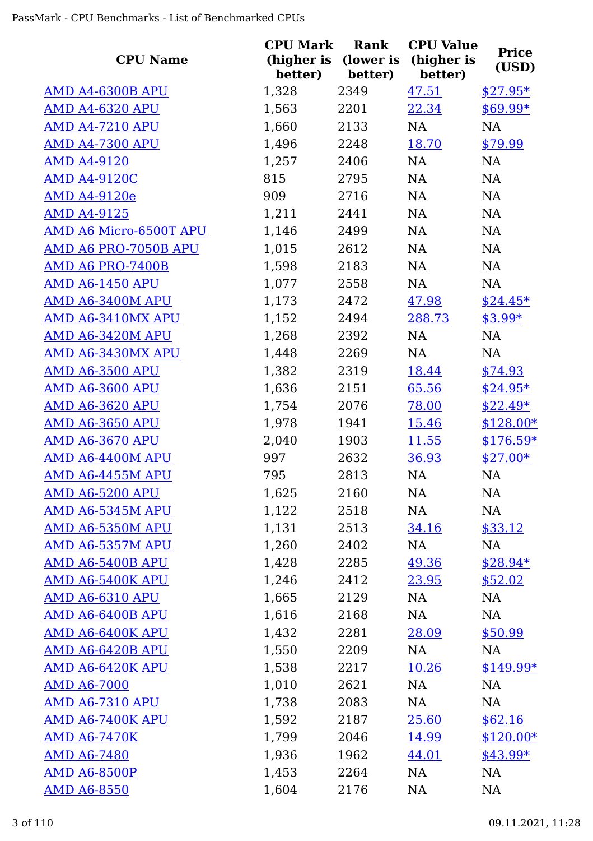| <b>CPU Name</b>         | <b>CPU Mark</b><br>(higher is | Rank<br>(lower is | <b>CPU Value</b><br>(higher is | <b>Price</b> |
|-------------------------|-------------------------------|-------------------|--------------------------------|--------------|
|                         | better)                       | better)           | better)                        | (USD)        |
| AMD A4-6300B APU        | 1,328                         | 2349              | 47.51                          | $$27.95*$    |
| <b>AMD A4-6320 APU</b>  | 1,563                         | 2201              | 22.34                          | $$69.99*$    |
| <b>AMD A4-7210 APU</b>  | 1,660                         | 2133              | NA                             | NA           |
| <b>AMD A4-7300 APU</b>  | 1,496                         | 2248              | 18.70                          | \$79.99      |
| <b>AMD A4-9120</b>      | 1,257                         | 2406              | NA                             | NA           |
| <b>AMD A4-9120C</b>     | 815                           | 2795              | NA                             | NA           |
| <b>AMD A4-9120e</b>     | 909                           | 2716              | NA                             | NA           |
| <b>AMD A4-9125</b>      | 1,211                         | 2441              | NA                             | NA           |
| AMD A6 Micro-6500T APU  | 1,146                         | 2499              | NA                             | NA           |
| AMD A6 PRO-7050B APU    | 1,015                         | 2612              | NA                             | NA           |
| AMD A6 PRO-7400B        | 1,598                         | 2183              | NA                             | NA           |
| <b>AMD A6-1450 APU</b>  | 1,077                         | 2558              | NA                             | NA           |
| AMD A6-3400M APU        | 1,173                         | 2472              | 47.98                          | $$24.45*$    |
| AMD A6-3410MX APU       | 1,152                         | 2494              | 288.73                         | $$3.99*$     |
| AMD A6-3420M APU        | 1,268                         | 2392              | NA                             | NA           |
| AMD A6-3430MX APU       | 1,448                         | 2269              | NA                             | NA           |
| <b>AMD A6-3500 APU</b>  | 1,382                         | 2319              | 18.44                          | \$74.93      |
| <b>AMD A6-3600 APU</b>  | 1,636                         | 2151              | 65.56                          | $$24.95*$    |
| <b>AMD A6-3620 APU</b>  | 1,754                         | 2076              | 78.00                          | $$22.49*$    |
| <b>AMD A6-3650 APU</b>  | 1,978                         | 1941              | 15.46                          | $$128.00*$   |
| <b>AMD A6-3670 APU</b>  | 2,040                         | 1903              | <u>11.55</u>                   | $$176.59*$   |
| AMD A6-4400M APU        | 997                           | 2632              | 36.93                          | $$27.00*$    |
| AMD A6-4455M APU        | 795                           | 2813              | NA                             | NA           |
| <b>AMD A6-5200 APU</b>  | 1,625                         | 2160              | NA                             | NA           |
| AMD A6-5345M APU        | 1,122                         | 2518              | NA                             | NA           |
| AMD A6-5350M APU        | 1,131                         | 2513              | 34.16                          | \$33.12      |
| AMD A6-5357M APU        | 1,260                         | 2402              | NA                             | NA           |
| AMD A6-5400B APU        | 1,428                         | 2285              | 49.36                          | $$28.94*$    |
| AMD A6-5400K APU        | 1,246                         | 2412              | 23.95                          | \$52.02      |
| <b>AMD A6-6310 APU</b>  | 1,665                         | 2129              | NA                             | NA           |
| AMD A6-6400B APU        | 1,616                         | 2168              | NA                             | NA           |
| AMD A6-6400K APU        | 1,432                         | 2281              | 28.09                          | \$50.99      |
| <u>AMD A6-6420B APU</u> | 1,550                         | 2209              | NA                             | NA           |
| AMD A6-6420K APU        | 1,538                         | 2217              | 10.26                          | $$149.99*$   |
| <b>AMD A6-7000</b>      | 1,010                         | 2621              | NA                             | NA           |
| <b>AMD A6-7310 APU</b>  | 1,738                         | 2083              | NA                             | NA           |
| AMD A6-7400K APU        | 1,592                         | 2187              | 25.60                          | \$62.16      |
| <b>AMD A6-7470K</b>     | 1,799                         | 2046              | 14.99                          | $$120.00*$   |
| <b>AMD A6-7480</b>      | 1,936                         | 1962              | 44.01                          | $$43.99*$    |
| <b>AMD A6-8500P</b>     | 1,453                         | 2264              | NA                             | NA           |
| <b>AMD A6-8550</b>      | 1,604                         | 2176              | <b>NA</b>                      | <b>NA</b>    |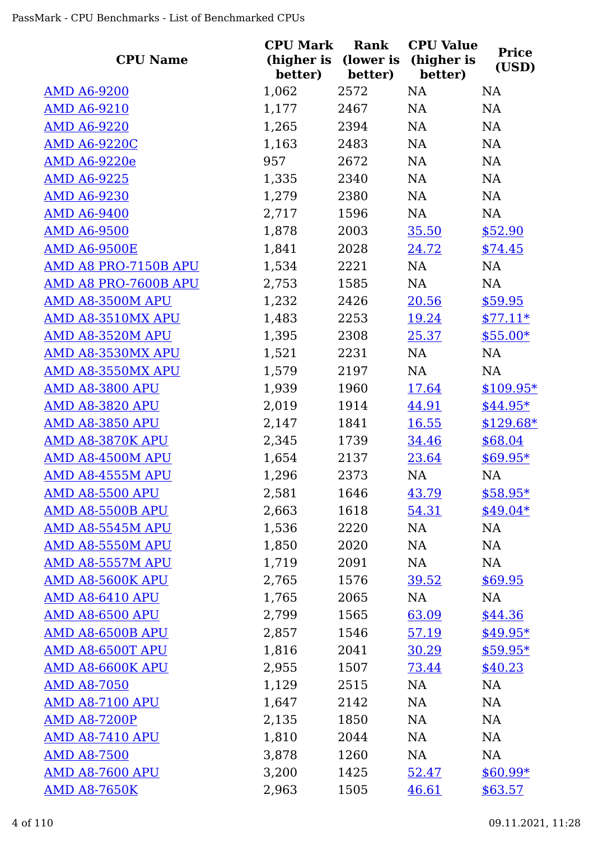| <b>CPU Name</b>         | <b>CPU Mark</b><br>better) | Rank<br>(higher is (lower is<br>better) | <b>CPU Value</b><br>(higher is<br>better) | <b>Price</b><br>(USD) |
|-------------------------|----------------------------|-----------------------------------------|-------------------------------------------|-----------------------|
| <b>AMD A6-9200</b>      | 1,062                      | 2572                                    | <b>NA</b>                                 | <b>NA</b>             |
| <b>AMD A6-9210</b>      | 1,177                      | 2467                                    | NA                                        | NA                    |
| <b>AMD A6-9220</b>      | 1,265                      | 2394                                    | NA                                        | <b>NA</b>             |
| <b>AMD A6-9220C</b>     | 1,163                      | 2483                                    | <b>NA</b>                                 | <b>NA</b>             |
| AMD A6-9220e            | 957                        | 2672                                    | <b>NA</b>                                 | NA                    |
| <b>AMD A6-9225</b>      | 1,335                      | 2340                                    | NA                                        | <b>NA</b>             |
| <b>AMD A6-9230</b>      | 1,279                      | 2380                                    | NA                                        | <b>NA</b>             |
| <b>AMD A6-9400</b>      | 2,717                      | 1596                                    | NA                                        | NA                    |
| <b>AMD A6-9500</b>      | 1,878                      | 2003                                    | 35.50                                     | \$52.90               |
| <b>AMD A6-9500E</b>     | 1,841                      | 2028                                    | 24.72                                     | \$74.45               |
| AMD A8 PRO-7150B APU    | 1,534                      | 2221                                    | NA                                        | NA                    |
| AMD A8 PRO-7600B APU    | 2,753                      | 1585                                    | NA                                        | NA                    |
| AMD A8-3500M APU        | 1,232                      | 2426                                    | 20.56                                     | \$59.95               |
| AMD A8-3510MX APU       | 1,483                      | 2253                                    | 19.24                                     | $$77.11*$             |
| AMD A8-3520M APU        | 1,395                      | 2308                                    | 25.37                                     | $$55.00*$             |
| AMD A8-3530MX APU       | 1,521                      | 2231                                    | NA                                        | NA                    |
| AMD A8-3550MX APU       | 1,579                      | 2197                                    | NA                                        | NA                    |
| <b>AMD A8-3800 APU</b>  | 1,939                      | 1960                                    | <u>17.64</u>                              | $$109.95*$            |
| <b>AMD A8-3820 APU</b>  | 2,019                      | 1914                                    | 44.91                                     | $$44.95*$             |
| <b>AMD A8-3850 APU</b>  | 2,147                      | 1841                                    | <u>16.55</u>                              | $$129.68*$            |
| AMD A8-3870K APU        | 2,345                      | 1739                                    | 34.46                                     | \$68.04               |
| AMD A8-4500M APU        | 1,654                      | 2137                                    | 23.64                                     | $$69.95*$             |
| AMD A8-4555M APU        | 1,296                      | 2373                                    | NA                                        | <b>NA</b>             |
| <b>AMD A8-5500 APU</b>  | 2,581                      | 1646                                    | 43.79                                     | $$58.95*$             |
| AMD A8-5500B APU        | 2,663                      | 1618                                    | 54.31                                     | $$49.04*$             |
| AMD A8-5545M APU        | 1,536                      | 2220                                    | NA                                        | NA                    |
| AMD A8-5550M APU        | 1,850                      | 2020                                    | NA                                        | NA                    |
| AMD A8-5557M APU        | 1,719                      | 2091                                    | NA                                        | NA                    |
| AMD A8-5600K APU        | 2,765                      | 1576                                    | <u>39.52</u>                              | \$69.95               |
| <b>AMD A8-6410 APU</b>  | 1,765                      | 2065                                    | NA                                        | NA                    |
| <b>AMD A8-6500 APU</b>  | 2,799                      | 1565                                    | 63.09                                     | \$44.36               |
| AMD A8-6500B APU        | 2,857                      | 1546                                    | 57.19                                     | $$49.95*$             |
| <b>AMD A8-6500T APU</b> | 1,816                      | 2041                                    | 30.29                                     | $$59.95*$             |
| AMD A8-6600K APU        | 2,955                      | 1507                                    | 73.44                                     | \$40.23               |
| <b>AMD A8-7050</b>      | 1,129                      | 2515                                    | NA                                        | NA                    |
| <b>AMD A8-7100 APU</b>  | 1,647                      | 2142                                    | NA                                        | NA                    |
| <b>AMD A8-7200P</b>     | 2,135                      | 1850                                    | NA                                        | NA                    |
| <b>AMD A8-7410 APU</b>  | 1,810                      | 2044                                    | NA                                        | NA                    |
| <b>AMD A8-7500</b>      | 3,878                      | 1260                                    | NA                                        | NA                    |
| <b>AMD A8-7600 APU</b>  | 3,200                      | 1425                                    | <u>52.47</u>                              | $$60.99*$             |
| <b>AMD A8-7650K</b>     | 2,963                      | 1505                                    | 46.61                                     | \$63.57               |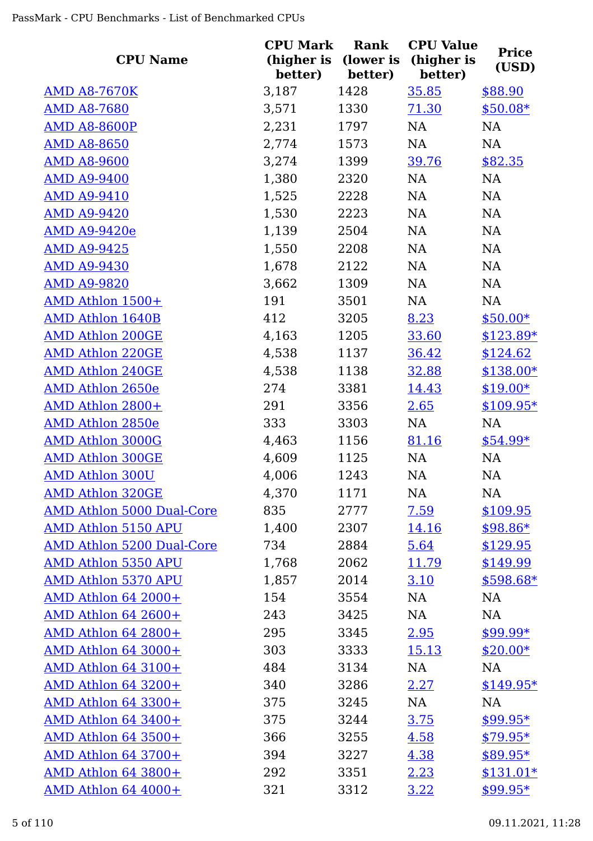| <b>CPU Name</b>                  | <b>CPU Mark</b><br>(higher is | Rank<br>(lower is | <b>CPU Value</b><br>(higher is | <b>Price</b> |
|----------------------------------|-------------------------------|-------------------|--------------------------------|--------------|
|                                  | better)                       | better)           | better)                        | (USD)        |
| <b>AMD A8-7670K</b>              | 3,187                         | 1428              | 35.85                          | \$88.90      |
| <b>AMD A8-7680</b>               | 3,571                         | 1330              | 71.30                          | $$50.08*$    |
| <b>AMD A8-8600P</b>              | 2,231                         | 1797              | NA                             | NA           |
| <b>AMD A8-8650</b>               | 2,774                         | 1573              | NA                             | <b>NA</b>    |
| <b>AMD A8-9600</b>               | 3,274                         | 1399              | 39.76                          | \$82.35      |
| <b>AMD A9-9400</b>               | 1,380                         | 2320              | NA                             | <b>NA</b>    |
| <b>AMD A9-9410</b>               | 1,525                         | 2228              | NA                             | NA           |
| <b>AMD A9-9420</b>               | 1,530                         | 2223              | NA                             | NA           |
| <b>AMD A9-9420e</b>              | 1,139                         | 2504              | NA                             | NA           |
| <b>AMD A9-9425</b>               | 1,550                         | 2208              | NA                             | NA           |
| <b>AMD A9-9430</b>               | 1,678                         | 2122              | NA                             | NA           |
| <b>AMD A9-9820</b>               | 3,662                         | 1309              | NA                             | NA           |
| AMD Athlon 1500+                 | 191                           | 3501              | NA                             | <b>NA</b>    |
| <b>AMD Athlon 1640B</b>          | 412                           | 3205              | 8.23                           | $$50.00*$    |
| <b>AMD Athlon 200GE</b>          | 4,163                         | 1205              | 33.60                          | $$123.89*$   |
| <b>AMD Athlon 220GE</b>          | 4,538                         | 1137              | 36.42                          | \$124.62     |
| <b>AMD Athlon 240GE</b>          | 4,538                         | 1138              | 32.88                          | $$138.00*$   |
| <b>AMD Athlon 2650e</b>          | 274                           | 3381              | 14.43                          | $$19.00*$    |
| AMD Athlon 2800+                 | 291                           | 3356              | 2.65                           | $$109.95*$   |
| <b>AMD Athlon 2850e</b>          | 333                           | 3303              | NA                             | NA           |
| <b>AMD Athlon 3000G</b>          | 4,463                         | 1156              | 81.16                          | $$54.99*$    |
| <b>AMD Athlon 300GE</b>          | 4,609                         | 1125              | NA                             | NA           |
| <b>AMD Athlon 300U</b>           | 4,006                         | 1243              | NA                             | <b>NA</b>    |
| <b>AMD Athlon 320GE</b>          | 4,370                         | 1171              | NA                             | <b>NA</b>    |
| <b>AMD Athlon 5000 Dual-Core</b> | 835                           | 2777              | 7.59                           | \$109.95     |
| <b>AMD Athlon 5150 APU</b>       | 1,400                         | 2307              | <u>14.16</u>                   | $$98.86*$    |
| <b>AMD Athlon 5200 Dual-Core</b> | 734                           | 2884              | 5.64                           | \$129.95     |
| <b>AMD Athlon 5350 APU</b>       | 1,768                         | 2062              | 11.79                          | \$149.99     |
| AMD Athlon 5370 APU              | 1,857                         | 2014              | 3.10                           | $$598.68*$   |
| AMD Athlon 64 2000+              | 154                           | 3554              | NA                             | NA           |
| AMD Athlon 64 2600+              | 243                           | 3425              | NA                             | <b>NA</b>    |
| AMD Athlon 64 2800+              | 295                           | 3345              | 2.95                           | $$99.99*$    |
| AMD Athlon 64 3000+              | 303                           | 3333              | <u>15.13</u>                   | $$20.00*$    |
| <b>AMD Athlon 64 3100+</b>       | 484                           | 3134              | NA                             | NA           |
| <b>AMD Athlon 64 3200+</b>       | 340                           | 3286              | 2.27                           | $$149.95*$   |
| AMD Athlon 64 3300+              | 375                           | 3245              | NA                             | NA           |
| AMD Athlon 64 3400+              | 375                           | 3244              | 3.75                           | $$99.95*$    |
| <b>AMD Athlon 64 3500+</b>       | 366                           | 3255              | 4.58                           | $$79.95*$    |
| AMD Athlon 64 3700+              | 394                           | 3227              | 4.38                           | $$89.95*$    |
| AMD Athlon 64 3800+              | 292                           | 3351              | 2.23                           | $$131.01*$   |
| AMD Athlon 64 4000+              | 321                           | 3312              | 3.22                           | $$99.95*$    |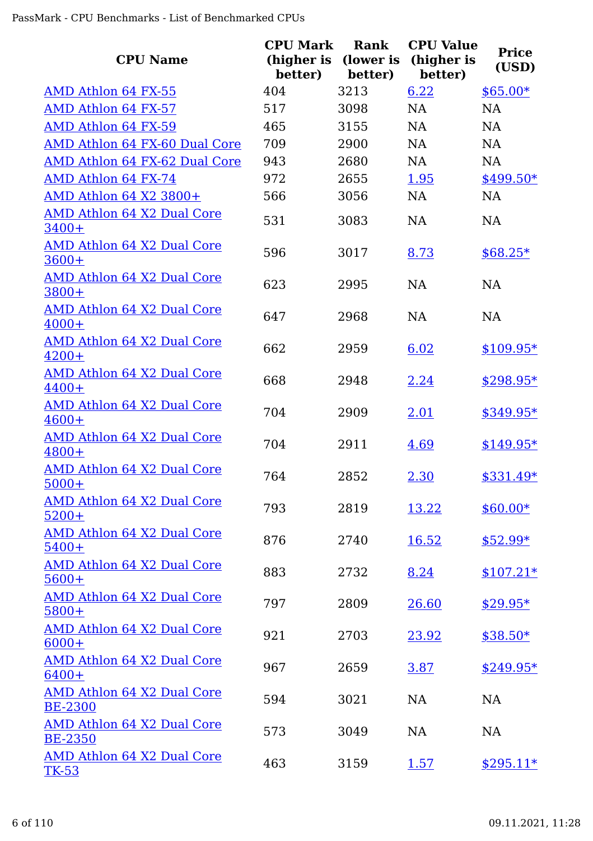| <b>CPU Name</b>                                     | <b>CPU Mark</b><br>(higher is<br>better) | Rank<br>(lower is<br>better) | <b>CPU Value</b><br>(higher is<br>better) | <b>Price</b><br>(USD) |
|-----------------------------------------------------|------------------------------------------|------------------------------|-------------------------------------------|-----------------------|
| AMD Athlon 64 FX-55                                 | 404                                      | 3213                         | 6.22                                      | $$65.00*$             |
| AMD Athlon 64 FX-57                                 | 517                                      | 3098                         | <b>NA</b>                                 | <b>NA</b>             |
| AMD Athlon 64 FX-59                                 | 465                                      | 3155                         | <b>NA</b>                                 | <b>NA</b>             |
| AMD Athlon 64 FX-60 Dual Core                       | 709                                      | 2900                         | <b>NA</b>                                 | <b>NA</b>             |
| AMD Athlon 64 FX-62 Dual Core                       | 943                                      | 2680                         | <b>NA</b>                                 | <b>NA</b>             |
| AMD Athlon 64 FX-74                                 | 972                                      | 2655                         | 1.95                                      | \$499.50*             |
| AMD Athlon 64 X2 3800+                              | 566                                      | 3056                         | <b>NA</b>                                 | <b>NA</b>             |
| <b>AMD Athlon 64 X2 Dual Core</b><br>$3400+$        | 531                                      | 3083                         | <b>NA</b>                                 | <b>NA</b>             |
| AMD Athlon 64 X2 Dual Core<br>$3600+$               | 596                                      | 3017                         | 8.73                                      | $$68.25*$             |
| <b>AMD Athlon 64 X2 Dual Core</b><br>3800+          | 623                                      | 2995                         | <b>NA</b>                                 | <b>NA</b>             |
| <b>AMD Athlon 64 X2 Dual Core</b><br>$4000+$        | 647                                      | 2968                         | NA                                        | <b>NA</b>             |
| <b>AMD Athlon 64 X2 Dual Core</b><br>$4200+$        | 662                                      | 2959                         | 6.02                                      | $$109.95*$            |
| <b>AMD Athlon 64 X2 Dual Core</b><br>$4400+$        | 668                                      | 2948                         | 2.24                                      | \$298.95*             |
| <b>AMD Athlon 64 X2 Dual Core</b><br>$4600+$        | 704                                      | 2909                         | 2.01                                      | $$349.95*$            |
| <b>AMD Athlon 64 X2 Dual Core</b><br>$4800+$        | 704                                      | 2911                         | 4.69                                      | $$149.95*$            |
| <b>AMD Athlon 64 X2 Dual Core</b><br>$5000+$        | 764                                      | 2852                         | 2.30                                      | \$331.49*             |
| <b>AMD Athlon 64 X2 Dual Core</b><br>$5200+$        | 793                                      | 2819                         | 13.22                                     | $$60.00*$             |
| AMD Athlon 64 X2 Dual Core<br>$5400+$               | 876                                      | 2740                         | 16.52                                     | $$52.99*$             |
| AMD Athlon 64 X2 Dual Core<br>$5600+$               | 883                                      | 2732                         | 8.24                                      | $$107.21*$            |
| <b>AMD Athlon 64 X2 Dual Core</b><br>$5800+$        | 797                                      | 2809                         | 26.60                                     | $$29.95*$             |
| AMD Athlon 64 X2 Dual Core<br>$6000+$               | 921                                      | 2703                         | 23.92                                     | $$38.50*$             |
| AMD Athlon 64 X2 Dual Core<br>$6400+$               | 967                                      | 2659                         | 3.87                                      | $$249.95*$            |
| <b>AMD Athlon 64 X2 Dual Core</b><br><b>BE-2300</b> | 594                                      | 3021                         | <b>NA</b>                                 | <b>NA</b>             |
| AMD Athlon 64 X2 Dual Core<br><b>BE-2350</b>        | 573                                      | 3049                         | <b>NA</b>                                 | <b>NA</b>             |
| AMD Athlon 64 X2 Dual Core<br><b>TK-53</b>          | 463                                      | 3159                         | <u>1.57</u>                               | $$295.11*$            |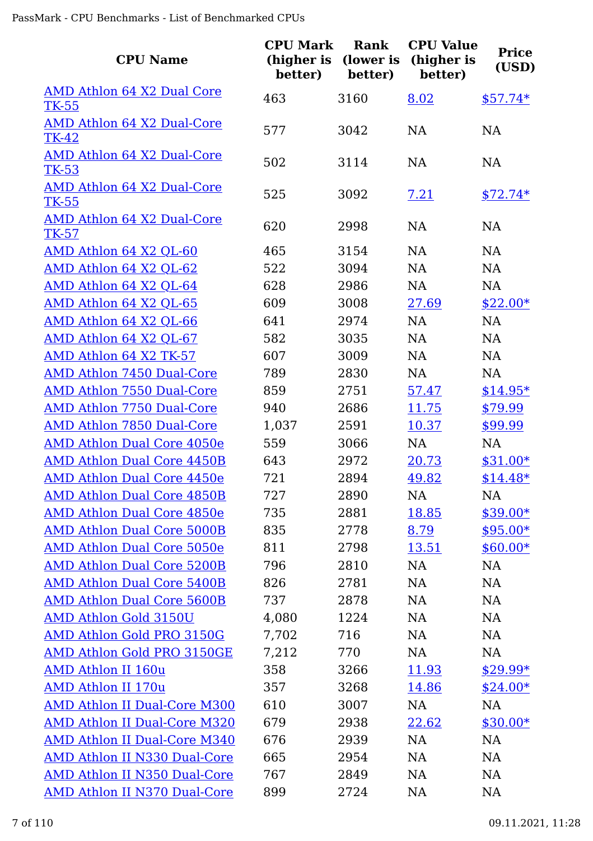| <b>CPU Name</b>                            | <b>CPU Mark</b><br>(higher is<br>better) | Rank<br>(lower is<br>better) | <b>CPU Value</b><br>(higher is<br>better) | <b>Price</b><br>(USD) |
|--------------------------------------------|------------------------------------------|------------------------------|-------------------------------------------|-----------------------|
| AMD Athlon 64 X2 Dual Core<br><b>TK-55</b> | 463                                      | 3160                         | 8.02                                      | $$57.74*$             |
| AMD Athlon 64 X2 Dual-Core<br>TK-42        | 577                                      | 3042                         | <b>NA</b>                                 | <b>NA</b>             |
| AMD Athlon 64 X2 Dual-Core<br>TK-53        | 502                                      | 3114                         | <b>NA</b>                                 | <b>NA</b>             |
| AMD Athlon 64 X2 Dual-Core<br><b>TK-55</b> | 525                                      | 3092                         | 7.21                                      | $$72.74*$             |
| AMD Athlon 64 X2 Dual-Core<br>$TK-57$      | 620                                      | 2998                         | <b>NA</b>                                 | <b>NA</b>             |
| AMD Athlon 64 X2 QL-60                     | 465                                      | 3154                         | <b>NA</b>                                 | <b>NA</b>             |
| AMD Athlon 64 X2 QL-62                     | 522                                      | 3094                         | <b>NA</b>                                 | <b>NA</b>             |
| AMD Athlon 64 X2 QL-64                     | 628                                      | 2986                         | <b>NA</b>                                 | <b>NA</b>             |
| AMD Athlon 64 X2 QL-65                     | 609                                      | 3008                         | 27.69                                     | $$22.00*$             |
| AMD Athlon 64 X2 QL-66                     | 641                                      | 2974                         | <b>NA</b>                                 | <b>NA</b>             |
| AMD Athlon 64 X2 QL-67                     | 582                                      | 3035                         | <b>NA</b>                                 | <b>NA</b>             |
| AMD Athlon 64 X2 TK-57                     | 607                                      | 3009                         | NA                                        | NA                    |
| AMD Athlon 7450 Dual-Core                  | 789                                      | 2830                         | <b>NA</b>                                 | <b>NA</b>             |
| <b>AMD Athlon 7550 Dual-Core</b>           | 859                                      | 2751                         | 57.47                                     | $$14.95*$             |
| AMD Athlon 7750 Dual-Core                  | 940                                      | 2686                         | 11.75                                     | \$79.99               |
| <b>AMD Athlon 7850 Dual-Core</b>           | 1,037                                    | 2591                         | 10.37                                     | \$99.99               |
| AMD Athlon Dual Core 4050e                 | 559                                      | 3066                         | NA                                        | NA                    |
| <b>AMD Athlon Dual Core 4450B</b>          | 643                                      | 2972                         | 20.73                                     | $$31.00*$             |
| <b>AMD Athlon Dual Core 4450e</b>          | 721                                      | 2894                         | 49.82                                     | $$14.48*$             |
| <b>AMD Athlon Dual Core 4850B</b>          | 727                                      | 2890                         | NA.                                       | NA                    |
| <b>AMD Athlon Dual Core 4850e</b>          | 735                                      | 2881                         | 18.85                                     | $$39.00*$             |
| <b>AMD Athlon Dual Core 5000B</b>          | 835                                      | 2778                         | 8.79                                      | $$95.00*$             |
| AMD Athlon Dual Core 5050e                 | 811                                      | 2798                         | 13.51                                     | $$60.00*$             |
| <b>AMD Athlon Dual Core 5200B</b>          | 796                                      | 2810                         | NA                                        | NA                    |
| <b>AMD Athlon Dual Core 5400B</b>          | 826                                      | 2781                         | NA                                        | NA                    |
| <b>AMD Athlon Dual Core 5600B</b>          | 737                                      | 2878                         | <b>NA</b>                                 | NA                    |
| <b>AMD Athlon Gold 3150U</b>               | 4,080                                    | 1224                         | <b>NA</b>                                 | NA                    |
| AMD Athlon Gold PRO 3150G                  | 7,702                                    | 716                          | NA                                        | NA                    |
| AMD Athlon Gold PRO 3150GE                 | 7,212                                    | 770                          | NA                                        | NA                    |
| <b>AMD Athlon II 160u</b>                  | 358                                      | 3266                         | 11.93                                     | $$29.99*$             |
| <b>AMD Athlon II 170u</b>                  | 357                                      | 3268                         | 14.86                                     | $$24.00*$             |
| <b>AMD Athlon II Dual-Core M300</b>        | 610                                      | 3007                         | NA                                        | NA                    |
| <b>AMD Athlon II Dual-Core M320</b>        | 679                                      | 2938                         | 22.62                                     | $$30.00*$             |
| <b>AMD Athlon II Dual-Core M340</b>        | 676                                      | 2939                         | NA                                        | NA                    |
| AMD Athlon II N330 Dual-Core               | 665                                      | 2954                         | <b>NA</b>                                 | NA                    |
| <b>AMD Athlon II N350 Dual-Core</b>        | 767                                      | 2849                         | NA                                        | <b>NA</b>             |
| <b>AMD Athlon II N370 Dual-Core</b>        | 899                                      | 2724                         | <b>NA</b>                                 | <b>NA</b>             |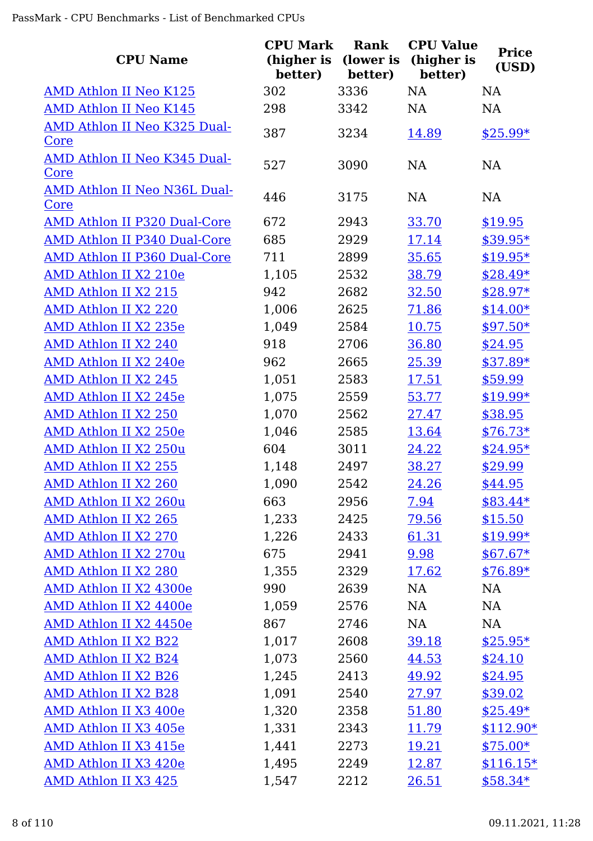| <b>CPU Name</b>                             | <b>CPU Mark</b><br>(higher is<br>better) | Rank<br>(lower is<br>better) | <b>CPU Value</b><br>(higher is<br>better) | <b>Price</b><br>(USD) |
|---------------------------------------------|------------------------------------------|------------------------------|-------------------------------------------|-----------------------|
| <b>AMD Athlon II Neo K125</b>               | 302                                      | 3336                         | <b>NA</b>                                 | <b>NA</b>             |
| <b>AMD Athlon II Neo K145</b>               | 298                                      | 3342                         | NA                                        | <b>NA</b>             |
| AMD Athlon II Neo K325 Dual-                | 387                                      | 3234                         | 14.89                                     | $$25.99*$             |
| Core                                        |                                          |                              |                                           |                       |
| AMD Athlon II Neo K345 Dual-<br>Core        | 527                                      | 3090                         | <b>NA</b>                                 | <b>NA</b>             |
| AMD Athlon II Neo N36L Dual-<br><u>Core</u> | 446                                      | 3175                         | <b>NA</b>                                 | <b>NA</b>             |
| AMD Athlon II P320 Dual-Core                | 672                                      | 2943                         | 33.70                                     | \$19.95               |
| AMD Athlon II P340 Dual-Core                | 685                                      | 2929                         | 17.14                                     | $$39.95*$             |
| <b>AMD Athlon II P360 Dual-Core</b>         | 711                                      | 2899                         | 35.65                                     | $$19.95*$             |
| AMD Athlon II X2 210e                       | 1,105                                    | 2532                         | 38.79                                     | $$28.49*$             |
| <b>AMD Athlon II X2 215</b>                 | 942                                      | 2682                         | 32.50                                     | $$28.97*$             |
| <b>AMD Athlon II X2 220</b>                 | 1,006                                    | 2625                         | 71.86                                     | $$14.00*$             |
| AMD Athlon II X2 235e                       | 1,049                                    | 2584                         | 10.75                                     | $$97.50*$             |
| AMD Athlon II X2 240                        | 918                                      | 2706                         | 36.80                                     | \$24.95               |
| AMD Athlon II X2 240e                       | 962                                      | 2665                         | 25.39                                     | $$37.89*$             |
| AMD Athlon II X2 245                        | 1,051                                    | 2583                         | 17.51                                     | \$59.99               |
| AMD Athlon II X2 245e                       | 1,075                                    | 2559                         | 53.77                                     | $$19.99*$             |
| AMD Athlon II X2 250                        | 1,070                                    | 2562                         | 27.47                                     | \$38.95               |
| AMD Athlon II X2 250e                       | 1,046                                    | 2585                         | 13.64                                     | $$76.73*$             |
| AMD Athlon II X2 250u                       | 604                                      | 3011                         | 24.22                                     | $$24.95*$             |
| AMD Athlon II X2 255                        | 1,148                                    | 2497                         | 38.27                                     | \$29.99               |
| <u>AMD Athlon II X2 260</u>                 | 1,090                                    | 2542                         | <u>24.26</u>                              | \$44.95               |
| AMD Athlon II X2 260u                       | 663                                      | 2956                         | 7.94                                      | $$83.44*$             |
| AMD Athlon II X2 265                        | 1,233                                    | 2425                         | <u>79.56</u>                              | \$15.50               |
| AMD Athlon II X2 270                        | 1,226                                    | 2433                         | 61.31                                     | $$19.99*$             |
| AMD Athlon II X2 270u                       | 675                                      | 2941                         | 9.98                                      | $$67.67*$             |
| <b>AMD Athlon II X2 280</b>                 | 1,355                                    | 2329                         | 17.62                                     | $$76.89*$             |
| AMD Athlon II X2 4300e                      | 990                                      | 2639                         | NA                                        | NA                    |
| AMD Athlon II X2 4400e                      | 1,059                                    | 2576                         | NA                                        | NA                    |
| AMD Athlon II X2 4450e                      | 867                                      | 2746                         | NA                                        | NA                    |
| AMD Athlon II X2 B22                        | 1,017                                    | 2608                         | 39.18                                     | $$25.95*$             |
| AMD Athlon II X2 B24                        | 1,073                                    | 2560                         | 44.53                                     | \$24.10               |
| AMD Athlon II X2 B26                        | 1,245                                    | 2413                         | 49.92                                     | \$24.95               |
| AMD Athlon II X2 B28                        | 1,091                                    | 2540                         | 27.97                                     | \$39.02               |
| AMD Athlon II X3 400e                       | 1,320                                    | 2358                         | 51.80                                     | $$25.49*$             |
| AMD Athlon II X3 405e                       | 1,331                                    | 2343                         | 11.79                                     | $$112.90*$            |
| AMD Athlon II X3 415e                       | 1,441                                    | 2273                         | <u>19.21</u>                              | $$75.00*$             |
| AMD Athlon II X3 420e                       | 1,495                                    | 2249                         | 12.87                                     | $$116.15*$            |
| AMD Athlon II X3 425                        | 1,547                                    | 2212                         | 26.51                                     | $$58.34*$             |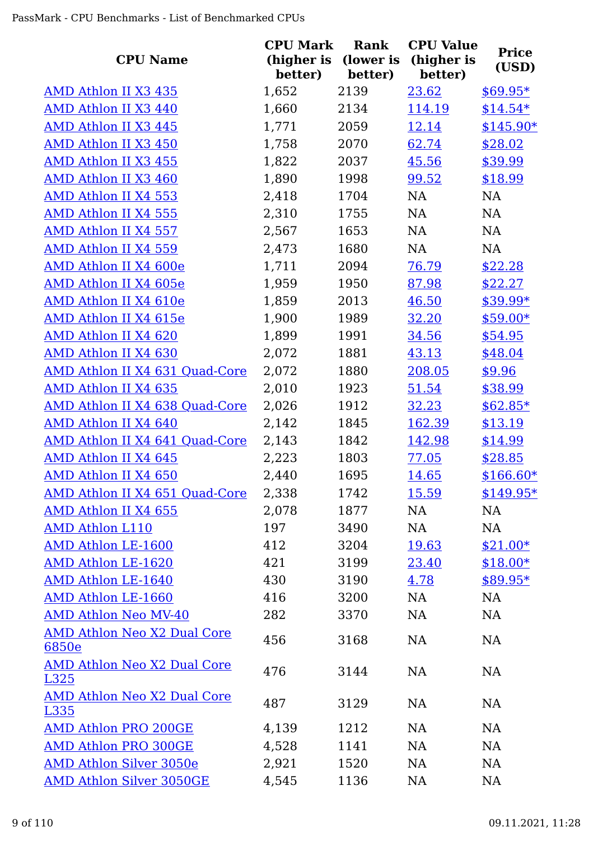| <b>CPU Name</b>                             | <b>CPU Mark</b><br>(higher is<br>better) | Rank<br>(lower is<br>better) | <b>CPU Value</b><br>(higher is<br>better) | <b>Price</b><br>(USD) |
|---------------------------------------------|------------------------------------------|------------------------------|-------------------------------------------|-----------------------|
| AMD Athlon II X3 435                        | 1,652                                    | 2139                         | 23.62                                     | $$69.95*$             |
| AMD Athlon II X3 440                        | 1,660                                    | 2134                         | 114.19                                    | $$14.54*$             |
| AMD Athlon II X3 445                        | 1,771                                    | 2059                         | 12.14                                     | $$145.90*$            |
| AMD Athlon II X3 450                        | 1,758                                    | 2070                         | 62.74                                     | \$28.02               |
| AMD Athlon II X3 455                        | 1,822                                    | 2037                         | 45.56                                     | \$39.99               |
| AMD Athlon II X3 460                        | 1,890                                    | 1998                         | 99.52                                     | \$18.99               |
| AMD Athlon II X4 553                        | 2,418                                    | 1704                         | NA                                        | <b>NA</b>             |
| <b>AMD Athlon II X4 555</b>                 | 2,310                                    | 1755                         | NA                                        | <b>NA</b>             |
| AMD Athlon II X4 557                        | 2,567                                    | 1653                         | NA                                        | <b>NA</b>             |
| AMD Athlon II X4 559                        | 2,473                                    | 1680                         | NA                                        | <b>NA</b>             |
| AMD Athlon II X4 600e                       | 1,711                                    | 2094                         | 76.79                                     | \$22.28               |
| AMD Athlon II X4 605e                       | 1,959                                    | 1950                         | 87.98                                     | \$22.27               |
| AMD Athlon II X4 610e                       | 1,859                                    | 2013                         | 46.50                                     | $$39.99*$             |
| AMD Athlon II X4 615e                       | 1,900                                    | 1989                         | 32.20                                     | $$59.00*$             |
| AMD Athlon II X4 620                        | 1,899                                    | 1991                         | 34.56                                     | \$54.95               |
| AMD Athlon II X4 630                        | 2,072                                    | 1881                         | 43.13                                     | \$48.04               |
| AMD Athlon II X4 631 Quad-Core              | 2,072                                    | 1880                         | 208.05                                    | \$9.96                |
| AMD Athlon II X4 635                        | 2,010                                    | 1923                         | 51.54                                     | \$38.99               |
| AMD Athlon II X4 638 Quad-Core              | 2,026                                    | 1912                         | 32.23                                     | $$62.85*$             |
| AMD Athlon II X4 640                        | 2,142                                    | 1845                         | 162.39                                    | \$13.19               |
| AMD Athlon II X4 641 Quad-Core              | 2,143                                    | 1842                         | 142.98                                    | \$14.99               |
| AMD Athlon II X4 645                        | 2,223                                    | 1803                         | 77.05                                     | \$28.85               |
| AMD Athlon II X4 650                        | 2,440                                    | 1695                         | 14.65                                     | $$166.60*$            |
| AMD Athlon II X4 651 Quad-Core              | 2,338                                    | 1742                         | 15.59                                     | $$149.95*$            |
| AMD Athlon II X4 655                        | 2,078                                    | 1877                         | NA                                        | NA                    |
| <b>AMD Athlon L110</b>                      | 197                                      | 3490                         | NA                                        | <b>NA</b>             |
| AMD Athlon LE-1600                          | 412                                      | 3204                         | 19.63                                     | $$21.00*$             |
| <b>AMD Athlon LE-1620</b>                   | 421                                      | 3199                         | 23.40                                     | $$18.00*$             |
| AMD Athlon LE-1640                          | 430                                      | 3190                         | 4.78                                      | $$89.95*$             |
| AMD Athlon LE-1660                          | 416                                      | 3200                         | NA                                        | <b>NA</b>             |
| <b>AMD Athlon Neo MV-40</b>                 | 282                                      | 3370                         | NA                                        | <b>NA</b>             |
| <b>AMD Athlon Neo X2 Dual Core</b><br>6850e | 456                                      | 3168                         | NA                                        | <b>NA</b>             |
| <b>AMD Athlon Neo X2 Dual Core</b><br>L325  | 476                                      | 3144                         | NA                                        | NA                    |
| AMD Athlon Neo X2 Dual Core<br>L335         | 487                                      | 3129                         | <b>NA</b>                                 | <b>NA</b>             |
| <b>AMD Athlon PRO 200GE</b>                 | 4,139                                    | 1212                         | NA                                        | <b>NA</b>             |
| <b>AMD Athlon PRO 300GE</b>                 | 4,528                                    | 1141                         | NA                                        | <b>NA</b>             |
| <b>AMD Athlon Silver 3050e</b>              | 2,921                                    | 1520                         | NA                                        | NA                    |
| <b>AMD Athlon Silver 3050GE</b>             | 4,545                                    | 1136                         | <b>NA</b>                                 | <b>NA</b>             |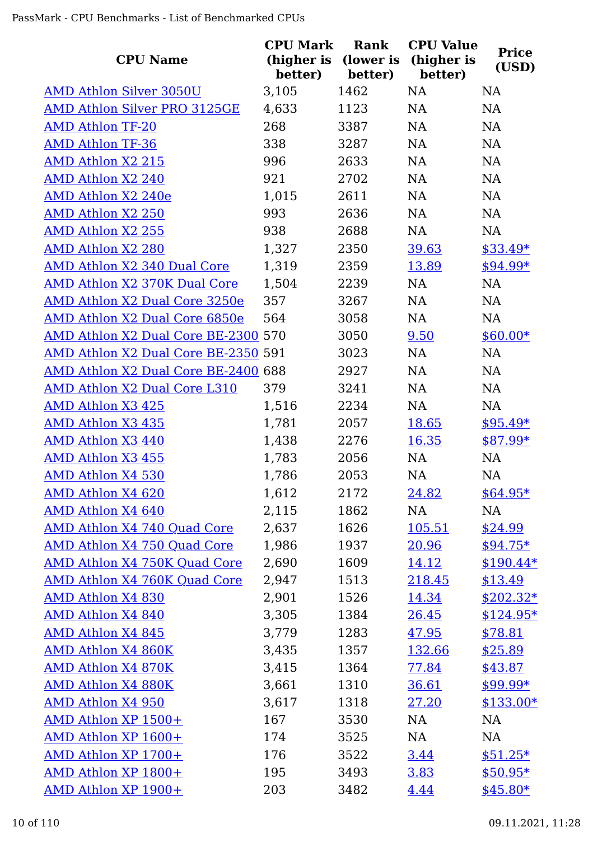|                                     | <b>CPU Mark</b>       | <b>Rank</b>          | <b>CPU Value</b>      | <b>Price</b> |
|-------------------------------------|-----------------------|----------------------|-----------------------|--------------|
| <b>CPU Name</b>                     | (higher is<br>better) | (lower is<br>better) | (higher is<br>better) | (USD)        |
| <b>AMD Athlon Silver 3050U</b>      | 3,105                 | 1462                 | <b>NA</b>             | <b>NA</b>    |
| <b>AMD Athlon Silver PRO 3125GE</b> | 4,633                 | 1123                 | NA                    | NA           |
| <b>AMD Athlon TF-20</b>             | 268                   | 3387                 | NA                    | NA           |
| <b>AMD Athlon TF-36</b>             | 338                   | 3287                 | <b>NA</b>             | NA           |
| <b>AMD Athlon X2 215</b>            | 996                   | 2633                 | <b>NA</b>             | NA           |
| AMD Athlon X2 240                   | 921                   | 2702                 | <b>NA</b>             | NA           |
| AMD Athlon X2 240e                  | 1,015                 | 2611                 | <b>NA</b>             | NA           |
| <b>AMD Athlon X2 250</b>            | 993                   | 2636                 | <b>NA</b>             | NA           |
| <b>AMD Athlon X2 255</b>            | 938                   | 2688                 | NA                    | NA           |
| <b>AMD Athlon X2 280</b>            | 1,327                 | 2350                 | 39.63                 | $$33.49*$    |
| <b>AMD Athlon X2 340 Dual Core</b>  | 1,319                 | 2359                 | 13.89                 | $$94.99*$    |
| AMD Athlon X2 370K Dual Core        | 1,504                 | 2239                 | <b>NA</b>             | <b>NA</b>    |
| AMD Athlon X2 Dual Core 3250e       | 357                   | 3267                 | NA                    | NA           |
| AMD Athlon X2 Dual Core 6850e       | 564                   | 3058                 | NA                    | <b>NA</b>    |
| AMD Athlon X2 Dual Core BE-2300 570 |                       | 3050                 | 9.50                  | $$60.00*$    |
| AMD Athlon X2 Dual Core BE-2350 591 |                       | 3023                 | <b>NA</b>             | NA           |
| AMD Athlon X2 Dual Core BE-2400 688 |                       | 2927                 | NA                    | NA           |
| AMD Athlon X2 Dual Core L310        | 379                   | 3241                 | NA                    | NA           |
| AMD Athlon X3 425                   | 1,516                 | 2234                 | <b>NA</b>             | NA           |
| <b>AMD Athlon X3 435</b>            | 1,781                 | 2057                 | 18.65                 | $$95.49*$    |
| AMD Athlon X3 440                   | 1,438                 | 2276                 | 16.35                 | $$87.99*$    |
| <b>AMD Athlon X3 455</b>            | 1,783                 | 2056                 | <b>NA</b>             | NA           |
| AMD Athlon X4 530                   | 1,786                 | 2053                 | NA                    | NA           |
| AMD Athlon X4 620                   | 1,612                 | 2172                 | 24.82                 | $$64.95*$    |
| AMD Athlon X4 640                   | 2,115                 | 1862                 | NA                    | NA           |
| AMD Athlon X4 740 Quad Core         | 2,637                 | 1626                 | 105.51                | \$24.99      |
| AMD Athlon X4 750 Quad Core         | 1,986                 | 1937                 | 20.96                 | $$94.75*$    |
| <b>AMD Athlon X4 750K Quad Core</b> | 2,690                 | 1609                 | 14.12                 | $$190.44*$   |
| AMD Athlon X4 760K Quad Core        | 2,947                 | 1513                 | 218.45                | \$13.49      |
| <b>AMD Athlon X4 830</b>            | 2,901                 | 1526                 | 14.34                 | $$202.32*$   |
| AMD Athlon X4 840                   | 3,305                 | 1384                 | <u>26.45</u>          | $$124.95*$   |
| <b>AMD Athlon X4 845</b>            | 3,779                 | 1283                 | 47.95                 | \$78.81      |
| <b>AMD Athlon X4 860K</b>           | 3,435                 | 1357                 | 132.66                | \$25.89      |
| <b>AMD Athlon X4 870K</b>           | 3,415                 | 1364                 | <u>77.84</u>          | \$43.87      |
| <b>AMD Athlon X4 880K</b>           | 3,661                 | 1310                 | 36.61                 | $$99.99*$    |
| <b>AMD Athlon X4 950</b>            | 3,617                 | 1318                 | 27.20                 | $$133.00*$   |
| AMD Athlon XP 1500+                 | 167                   | 3530                 | NA                    | NA           |
| AMD Athlon XP 1600+                 | 174                   | 3525                 | NA                    | NA           |
| AMD Athlon XP 1700+                 | 176                   | 3522                 | <u>3.44</u>           | $$51.25*$    |
| AMD Athlon XP 1800+                 | 195                   | 3493                 | 3.83                  | $$50.95*$    |
| AMD Athlon XP 1900+                 | 203                   | 3482                 | 4.44                  | $$45.80*$    |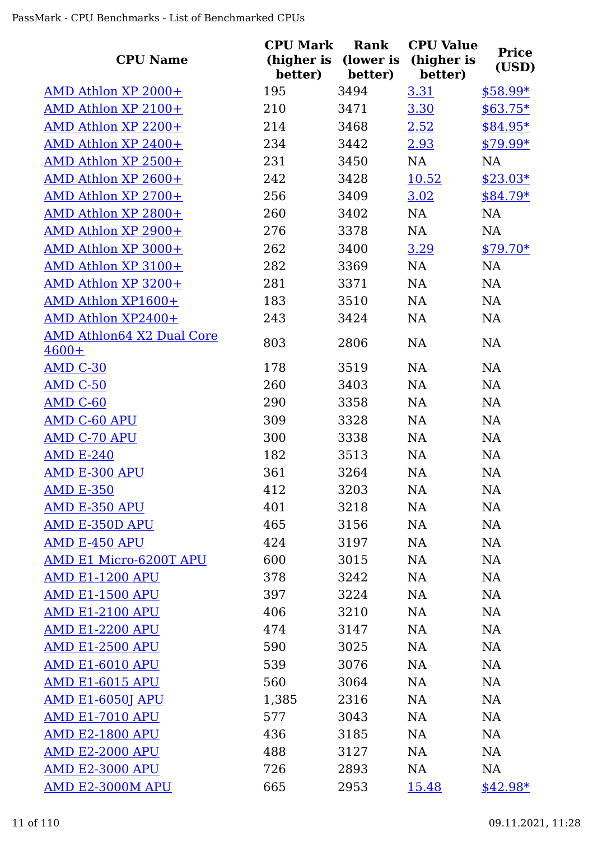| <b>CPU Name</b>                             | <b>CPU Mark</b><br>(higher is<br>better) | Rank<br>(lower is<br>better) | <b>CPU Value</b><br>(higher is<br>better) | <b>Price</b><br>(USD) |
|---------------------------------------------|------------------------------------------|------------------------------|-------------------------------------------|-----------------------|
| AMD Athlon XP 2000+                         | 195                                      | 3494                         | 3.31                                      | $$58.99*$             |
| AMD Athlon XP 2100+                         | 210                                      | 3471                         | 3.30                                      | $$63.75*$             |
| AMD Athlon XP 2200+                         | 214                                      | 3468                         | 2.52                                      | \$84.95*              |
| AMD Athlon XP 2400+                         | 234                                      | 3442                         | 2.93                                      | $$79.99*$             |
| AMD Athlon XP 2500+                         | 231                                      | 3450                         | NA                                        | <b>NA</b>             |
| AMD Athlon XP 2600+                         | 242                                      | 3428                         | 10.52                                     | $$23.03*$             |
| AMD Athlon XP 2700+                         | 256                                      | 3409                         | 3.02                                      | $$84.79*$             |
| AMD Athlon XP 2800+                         | 260                                      | 3402                         | NA                                        | NA                    |
| AMD Athlon XP 2900+                         | 276                                      | 3378                         | NA                                        | <b>NA</b>             |
| AMD Athlon XP 3000+                         | 262                                      | 3400                         | 3.29                                      | $$79.70*$             |
| AMD Athlon XP 3100+                         | 282                                      | 3369                         | NA                                        | <b>NA</b>             |
| AMD Athlon XP 3200+                         | 281                                      | 3371                         | NA                                        | NA                    |
| AMD Athlon XP1600+                          | 183                                      | 3510                         | NA                                        | NA                    |
| AMD Athlon XP2400+                          | 243                                      | 3424                         | NA                                        | NA                    |
| <b>AMD Athlon64 X2 Dual Core</b><br>$4600+$ | 803                                      | 2806                         | <b>NA</b>                                 | <b>NA</b>             |
| <b>AMD C-30</b>                             | 178                                      | 3519                         | <b>NA</b>                                 | <b>NA</b>             |
| <b>AMD C-50</b>                             | 260                                      | 3403                         | NA                                        | NA                    |
| AMD C-60                                    | 290                                      | 3358                         | NA                                        | NA                    |
| <b>AMD C-60 APU</b>                         | 309                                      | 3328                         | <b>NA</b>                                 | NA                    |
| <b>AMD C-70 APU</b>                         | 300                                      | 3338                         | NA                                        | NA                    |
| <b>AMD E-240</b>                            | 182                                      | 3513                         | NA                                        | <b>NA</b>             |
| <b>AMD E-300 APU</b>                        | 361                                      | 3264                         | <b>NA</b>                                 | NA                    |
| <b>AMD E-350</b>                            | 412                                      | 3203                         | NA                                        | NA                    |
| <b>AMD E-350 APU</b>                        | 401                                      | 3218                         | NA                                        | NA                    |
| <b>AMD E-350D APU</b>                       | 465                                      | 3156                         | NA                                        | NA                    |
| AMD E-450 APU                               | 424                                      | 3197                         | <b>NA</b>                                 | NA                    |
| AMD E1 Micro-6200T APU                      | 600                                      | 3015                         | <b>NA</b>                                 | <b>NA</b>             |
| <b>AMD E1-1200 APU</b>                      | 378                                      | 3242                         | NA                                        | <b>NA</b>             |
| <b>AMD E1-1500 APU</b>                      | 397                                      | 3224                         | NA                                        | NA                    |
| <b>AMD E1-2100 APU</b>                      | 406                                      | 3210                         | NA                                        | NA                    |
| <b>AMD E1-2200 APU</b>                      | 474                                      | 3147                         | <b>NA</b>                                 | NA                    |
| <b>AMD E1-2500 APU</b>                      | 590                                      | 3025                         | <b>NA</b>                                 | <b>NA</b>             |
| AMD E1-6010 APU                             | 539                                      | 3076                         | NA                                        | <b>NA</b>             |
| <b>AMD E1-6015 APU</b>                      | 560                                      | 3064                         | NA                                        | <b>NA</b>             |
| <u>AMD E1-6050J APU</u>                     | 1,385                                    | 2316                         | <b>NA</b>                                 | <b>NA</b>             |
| <u>AMD E1-7010 APU</u>                      | 577                                      | 3043                         | <b>NA</b>                                 | <b>NA</b>             |
| <b>AMD E2-1800 APU</b>                      | 436                                      | 3185                         | NA                                        | <b>NA</b>             |
| <b>AMD E2-2000 APU</b>                      | 488                                      | 3127                         | NA                                        | <b>NA</b>             |
| <b>AMD E2-3000 APU</b>                      | 726                                      | 2893                         | NA                                        | NA                    |
| AMD E2-3000M APU                            | 665                                      | 2953                         | 15.48                                     | $$42.98*$             |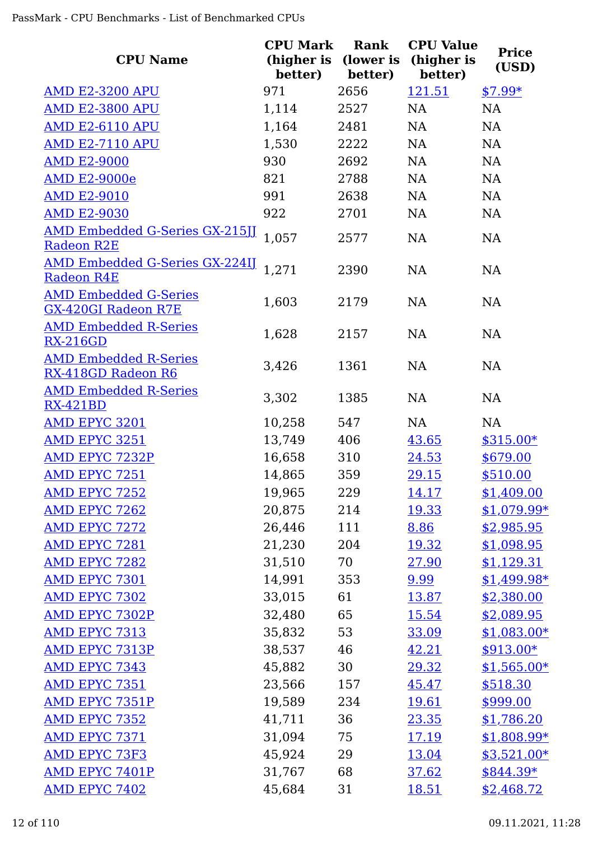| <b>CPU Name</b>                                            | <b>CPU Mark</b><br>(higher is<br>better) | Rank<br>(lower is<br>better) | <b>CPU Value</b><br>(higher is<br>better) | <b>Price</b><br>(USD) |
|------------------------------------------------------------|------------------------------------------|------------------------------|-------------------------------------------|-----------------------|
| <b>AMD E2-3200 APU</b>                                     | 971                                      | 2656                         | 121.51                                    | $$7.99*$              |
| <b>AMD E2-3800 APU</b>                                     | 1,114                                    | 2527                         | NA                                        | <b>NA</b>             |
| <b>AMD E2-6110 APU</b>                                     | 1,164                                    | 2481                         | NA                                        | NA                    |
| <b>AMD E2-7110 APU</b>                                     | 1,530                                    | 2222                         | NA                                        | NA                    |
| <b>AMD E2-9000</b>                                         | 930                                      | 2692                         | NA                                        | NA                    |
| <b>AMD E2-9000e</b>                                        | 821                                      | 2788                         | NA                                        | NA                    |
| <b>AMD E2-9010</b>                                         | 991                                      | 2638                         | NA                                        | <b>NA</b>             |
| <b>AMD E2-9030</b>                                         | 922                                      | 2701                         | NA                                        | <b>NA</b>             |
| <u>AMD Embedded G-Series GX-215JJ</u><br><b>Radeon R2E</b> | 1,057                                    | 2577                         | NA                                        | <b>NA</b>             |
| <b>AMD Embedded G-Series GX-224IJ</b><br>Radeon R4E        | 1,271                                    | 2390                         | <b>NA</b>                                 | <b>NA</b>             |
| <b>AMD Embedded G-Series</b><br><b>GX-420GI Radeon R7E</b> | 1,603                                    | 2179                         | NA                                        | <b>NA</b>             |
| <b>AMD Embedded R-Series</b><br><b>RX-216GD</b>            | 1,628                                    | 2157                         | NA                                        | <b>NA</b>             |
| <b>AMD Embedded R-Series</b><br>RX-418GD Radeon R6         | 3,426                                    | 1361                         | <b>NA</b>                                 | <b>NA</b>             |
| <b>AMD Embedded R-Series</b><br><b>RX-421BD</b>            | 3,302                                    | 1385                         | NA                                        | NA                    |
| AMD EPYC 3201                                              | 10,258                                   | 547                          | NA                                        | NA                    |
| <b>AMD EPYC 3251</b>                                       | 13,749                                   | 406                          | 43.65                                     | $$315.00*$            |
| <b>AMD EPYC 7232P</b>                                      | 16,658                                   | 310                          | 24.53                                     | \$679.00              |
| <b>AMD EPYC 7251</b>                                       | 14,865                                   | 359                          | 29.15                                     | \$510.00              |
| AMD EPYC 7252                                              | 19,965                                   | 229                          | <u>14.17</u>                              | \$1,409.00            |
| AMD EPYC 7262                                              | 20,875                                   | 214                          | 19.33                                     | $$1,079.99*$          |
| <b>AMD EPYC 7272</b>                                       | 26,446                                   | 111                          | 8.86                                      | \$2,985.95            |
| AMD EPYC 7281                                              | 21,230                                   | 204                          | 19.32                                     | \$1,098.95            |
| <b>AMD EPYC 7282</b>                                       | 31,510                                   | 70                           | 27.90                                     | \$1,129.31            |
| AMD EPYC 7301                                              | 14,991                                   | 353                          | 9.99                                      | $$1,499.98*$          |
| <b>AMD EPYC 7302</b>                                       | 33,015                                   | 61                           | <u>13.87</u>                              | \$2,380.00            |
| <b>AMD EPYC 7302P</b>                                      | 32,480                                   | 65                           | <u>15.54</u>                              | \$2,089.95            |
| AMD EPYC 7313                                              | 35,832                                   | 53                           | 33.09                                     | $$1,083.00*$          |
| AMD EPYC 7313P                                             | 38,537                                   | 46                           | 42.21                                     | $$913.00*$            |
| <b>AMD EPYC 7343</b>                                       | 45,882                                   | 30                           | 29.32                                     | $$1,565.00*$          |
| AMD EPYC 7351                                              | 23,566                                   | 157                          | 45.47                                     | \$518.30              |
| AMD EPYC 7351P                                             | 19,589                                   | 234                          | <u>19.61</u>                              | \$999.00              |
| <b>AMD EPYC 7352</b>                                       | 41,711                                   | 36                           | 23.35                                     | \$1,786.20            |
| AMD EPYC 7371                                              | 31,094                                   | 75                           | 17.19                                     | $$1,808.99*$          |
| <b>AMD EPYC 73F3</b>                                       | 45,924                                   | 29                           | 13.04                                     | $$3,521.00*$          |
| <b>AMD EPYC 7401P</b>                                      | 31,767                                   | 68                           | 37.62                                     | $$844.39*$            |
| <b>AMD EPYC 7402</b>                                       | 45,684                                   | 31                           | <u>18.51</u>                              | \$2,468.72            |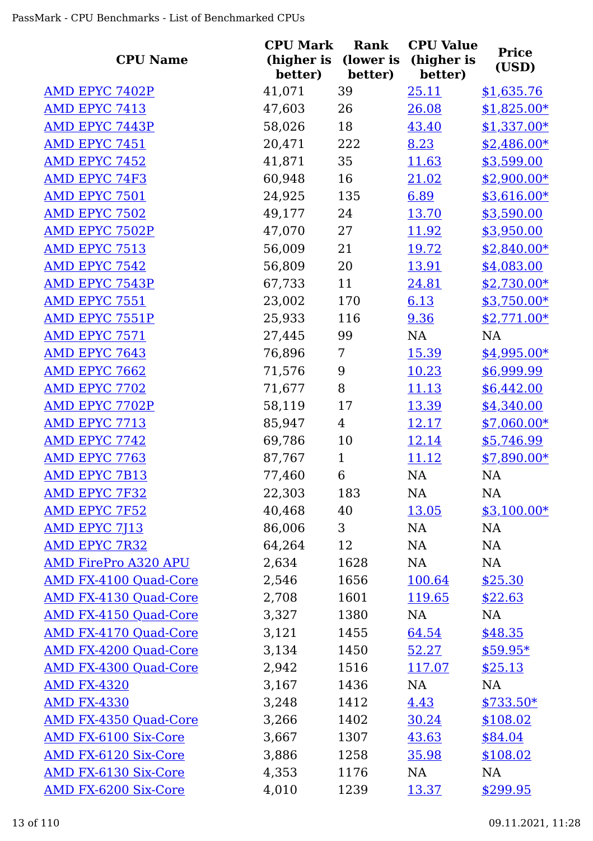| <b>CPU Name</b>              | <b>CPU Mark</b><br>(higher is<br>better) | Rank<br>(lower is<br>better) | <b>CPU Value</b><br>(higher is<br>better) | <b>Price</b><br>(USD) |
|------------------------------|------------------------------------------|------------------------------|-------------------------------------------|-----------------------|
| AMD EPYC 7402P               | 41,071                                   | 39                           | 25.11                                     | \$1,635.76            |
| AMD EPYC 7413                | 47,603                                   | 26                           | 26.08                                     | $$1,825.00*$          |
| <b>AMD EPYC 7443P</b>        | 58,026                                   | 18                           | 43.40                                     | $$1,337.00*$          |
| AMD EPYC 7451                | 20,471                                   | 222                          | 8.23                                      | $$2,486.00*$          |
| <b>AMD EPYC 7452</b>         | 41,871                                   | 35                           | 11.63                                     | \$3,599.00            |
| <b>AMD EPYC 74F3</b>         | 60,948                                   | 16                           | <u>21.02</u>                              | $$2,900.00*$          |
| <b>AMD EPYC 7501</b>         | 24,925                                   | 135                          | 6.89                                      | $$3,616.00*$          |
| <b>AMD EPYC 7502</b>         | 49,177                                   | 24                           | 13.70                                     | \$3,590.00            |
| <b>AMD EPYC 7502P</b>        | 47,070                                   | 27                           | 11.92                                     | \$3,950.00            |
| AMD EPYC 7513                | 56,009                                   | 21                           | 19.72                                     | $$2,840.00*$          |
| <b>AMD EPYC 7542</b>         | 56,809                                   | 20                           | 13.91                                     | \$4,083.00            |
| <b>AMD EPYC 7543P</b>        | 67,733                                   | 11                           | 24.81                                     | $$2,730.00*$          |
| AMD EPYC 7551                | 23,002                                   | 170                          | 6.13                                      | $$3,750.00*$          |
| <b>AMD EPYC 7551P</b>        | 25,933                                   | 116                          | 9.36                                      | $$2,771.00*$          |
| AMD EPYC 7571                | 27,445                                   | 99                           | NA                                        | NA                    |
| AMD EPYC 7643                | 76,896                                   | 7                            | 15.39                                     | $$4,995.00*$          |
| <b>AMD EPYC 7662</b>         | 71,576                                   | 9                            | 10.23                                     | \$6,999.99            |
| <b>AMD EPYC 7702</b>         | 71,677                                   | 8                            | 11.13                                     | \$6,442.00            |
| <b>AMD EPYC 7702P</b>        | 58,119                                   | 17                           | 13.39                                     | \$4,340.00            |
| <b>AMD EPYC 7713</b>         | 85,947                                   | 4                            | <u>12.17</u>                              | $$7,060.00*$          |
| AMD EPYC 7742                | 69,786                                   | 10                           | <u>12.14</u>                              | \$5,746.99            |
| <b>AMD EPYC 7763</b>         | 87,767                                   | $\mathbf{1}$                 | 11.12                                     | $$7,890.00*$          |
| <b>AMD EPYC 7B13</b>         | 77,460                                   | 6                            | NA                                        | <b>NA</b>             |
| <b>AMD EPYC 7F32</b>         | 22,303                                   | 183                          | <b>NA</b>                                 | <b>NA</b>             |
| <b>AMD EPYC 7F52</b>         | 40,468                                   | 40                           | 13.05                                     | $$3,100.00*$          |
| AMD EPYC 7J13                | 86,006                                   | 3                            | NA                                        | NA                    |
| <b>AMD EPYC 7R32</b>         | 64,264                                   | 12                           | NA                                        | NA                    |
| <b>AMD FirePro A320 APU</b>  | 2,634                                    | 1628                         | NA                                        | NA                    |
| <b>AMD FX-4100 Quad-Core</b> | 2,546                                    | 1656                         | 100.64                                    | \$25.30               |
| <b>AMD FX-4130 Quad-Core</b> | 2,708                                    | 1601                         | <u>119.65</u>                             | \$22.63               |
| AMD FX-4150 Quad-Core        | 3,327                                    | 1380                         | NA                                        | NA                    |
| AMD FX-4170 Quad-Core        | 3,121                                    | 1455                         | 64.54                                     | \$48.35               |
| <b>AMD FX-4200 Quad-Core</b> | 3,134                                    | 1450                         | 52.27                                     | $$59.95*$             |
| AMD FX-4300 Quad-Core        | 2,942                                    | 1516                         | 117.07                                    | \$25.13               |
| <b>AMD FX-4320</b>           | 3,167                                    | 1436                         | NA                                        | NA                    |
| <b>AMD FX-4330</b>           | 3,248                                    | 1412                         | 4.43                                      | $$733.50*$            |
| <b>AMD FX-4350 Quad-Core</b> | 3,266                                    | 1402                         | 30.24                                     | \$108.02              |
| <b>AMD FX-6100 Six-Core</b>  | 3,667                                    | 1307                         | 43.63                                     | \$84.04               |
| <b>AMD FX-6120 Six-Core</b>  | 3,886                                    | 1258                         | 35.98                                     | \$108.02              |
| <b>AMD FX-6130 Six-Core</b>  | 4,353                                    | 1176                         | NA                                        | NA                    |
| <b>AMD FX-6200 Six-Core</b>  | 4,010                                    | 1239                         | 13.37                                     | \$299.95              |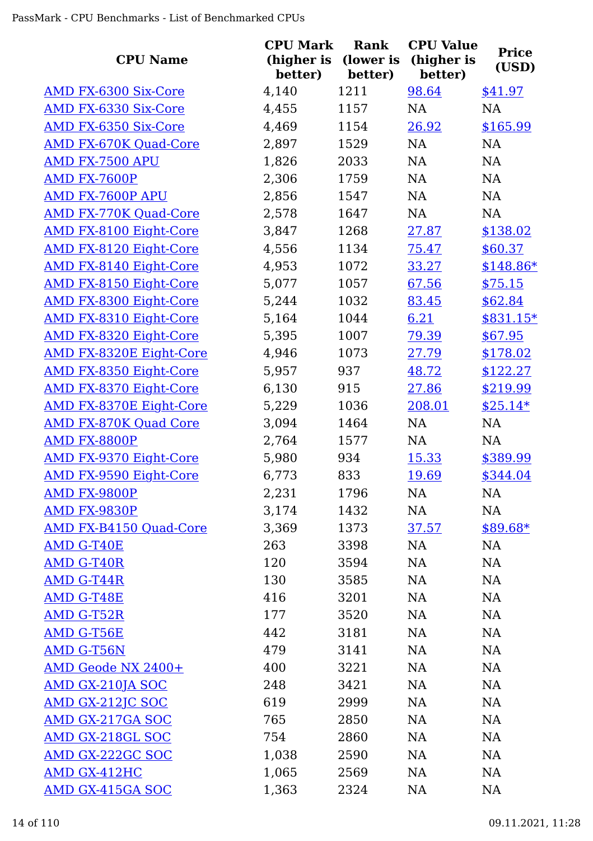| <b>CPU Name</b>                | <b>CPU Mark</b><br>(higher is<br>better) | <b>Rank</b><br>(lower is<br>better) | <b>CPU Value</b><br>(higher is<br>better) | <b>Price</b><br>(USD) |
|--------------------------------|------------------------------------------|-------------------------------------|-------------------------------------------|-----------------------|
| AMD FX-6300 Six-Core           | 4,140                                    | 1211                                | 98.64                                     | \$41.97               |
| AMD FX-6330 Six-Core           | 4,455                                    | 1157                                | <b>NA</b>                                 | NA                    |
| <b>AMD FX-6350 Six-Core</b>    | 4,469                                    | 1154                                | 26.92                                     | \$165.99              |
| <b>AMD FX-670K Quad-Core</b>   | 2,897                                    | 1529                                | NA                                        | <b>NA</b>             |
| AMD FX-7500 APU                | 1,826                                    | 2033                                | NA                                        | <b>NA</b>             |
| AMD FX-7600P                   | 2,306                                    | 1759                                | NA                                        | <b>NA</b>             |
| AMD FX-7600P APU               | 2,856                                    | 1547                                | NA                                        | NA                    |
| <b>AMD FX-770K Quad-Core</b>   | 2,578                                    | 1647                                | NA                                        | <b>NA</b>             |
| <b>AMD FX-8100 Eight-Core</b>  | 3,847                                    | 1268                                | 27.87                                     | \$138.02              |
| AMD FX-8120 Eight-Core         | 4,556                                    | 1134                                | 75.47                                     | \$60.37               |
| <b>AMD FX-8140 Eight-Core</b>  | 4,953                                    | 1072                                | 33.27                                     | $$148.86*$            |
| <b>AMD FX-8150 Eight-Core</b>  | 5,077                                    | 1057                                | 67.56                                     | \$75.15               |
| <b>AMD FX-8300 Eight-Core</b>  | 5,244                                    | 1032                                | 83.45                                     | \$62.84               |
| <b>AMD FX-8310 Eight-Core</b>  | 5,164                                    | 1044                                | 6.21                                      | \$831.15*             |
| <b>AMD FX-8320 Eight-Core</b>  | 5,395                                    | 1007                                | 79.39                                     | \$67.95               |
| <b>AMD FX-8320E Eight-Core</b> | 4,946                                    | 1073                                | 27.79                                     | \$178.02              |
| <b>AMD FX-8350 Eight-Core</b>  | 5,957                                    | 937                                 | 48.72                                     | \$122.27              |
| <b>AMD FX-8370 Eight-Core</b>  | 6,130                                    | 915                                 | 27.86                                     | \$219.99              |
| <b>AMD FX-8370E Eight-Core</b> | 5,229                                    | 1036                                | 208.01                                    | $$25.14*$             |
| <b>AMD FX-870K Quad Core</b>   | 3,094                                    | 1464                                | NA                                        | <b>NA</b>             |
| AMD FX-8800P                   | 2,764                                    | 1577                                | <b>NA</b>                                 | <b>NA</b>             |
| <b>AMD FX-9370 Eight-Core</b>  | 5,980                                    | 934                                 | 15.33                                     | \$389.99              |
| <b>AMD FX-9590 Eight-Core</b>  | 6,773                                    | 833                                 | 19.69                                     | \$344.04              |
| AMD FX-9800P                   | 2,231                                    | 1796                                | NA                                        | NA                    |
| AMD FX-9830P                   | 3,174                                    | 1432                                | NA                                        | NA                    |
| <b>AMD FX-B4150 Quad-Core</b>  | 3,369                                    | 1373                                | 37.57                                     | $$89.68*$             |
| AMD G-T40E                     | 263                                      | 3398                                | NA                                        | <b>NA</b>             |
| <b>AMD G-T40R</b>              | 120                                      | 3594                                | NA                                        | <b>NA</b>             |
| AMD G-T44R                     | 130                                      | 3585                                | NA                                        | NA                    |
| AMD G-T48E                     | 416                                      | 3201                                | NA                                        | NA                    |
| AMD G-T52R                     | 177                                      | 3520                                | <b>NA</b>                                 | <b>NA</b>             |
| AMD G-T56E                     | 442                                      | 3181                                | NA                                        | <b>NA</b>             |
| AMD G-T56N                     | 479                                      | 3141                                | NA                                        | <b>NA</b>             |
| AMD Geode NX 2400+             | 400                                      | 3221                                | NA                                        | <b>NA</b>             |
| <b>AMD GX-210JA SOC</b>        | 248                                      | 3421                                | NA                                        | <b>NA</b>             |
| AMD GX-212JC SOC               | 619                                      | 2999                                | NA                                        | <b>NA</b>             |
| <b>AMD GX-217GA SOC</b>        | 765                                      | 2850                                | NA                                        | NA                    |
| AMD GX-218GL SOC               | 754                                      | 2860                                | NA                                        | NA                    |
| AMD GX-222GC SOC               | 1,038                                    | 2590                                | NA                                        | <b>NA</b>             |
| AMD GX-412HC                   | 1,065                                    | 2569                                | NA                                        | <b>NA</b>             |
| <b>AMD GX-415GA SOC</b>        | 1,363                                    | 2324                                | <b>NA</b>                                 | <b>NA</b>             |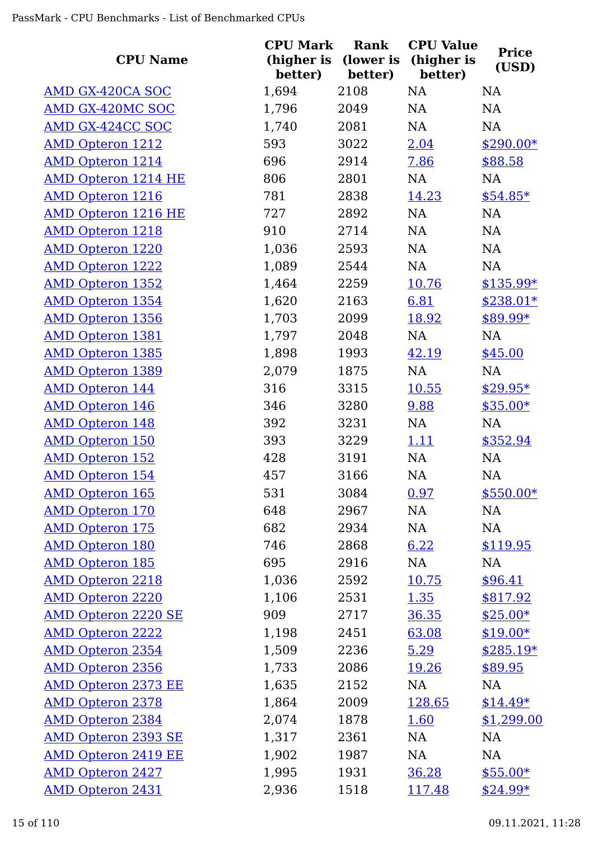| <b>CPU Name</b>            | <b>CPU Mark</b><br>(higher is<br>better) | Rank<br>(lower is<br>better) | <b>CPU Value</b><br>(higher is<br>better) | <b>Price</b><br>(USD) |
|----------------------------|------------------------------------------|------------------------------|-------------------------------------------|-----------------------|
| AMD GX-420CA SOC           | 1,694                                    | 2108                         | NA                                        | NA                    |
| <b>AMD GX-420MC SOC</b>    | 1,796                                    | 2049                         | <b>NA</b>                                 | NA                    |
| <b>AMD GX-424CC SOC</b>    | 1,740                                    | 2081                         | <b>NA</b>                                 | <b>NA</b>             |
| <b>AMD Opteron 1212</b>    | 593                                      | 3022                         | 2.04                                      | $$290.00*$            |
| <b>AMD Opteron 1214</b>    | 696                                      | 2914                         | 7.86                                      | \$88.58               |
| <b>AMD Opteron 1214 HE</b> | 806                                      | 2801                         | NA                                        | NA                    |
| <b>AMD Opteron 1216</b>    | 781                                      | 2838                         | 14.23                                     | $$54.85*$             |
| <b>AMD Opteron 1216 HE</b> | 727                                      | 2892                         | NA                                        | <b>NA</b>             |
| <b>AMD Opteron 1218</b>    | 910                                      | 2714                         | NA                                        | NA                    |
| <b>AMD Opteron 1220</b>    | 1,036                                    | 2593                         | NA                                        | NA                    |
| <b>AMD Opteron 1222</b>    | 1,089                                    | 2544                         | NA                                        | NA                    |
| <b>AMD Opteron 1352</b>    | 1,464                                    | 2259                         | 10.76                                     | \$135.99*             |
| <b>AMD Opteron 1354</b>    | 1,620                                    | 2163                         | 6.81                                      | \$238.01*             |
| <b>AMD Opteron 1356</b>    | 1,703                                    | 2099                         | 18.92                                     | \$89.99*              |
| <b>AMD Opteron 1381</b>    | 1,797                                    | 2048                         | <b>NA</b>                                 | NA                    |
| <b>AMD Opteron 1385</b>    | 1,898                                    | 1993                         | 42.19                                     | \$45.00               |
| <b>AMD Opteron 1389</b>    | 2,079                                    | 1875                         | NA                                        | NA                    |
| <b>AMD Opteron 144</b>     | 316                                      | 3315                         | <u>10.55</u>                              | $$29.95*$             |
| <b>AMD</b> Opteron 146     | 346                                      | 3280                         | 9.88                                      | $$35.00*$             |
| <b>AMD Opteron 148</b>     | 392                                      | 3231                         | NA                                        | <b>NA</b>             |
| <b>AMD Opteron 150</b>     | 393                                      | 3229                         | <u>1.11</u>                               | \$352.94              |
| <b>AMD Opteron 152</b>     | 428                                      | 3191                         | NA                                        | NA                    |
| <b>AMD Opteron 154</b>     | 457                                      | 3166                         | NA                                        | NA                    |
| <b>AMD Opteron 165</b>     | 531                                      | 3084                         | 0.97                                      | $$550.00*$            |
| <b>AMD Opteron 170</b>     | 648                                      | 2967                         | NA                                        | NA                    |
| <b>AMD Opteron 175</b>     | 682                                      | 2934                         | NA                                        | NA                    |
| <b>AMD Opteron 180</b>     | 746                                      | 2868                         | 6.22                                      | \$119.95              |
| <b>AMD Opteron 185</b>     | 695                                      | 2916                         | NA                                        | NA                    |
| <b>AMD Opteron 2218</b>    | 1,036                                    | 2592                         | 10.75                                     | \$96.41               |
| <b>AMD Opteron 2220</b>    | 1,106                                    | 2531                         | 1.35                                      | \$817.92              |
| <b>AMD Opteron 2220 SE</b> | 909                                      | 2717                         | 36.35                                     | $$25.00*$             |
| <b>AMD Opteron 2222</b>    | 1,198                                    | 2451                         | 63.08                                     | $$19.00*$             |
| <b>AMD Opteron 2354</b>    | 1,509                                    | 2236                         | 5.29                                      | $$285.19*$            |
| <b>AMD Opteron 2356</b>    | 1,733                                    | 2086                         | 19.26                                     | \$89.95               |
| <b>AMD Opteron 2373 EE</b> | 1,635                                    | 2152                         | NA                                        | NA                    |
| <b>AMD Opteron 2378</b>    | 1,864                                    | 2009                         | 128.65                                    | $$14.49*$             |
| <b>AMD Opteron 2384</b>    | 2,074                                    | 1878                         | 1.60                                      | \$1,299.00            |
| <b>AMD Opteron 2393 SE</b> | 1,317                                    | 2361                         | NA                                        | NA                    |
| <b>AMD Opteron 2419 EE</b> | 1,902                                    | 1987                         | <b>NA</b>                                 | NA                    |
| <b>AMD Opteron 2427</b>    | 1,995                                    | 1931                         | 36.28                                     | $$55.00*$             |
| <b>AMD Opteron 2431</b>    | 2,936                                    | 1518                         | 117.48                                    | $$24.99*$             |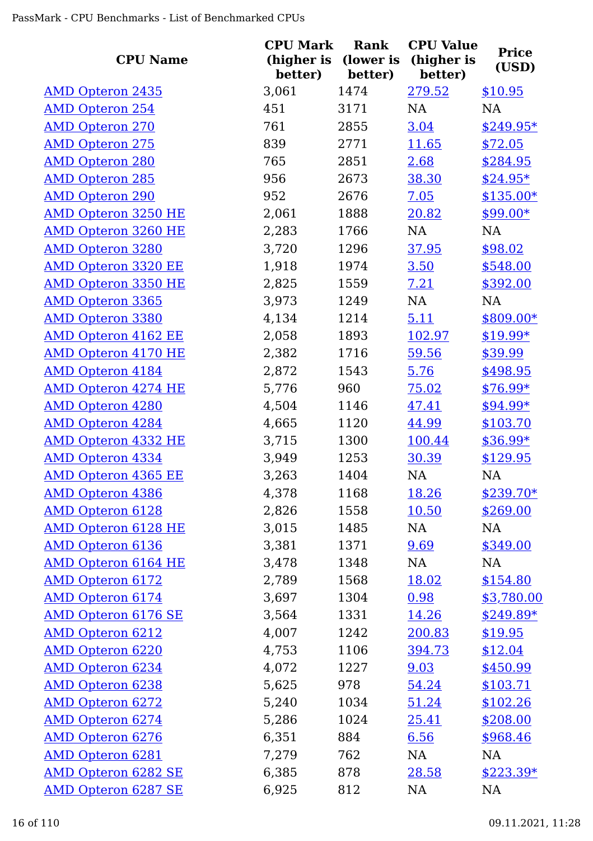| <b>CPU Name</b>            | <b>CPU Mark</b><br>(higher is<br>better) | <b>Rank</b><br>(lower is<br>better) | <b>CPU Value</b><br>(higher is<br>better) | <b>Price</b><br>(USD) |
|----------------------------|------------------------------------------|-------------------------------------|-------------------------------------------|-----------------------|
| <b>AMD Opteron 2435</b>    | 3,061                                    | 1474                                | 279.52                                    | \$10.95               |
| <b>AMD Opteron 254</b>     | 451                                      | 3171                                | NA                                        | NA                    |
| <b>AMD Opteron 270</b>     | 761                                      | 2855                                | 3.04                                      | $$249.95*$            |
| <b>AMD Opteron 275</b>     | 839                                      | 2771                                | <u>11.65</u>                              | \$72.05               |
| <b>AMD Opteron 280</b>     | 765                                      | 2851                                | 2.68                                      | \$284.95              |
| <b>AMD Opteron 285</b>     | 956                                      | 2673                                | 38.30                                     | $$24.95*$             |
| <b>AMD Opteron 290</b>     | 952                                      | 2676                                | 7.05                                      | $$135.00*$            |
| <b>AMD Opteron 3250 HE</b> | 2,061                                    | 1888                                | 20.82                                     | $$99.00*$             |
| <b>AMD Opteron 3260 HE</b> | 2,283                                    | 1766                                | NA                                        | NA                    |
| <b>AMD Opteron 3280</b>    | 3,720                                    | 1296                                | 37.95                                     | \$98.02               |
| <b>AMD Opteron 3320 EE</b> | 1,918                                    | 1974                                | 3.50                                      | \$548.00              |
| <b>AMD Opteron 3350 HE</b> | 2,825                                    | 1559                                | 7.21                                      | \$392.00              |
| <b>AMD Opteron 3365</b>    | 3,973                                    | 1249                                | NA                                        | NA                    |
| <b>AMD Opteron 3380</b>    | 4,134                                    | 1214                                | 5.11                                      | \$809.00*             |
| <b>AMD Opteron 4162 EE</b> | 2,058                                    | 1893                                | 102.97                                    | $$19.99*$             |
| <b>AMD Opteron 4170 HE</b> | 2,382                                    | 1716                                | 59.56                                     | \$39.99               |
| <b>AMD Opteron 4184</b>    | 2,872                                    | 1543                                | 5.76                                      | \$498.95              |
| <b>AMD Opteron 4274 HE</b> | 5,776                                    | 960                                 | 75.02                                     | $$76.99*$             |
| <b>AMD Opteron 4280</b>    | 4,504                                    | 1146                                | 47.41                                     | $$94.99*$             |
| <b>AMD Opteron 4284</b>    | 4,665                                    | 1120                                | 44.99                                     | \$103.70              |
| <b>AMD Opteron 4332 HE</b> | 3,715                                    | 1300                                | 100.44                                    | $$36.99*$             |
| <b>AMD Opteron 4334</b>    | 3,949                                    | 1253                                | 30.39                                     | \$129.95              |
| <b>AMD Opteron 4365 EE</b> | 3,263                                    | 1404                                | NA                                        | NA                    |
| <b>AMD Opteron 4386</b>    | 4,378                                    | 1168                                | 18.26                                     | \$239.70*             |
| <b>AMD Opteron 6128</b>    | 2,826                                    | 1558                                | 10.50                                     | \$269.00              |
| <b>AMD Opteron 6128 HE</b> | 3,015                                    | 1485                                | NA                                        | NA                    |
| <b>AMD Opteron 6136</b>    | 3,381                                    | 1371                                | 9.69                                      | \$349.00              |
| <b>AMD Opteron 6164 HE</b> | 3,478                                    | 1348                                | NA                                        | <b>NA</b>             |
| <b>AMD Opteron 6172</b>    | 2,789                                    | 1568                                | 18.02                                     | \$154.80              |
| <b>AMD Opteron 6174</b>    | 3,697                                    | 1304                                | 0.98                                      | \$3,780.00            |
| <b>AMD Opteron 6176 SE</b> | 3,564                                    | 1331                                | 14.26                                     | $$249.89*$            |
| <b>AMD Opteron 6212</b>    | 4,007                                    | 1242                                | 200.83                                    | \$19.95               |
| <b>AMD Opteron 6220</b>    | 4,753                                    | 1106                                | 394.73                                    | \$12.04               |
| <b>AMD Opteron 6234</b>    | 4,072                                    | 1227                                | 9.03                                      | \$450.99              |
| <b>AMD Opteron 6238</b>    | 5,625                                    | 978                                 | 54.24                                     | \$103.71              |
| <b>AMD Opteron 6272</b>    | 5,240                                    | 1034                                | 51.24                                     | \$102.26              |
| <b>AMD Opteron 6274</b>    | 5,286                                    | 1024                                | 25.41                                     | \$208.00              |
| <b>AMD Opteron 6276</b>    | 6,351                                    | 884                                 | 6.56                                      | \$968.46              |
| <b>AMD Opteron 6281</b>    | 7,279                                    | 762                                 | NA                                        | <b>NA</b>             |
| <b>AMD Opteron 6282 SE</b> | 6,385                                    | 878                                 | 28.58                                     | $$223.39*$            |
| <b>AMD Opteron 6287 SE</b> | 6,925                                    | 812                                 | <b>NA</b>                                 | <b>NA</b>             |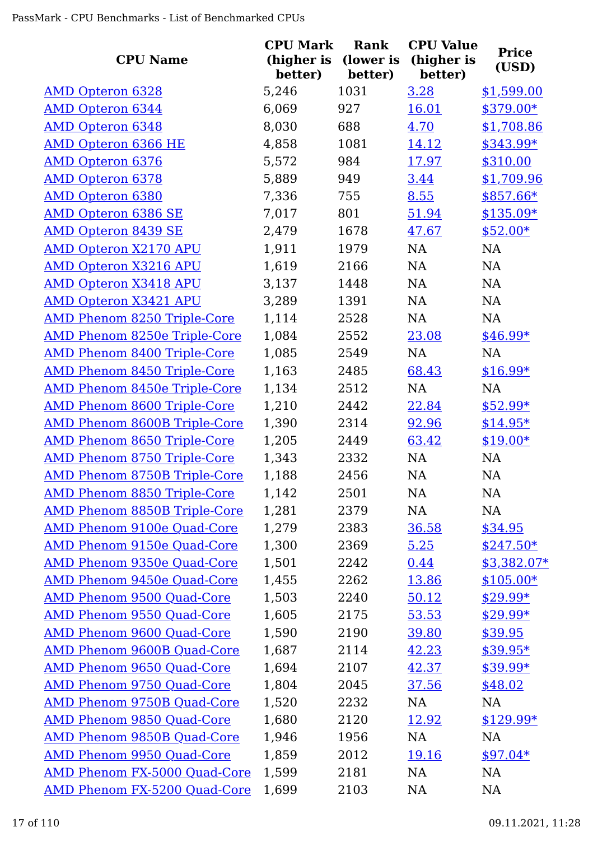|                                     | <b>CPU Mark</b>       | <b>Rank</b>          | <b>CPU Value</b>      |                       |
|-------------------------------------|-----------------------|----------------------|-----------------------|-----------------------|
| <b>CPU Name</b>                     | (higher is<br>better) | (lower is<br>better) | (higher is<br>better) | <b>Price</b><br>(USD) |
| <b>AMD Opteron 6328</b>             | 5,246                 | 1031                 | 3.28                  | \$1,599.00            |
| <b>AMD Opteron 6344</b>             | 6,069                 | 927                  | <u>16.01</u>          | $$379.00*$            |
| <b>AMD Opteron 6348</b>             | 8,030                 | 688                  | 4.70                  | \$1,708.86            |
| <b>AMD Opteron 6366 HE</b>          | 4,858                 | 1081                 | 14.12                 | \$343.99*             |
| <b>AMD Opteron 6376</b>             | 5,572                 | 984                  | 17.97                 | \$310.00              |
| <b>AMD Opteron 6378</b>             | 5,889                 | 949                  | 3.44                  | \$1,709.96            |
| <b>AMD Opteron 6380</b>             | 7,336                 | 755                  | 8.55                  | \$857.66*             |
| <b>AMD Opteron 6386 SE</b>          | 7,017                 | 801                  | 51.94                 | $$135.09*$            |
| <b>AMD Opteron 8439 SE</b>          | 2,479                 | 1678                 | 47.67                 | $$52.00*$             |
| <b>AMD Opteron X2170 APU</b>        | 1,911                 | 1979                 | NA                    | NA                    |
| <b>AMD Opteron X3216 APU</b>        | 1,619                 | 2166                 | NA                    | NA                    |
| <b>AMD Opteron X3418 APU</b>        | 3,137                 | 1448                 | NA                    | NA                    |
| <b>AMD Opteron X3421 APU</b>        | 3,289                 | 1391                 | NA                    | NA                    |
| <b>AMD Phenom 8250 Triple-Core</b>  | 1,114                 | 2528                 | NA                    | NA                    |
| <b>AMD Phenom 8250e Triple-Core</b> | 1,084                 | 2552                 | 23.08                 | $$46.99*$             |
| <b>AMD Phenom 8400 Triple-Core</b>  | 1,085                 | 2549                 | NA                    | NA                    |
| <b>AMD Phenom 8450 Triple-Core</b>  | 1,163                 | 2485                 | 68.43                 | $$16.99*$             |
| <b>AMD Phenom 8450e Triple-Core</b> | 1,134                 | 2512                 | NA                    | NA                    |
| <b>AMD Phenom 8600 Triple-Core</b>  | 1,210                 | 2442                 | 22.84                 | $$52.99*$             |
| <b>AMD Phenom 8600B Triple-Core</b> | 1,390                 | 2314                 | 92.96                 | $$14.95*$             |
| <b>AMD Phenom 8650 Triple-Core</b>  | 1,205                 | 2449                 | 63.42                 | $$19.00*$             |
| AMD Phenom 8750 Triple-Core         | 1,343                 | 2332                 | NA                    | NA                    |
| <b>AMD Phenom 8750B Triple-Core</b> | 1,188                 | 2456                 | NA                    | NA                    |
| <b>AMD Phenom 8850 Triple-Core</b>  | 1,142                 | 2501                 | NA                    | <b>NA</b>             |
| AMD Phenom 8850B Triple-Core        | 1,281                 | 2379                 | <b>NA</b>             | NA                    |
| <b>AMD Phenom 9100e Quad-Core</b>   | 1,279                 | 2383                 | 36.58                 | \$34.95               |
| AMD Phenom 9150e Quad-Core          | 1,300                 | 2369                 | 5.25                  | $$247.50*$            |
| AMD Phenom 9350e Quad-Core          | 1,501                 | 2242                 | 0.44                  | $$3,382.07*$          |
| AMD Phenom 9450e Quad-Core          | 1,455                 | 2262                 | 13.86                 | $$105.00*$            |
| <b>AMD Phenom 9500 Quad-Core</b>    | 1,503                 | 2240                 | 50.12                 | $$29.99*$             |
| <b>AMD Phenom 9550 Quad-Core</b>    | 1,605                 | 2175                 | 53.53                 | $$29.99*$             |
| <b>AMD Phenom 9600 Quad-Core</b>    | 1,590                 | 2190                 | 39.80                 | \$39.95               |
| <b>AMD Phenom 9600B Quad-Core</b>   | 1,687                 | 2114                 | 42.23                 | $$39.95*$             |
| <b>AMD Phenom 9650 Quad-Core</b>    | 1,694                 | 2107                 | 42.37                 | $$39.99*$             |
| <b>AMD Phenom 9750 Quad-Core</b>    | 1,804                 | 2045                 | 37.56                 | \$48.02               |
| AMD Phenom 9750B Quad-Core          | 1,520                 | 2232                 | <b>NA</b>             | NA                    |
| AMD Phenom 9850 Quad-Core           | 1,680                 | 2120                 | 12.92                 | $$129.99*$            |
| <b>AMD Phenom 9850B Quad-Core</b>   | 1,946                 | 1956                 | NA                    | NA                    |
| <b>AMD Phenom 9950 Quad-Core</b>    | 1,859                 | 2012                 | 19.16                 | $$97.04*$             |
| AMD Phenom FX-5000 Quad-Core        | 1,599                 | 2181                 | NA                    | <b>NA</b>             |
| AMD Phenom FX-5200 Quad-Core        | 1,699                 | 2103                 | <b>NA</b>             | <b>NA</b>             |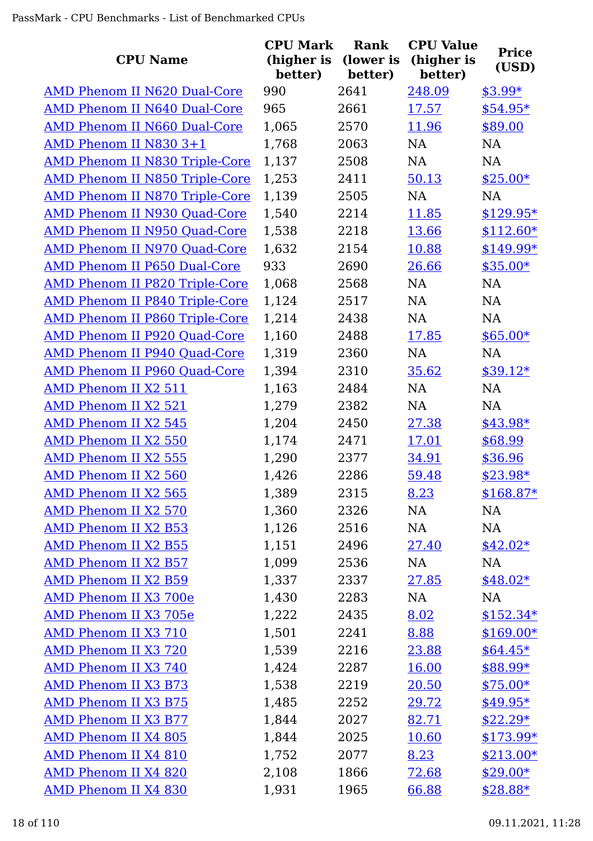|                                       | <b>CPU Mark</b>       | <b>Rank</b>          | <b>CPU Value</b>      | <b>Price</b> |
|---------------------------------------|-----------------------|----------------------|-----------------------|--------------|
| <b>CPU Name</b>                       | (higher is<br>better) | (lower is<br>better) | (higher is<br>better) | (USD)        |
| AMD Phenom II N620 Dual-Core          | 990                   | 2641                 | 248.09                | $$3.99*$     |
| AMD Phenom II N640 Dual-Core          | 965                   | 2661                 | 17.57                 | $$54.95*$    |
| AMD Phenom II N660 Dual-Core          | 1,065                 | 2570                 | 11.96                 | \$89.00      |
| AMD Phenom II N830 3+1                | 1,768                 | 2063                 | NA                    | NA           |
| <b>AMD Phenom II N830 Triple-Core</b> | 1,137                 | 2508                 | NA                    | NA           |
| <b>AMD Phenom II N850 Triple-Core</b> | 1,253                 | 2411                 | 50.13                 | $$25.00*$    |
| <b>AMD Phenom II N870 Triple-Core</b> | 1,139                 | 2505                 | NA                    | <b>NA</b>    |
| <b>AMD Phenom II N930 Quad-Core</b>   | 1,540                 | 2214                 | 11.85                 | $$129.95*$   |
| AMD Phenom II N950 Quad-Core          | 1,538                 | 2218                 | 13.66                 | $$112.60*$   |
| AMD Phenom II N970 Quad-Core          | 1,632                 | 2154                 | 10.88                 | \$149.99*    |
| AMD Phenom II P650 Dual-Core          | 933                   | 2690                 | 26.66                 | $$35.00*$    |
| <b>AMD Phenom II P820 Triple-Core</b> | 1,068                 | 2568                 | NA                    | <b>NA</b>    |
| <b>AMD Phenom II P840 Triple-Core</b> | 1,124                 | 2517                 | NA                    | NA           |
| <b>AMD Phenom II P860 Triple-Core</b> | 1,214                 | 2438                 | NA                    | NA           |
| AMD Phenom II P920 Quad-Core          | 1,160                 | 2488                 | 17.85                 | $$65.00*$    |
| AMD Phenom II P940 Quad-Core          | 1,319                 | 2360                 | NA                    | <b>NA</b>    |
| <b>AMD Phenom II P960 Quad-Core</b>   | 1,394                 | 2310                 | 35.62                 | $$39.12*$    |
| AMD Phenom II X2 511                  | 1,163                 | 2484                 | NA                    | <b>NA</b>    |
| AMD Phenom II X2 521                  | 1,279                 | 2382                 | NA                    | <b>NA</b>    |
| <b>AMD Phenom II X2 545</b>           | 1,204                 | 2450                 | 27.38                 | \$43.98*     |
| AMD Phenom II X2 550                  | 1,174                 | 2471                 | <u>17.01</u>          | \$68.99      |
| <b>AMD Phenom II X2 555</b>           | 1,290                 | 2377                 | 34.91                 | \$36.96      |
| AMD Phenom II X2 560                  | 1,426                 | 2286                 | 59.48                 | $$23.98*$    |
| AMD Phenom II X2 565                  | 1,389                 | 2315                 | 8.23                  | $$168.87*$   |
| AMD Phenom II X2 570                  | 1,360                 | 2326                 | NA                    | NA           |
| <b>AMD Phenom II X2 B53</b>           | 1,126                 | 2516                 | NA                    | NA           |
| <b>AMD Phenom II X2 B55</b>           | 1,151                 | 2496                 | 27.40                 | $$42.02*$    |
| AMD Phenom II X2 B57                  | 1,099                 | 2536                 | NA                    | NA           |
| <b>AMD Phenom II X2 B59</b>           | 1,337                 | 2337                 | 27.85                 | $$48.02*$    |
| AMD Phenom II X3 700e                 | 1,430                 | 2283                 | NA                    | NA           |
| AMD Phenom II X3 705e                 | 1,222                 | 2435                 | 8.02                  | $$152.34*$   |
| AMD Phenom II X3 710                  | 1,501                 | 2241                 | 8.88                  | $$169.00*$   |
| AMD Phenom II X3 720                  | 1,539                 | 2216                 | 23.88                 | $$64.45*$    |
| AMD Phenom II X3 740                  | 1,424                 | 2287                 | <u>16.00</u>          | $$88.99*$    |
| <b>AMD Phenom II X3 B73</b>           | 1,538                 | 2219                 | 20.50                 | $$75.00*$    |
| <b>AMD Phenom II X3 B75</b>           | 1,485                 | 2252                 | 29.72                 | $$49.95*$    |
| <b>AMD Phenom II X3 B77</b>           | 1,844                 | 2027                 | 82.71                 | $$22.29*$    |
| <b>AMD Phenom II X4 805</b>           | 1,844                 | 2025                 | 10.60                 | $$173.99*$   |
| AMD Phenom II X4 810                  | 1,752                 | 2077                 | 8.23                  | $$213.00*$   |
| <b>AMD Phenom II X4 820</b>           | 2,108                 | 1866                 | 72.68                 | $$29.00*$    |
| <b>AMD Phenom II X4 830</b>           | 1,931                 | 1965                 | 66.88                 | $$28.88*$    |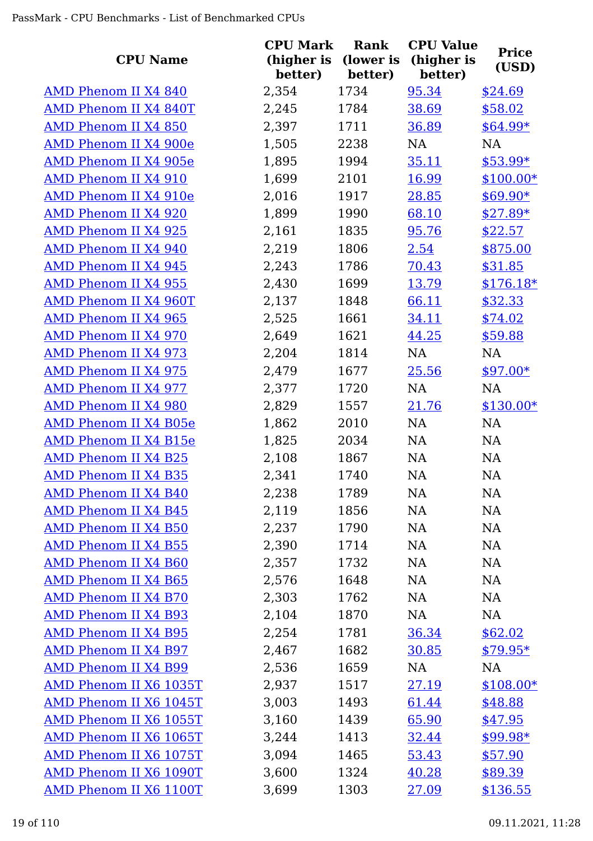|                              | <b>CPU Mark</b>       | <b>Rank</b>          | <b>CPU Value</b>      | <b>Price</b> |
|------------------------------|-----------------------|----------------------|-----------------------|--------------|
| <b>CPU Name</b>              | (higher is<br>better) | (lower is<br>better) | (higher is<br>better) | (USD)        |
| AMD Phenom II X4 840         | 2,354                 | 1734                 | 95.34                 | \$24.69      |
| AMD Phenom II X4 840T        | 2,245                 | 1784                 | 38.69                 | \$58.02      |
| AMD Phenom II X4 850         | 2,397                 | 1711                 | 36.89                 | $$64.99*$    |
| AMD Phenom II X4 900e        | 1,505                 | 2238                 | NA                    | NA           |
| AMD Phenom II X4 905e        | 1,895                 | 1994                 | 35.11                 | \$53.99*     |
| <b>AMD Phenom II X4 910</b>  | 1,699                 | 2101                 | 16.99                 | $$100.00*$   |
| AMD Phenom II X4 910e        | 2,016                 | 1917                 | 28.85                 | $$69.90*$    |
| AMD Phenom II X4 920         | 1,899                 | 1990                 | 68.10                 | $$27.89*$    |
| AMD Phenom II X4 925         | 2,161                 | 1835                 | 95.76                 | \$22.57      |
| AMD Phenom II X4 940         | 2,219                 | 1806                 | 2.54                  | \$875.00     |
| <b>AMD Phenom II X4 945</b>  | 2,243                 | 1786                 | 70.43                 | \$31.85      |
| <b>AMD Phenom II X4 955</b>  | 2,430                 | 1699                 | 13.79                 | $$176.18*$   |
| AMD Phenom II X4 960T        | 2,137                 | 1848                 | 66.11                 | \$32.33      |
| <b>AMD Phenom II X4 965</b>  | 2,525                 | 1661                 | 34.11                 | \$74.02      |
| AMD Phenom II X4 970         | 2,649                 | 1621                 | 44.25                 | \$59.88      |
| <b>AMD Phenom II X4 973</b>  | 2,204                 | 1814                 | NA                    | NA           |
| <b>AMD Phenom II X4 975</b>  | 2,479                 | 1677                 | 25.56                 | $$97.00*$    |
| AMD Phenom II X4 977         | 2,377                 | 1720                 | NA                    | NA           |
| AMD Phenom II X4 980         | 2,829                 | 1557                 | 21.76                 | $$130.00*$   |
| <b>AMD Phenom II X4 B05e</b> | 1,862                 | 2010                 | NA                    | NA           |
| AMD Phenom II X4 B15e        | 1,825                 | 2034                 | NA                    | NA           |
| <b>AMD Phenom II X4 B25</b>  | 2,108                 | 1867                 | NA                    | NA           |
| <b>AMD Phenom II X4 B35</b>  | 2,341                 | 1740                 | NA                    | NA           |
| <b>AMD Phenom II X4 B40</b>  | 2,238                 | 1789                 | NA                    | NA           |
| <b>AMD Phenom II X4 B45</b>  | 2,119                 | 1856                 | NA                    | NA           |
| <b>AMD Phenom II X4 B50</b>  | 2,237                 | 1790                 | NA                    | NA           |
| <b>AMD Phenom II X4 B55</b>  | 2,390                 | 1714                 | NA                    | <b>NA</b>    |
| <b>AMD Phenom II X4 B60</b>  | 2,357                 | 1732                 | NA                    | <b>NA</b>    |
| <b>AMD Phenom II X4 B65</b>  | 2,576                 | 1648                 | NA                    | NA           |
| AMD Phenom II X4 B70         | 2,303                 | 1762                 | NA                    | NA           |
| AMD Phenom II X4 B93         | 2,104                 | 1870                 | NA                    | <b>NA</b>    |
| <b>AMD Phenom II X4 B95</b>  | 2,254                 | 1781                 | 36.34                 | \$62.02      |
| AMD Phenom II X4 B97         | 2,467                 | 1682                 | 30.85                 | $$79.95*$    |
| AMD Phenom II X4 B99         | 2,536                 | 1659                 | NA                    | NA           |
| AMD Phenom II X6 1035T       | 2,937                 | 1517                 | 27.19                 | $$108.00*$   |
| AMD Phenom II X6 1045T       | 3,003                 | 1493                 | 61.44                 | \$48.88      |
| AMD Phenom II X6 1055T       | 3,160                 | 1439                 | 65.90                 | \$47.95      |
| AMD Phenom II X6 1065T       | 3,244                 | 1413                 | 32.44                 | $$99.98*$    |
| AMD Phenom II X6 1075T       | 3,094                 | 1465                 | 53.43                 | \$57.90      |
| AMD Phenom II X6 1090T       | 3,600                 | 1324                 | 40.28                 | \$89.39      |
| AMD Phenom II X6 1100T       | 3,699                 | 1303                 | 27.09                 | \$136.55     |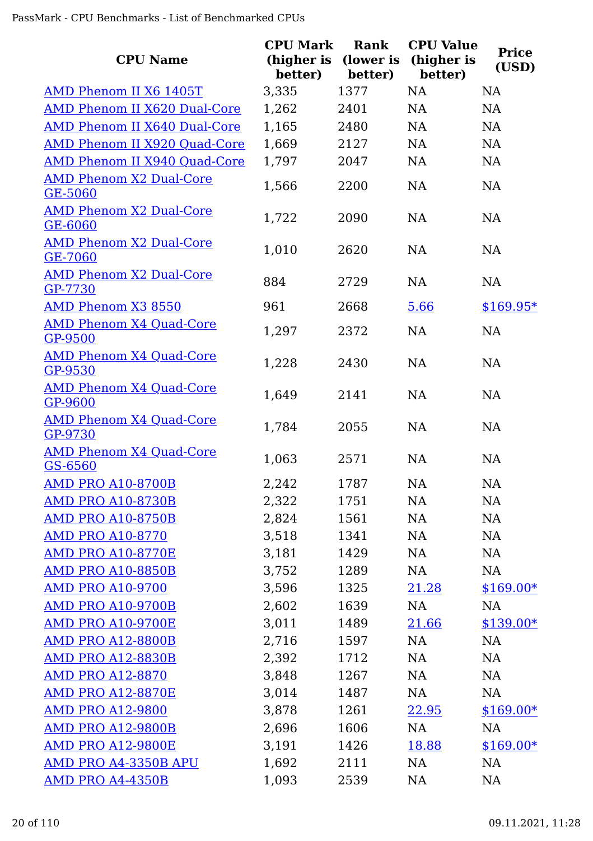| <b>CPU Name</b>                                  | <b>CPU Mark</b><br>(higher is<br>better) | Rank<br>(lower is<br>better) | <b>CPU Value</b><br>(higher is<br>better) | <b>Price</b><br>(USD) |
|--------------------------------------------------|------------------------------------------|------------------------------|-------------------------------------------|-----------------------|
| AMD Phenom II X6 1405T                           | 3,335                                    | 1377                         | <b>NA</b>                                 | <b>NA</b>             |
| <b>AMD Phenom II X620 Dual-Core</b>              | 1,262                                    | 2401                         | NA                                        | <b>NA</b>             |
| AMD Phenom II X640 Dual-Core                     | 1,165                                    | 2480                         | <b>NA</b>                                 | <b>NA</b>             |
| AMD Phenom II X920 Quad-Core                     | 1,669                                    | 2127                         | <b>NA</b>                                 | <b>NA</b>             |
| AMD Phenom II X940 Quad-Core                     | 1,797                                    | 2047                         | NA                                        | <b>NA</b>             |
| <b>AMD Phenom X2 Dual-Core</b><br><b>GE-5060</b> | 1,566                                    | 2200                         | NA                                        | <b>NA</b>             |
| <b>AMD Phenom X2 Dual-Core</b><br><b>GE-6060</b> | 1,722                                    | 2090                         | <b>NA</b>                                 | NA                    |
| <b>AMD Phenom X2 Dual-Core</b><br>GE-7060        | 1,010                                    | 2620                         | <b>NA</b>                                 | <b>NA</b>             |
| <b>AMD Phenom X2 Dual-Core</b><br>GP-7730        | 884                                      | 2729                         | <b>NA</b>                                 | <b>NA</b>             |
| <b>AMD Phenom X3 8550</b>                        | 961                                      | 2668                         | 5.66                                      | $$169.95*$            |
| <b>AMD Phenom X4 Quad-Core</b><br>GP-9500        | 1,297                                    | 2372                         | NA                                        | <b>NA</b>             |
| <b>AMD Phenom X4 Quad-Core</b><br>GP-9530        | 1,228                                    | 2430                         | <b>NA</b>                                 | <b>NA</b>             |
| <b>AMD Phenom X4 Quad-Core</b><br>GP-9600        | 1,649                                    | 2141                         | <b>NA</b>                                 | <b>NA</b>             |
| <b>AMD Phenom X4 Quad-Core</b><br>GP-9730        | 1,784                                    | 2055                         | <b>NA</b>                                 | <b>NA</b>             |
| <b>AMD Phenom X4 Quad-Core</b><br>GS-6560        | 1,063                                    | 2571                         | <b>NA</b>                                 | <b>NA</b>             |
| <b>AMD PRO A10-8700B</b>                         | 2,242                                    | 1787                         | <b>NA</b>                                 | <b>NA</b>             |
| <b>AMD PRO A10-8730B</b>                         | 2,322                                    | 1751                         | NA                                        | <b>NA</b>             |
| <b>AMD PRO A10-8750B</b>                         | 2,824                                    | 1561                         | NA                                        | <b>NA</b>             |
| <b>AMD PRO A10-8770</b>                          | 3,518                                    | 1341                         | NA                                        | <b>NA</b>             |
| <b>AMD PRO A10-8770E</b>                         | 3,181                                    | 1429                         | NA                                        | <b>NA</b>             |
| <b>AMD PRO A10-8850B</b>                         | 3,752                                    | 1289                         | NA                                        | NA                    |
| <b>AMD PRO A10-9700</b>                          | 3,596                                    | 1325                         | 21.28                                     | $$169.00*$            |
| <b>AMD PRO A10-9700B</b>                         | 2,602                                    | 1639                         | NA                                        | NA                    |
| <b>AMD PRO A10-9700E</b>                         | 3,011                                    | 1489                         | 21.66                                     | $$139.00*$            |
| <b>AMD PRO A12-8800B</b>                         | 2,716                                    | 1597                         | NA                                        | NA                    |
| <b>AMD PRO A12-8830B</b>                         | 2,392                                    | 1712                         | NA                                        | <b>NA</b>             |
| <b>AMD PRO A12-8870</b>                          | 3,848                                    | 1267                         | NA                                        | NA                    |
| <b>AMD PRO A12-8870E</b>                         | 3,014                                    | 1487                         | NA                                        | <b>NA</b>             |
| <b>AMD PRO A12-9800</b>                          | 3,878                                    | 1261                         | 22.95                                     | \$169.00*             |
| <b>AMD PRO A12-9800B</b>                         | 2,696                                    | 1606                         | NA                                        | NA                    |
| <b>AMD PRO A12-9800E</b>                         | 3,191                                    | 1426                         | 18.88                                     | $$169.00*$            |
| AMD PRO A4-3350B APU                             | 1,692                                    | 2111                         | NA                                        | <b>NA</b>             |
| <b>AMD PRO A4-4350B</b>                          | 1,093                                    | 2539                         | NA                                        | <b>NA</b>             |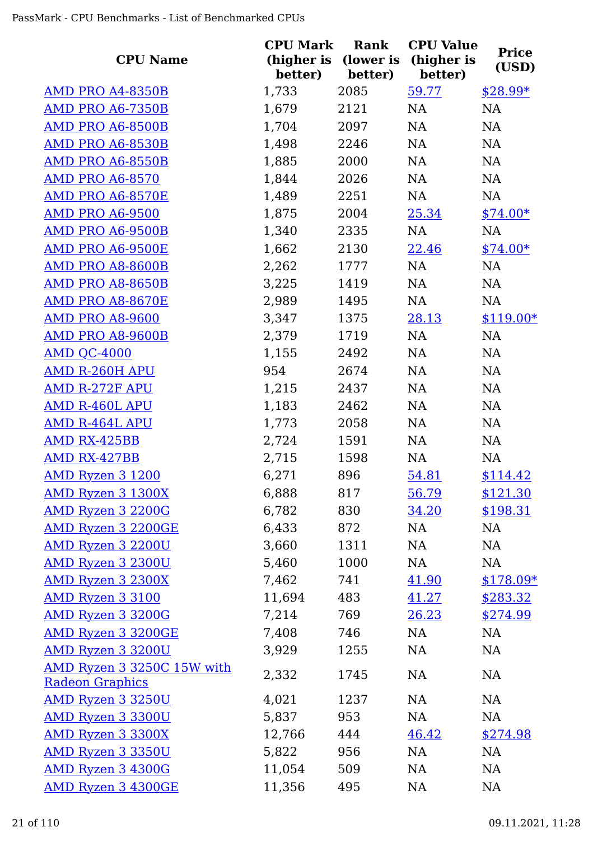| <b>CPU Name</b>                                      | <b>CPU Mark</b><br>(higher is<br>better) | Rank<br>(lower is<br>better) | <b>CPU Value</b><br>(higher is<br>better) | <b>Price</b><br>(USD) |
|------------------------------------------------------|------------------------------------------|------------------------------|-------------------------------------------|-----------------------|
| <b>AMD PRO A4-8350B</b>                              | 1,733                                    | 2085                         | 59.77                                     | $$28.99*$             |
| <b>AMD PRO A6-7350B</b>                              | 1,679                                    | 2121                         | NA                                        | NA                    |
| AMD PRO A6-8500B                                     | 1,704                                    | 2097                         | NA                                        | NA                    |
| <b>AMD PRO A6-8530B</b>                              | 1,498                                    | 2246                         | NA                                        | <b>NA</b>             |
| AMD PRO A6-8550B                                     | 1,885                                    | 2000                         | NA                                        | NA                    |
| <b>AMD PRO A6-8570</b>                               | 1,844                                    | 2026                         | NA                                        | <b>NA</b>             |
| AMD PRO A6-8570E                                     | 1,489                                    | 2251                         | NA                                        | NA                    |
| <b>AMD PRO A6-9500</b>                               | 1,875                                    | 2004                         | 25.34                                     | $$74.00*$             |
| AMD PRO A6-9500B                                     | 1,340                                    | 2335                         | NA                                        | NA                    |
| AMD PRO A6-9500E                                     | 1,662                                    | 2130                         | 22.46                                     | $$74.00*$             |
| AMD PRO A8-8600B                                     | 2,262                                    | 1777                         | NA                                        | NA                    |
| <b>AMD PRO A8-8650B</b>                              | 3,225                                    | 1419                         | NA                                        | NA                    |
| AMD PRO A8-8670E                                     | 2,989                                    | 1495                         | NA                                        | NA                    |
| <b>AMD PRO A8-9600</b>                               | 3,347                                    | 1375                         | 28.13                                     | $$119.00*$            |
| <b>AMD PRO A8-9600B</b>                              | 2,379                                    | 1719                         | NA                                        | NA                    |
| AMD QC-4000                                          | 1,155                                    | 2492                         | NA                                        | <b>NA</b>             |
| <b>AMD R-260H APU</b>                                | 954                                      | 2674                         | NA                                        | NA                    |
| <b>AMD R-272F APU</b>                                | 1,215                                    | 2437                         | NA                                        | NA                    |
| <b>AMD R-460L APU</b>                                | 1,183                                    | 2462                         | NA                                        | NA                    |
| <b>AMD R-464L APU</b>                                | 1,773                                    | 2058                         | NA                                        | NA                    |
| AMD RX-425BB                                         | 2,724                                    | 1591                         | NA                                        | NA                    |
| AMD RX-427BB                                         | 2,715                                    | 1598                         | NA                                        | <b>NA</b>             |
| <b>AMD Ryzen 3 1200</b>                              | 6,271                                    | 896                          | 54.81                                     | \$114.42              |
| AMD Ryzen 3 1300X                                    | 6,888                                    | 817                          | 56.79                                     | \$121.30              |
| AMD Ryzen 3 2200G                                    | 6,782                                    | 830                          | 34.20                                     | \$198.31              |
| <b>AMD Ryzen 3 2200GE</b>                            | 6,433                                    | 872                          | NA                                        | NA                    |
| <b>AMD Ryzen 3 2200U</b>                             | 3,660                                    | 1311                         | NA                                        | NA                    |
| <b>AMD Ryzen 3 2300U</b>                             | 5,460                                    | 1000                         | NA                                        | NA                    |
| <b>AMD Ryzen 3 2300X</b>                             | 7,462                                    | 741                          | 41.90                                     | $$178.09*$            |
| AMD Ryzen 3 3100                                     | 11,694                                   | 483                          | 41.27                                     | \$283.32              |
| AMD Ryzen 3 3200G                                    | 7,214                                    | 769                          | 26.23                                     | \$274.99              |
| AMD Ryzen 3 3200GE                                   | 7,408                                    | 746                          | NA                                        | NA                    |
| <b>AMD Ryzen 3 3200U</b>                             | 3,929                                    | 1255                         | NA                                        | NA                    |
| AMD Ryzen 3 3250C 15W with<br><b>Radeon Graphics</b> | 2,332                                    | 1745                         | NA                                        | NA                    |
| <b>AMD Ryzen 3 3250U</b>                             | 4,021                                    | 1237                         | <b>NA</b>                                 | <b>NA</b>             |
| <b>AMD Ryzen 3 3300U</b>                             | 5,837                                    | 953                          | NA                                        | NA                    |
| <b>AMD Ryzen 3 3300X</b>                             | 12,766                                   | 444                          | 46.42                                     | \$274.98              |
| <b>AMD Ryzen 3 3350U</b>                             | 5,822                                    | 956                          | NA                                        | <b>NA</b>             |
| <b>AMD Ryzen 3 4300G</b>                             | 11,054                                   | 509                          | NA                                        | NA                    |
| <b>AMD Ryzen 3 4300GE</b>                            | 11,356                                   | 495                          | NA                                        | NA                    |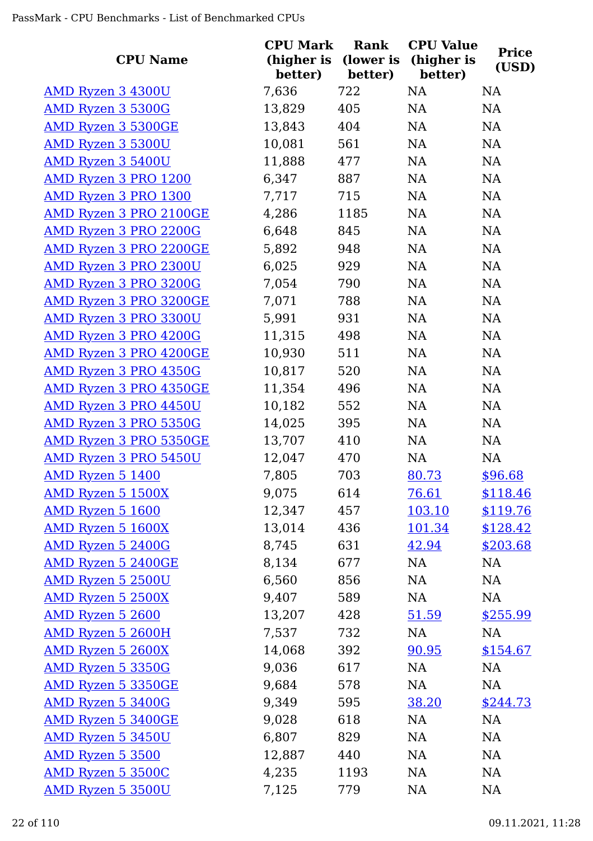| <b>CPU Name</b>               | <b>CPU Mark</b><br>(higher is | Rank<br>(lower is | <b>CPU Value</b><br>(higher is | <b>Price</b> |
|-------------------------------|-------------------------------|-------------------|--------------------------------|--------------|
|                               | better)                       | better)           | better)                        | (USD)        |
| <b>AMD Ryzen 3 4300U</b>      | 7,636                         | 722               | <b>NA</b>                      | <b>NA</b>    |
| <b>AMD Ryzen 3 5300G</b>      | 13,829                        | 405               | NA                             | NA           |
| <b>AMD Ryzen 3 5300GE</b>     | 13,843                        | 404               | NA                             | NA           |
| <b>AMD Ryzen 3 5300U</b>      | 10,081                        | 561               | NA                             | NA           |
| AMD Ryzen 3 5400U             | 11,888                        | 477               | NA                             | <b>NA</b>    |
| AMD Ryzen 3 PRO 1200          | 6,347                         | 887               | NA                             | NA           |
| <b>AMD Ryzen 3 PRO 1300</b>   | 7,717                         | 715               | NA                             | <b>NA</b>    |
| <b>AMD Ryzen 3 PRO 2100GE</b> | 4,286                         | 1185              | NA                             | <b>NA</b>    |
| <b>AMD Ryzen 3 PRO 2200G</b>  | 6,648                         | 845               | NA                             | NA           |
| AMD Ryzen 3 PRO 2200GE        | 5,892                         | 948               | NA                             | NA           |
| <b>AMD Ryzen 3 PRO 2300U</b>  | 6,025                         | 929               | NA                             | <b>NA</b>    |
| AMD Ryzen 3 PRO 3200G         | 7,054                         | 790               | NA                             | NA           |
| AMD Ryzen 3 PRO 3200GE        | 7,071                         | 788               | NA                             | NA           |
| <b>AMD Ryzen 3 PRO 3300U</b>  | 5,991                         | 931               | NA                             | NA           |
| <b>AMD Ryzen 3 PRO 4200G</b>  | 11,315                        | 498               | NA                             | NA           |
| <b>AMD Ryzen 3 PRO 4200GE</b> | 10,930                        | 511               | NA                             | NA           |
| AMD Ryzen 3 PRO 4350G         | 10,817                        | 520               | NA                             | <b>NA</b>    |
| <b>AMD Ryzen 3 PRO 4350GE</b> | 11,354                        | 496               | NA                             | NA           |
| <b>AMD Ryzen 3 PRO 4450U</b>  | 10,182                        | 552               | NA                             | <b>NA</b>    |
| <b>AMD Ryzen 3 PRO 5350G</b>  | 14,025                        | 395               | NA                             | <b>NA</b>    |
| <u>AMD Ryzen 3 PRO 5350GE</u> | 13,707                        | 410               | NA                             | NA           |
| <b>AMD Ryzen 3 PRO 5450U</b>  | 12,047                        | 470               | NA                             | NA           |
| AMD Ryzen 5 1400              | 7,805                         | 703               | 80.73                          | \$96.68      |
| <u>AMD Ryzen 5 1500X</u>      | 9,075                         | 614               | <u>76.61</u>                   | \$118.46     |
| AMD Ryzen 5 1600              | 12,347                        | 457               | 103.10                         | \$119.76     |
| AMD Ryzen 5 1600X             | 13,014                        | 436               | 101.34                         | \$128.42     |
| AMD Ryzen 5 2400G             | 8,745                         | 631               | 42.94                          | \$203.68     |
| <b>AMD Ryzen 5 2400GE</b>     | 8,134                         | 677               | NA                             | <b>NA</b>    |
| AMD Ryzen 5 2500U             | 6,560                         | 856               | NA                             | NA           |
| AMD Ryzen 5 2500X             | 9,407                         | 589               | NA                             | NA           |
| AMD Ryzen 5 2600              | 13,207                        | 428               | 51.59                          | \$255.99     |
| <b>AMD Ryzen 5 2600H</b>      | 7,537                         | 732               | NA                             | NA           |
| <b>AMD Ryzen 5 2600X</b>      | 14,068                        | 392               | 90.95                          | \$154.67     |
| <b>AMD Ryzen 5 3350G</b>      | 9,036                         | 617               | NA                             | <b>NA</b>    |
| <b>AMD Ryzen 5 3350GE</b>     | 9,684                         | 578               | NA                             | NA           |
| AMD Ryzen 5 3400G             | 9,349                         | 595               | 38.20                          | \$244.73     |
| <b>AMD Ryzen 5 3400GE</b>     | 9,028                         | 618               | <b>NA</b>                      | <b>NA</b>    |
| <b>AMD Ryzen 5 3450U</b>      | 6,807                         | 829               | NA                             | <b>NA</b>    |
| AMD Ryzen 5 3500              | 12,887                        | 440               | NA                             | NA           |
| AMD Ryzen 5 3500C             | 4,235                         | 1193              | NA                             | <b>NA</b>    |
| <b>AMD Ryzen 5 3500U</b>      | 7,125                         | 779               | <b>NA</b>                      | <b>NA</b>    |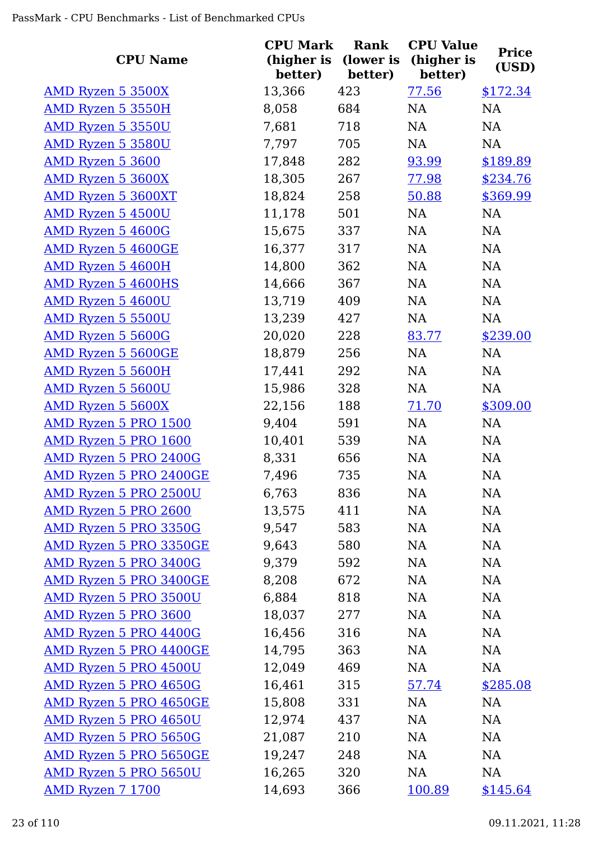| <b>CPU Name</b>           | <b>CPU Mark</b><br>(higher is<br>better) | Rank<br>(lower is<br>better) | <b>CPU Value</b><br>(higher is<br>better) | <b>Price</b><br>(USD) |
|---------------------------|------------------------------------------|------------------------------|-------------------------------------------|-----------------------|
| AMD Ryzen 5 3500X         | 13,366                                   | 423                          | 77.56                                     | \$172.34              |
| AMD Ryzen 5 3550H         | 8,058                                    | 684                          | NA                                        | NA                    |
| <b>AMD Ryzen 5 3550U</b>  | 7,681                                    | 718                          | NA                                        | NA                    |
| AMD Ryzen 5 3580U         | 7,797                                    | 705                          | NA                                        | NA                    |
| AMD Ryzen 5 3600          | 17,848                                   | 282                          | 93.99                                     | \$189.89              |
| AMD Ryzen 5 3600X         | 18,305                                   | 267                          | 77.98                                     | \$234.76              |
| AMD Ryzen 5 3600XT        | 18,824                                   | 258                          | 50.88                                     | \$369.99              |
| <b>AMD Ryzen 5 4500U</b>  | 11,178                                   | 501                          | <b>NA</b>                                 | <b>NA</b>             |
| AMD Ryzen 5 4600G         | 15,675                                   | 337                          | NA                                        | <b>NA</b>             |
| AMD Ryzen 5 4600GE        | 16,377                                   | 317                          | <b>NA</b>                                 | NA                    |
| AMD Ryzen 5 4600H         | 14,800                                   | 362                          | NA                                        | NA                    |
| AMD Ryzen 5 4600HS        | 14,666                                   | 367                          | NA                                        | NA                    |
| AMD Ryzen 5 4600U         | 13,719                                   | 409                          | NA                                        | NA                    |
| <b>AMD Ryzen 5 5500U</b>  | 13,239                                   | 427                          | <b>NA</b>                                 | <b>NA</b>             |
| AMD Ryzen 5 5600G         | 20,020                                   | 228                          | 83.77                                     | \$239.00              |
| <b>AMD Ryzen 5 5600GE</b> | 18,879                                   | 256                          | <b>NA</b>                                 | <b>NA</b>             |
| <b>AMD Ryzen 5 5600H</b>  | 17,441                                   | 292                          | NA                                        | NA                    |
| AMD Ryzen 5 5600U         | 15,986                                   | 328                          | NA                                        | NA                    |
| AMD Ryzen 5 5600X         | 22,156                                   | 188                          | 71.70                                     | \$309.00              |
| AMD Ryzen 5 PRO 1500      | 9,404                                    | 591                          | NA                                        | NA                    |
| AMD Ryzen 5 PRO 1600      | 10,401                                   | 539                          | <b>NA</b>                                 | <b>NA</b>             |
| AMD Ryzen 5 PRO 2400G     | 8,331                                    | 656                          | NA                                        | <b>NA</b>             |
| AMD Ryzen 5 PRO 2400GE    | 7,496                                    | 735                          | NA                                        | NA                    |
| AMD Ryzen 5 PRO 2500U     | 6,763                                    | 836                          | NA                                        | NA                    |
| AMD Ryzen 5 PRO 2600      | 13,575                                   | 411                          | NA                                        | NA                    |
| AMD Ryzen 5 PRO 3350G     | 9,547                                    | 583                          | NA                                        | NA                    |
| AMD Ryzen 5 PRO 3350GE    | 9,643                                    | 580                          | NA                                        | <b>NA</b>             |
| AMD Ryzen 5 PRO 3400G     | 9,379                                    | 592                          | NA                                        | NA                    |
| AMD Ryzen 5 PRO 3400GE    | 8,208                                    | 672                          | NA                                        | NA                    |
| AMD Ryzen 5 PRO 3500U     | 6,884                                    | 818                          | NA                                        | NA                    |
| AMD Ryzen 5 PRO 3600      | 18,037                                   | 277                          | NA                                        | <b>NA</b>             |
| AMD Ryzen 5 PRO 4400G     | 16,456                                   | 316                          | NA                                        | NA                    |
| AMD Ryzen 5 PRO 4400GE    | 14,795                                   | 363                          | NA                                        | NA                    |
| AMD Ryzen 5 PRO 4500U     | 12,049                                   | 469                          | NA                                        | NA                    |
| AMD Ryzen 5 PRO 4650G     | 16,461                                   | 315                          | 57.74                                     | \$285.08              |
| AMD Ryzen 5 PRO 4650GE    | 15,808                                   | 331                          | NA                                        | NA                    |
| AMD Ryzen 5 PRO 4650U     | 12,974                                   | 437                          | NA                                        | <b>NA</b>             |
| AMD Ryzen 5 PRO 5650G     | 21,087                                   | 210                          | NA                                        | NA                    |
| AMD Ryzen 5 PRO 5650GE    | 19,247                                   | 248                          | NA                                        | <b>NA</b>             |
| AMD Ryzen 5 PRO 5650U     | 16,265                                   | 320                          | NA                                        | NA                    |
| <b>AMD Ryzen 7 1700</b>   | 14,693                                   | 366                          | 100.89                                    | \$145.64              |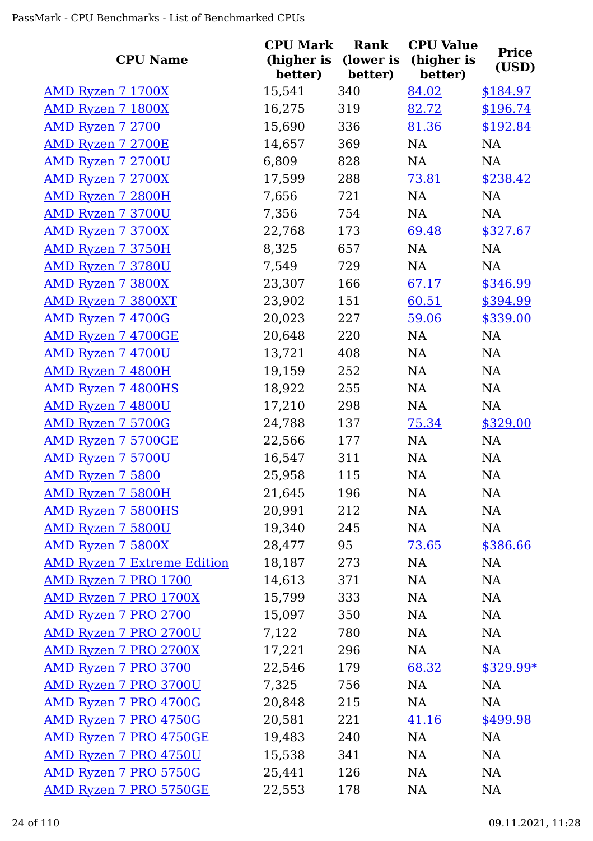| <b>CPU Name</b>                    | <b>CPU Mark</b><br>(higher is<br>better) | <b>Rank</b><br>(lower is<br>better) | <b>CPU Value</b><br>(higher is<br>better) | <b>Price</b><br>(USD) |
|------------------------------------|------------------------------------------|-------------------------------------|-------------------------------------------|-----------------------|
| AMD Ryzen 7 1700X                  | 15,541                                   | 340                                 | 84.02                                     | \$184.97              |
| <b>AMD Ryzen 7 1800X</b>           | 16,275                                   | 319                                 | 82.72                                     | \$196.74              |
| AMD Ryzen 7 2700                   | 15,690                                   | 336                                 | 81.36                                     | \$192.84              |
| <b>AMD Ryzen 7 2700E</b>           | 14,657                                   | 369                                 | NA                                        | NA                    |
| <b>AMD Ryzen 7 2700U</b>           | 6,809                                    | 828                                 | <b>NA</b>                                 | <b>NA</b>             |
| AMD Ryzen 7 2700X                  | 17,599                                   | 288                                 | 73.81                                     | \$238.42              |
| <b>AMD Ryzen 7 2800H</b>           | 7,656                                    | 721                                 | NA                                        | <b>NA</b>             |
| <b>AMD Ryzen 7 3700U</b>           | 7,356                                    | 754                                 | NA                                        | NA                    |
| <b>AMD Ryzen 7 3700X</b>           | 22,768                                   | 173                                 | 69.48                                     | \$327.67              |
| AMD Ryzen 7 3750H                  | 8,325                                    | 657                                 | NA                                        | <b>NA</b>             |
| <b>AMD Ryzen 7 3780U</b>           | 7,549                                    | 729                                 | NA                                        | <b>NA</b>             |
| <b>AMD Ryzen 7 3800X</b>           | 23,307                                   | 166                                 | 67.17                                     | \$346.99              |
| <b>AMD Ryzen 7 3800XT</b>          | 23,902                                   | 151                                 | 60.51                                     | \$394.99              |
| AMD Ryzen 7 4700G                  | 20,023                                   | 227                                 | 59.06                                     | \$339.00              |
| <b>AMD Ryzen 7 4700GE</b>          | 20,648                                   | 220                                 | NA                                        | <b>NA</b>             |
| <b>AMD Ryzen 7 4700U</b>           | 13,721                                   | 408                                 | NA                                        | <b>NA</b>             |
| <b>AMD Ryzen 7 4800H</b>           | 19,159                                   | 252                                 | NA                                        | <b>NA</b>             |
| <b>AMD Ryzen 7 4800HS</b>          | 18,922                                   | 255                                 | NA                                        | <b>NA</b>             |
| AMD Ryzen 7 4800U                  | 17,210                                   | 298                                 | NA                                        | <b>NA</b>             |
| <b>AMD Ryzen 7 5700G</b>           | 24,788                                   | 137                                 | 75.34                                     | \$329.00              |
| <b>AMD Ryzen 7 5700GE</b>          | 22,566                                   | 177                                 | NA                                        | <b>NA</b>             |
| <b>AMD Ryzen 7 5700U</b>           | 16,547                                   | 311                                 | NA                                        | <b>NA</b>             |
| <b>AMD Ryzen 7 5800</b>            | 25,958                                   | 115                                 | NA                                        | NA                    |
| AMD Ryzen 7 5800H                  | 21,645                                   | 196                                 | NA                                        | NA                    |
| <b>AMD Ryzen 7 5800HS</b>          | 20,991                                   | 212                                 | NA                                        | NA                    |
| <b>AMD Ryzen 7 5800U</b>           | 19,340                                   | 245                                 | NA                                        | NA                    |
| AMD Ryzen 7 5800X                  | 28,477                                   | 95                                  | 73.65                                     | \$386.66              |
| <b>AMD Ryzen 7 Extreme Edition</b> | 18,187                                   | 273                                 | NA                                        | <b>NA</b>             |
| AMD Ryzen 7 PRO 1700               | 14,613                                   | 371                                 | NA                                        | NA                    |
| AMD Ryzen 7 PRO 1700X              | 15,799                                   | 333                                 | NA                                        | NA                    |
| AMD Ryzen 7 PRO 2700               | 15,097                                   | 350                                 | NA                                        | NA                    |
| <b>AMD Ryzen 7 PRO 2700U</b>       | 7,122                                    | 780                                 | NA                                        | NA                    |
| <b>AMD Ryzen 7 PRO 2700X</b>       | 17,221                                   | 296                                 | NA                                        | NA                    |
| <b>AMD Ryzen 7 PRO 3700</b>        | 22,546                                   | 179                                 | 68.32                                     | \$329.99*             |
| <b>AMD Ryzen 7 PRO 3700U</b>       | 7,325                                    | 756                                 | NA                                        | NA                    |
| <b>AMD Ryzen 7 PRO 4700G</b>       | 20,848                                   | 215                                 | NA                                        | NA                    |
| AMD Ryzen 7 PRO 4750G              | 20,581                                   | 221                                 | 41.16                                     | \$499.98              |
| AMD Ryzen 7 PRO 4750GE             | 19,483                                   | 240                                 | NA                                        | NA                    |
| <b>AMD Ryzen 7 PRO 4750U</b>       | 15,538                                   | 341                                 | NA                                        | <b>NA</b>             |
| AMD Ryzen 7 PRO 5750G              | 25,441                                   | 126                                 | NA                                        | <b>NA</b>             |
| <b>AMD Ryzen 7 PRO 5750GE</b>      | 22,553                                   | 178                                 | NA                                        | <b>NA</b>             |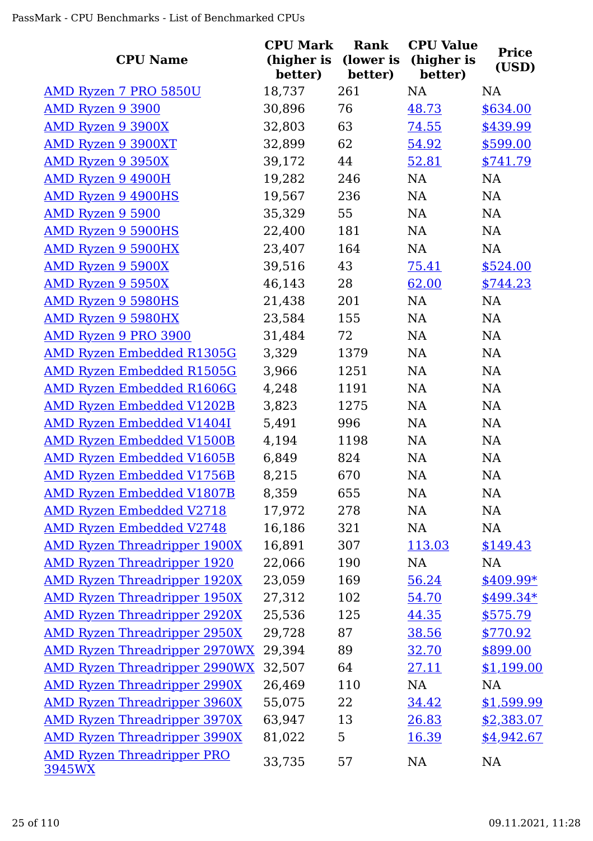| <b>CPU Name</b>                             | <b>CPU Mark</b><br>(higher is<br>better) | Rank<br>(lower is<br>better) | <b>CPU Value</b><br>(higher is<br>better) | <b>Price</b><br>(USD) |
|---------------------------------------------|------------------------------------------|------------------------------|-------------------------------------------|-----------------------|
| AMD Ryzen 7 PRO 5850U                       | 18,737                                   | 261                          | <b>NA</b>                                 | <b>NA</b>             |
| AMD Ryzen 9 3900                            | 30,896                                   | 76                           | 48.73                                     | \$634.00              |
| <b>AMD Ryzen 9 3900X</b>                    | 32,803                                   | 63                           | 74.55                                     | \$439.99              |
| <b>AMD Ryzen 9 3900XT</b>                   | 32,899                                   | 62                           | 54.92                                     | \$599.00              |
| <b>AMD Ryzen 9 3950X</b>                    | 39,172                                   | 44                           | 52.81                                     | \$741.79              |
| <b>AMD Ryzen 9 4900H</b>                    | 19,282                                   | 246                          | <b>NA</b>                                 | NA                    |
| <b>AMD Ryzen 9 4900HS</b>                   | 19,567                                   | 236                          | <b>NA</b>                                 | NA                    |
| AMD Ryzen 9 5900                            | 35,329                                   | 55                           | <b>NA</b>                                 | NA                    |
| <b>AMD Ryzen 9 5900HS</b>                   | 22,400                                   | 181                          | NA                                        | NA                    |
| <b>AMD Ryzen 9 5900HX</b>                   | 23,407                                   | 164                          | NA                                        | NA                    |
| <b>AMD Ryzen 9 5900X</b>                    | 39,516                                   | 43                           | 75.41                                     | \$524.00              |
| <b>AMD Ryzen 9 5950X</b>                    | 46,143                                   | 28                           | 62.00                                     | \$744.23              |
| <b>AMD Ryzen 9 5980HS</b>                   | 21,438                                   | 201                          | NA                                        | NA                    |
| <b>AMD Ryzen 9 5980HX</b>                   | 23,584                                   | 155                          | <b>NA</b>                                 | NA                    |
| <b>AMD Ryzen 9 PRO 3900</b>                 | 31,484                                   | 72                           | NA                                        | NA                    |
| <b>AMD Ryzen Embedded R1305G</b>            | 3,329                                    | 1379                         | NA                                        | NA                    |
| <b>AMD Ryzen Embedded R1505G</b>            | 3,966                                    | 1251                         | NA                                        | NA                    |
| <b>AMD Ryzen Embedded R1606G</b>            | 4,248                                    | 1191                         | <b>NA</b>                                 | NA                    |
| <b>AMD Ryzen Embedded V1202B</b>            | 3,823                                    | 1275                         | <b>NA</b>                                 | NA                    |
| <b>AMD Ryzen Embedded V1404I</b>            | 5,491                                    | 996                          | NA                                        | NA                    |
| <u>AMD Ryzen Embedded V1500B</u>            | 4,194                                    | 1198                         | NA                                        | <b>NA</b>             |
| <b>AMD Ryzen Embedded V1605B</b>            | 6,849                                    | 824                          | NA                                        | NA                    |
| <b>AMD Ryzen Embedded V1756B</b>            | 8,215                                    | 670                          | NA                                        | NA                    |
| <b>AMD Ryzen Embedded V1807B</b>            | 8,359                                    | 655                          | NA                                        | NA                    |
| <b>AMD Ryzen Embedded V2718</b>             | 17,972                                   | 278                          | NA                                        | NA                    |
| <b>AMD Ryzen Embedded V2748</b>             | 16,186                                   | 321                          | NA                                        | NA                    |
| <b>AMD Ryzen Threadripper 1900X</b>         | 16,891                                   | 307                          | 113.03                                    | \$149.43              |
| <b>AMD Ryzen Threadripper 1920</b>          | 22,066                                   | 190                          | NA                                        | NA                    |
| <b>AMD Ryzen Threadripper 1920X</b>         | 23,059                                   | 169                          | 56.24                                     | $$409.99*$            |
| <b>AMD Ryzen Threadripper 1950X</b>         | 27,312                                   | 102                          | 54.70                                     | $$499.34*$            |
| <b>AMD Ryzen Threadripper 2920X</b>         | 25,536                                   | 125                          | 44.35                                     | \$575.79              |
| <b>AMD Ryzen Threadripper 2950X</b>         | 29,728                                   | 87                           | 38.56                                     | \$770.92              |
| <b>AMD Ryzen Threadripper 2970WX</b>        | 29,394                                   | 89                           | 32.70                                     | \$899.00              |
| <b>AMD Ryzen Threadripper 2990WX</b>        | 32,507                                   | 64                           | 27.11                                     | \$1,199.00            |
| <b>AMD Ryzen Threadripper 2990X</b>         | 26,469                                   | 110                          | NA                                        | <b>NA</b>             |
| <b>AMD Ryzen Threadripper 3960X</b>         | 55,075                                   | 22                           | 34.42                                     | \$1,599.99            |
| <b>AMD Ryzen Threadripper 3970X</b>         | 63,947                                   | 13                           | 26.83                                     | \$2,383.07            |
| <b>AMD Ryzen Threadripper 3990X</b>         | 81,022                                   | 5                            | 16.39                                     | \$4,942.67            |
| <b>AMD Ryzen Threadripper PRO</b><br>3945WX | 33,735                                   | 57                           | NA                                        | NA                    |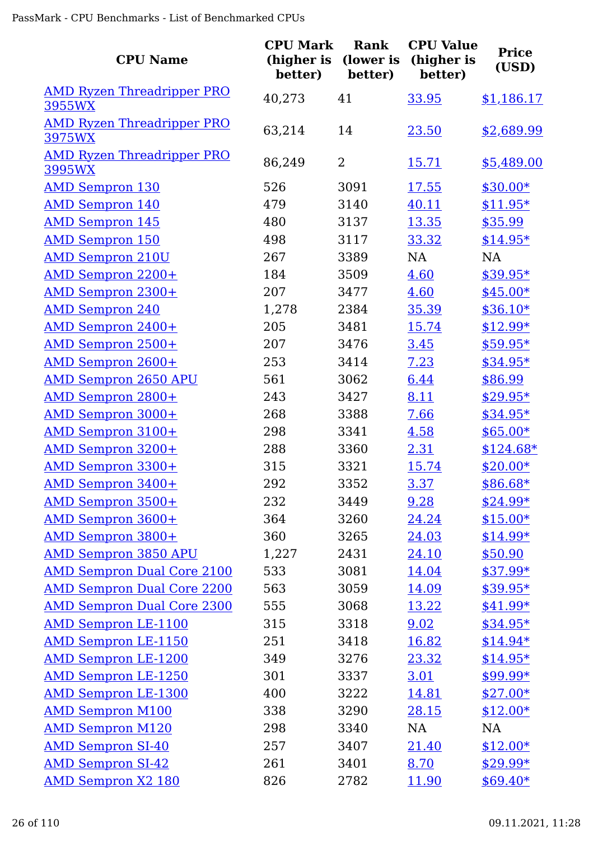| <b>CPU Name</b>                             | <b>CPU Mark</b><br>(higher is<br>better) | Rank<br>(lower is<br>better) | <b>CPU Value</b><br>(higher is<br>better) | <b>Price</b><br>(USD) |
|---------------------------------------------|------------------------------------------|------------------------------|-------------------------------------------|-----------------------|
| <b>AMD Ryzen Threadripper PRO</b><br>3955WX | 40,273                                   | 41                           | 33.95                                     | \$1,186.17            |
| <b>AMD Ryzen Threadripper PRO</b><br>3975WX | 63,214                                   | 14                           | 23.50                                     | \$2,689.99            |
| <b>AMD Ryzen Threadripper PRO</b><br>3995WX | 86,249                                   | $\overline{2}$               | <u>15.71</u>                              | \$5,489.00            |
| <b>AMD Sempron 130</b>                      | 526                                      | 3091                         | 17.55                                     | $$30.00*$             |
| <b>AMD Sempron 140</b>                      | 479                                      | 3140                         | 40.11                                     | $$11.95*$             |
| <b>AMD Sempron 145</b>                      | 480                                      | 3137                         | 13.35                                     | \$35.99               |
| <b>AMD Sempron 150</b>                      | 498                                      | 3117                         | 33.32                                     | $$14.95*$             |
| <b>AMD Sempron 210U</b>                     | 267                                      | 3389                         | NA                                        | <b>NA</b>             |
| <b>AMD Sempron 2200+</b>                    | 184                                      | 3509                         | 4.60                                      | $$39.95*$             |
| <b>AMD Sempron 2300+</b>                    | 207                                      | 3477                         | 4.60                                      | $$45.00*$             |
| <b>AMD Sempron 240</b>                      | 1,278                                    | 2384                         | 35.39                                     | $$36.10*$             |
| <b>AMD Sempron 2400+</b>                    | 205                                      | 3481                         | 15.74                                     | $$12.99*$             |
| AMD Sempron 2500+                           | 207                                      | 3476                         | 3.45                                      | $$59.95*$             |
| <b>AMD Sempron 2600+</b>                    | 253                                      | 3414                         | 7.23                                      | $$34.95*$             |
| <b>AMD Sempron 2650 APU</b>                 | 561                                      | 3062                         | 6.44                                      | \$86.99               |
| <b>AMD Sempron 2800+</b>                    | 243                                      | 3427                         | 8.11                                      | $$29.95*$             |
| AMD Sempron 3000+                           | 268                                      | 3388                         | 7.66                                      | $$34.95*$             |
| AMD Sempron 3100+                           | 298                                      | 3341                         | 4.58                                      | $$65.00*$             |
| <b>AMD Sempron 3200+</b>                    | 288                                      | 3360                         | 2.31                                      | $$124.68*$            |
| <b>AMD Sempron 3300+</b>                    | 315                                      | 3321                         | 15.74                                     | $$20.00*$             |
| AMD Sempron 3400+                           | 292                                      | 3352                         | <u>3.37</u>                               | \$86.68*              |
| AMD Sempron 3500+                           | 232                                      | 3449                         | 9.28                                      | $$24.99*$             |
| <b>AMD Sempron 3600+</b>                    | 364                                      | 3260                         | 24.24                                     | $$15.00*$             |
| AMD Sempron 3800+                           | 360                                      | 3265                         | 24.03                                     | $$14.99*$             |
| <b>AMD Sempron 3850 APU</b>                 | 1,227                                    | 2431                         | 24.10                                     | \$50.90               |
| <b>AMD Sempron Dual Core 2100</b>           | 533                                      | 3081                         | 14.04                                     | \$37.99*              |
| <b>AMD Sempron Dual Core 2200</b>           | 563                                      | 3059                         | 14.09                                     | $$39.95*$             |
| <b>AMD Sempron Dual Core 2300</b>           | 555                                      | 3068                         | 13.22                                     | \$41.99*              |
| <b>AMD Sempron LE-1100</b>                  | 315                                      | 3318                         | 9.02                                      | $$34.95*$             |
| <b>AMD Sempron LE-1150</b>                  | 251                                      | 3418                         | 16.82                                     | $$14.94*$             |
| <b>AMD Sempron LE-1200</b>                  | 349                                      | 3276                         | 23.32                                     | $$14.95*$             |
| <b>AMD Sempron LE-1250</b>                  | 301                                      | 3337                         | 3.01                                      | $$99.99*$             |
| <b>AMD Sempron LE-1300</b>                  | 400                                      | 3222                         | 14.81                                     | $$27.00*$             |
| <b>AMD Sempron M100</b>                     | 338                                      | 3290                         | 28.15                                     | $$12.00*$             |
| <b>AMD Sempron M120</b>                     | 298                                      | 3340                         | NA                                        | <b>NA</b>             |
| <b>AMD Sempron SI-40</b>                    | 257                                      | 3407                         | 21.40                                     | $$12.00*$             |
| <b>AMD Sempron SI-42</b>                    | 261                                      | 3401                         | 8.70                                      | $$29.99*$             |
| <b>AMD Sempron X2 180</b>                   | 826                                      | 2782                         | <u>11.90</u>                              | $$69.40*$             |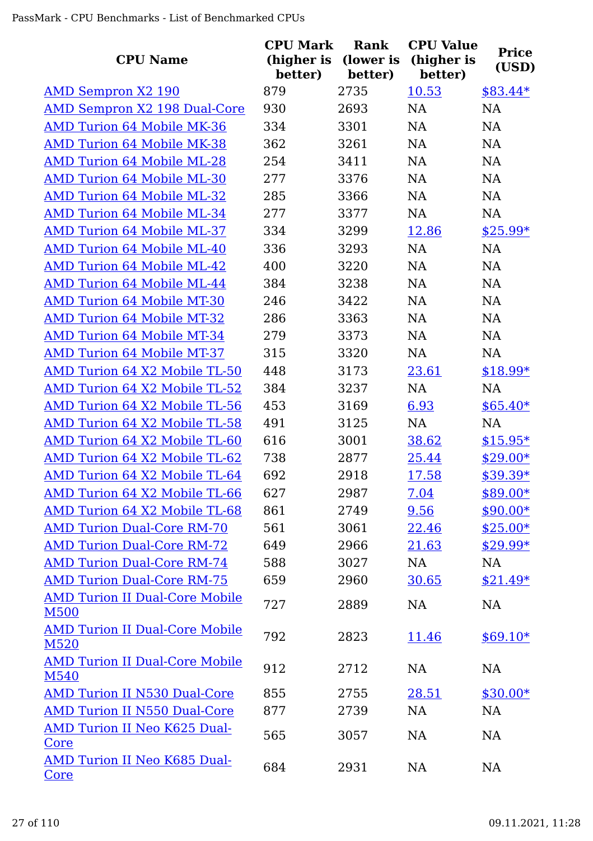| <b>CPU Name</b>                                      | <b>CPU Mark</b><br>(higher is<br>better) | Rank<br>(lower is<br>better) | <b>CPU Value</b><br>(higher is<br>better) | <b>Price</b><br>(USD) |
|------------------------------------------------------|------------------------------------------|------------------------------|-------------------------------------------|-----------------------|
| <b>AMD Sempron X2 190</b>                            | 879                                      | 2735                         | 10.53                                     | $$83.44*$             |
| <b>AMD Sempron X2 198 Dual-Core</b>                  | 930                                      | 2693                         | <b>NA</b>                                 | <b>NA</b>             |
| <b>AMD Turion 64 Mobile MK-36</b>                    | 334                                      | 3301                         | NA                                        | <b>NA</b>             |
| <b>AMD Turion 64 Mobile MK-38</b>                    | 362                                      | 3261                         | <b>NA</b>                                 | NA                    |
| <b>AMD Turion 64 Mobile ML-28</b>                    | 254                                      | 3411                         | <b>NA</b>                                 | NA                    |
| <b>AMD Turion 64 Mobile ML-30</b>                    | 277                                      | 3376                         | <b>NA</b>                                 | NA                    |
| <b>AMD Turion 64 Mobile ML-32</b>                    | 285                                      | 3366                         | <b>NA</b>                                 | NA                    |
| <b>AMD Turion 64 Mobile ML-34</b>                    | 277                                      | 3377                         | <b>NA</b>                                 | <b>NA</b>             |
| <b>AMD Turion 64 Mobile ML-37</b>                    | 334                                      | 3299                         | 12.86                                     | $$25.99*$             |
| <b>AMD Turion 64 Mobile ML-40</b>                    | 336                                      | 3293                         | <b>NA</b>                                 | <b>NA</b>             |
| <b>AMD Turion 64 Mobile ML-42</b>                    | 400                                      | 3220                         | <b>NA</b>                                 | <b>NA</b>             |
| <b>AMD Turion 64 Mobile ML-44</b>                    | 384                                      | 3238                         | <b>NA</b>                                 | <b>NA</b>             |
| <b>AMD Turion 64 Mobile MT-30</b>                    | 246                                      | 3422                         | <b>NA</b>                                 | NA                    |
| <b>AMD Turion 64 Mobile MT-32</b>                    | 286                                      | 3363                         | <b>NA</b>                                 | <b>NA</b>             |
| <b>AMD Turion 64 Mobile MT-34</b>                    | 279                                      | 3373                         | <b>NA</b>                                 | NA                    |
| <b>AMD Turion 64 Mobile MT-37</b>                    | 315                                      | 3320                         | <b>NA</b>                                 | <b>NA</b>             |
| AMD Turion 64 X2 Mobile TL-50                        | 448                                      | 3173                         | 23.61                                     | $$18.99*$             |
| AMD Turion 64 X2 Mobile TL-52                        | 384                                      | 3237                         | <b>NA</b>                                 | <b>NA</b>             |
| AMD Turion 64 X2 Mobile TL-56                        | 453                                      | 3169                         | 6.93                                      | $$65.40*$             |
| AMD Turion 64 X2 Mobile TL-58                        | 491                                      | 3125                         | <b>NA</b>                                 | <b>NA</b>             |
| AMD Turion 64 X2 Mobile TL-60                        | 616                                      | 3001                         | 38.62                                     | $$15.95*$             |
| AMD Turion 64 X2 Mobile TL-62                        | 738                                      | 2877                         | 25.44                                     | $$29.00*$             |
| AMD Turion 64 X2 Mobile TL-64                        | 692                                      | 2918                         | 17.58                                     | \$39.39*              |
| AMD Turion 64 X2 Mobile TL-66                        | 627                                      | 2987                         | 7.04                                      | \$89.00*              |
| AMD Turion 64 X2 Mobile TL-68                        | 861                                      | 2749                         | 9.56                                      | $$90.00*$             |
| <b>AMD Turion Dual-Core RM-70</b>                    | 561                                      | 3061                         | 22.46                                     | $$25.00*$             |
| <b>AMD Turion Dual-Core RM-72</b>                    | 649                                      | 2966                         | 21.63                                     | $$29.99*$             |
| <b>AMD Turion Dual-Core RM-74</b>                    | 588                                      | 3027                         | NA                                        | NA                    |
| <b>AMD Turion Dual-Core RM-75</b>                    | 659                                      | 2960                         | 30.65                                     | $$21.49*$             |
| <b>AMD Turion II Dual-Core Mobile</b><br><b>M500</b> | 727                                      | 2889                         | <b>NA</b>                                 | NA                    |
| <b>AMD Turion II Dual-Core Mobile</b><br>M520        | 792                                      | 2823                         | 11.46                                     | $$69.10*$             |
| <b>AMD Turion II Dual-Core Mobile</b><br>M540        | 912                                      | 2712                         | <b>NA</b>                                 | <b>NA</b>             |
| <b>AMD Turion II N530 Dual-Core</b>                  | 855                                      | 2755                         | 28.51                                     | $$30.00*$             |
| <b>AMD Turion II N550 Dual-Core</b>                  | 877                                      | 2739                         | <b>NA</b>                                 | <b>NA</b>             |
| <b>AMD Turion II Neo K625 Dual-</b><br>Core          | 565                                      | 3057                         | <b>NA</b>                                 | NA                    |
| AMD Turion II Neo K685 Dual-<br>Core                 | 684                                      | 2931                         | <b>NA</b>                                 | NA                    |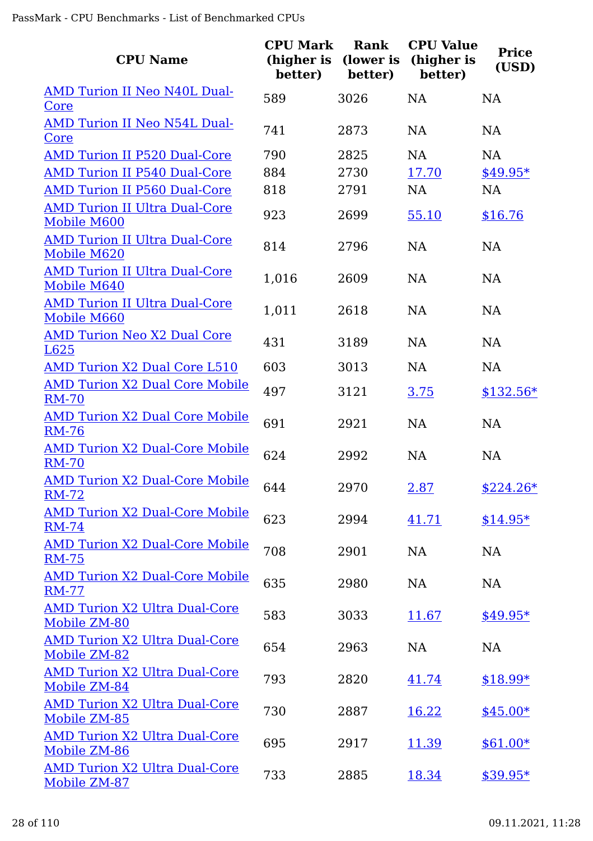| <b>CPU Name</b>                                       | <b>CPU Mark</b><br>(higher is<br>better) | Rank<br>(lower is<br>better) | <b>CPU Value</b><br>(higher is<br>better) | <b>Price</b><br>(USD) |
|-------------------------------------------------------|------------------------------------------|------------------------------|-------------------------------------------|-----------------------|
| <b>AMD Turion II Neo N40L Dual-</b><br>Core           | 589                                      | 3026                         | <b>NA</b>                                 | <b>NA</b>             |
| <b>AMD Turion II Neo N54L Dual-</b><br>Core           | 741                                      | 2873                         | <b>NA</b>                                 | <b>NA</b>             |
| <b>AMD Turion II P520 Dual-Core</b>                   | 790                                      | 2825                         | <b>NA</b>                                 | <b>NA</b>             |
| <b>AMD Turion II P540 Dual-Core</b>                   | 884                                      | 2730                         | 17.70                                     | $$49.95*$             |
| <b>AMD Turion II P560 Dual-Core</b>                   | 818                                      | 2791                         | <b>NA</b>                                 | NA                    |
| <b>AMD Turion II Ultra Dual-Core</b><br>Mobile M600   | 923                                      | 2699                         | 55.10                                     | \$16.76               |
| <b>AMD Turion II Ultra Dual-Core</b><br>Mobile M620   | 814                                      | 2796                         | <b>NA</b>                                 | <b>NA</b>             |
| <b>AMD Turion II Ultra Dual-Core</b><br>Mobile M640   | 1,016                                    | 2609                         | <b>NA</b>                                 | <b>NA</b>             |
| <b>AMD Turion II Ultra Dual-Core</b><br>Mobile M660   | 1,011                                    | 2618                         | <b>NA</b>                                 | <b>NA</b>             |
| <b>AMD Turion Neo X2 Dual Core</b><br>L625            | 431                                      | 3189                         | <b>NA</b>                                 | NA                    |
| <b>AMD Turion X2 Dual Core L510</b>                   | 603                                      | 3013                         | <b>NA</b>                                 | <b>NA</b>             |
| <b>AMD Turion X2 Dual Core Mobile</b><br><b>RM-70</b> | 497                                      | 3121                         | 3.75                                      | $$132.56*$            |
| <b>AMD Turion X2 Dual Core Mobile</b><br><b>RM-76</b> | 691                                      | 2921                         | <b>NA</b>                                 | <b>NA</b>             |
| <b>AMD Turion X2 Dual-Core Mobile</b><br><b>RM-70</b> | 624                                      | 2992                         | <b>NA</b>                                 | <b>NA</b>             |
| <b>AMD Turion X2 Dual-Core Mobile</b><br><b>RM-72</b> | 644                                      | 2970                         | 2.87                                      | $$224.26*$            |
| <b>AMD Turion X2 Dual-Core Mobile</b><br><b>RM-74</b> | 623                                      | 2994                         | 41.71                                     | $$14.95*$             |
| <b>AMD Turion X2 Dual-Core Mobile</b><br><b>RM-75</b> | 708                                      | 2901                         | <b>NA</b>                                 | <b>NA</b>             |
| <b>AMD Turion X2 Dual-Core Mobile</b><br><b>RM-77</b> | 635                                      | 2980                         | <b>NA</b>                                 | <b>NA</b>             |
| <b>AMD Turion X2 Ultra Dual-Core</b><br>Mobile ZM-80  | 583                                      | 3033                         | 11.67                                     | $$49.95*$             |
| <b>AMD Turion X2 Ultra Dual-Core</b><br>Mobile ZM-82  | 654                                      | 2963                         | <b>NA</b>                                 | <b>NA</b>             |
| <b>AMD Turion X2 Ultra Dual-Core</b><br>Mobile ZM-84  | 793                                      | 2820                         | 41.74                                     | $$18.99*$             |
| <b>AMD Turion X2 Ultra Dual-Core</b><br>Mobile ZM-85  | 730                                      | 2887                         | <u>16.22</u>                              | $$45.00*$             |
| <b>AMD Turion X2 Ultra Dual-Core</b><br>Mobile ZM-86  | 695                                      | 2917                         | 11.39                                     | $$61.00*$             |
| <b>AMD Turion X2 Ultra Dual-Core</b><br>Mobile ZM-87  | 733                                      | 2885                         | 18.34                                     | $$39.95*$             |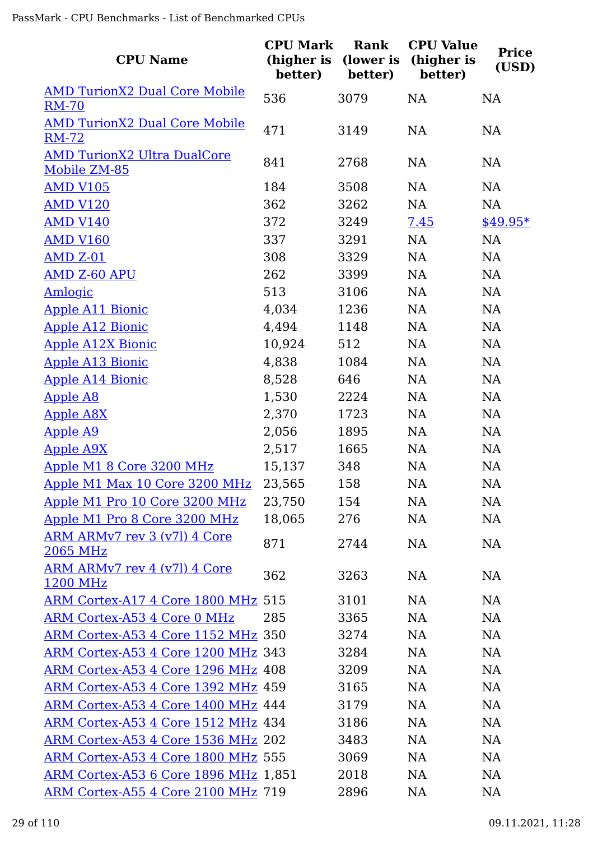| <b>CPU Name</b>                                      | <b>CPU Mark</b><br>(higher is<br>better) | Rank<br>(lower is<br>better) | <b>CPU Value</b><br>(higher is<br>better) | <b>Price</b><br>(USD) |
|------------------------------------------------------|------------------------------------------|------------------------------|-------------------------------------------|-----------------------|
| <b>AMD TurionX2 Dual Core Mobile</b><br><b>RM-70</b> | 536                                      | 3079                         | NA                                        | <b>NA</b>             |
| <b>AMD TurionX2 Dual Core Mobile</b>                 |                                          |                              |                                           |                       |
| <b>RM-72</b>                                         | 471                                      | 3149                         | NA                                        | NA                    |
| <b>AMD TurionX2 Ultra DualCore</b><br>Mobile ZM-85   | 841                                      | 2768                         | NA                                        | NA                    |
| <b>AMD V105</b>                                      | 184                                      | 3508                         | NA                                        | NA                    |
| <b>AMD V120</b>                                      | 362                                      | 3262                         | NA                                        | NA                    |
| <b>AMD V140</b>                                      | 372                                      | 3249                         | 7.45                                      | $$49.95*$             |
| <b>AMD V160</b>                                      | 337                                      | 3291                         | NA                                        | NA                    |
| <b>AMD Z-01</b>                                      | 308                                      | 3329                         | NA                                        | NA                    |
| <b>AMD Z-60 APU</b>                                  | 262                                      | 3399                         | NA                                        | NA                    |
| <b>Amlogic</b>                                       | 513                                      | 3106                         | NA                                        | NA                    |
| <b>Apple A11 Bionic</b>                              | 4,034                                    | 1236                         | NA                                        | NA                    |
| <b>Apple A12 Bionic</b>                              | 4,494                                    | 1148                         | NA                                        | NA                    |
| <b>Apple A12X Bionic</b>                             | 10,924                                   | 512                          | NA                                        | NA                    |
| <b>Apple A13 Bionic</b>                              | 4,838                                    | 1084                         | NA                                        | NA                    |
| <b>Apple A14 Bionic</b>                              | 8,528                                    | 646                          | NA                                        | NA                    |
| <b>Apple A8</b>                                      | 1,530                                    | 2224                         | NA                                        | NA                    |
| <b>Apple A8X</b>                                     | 2,370                                    | 1723                         | NA                                        | NA                    |
| <b>Apple A9</b>                                      | 2,056                                    | 1895                         | NA                                        | <b>NA</b>             |
| <b>Apple A9X</b>                                     | 2,517                                    | 1665                         | NA                                        | <b>NA</b>             |
| Apple M1 8 Core 3200 MHz                             | 15,137                                   | 348                          | NA                                        | <b>NA</b>             |
| <u>Apple M1 Max 10 Core 3200 MHz</u>                 | 23,565                                   | 158                          | NA                                        | NA                    |
| <u>Apple M1 Pro 10 Core 3200 MHz</u>                 | 23,750                                   | 154                          | <b>NA</b>                                 | <b>NA</b>             |
| Apple M1 Pro 8 Core 3200 MHz                         | 18,065                                   | 276                          | NA                                        | NA                    |
| ARM ARMv7 rev 3 (v7l) 4 Core<br>2065 MHz             | 871                                      | 2744                         | NA                                        | <b>NA</b>             |
| ARM ARMv7 rev 4 (v7l) 4 Core<br><u>1200 MHz</u>      | 362                                      | 3263                         | <b>NA</b>                                 | <b>NA</b>             |
| ARM Cortex-A17 4 Core 1800 MHz 515                   |                                          | 3101                         | <b>NA</b>                                 | <b>NA</b>             |
| <b>ARM Cortex-A53 4 Core 0 MHz</b>                   | 285                                      | 3365                         | <b>NA</b>                                 | NA                    |
| ARM Cortex-A53 4 Core 1152 MHz 350                   |                                          | 3274                         | <b>NA</b>                                 | <b>NA</b>             |
| ARM Cortex-A53 4 Core 1200 MHz 343                   |                                          | 3284                         | NA                                        | <b>NA</b>             |
| ARM Cortex-A53 4 Core 1296 MHz 408                   |                                          | 3209                         | <b>NA</b>                                 | <b>NA</b>             |
| ARM Cortex-A53 4 Core 1392 MHz 459                   |                                          | 3165                         | <b>NA</b>                                 | <b>NA</b>             |
| ARM Cortex-A53 4 Core 1400 MHz 444                   |                                          | 3179                         | <b>NA</b>                                 | <b>NA</b>             |
| ARM Cortex-A53 4 Core 1512 MHz 434                   |                                          | 3186                         | <b>NA</b>                                 | NA                    |
| ARM Cortex-A53 4 Core 1536 MHz 202                   |                                          | 3483                         | <b>NA</b>                                 | <b>NA</b>             |
| ARM Cortex-A53 4 Core 1800 MHz 555                   |                                          | 3069                         | <b>NA</b>                                 | <b>NA</b>             |
| ARM Cortex-A53 6 Core 1896 MHz 1,851                 |                                          | 2018                         | <b>NA</b>                                 | <b>NA</b>             |
| ARM Cortex-A55 4 Core 2100 MHz 719                   |                                          | 2896                         | <b>NA</b>                                 | NA                    |
|                                                      |                                          |                              |                                           |                       |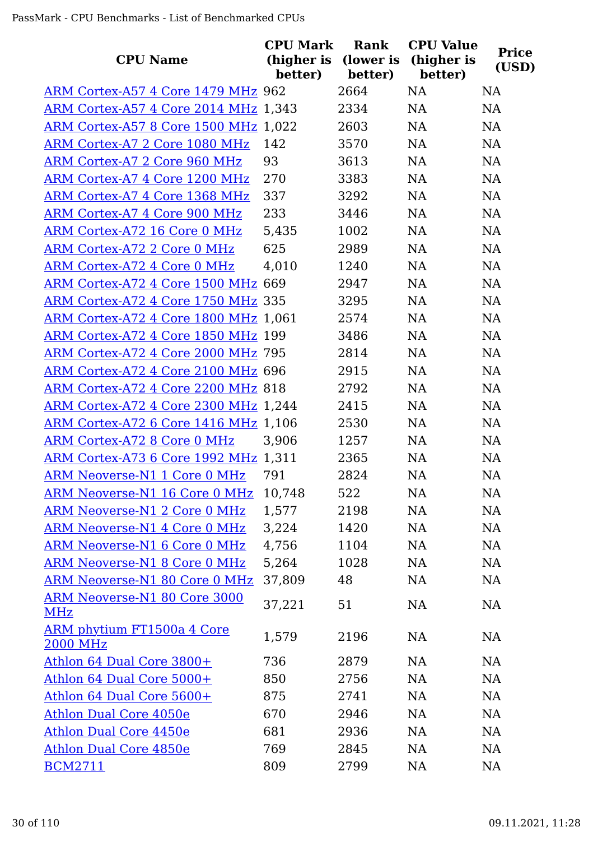| <b>CPU Name</b>                                   | <b>CPU Mark</b><br>(higher is<br>better) | Rank<br>(lower is<br>better) | <b>CPU Value</b><br>(higher is<br>better) | <b>Price</b><br>(USD) |
|---------------------------------------------------|------------------------------------------|------------------------------|-------------------------------------------|-----------------------|
| ARM Cortex-A57 4 Core 1479 MHz 962                |                                          | 2664                         | <b>NA</b>                                 | <b>NA</b>             |
| <b>ARM Cortex-A57 4 Core 2014 MHz 1,343</b>       |                                          | 2334                         | <b>NA</b>                                 | <b>NA</b>             |
| ARM Cortex-A57 8 Core 1500 MHz 1,022              |                                          | 2603                         | NA                                        | <b>NA</b>             |
| ARM Cortex-A7 2 Core 1080 MHz                     | 142                                      | 3570                         | NA                                        | <b>NA</b>             |
| ARM Cortex-A7 2 Core 960 MHz                      | 93                                       | 3613                         | <b>NA</b>                                 | <b>NA</b>             |
| ARM Cortex-A7 4 Core 1200 MHz                     | 270                                      | 3383                         | NA                                        | <b>NA</b>             |
| ARM Cortex-A7 4 Core 1368 MHz                     | 337                                      | 3292                         | NA                                        | <b>NA</b>             |
| <b>ARM Cortex-A7 4 Core 900 MHz</b>               | 233                                      | 3446                         | <b>NA</b>                                 | <b>NA</b>             |
| <b>ARM Cortex-A72 16 Core 0 MHz</b>               | 5,435                                    | 1002                         | <b>NA</b>                                 | <b>NA</b>             |
| <b>ARM Cortex-A72 2 Core 0 MHz</b>                | 625                                      | 2989                         | <b>NA</b>                                 | <b>NA</b>             |
| ARM Cortex-A72 4 Core 0 MHz                       | 4,010                                    | 1240                         | <b>NA</b>                                 | <b>NA</b>             |
| ARM Cortex-A72 4 Core 1500 MHz 669                |                                          | 2947                         | <b>NA</b>                                 | <b>NA</b>             |
| ARM Cortex-A72 4 Core 1750 MHz 335                |                                          | 3295                         | <b>NA</b>                                 | <b>NA</b>             |
| ARM Cortex-A72 4 Core 1800 MHz 1,061              |                                          | 2574                         | <b>NA</b>                                 | <b>NA</b>             |
| ARM Cortex-A72 4 Core 1850 MHz 199                |                                          | 3486                         | <b>NA</b>                                 | <b>NA</b>             |
| ARM Cortex-A72 4 Core 2000 MHz 795                |                                          | 2814                         | <b>NA</b>                                 | <b>NA</b>             |
| ARM Cortex-A72 4 Core 2100 MHz 696                |                                          | 2915                         | <b>NA</b>                                 | <b>NA</b>             |
| ARM Cortex-A72 4 Core 2200 MHz 818                |                                          | 2792                         | <b>NA</b>                                 | <b>NA</b>             |
| ARM Cortex-A72 4 Core 2300 MHz 1,244              |                                          | 2415                         | NA                                        | <b>NA</b>             |
| ARM Cortex-A72 6 Core 1416 MHz 1,106              |                                          | 2530                         | <b>NA</b>                                 | <b>NA</b>             |
| ARM Cortex-A72 8 Core 0 MHz                       | 3,906                                    | 1257                         | <b>NA</b>                                 | <b>NA</b>             |
| ARM Cortex-A73 6 Core 1992 MHz 1,311              |                                          | 2365                         | <b>NA</b>                                 | <b>NA</b>             |
| <b>ARM Neoverse-N1 1 Core 0 MHz</b>               | 791                                      | 2824                         | <b>NA</b>                                 | NA                    |
| <b>ARM Neoverse-N1 16 Core 0 MHz</b>              | 10,748                                   | 522                          | NA                                        | <b>NA</b>             |
| <b>ARM Neoverse-N1 2 Core 0 MHz</b>               | 1,577                                    | 2198                         | NA                                        | NA                    |
| <b>ARM Neoverse-N1 4 Core 0 MHz</b>               | 3,224                                    | 1420                         | NA                                        | NA                    |
| ARM Neoverse-N1 6 Core 0 MHz                      | 4,756                                    | 1104                         | NA                                        | NA                    |
| <b>ARM Neoverse-N1 8 Core 0 MHz</b>               | 5,264                                    | 1028                         | NA                                        | <b>NA</b>             |
| ARM Neoverse-N1 80 Core 0 MHz                     | 37,809                                   | 48                           | NA                                        | <b>NA</b>             |
| <b>ARM Neoverse-N1 80 Core 3000</b><br><b>MHz</b> | 37,221                                   | 51                           | NA                                        | NA                    |
| <u>ARM phytium FT1500a 4 Core</u><br>2000 MHz     | 1,579                                    | 2196                         | NA                                        | <b>NA</b>             |
| Athlon 64 Dual Core 3800+                         | 736                                      | 2879                         | <b>NA</b>                                 | <b>NA</b>             |
| Athlon 64 Dual Core 5000+                         | 850                                      | 2756                         | NA                                        | <b>NA</b>             |
| Athlon 64 Dual Core 5600+                         | 875                                      | 2741                         | NA                                        | NA                    |
| <b>Athlon Dual Core 4050e</b>                     | 670                                      | 2946                         | NA                                        | <b>NA</b>             |
| <b>Athlon Dual Core 4450e</b>                     | 681                                      | 2936                         | NA                                        | <b>NA</b>             |
| Athlon Dual Core 4850e                            | 769                                      | 2845                         | NA                                        | <b>NA</b>             |
| <b>BCM2711</b>                                    | 809                                      | 2799                         | NA                                        | <b>NA</b>             |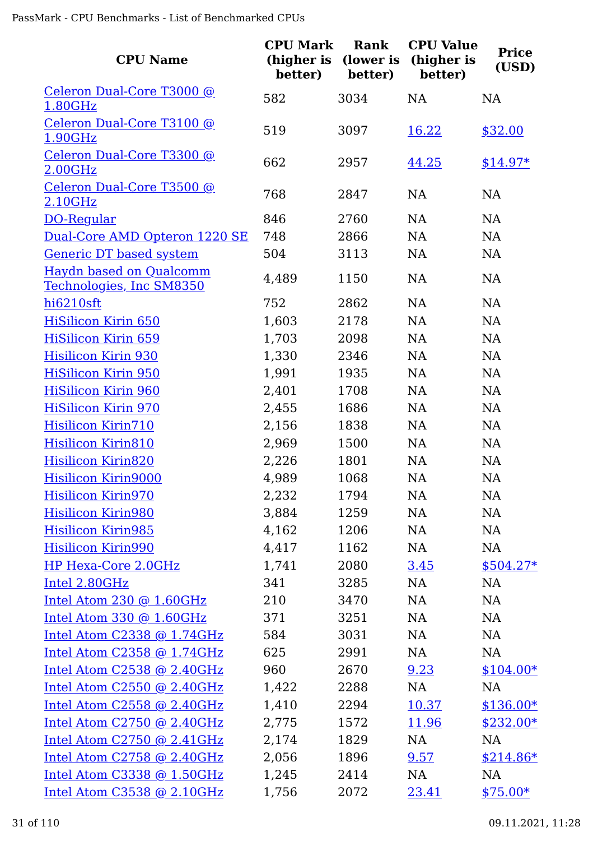| <b>CPU Name</b>                                            | <b>CPU Mark</b><br>(higher is<br>better) | Rank<br>(lower is<br>better) | <b>CPU Value</b><br>(higher is<br>better) | <b>Price</b><br>(USD) |
|------------------------------------------------------------|------------------------------------------|------------------------------|-------------------------------------------|-----------------------|
| Celeron Dual-Core T3000 @<br>1.80GHz                       | 582                                      | 3034                         | NA                                        | <b>NA</b>             |
| Celeron Dual-Core T3100 @                                  |                                          |                              |                                           |                       |
| 1.90GHz                                                    | 519                                      | 3097                         | 16.22                                     | \$32.00               |
| Celeron Dual-Core T3300 @                                  | 662                                      | 2957                         | 44.25                                     | $$14.97*$             |
| 2.00GHz                                                    |                                          |                              |                                           |                       |
| Celeron Dual-Core T3500 @                                  | 768                                      | 2847                         | <b>NA</b>                                 | <b>NA</b>             |
| 2.10GHz                                                    |                                          |                              |                                           |                       |
| DO-Regular                                                 | 846                                      | 2760                         | NA                                        | NA                    |
| Dual-Core AMD Opteron 1220 SE                              | 748                                      | 2866                         | <b>NA</b>                                 | NA                    |
| <b>Generic DT based system</b>                             | 504                                      | 3113                         | NA                                        | NA                    |
| <b>Haydn based on Qualcomm</b><br>Technologies, Inc SM8350 | 4,489                                    | 1150                         | NA                                        | NA                    |
| hi6210sft                                                  | 752                                      | 2862                         | NA                                        | NA                    |
| <b>HiSilicon Kirin 650</b>                                 | 1,603                                    | 2178                         | NA                                        | NA                    |
| <b>HiSilicon Kirin 659</b>                                 | 1,703                                    | 2098                         | NA                                        | NA                    |
| <b>Hisilicon Kirin 930</b>                                 | 1,330                                    | 2346                         | NA                                        | <b>NA</b>             |
| <b>HiSilicon Kirin 950</b>                                 | 1,991                                    | 1935                         | NA                                        | NA                    |
| <b>HiSilicon Kirin 960</b>                                 | 2,401                                    | 1708                         | <b>NA</b>                                 | <b>NA</b>             |
| <b>HiSilicon Kirin 970</b>                                 | 2,455                                    | 1686                         | NA                                        | NA                    |
| Hisilicon Kirin710                                         | 2,156                                    | 1838                         | NA                                        | NA                    |
| <b>Hisilicon Kirin810</b>                                  | 2,969                                    | 1500                         | NA                                        | NA                    |
| <b>Hisilicon Kirin820</b>                                  | 2,226                                    | 1801                         | NA                                        | NA                    |
| <b>Hisilicon Kirin9000</b>                                 | 4,989                                    | 1068                         | NA                                        | NA                    |
| <b>Hisilicon Kirin970</b>                                  | 2,232                                    | 1794                         | <b>NA</b>                                 | NA                    |
| <b>Hisilicon Kirin980</b>                                  | 3,884                                    | 1259                         | NA                                        | NA                    |
| <b>Hisilicon Kirin985</b>                                  | 4,162                                    | 1206                         | NA                                        | NA                    |
| <b>Hisilicon Kirin990</b>                                  | 4,417                                    | 1162                         | NA                                        | NA                    |
| HP Hexa-Core 2.0GHz                                        | 1,741                                    | 2080                         | 3.45                                      | $$504.27*$            |
| Intel 2.80GHz                                              | 341                                      | 3285                         | NA                                        | NA                    |
| Intel Atom 230 @ 1.60GHz                                   | 210                                      | 3470                         | NA                                        | NA                    |
| Intel Atom 330 @ $1.60GHz$                                 | 371                                      | 3251                         | NA                                        | NA                    |
| Intel Atom C2338 @ 1.74GHz                                 | 584                                      | 3031                         | NA                                        | NA                    |
| Intel Atom $C2358$ @ 1.74GHz                               | 625                                      | 2991                         | NA                                        | NA                    |
| Intel Atom C2538 @ 2.40GHz                                 | 960                                      | 2670                         | 9.23                                      | $$104.00*$            |
| Intel Atom C2550 @ 2.40GHz                                 | 1,422                                    | 2288                         | NA                                        | NA                    |
| Intel Atom $C2558$ @ 2.40GHz                               | 1,410                                    | 2294                         | 10.37                                     | $$136.00*$            |
| Intel Atom $C2750$ @ 2.40GHz                               | 2,775                                    | 1572                         | 11.96                                     | $$232.00*$            |
| Intel Atom C2750 @ 2.41GHz                                 | 2,174                                    | 1829                         | NA                                        | <b>NA</b>             |
| Intel Atom $C2758$ @ 2.40GHz                               | 2,056                                    | 1896                         | 9.57                                      | $$214.86*$            |
| Intel Atom $C3338$ @ 1.50GHz                               | 1,245                                    | 2414                         | NA                                        | NA                    |
| Intel Atom C3538 @ 2.10GHz                                 | 1,756                                    | 2072                         | 23.41                                     | $$75.00*$             |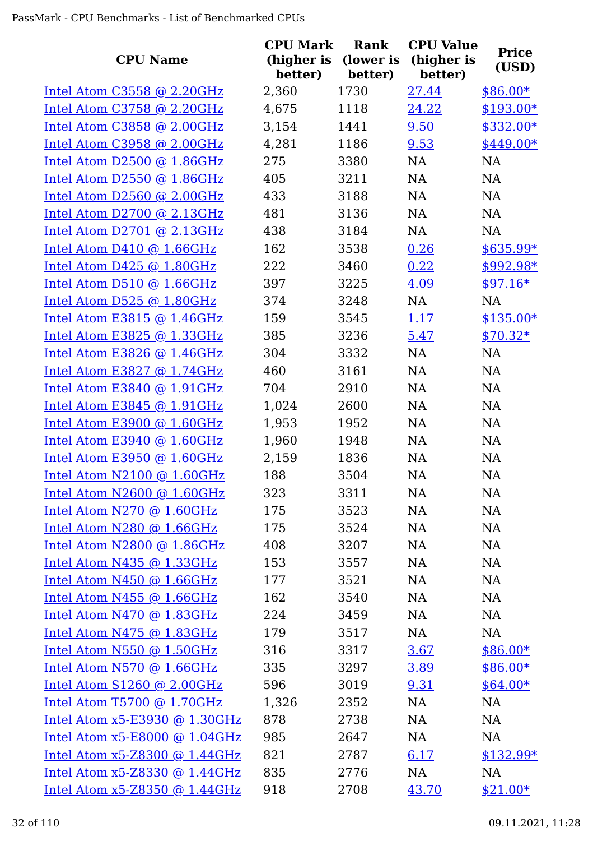| <b>CPU Name</b>                 | <b>CPU Mark</b><br>(higher is | Rank<br>(lower is | <b>CPU Value</b><br>(higher is | <b>Price</b><br>(USD) |
|---------------------------------|-------------------------------|-------------------|--------------------------------|-----------------------|
|                                 | better)                       | better)           | better)                        |                       |
| Intel Atom C3558 @ 2.20GHz      | 2,360                         | 1730              | 27.44                          | $$86.00*$             |
| Intel Atom C3758 @ 2.20GHz      | 4,675                         | 1118              | 24.22                          | $$193.00*$            |
| Intel Atom C3858 @ 2.00GHz      | 3,154                         | 1441              | 9.50                           | \$332.00*             |
| Intel Atom C3958 @ 2.00GHz      | 4,281                         | 1186              | 9.53                           | \$449.00*             |
| Intel Atom D2500 $@$ 1.86GHz    | 275                           | 3380              | <b>NA</b>                      | NA                    |
| Intel Atom D2550 @ $1.86$ GHz   | 405                           | 3211              | <b>NA</b>                      | <b>NA</b>             |
| Intel Atom D2560 @ $2.00$ GHz   | 433                           | 3188              | <b>NA</b>                      | <b>NA</b>             |
| Intel Atom $D2700$ @ 2.13GHz    | 481                           | 3136              | <b>NA</b>                      | <b>NA</b>             |
| Intel Atom D2701 $@$ 2.13GHz    | 438                           | 3184              | NA                             | <b>NA</b>             |
| Intel Atom D410 $@$ 1.66GHz     | 162                           | 3538              | 0.26                           | $$635.99*$            |
| Intel Atom $D425$ @ 1.80GHz     | 222                           | 3460              | 0.22                           | $$992.98*$            |
| Intel Atom $D510$ @ 1.66GHz     | 397                           | 3225              | 4.09                           | $$97.16*$             |
| Intel Atom D525 $@1.80GHz$      | 374                           | 3248              | NA                             | NA                    |
| Intel Atom E3815 @ 1.46GHz      | 159                           | 3545              | 1.17                           | $$135.00*$            |
| Intel Atom E3825 $@$ 1.33GHz    | 385                           | 3236              | 5.47                           | $$70.32*$             |
| Intel Atom E3826 @ 1.46GHz      | 304                           | 3332              | <b>NA</b>                      | <b>NA</b>             |
| Intel Atom E3827 @ 1.74GHz      | 460                           | 3161              | <b>NA</b>                      | NA                    |
| Intel Atom E3840 @ 1.91GHz      | 704                           | 2910              | <b>NA</b>                      | <b>NA</b>             |
| Intel Atom E3845 @ 1.91GHz      | 1,024                         | 2600              | NA                             | <b>NA</b>             |
| Intel Atom E3900 @ 1.60GHz      | 1,953                         | 1952              | NA                             | <b>NA</b>             |
| Intel Atom E3940 @ 1.60GHz      | 1,960                         | 1948              | <b>NA</b>                      | <b>NA</b>             |
| Intel Atom E3950 @ 1.60GHz      | 2,159                         | 1836              | <b>NA</b>                      | <b>NA</b>             |
| Intel Atom $N2100$ @ 1.60GHz    | 188                           | 3504              | <b>NA</b>                      | NA                    |
| Intel Atom N2600 @ 1.60GHz      | 323                           | 3311              | NA                             | NA                    |
| Intel Atom N270 @ 1.60GHz       | 175                           | 3523              | <b>NA</b>                      | <b>NA</b>             |
| Intel Atom N280 @ 1.66GHz       | 175                           | 3524              | NA                             | NA                    |
| Intel Atom N2800 @ 1.86GHz      | 408                           | 3207              | NA                             | NA                    |
| Intel Atom N435 $@$ 1.33GHz     | 153                           | 3557              | <b>NA</b>                      | NA                    |
| Intel Atom $N450$ @ 1.66GHz     | 177                           | 3521              | NA                             | NA                    |
| Intel Atom $N455$ @ 1.66GHz     | 162                           | 3540              | NA                             | NA                    |
| Intel Atom $N470$ @ 1.83GHz     | 224                           | 3459              | <b>NA</b>                      | NA                    |
| Intel Atom N475 @ 1.83GHz       | 179                           | 3517              | NA                             | NA                    |
| Intel Atom N550 @ 1.50GHz       | 316                           | 3317              | 3.67                           | $$86.00*$             |
| Intel Atom $N570$ @ 1.66GHz     | 335                           | 3297              | 3.89                           | \$86.00*              |
| Intel Atom $S1260$ @ 2.00GHz    | 596                           | 3019              | 9.31                           | $$64.00*$             |
| Intel Atom T5700 @ 1.70GHz      | 1,326                         | 2352              | <b>NA</b>                      | NA                    |
| Intel Atom $x5-E3930$ @ 1.30GHz | 878                           | 2738              | NA                             | NA                    |
| Intel Atom $x5-E8000$ @ 1.04GHz | 985                           | 2647              | NA                             | NA                    |
| Intel Atom $x5-Z8300$ @ 1.44GHz | 821                           | 2787              | 6.17                           | $$132.99*$            |
| Intel Atom $x5-Z8330$ @ 1.44GHz | 835                           | 2776              | NA                             | NA                    |
| Intel Atom $x5-Z8350$ @ 1.44GHz | 918                           | 2708              | 43.70                          | $$21.00*$             |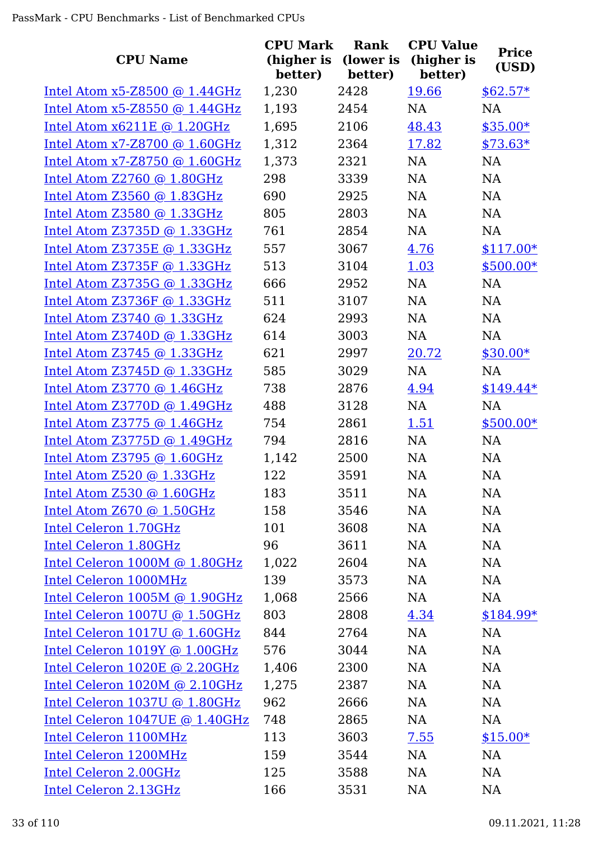| <b>CPU Name</b>                   | <b>CPU Mark</b><br>(higher is<br>better) | Rank<br>(lower is<br>better) | <b>CPU Value</b><br>(higher is<br>better) | <b>Price</b><br>(USD) |
|-----------------------------------|------------------------------------------|------------------------------|-------------------------------------------|-----------------------|
| Intel Atom $x5-Z8500$ @ 1.44GHz   | 1,230                                    | 2428                         | 19.66                                     | $$62.57*$             |
| Intel Atom $x5-Z8550$ @ 1.44GHz   | 1,193                                    | 2454                         | <b>NA</b>                                 | <b>NA</b>             |
| Intel Atom x6211E @ 1.20GHz       | 1,695                                    | 2106                         | 48.43                                     | $$35.00*$             |
| Intel Atom $x7-28700$ @ 1.60GHz   | 1,312                                    | 2364                         | 17.82                                     | $$73.63*$             |
| Intel Atom $x7 - 28750$ @ 1.60GHz | 1,373                                    | 2321                         | <b>NA</b>                                 | NA                    |
| Intel Atom $Z2760$ @ 1.80GHz      | 298                                      | 3339                         | <b>NA</b>                                 | <b>NA</b>             |
| Intel Atom Z3560 @ 1.83GHz        | 690                                      | 2925                         | <b>NA</b>                                 | <b>NA</b>             |
| Intel Atom Z3580 @ 1.33GHz        | 805                                      | 2803                         | <b>NA</b>                                 | <b>NA</b>             |
| Intel Atom $Z3735D$ @ 1.33GHz     | 761                                      | 2854                         | <b>NA</b>                                 | <b>NA</b>             |
| Intel Atom Z3735E @ 1.33GHz       | 557                                      | 3067                         | 4.76                                      | $$117.00*$            |
| Intel Atom Z3735F @ 1.33GHz       | 513                                      | 3104                         | 1.03                                      | $$500.00*$            |
| Intel Atom $Z3735G$ @ 1.33GHz     | 666                                      | 2952                         | <b>NA</b>                                 | <b>NA</b>             |
| Intel Atom Z3736F @ 1.33GHz       | 511                                      | 3107                         | <b>NA</b>                                 | <b>NA</b>             |
| Intel Atom Z3740 @ 1.33GHz        | 624                                      | 2993                         | <b>NA</b>                                 | <b>NA</b>             |
| Intel Atom Z3740D @ 1.33GHz       | 614                                      | 3003                         | <b>NA</b>                                 | <b>NA</b>             |
| Intel Atom $Z3745$ @ 1.33GHz      | 621                                      | 2997                         | 20.72                                     | $$30.00*$             |
| Intel Atom Z3745D @ 1.33GHz       | 585                                      | 3029                         | NA                                        | NA                    |
| Intel Atom $Z3770$ @ 1.46GHz      | 738                                      | 2876                         | 4.94                                      | $$149.44*$            |
| Intel Atom $Z3770D$ @ 1.49GHz     | 488                                      | 3128                         | <b>NA</b>                                 | NA                    |
| Intel Atom $Z3775$ @ 1.46GHz      | 754                                      | 2861                         | <u>1.51</u>                               | $$500.00*$            |
| Intel Atom Z3775D @ 1.49GHz       | 794                                      | 2816                         | <b>NA</b>                                 | <b>NA</b>             |
| Intel Atom $Z3795$ @ 1.60GHz      | 1,142                                    | 2500                         | <b>NA</b>                                 | <b>NA</b>             |
| Intel Atom Z520 @ 1.33GHz         | 122                                      | 3591                         | NA                                        | NA                    |
| Intel Atom Z530 @ 1.60GHz         | 183                                      | 3511                         | NA                                        | NA                    |
| Intel Atom Z670 @ 1.50GHz         | 158                                      | 3546                         | NA                                        | NA                    |
| Intel Celeron 1.70GHz             | 101                                      | 3608                         | NA                                        | NA                    |
| Intel Celeron 1.80GHz             | 96                                       | 3611                         | NA                                        | NA                    |
| Intel Celeron 1000M @ 1.80GHz     | 1,022                                    | 2604                         | NA                                        | NA                    |
| Intel Celeron 1000MHz             | 139                                      | 3573                         | NA                                        | NA                    |
| Intel Celeron 1005M @ 1.90GHz     | 1,068                                    | 2566                         | NA                                        | NA                    |
| Intel Celeron 1007U @ 1.50GHz     | 803                                      | 2808                         | 4.34                                      | $$184.99*$            |
| Intel Celeron 1017U @ 1.60GHz     | 844                                      | 2764                         | NA                                        | NA                    |
| Intel Celeron 1019Y @ 1.00GHz     | 576                                      | 3044                         | NA                                        | NA                    |
| Intel Celeron 1020E @ 2.20GHz     | 1,406                                    | 2300                         | NA                                        | NA                    |
| Intel Celeron 1020M @ 2.10GHz     | 1,275                                    | 2387                         | NA                                        | NA                    |
| Intel Celeron 1037U @ 1.80GHz     | 962                                      | 2666                         | <b>NA</b>                                 | <b>NA</b>             |
| Intel Celeron 1047UE @ 1.40GHz    | 748                                      | 2865                         | NA                                        | <b>NA</b>             |
| Intel Celeron 1100MHz             | 113                                      | 3603                         | 7.55                                      | $$15.00*$             |
| Intel Celeron 1200MHz             | 159                                      | 3544                         | NA                                        | NA                    |
| Intel Celeron 2.00GHz             | 125                                      | 3588                         | NA                                        | NA                    |
| Intel Celeron 2.13GHz             | 166                                      | 3531                         | NA                                        | <b>NA</b>             |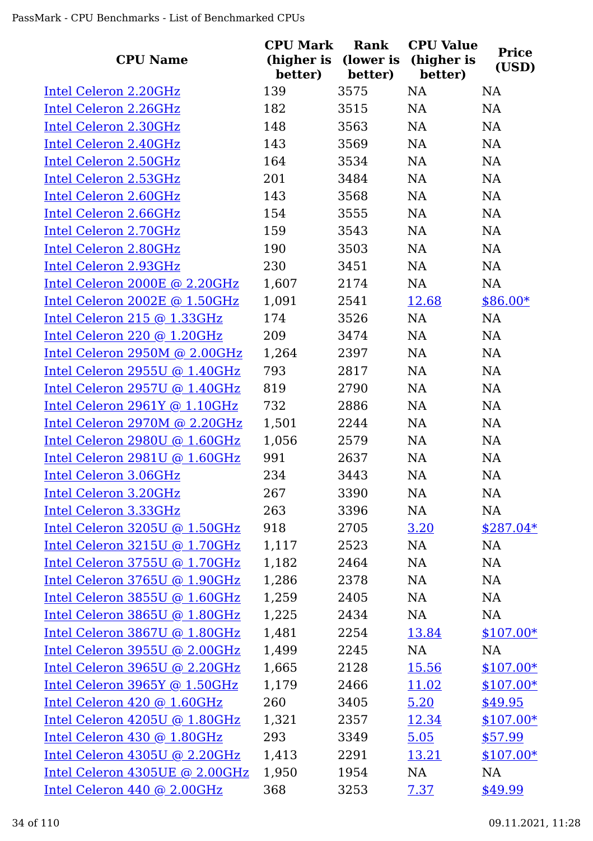| <b>CPU Name</b>                                               | <b>CPU Mark</b><br>(higher is<br>better) | Rank<br>(lower is<br>better) | <b>CPU Value</b><br>(higher is<br>better) | <b>Price</b><br>(USD) |
|---------------------------------------------------------------|------------------------------------------|------------------------------|-------------------------------------------|-----------------------|
| Intel Celeron 2.20GHz                                         | 139                                      | 3575                         | <b>NA</b>                                 | NA                    |
| Intel Celeron 2.26GHz                                         | 182                                      | 3515                         | NA                                        | NA                    |
| Intel Celeron 2.30GHz                                         | 148                                      | 3563                         | NA                                        | NA                    |
| Intel Celeron 2.40GHz                                         | 143                                      | 3569                         | NA                                        | NA                    |
| Intel Celeron 2.50GHz                                         | 164                                      | 3534                         | NA                                        | NA                    |
| Intel Celeron 2.53GHz                                         | 201                                      | 3484                         | NA                                        | NA                    |
| Intel Celeron 2.60GHz                                         | 143                                      | 3568                         | NA                                        | NA                    |
| Intel Celeron 2.66GHz                                         | 154                                      | 3555                         | NA                                        | NA                    |
| Intel Celeron 2.70GHz                                         | 159                                      | 3543                         | NA                                        | NA                    |
| Intel Celeron 2.80GHz                                         | 190                                      | 3503                         | NA                                        | NA                    |
| Intel Celeron 2.93GHz                                         | 230                                      | 3451                         | NA                                        | NA                    |
| Intel Celeron 2000E @ 2.20GHz                                 | 1,607                                    | 2174                         | NA                                        | NA                    |
| Intel Celeron 2002E @ 1.50GHz                                 | 1,091                                    | 2541                         | 12.68                                     | $$86.00*$             |
| Intel Celeron 215 @ 1.33GHz                                   | 174                                      | 3526                         | NA                                        | NA                    |
| Intel Celeron 220 @ 1.20GHz                                   | 209                                      | 3474                         | NA                                        | NA                    |
| Intel Celeron 2950M @ 2.00GHz                                 | 1,264                                    | 2397                         | NA                                        | NA                    |
| Intel Celeron 2955U @ 1.40GHz                                 | 793                                      | 2817                         | NA                                        | NA                    |
| Intel Celeron 2957U @ 1.40GHz                                 | 819                                      | 2790                         | NA                                        | NA                    |
| Intel Celeron 2961Y @ 1.10GHz                                 | 732                                      | 2886                         | NA                                        | NA                    |
| Intel Celeron 2970M @ 2.20GHz                                 | 1,501                                    | 2244                         | NA                                        | NA                    |
| Intel Celeron 2980U @ 1.60GHz                                 | 1,056                                    | 2579                         | NA                                        | NA                    |
| Intel Celeron 2981U @ 1.60GHz                                 | 991                                      | 2637                         | NA                                        | NA                    |
| Intel Celeron 3.06GHz                                         | 234                                      | 3443                         | <b>NA</b>                                 | NA                    |
| Intel Celeron 3.20GHz                                         | 267                                      | 3390                         | NA                                        | NA                    |
| Intel Celeron 3.33GHz                                         | 263                                      | 3396                         | NA                                        | NA                    |
| Intel Celeron 3205U @ 1.50GHz                                 | 918                                      | 2705                         | 3.20                                      | $$287.04*$            |
| Intel Celeron 3215U $@$ 1.70GHz                               | 1,117                                    | 2523                         | NA                                        | NA                    |
| Intel Celeron $3755U$ @ 1.70GHz                               | 1,182                                    | 2464                         | NA                                        | NA                    |
| Intel Celeron 3765U @ 1.90GHz                                 | 1,286                                    | 2378                         | NA                                        | NA                    |
| Intel Celeron 3855U @ 1.60GHz                                 | 1,259                                    | 2405                         | NA                                        | NA                    |
| Intel Celeron 3865U @ 1.80GHz                                 | 1,225                                    | 2434                         | NA                                        | NA                    |
| Intel Celeron 3867U @ 1.80GHz                                 | 1,481                                    | 2254                         | 13.84                                     | $$107.00*$            |
| Intel Celeron 3955U @ 2.00GHz                                 | 1,499                                    | 2245                         | NA                                        | NA                    |
| Intel Celeron 3965U @ 2.20GHz                                 | 1,665                                    | 2128                         | 15.56                                     | $$107.00*$            |
| Intel Celeron 3965Y @ 1.50GHz                                 | 1,179                                    | 2466                         | 11.02                                     | $$107.00*$            |
| Intel Celeron 420 @ 1.60GHz                                   | 260                                      | 3405                         | 5.20                                      | \$49.95               |
| Intel Celeron 4205U @ 1.80GHz                                 | 1,321                                    | 2357                         | 12.34                                     | $$107.00*$            |
| Intel Celeron 430 @ 1.80GHz                                   | 293                                      | 3349                         | 5.05                                      | \$57.99               |
| Intel Celeron 4305U @ 2.20GHz                                 | 1,413                                    | 2291                         | 13.21                                     | $$107.00*$            |
| Intel Celeron 4305UE @ 2.00GHz<br>Intel Celeron 440 @ 2.00GHz | 1,950<br>368                             | 1954<br>3253                 | NA<br>7.37                                | NA<br>\$49.99         |
|                                                               |                                          |                              |                                           |                       |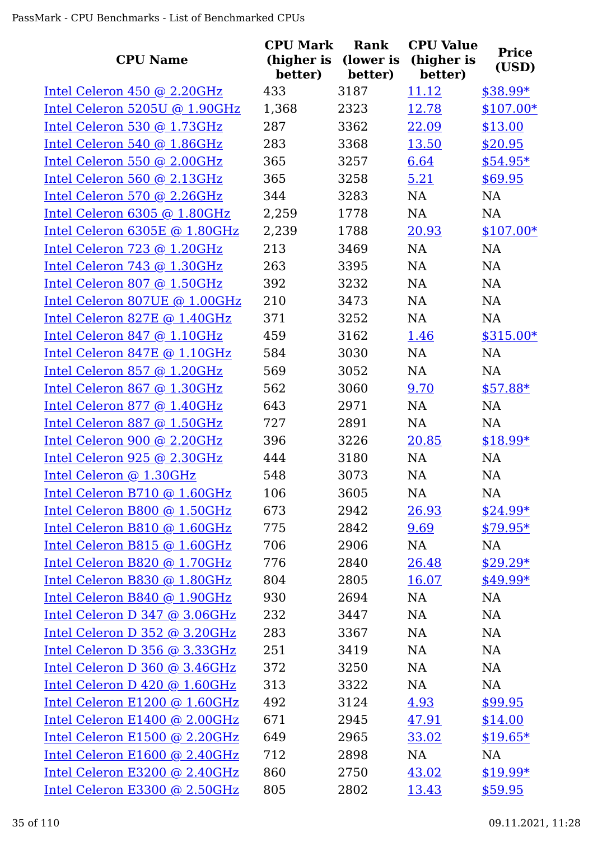| <b>CPU Name</b>               | <b>CPU Mark</b><br>(higher is<br>better) | Rank<br>(lower is<br>better) | <b>CPU Value</b><br>(higher is<br>better) | <b>Price</b><br>(USD) |
|-------------------------------|------------------------------------------|------------------------------|-------------------------------------------|-----------------------|
| Intel Celeron 450 @ 2.20GHz   | 433                                      | 3187                         | 11.12                                     | \$38.99*              |
| Intel Celeron 5205U @ 1.90GHz | 1,368                                    | 2323                         | 12.78                                     | $$107.00*$            |
| Intel Celeron 530 @ 1.73GHz   | 287                                      | 3362                         | 22.09                                     | \$13.00               |
| Intel Celeron 540 @ 1.86GHz   | 283                                      | 3368                         | 13.50                                     | \$20.95               |
| Intel Celeron 550 @ 2.00GHz   | 365                                      | 3257                         | 6.64                                      | $$54.95*$             |
| Intel Celeron 560 @ 2.13GHz   | 365                                      | 3258                         | 5.21                                      | \$69.95               |
| Intel Celeron 570 @ 2.26GHz   | 344                                      | 3283                         | NA                                        | <b>NA</b>             |
| Intel Celeron 6305 @ 1.80GHz  | 2,259                                    | 1778                         | NA                                        | <b>NA</b>             |
| Intel Celeron 6305E @ 1.80GHz | 2,239                                    | 1788                         | 20.93                                     | $$107.00*$            |
| Intel Celeron 723 @ 1.20GHz   | 213                                      | 3469                         | <b>NA</b>                                 | <b>NA</b>             |
| Intel Celeron 743 @ 1.30GHz   | 263                                      | 3395                         | NA                                        | NA                    |
| Intel Celeron 807 @ 1.50GHz   | 392                                      | 3232                         | NA                                        | <b>NA</b>             |
| Intel Celeron 807UE @ 1.00GHz | 210                                      | 3473                         | NA                                        | NA                    |
| Intel Celeron 827E @ 1.40GHz  | 371                                      | 3252                         | NA                                        | NA                    |
| Intel Celeron 847 @ 1.10GHz   | 459                                      | 3162                         | 1.46                                      | $$315.00*$            |
| Intel Celeron 847E @ 1.10GHz  | 584                                      | 3030                         | NA                                        | <b>NA</b>             |
| Intel Celeron 857 @ 1.20GHz   | 569                                      | 3052                         | NA                                        | NA                    |
| Intel Celeron 867 @ 1.30GHz   | 562                                      | 3060                         | 9.70                                      | $$57.88*$             |
| Intel Celeron 877 @ 1.40GHz   | 643                                      | 2971                         | NA                                        | NA                    |
| Intel Celeron 887 @ 1.50GHz   | 727                                      | 2891                         | <b>NA</b>                                 | NA                    |
| Intel Celeron 900 @ 2.20GHz   | 396                                      | 3226                         | 20.85                                     | $$18.99*$             |
| Intel Celeron 925 @ 2.30GHz   | 444                                      | 3180                         | <b>NA</b>                                 | <b>NA</b>             |
| Intel Celeron @ 1.30GHz       | 548                                      | 3073                         | <b>NA</b>                                 | <b>NA</b>             |
| Intel Celeron B710 @ 1.60GHz  | 106                                      | 3605                         | NA                                        | NA                    |
| Intel Celeron B800 @ 1.50GHz  | 673                                      | 2942                         | 26.93                                     | $$24.99*$             |
| Intel Celeron B810 @ 1.60GHz  | 775                                      | 2842                         | 9.69                                      | $$79.95*$             |
| Intel Celeron B815 @ 1.60GHz  | 706                                      | 2906                         | NA                                        | NA                    |
| Intel Celeron B820 @ 1.70GHz  | 776                                      | 2840                         | 26.48                                     | $$29.29*$             |
| Intel Celeron B830 @ 1.80GHz  | 804                                      | 2805                         | 16.07                                     | $$49.99*$             |
| Intel Celeron B840 @ 1.90GHz  | 930                                      | 2694                         | NA                                        | NA                    |
| Intel Celeron D 347 @ 3.06GHz | 232                                      | 3447                         | NA                                        | NA                    |
| Intel Celeron D 352 @ 3.20GHz | 283                                      | 3367                         | NA                                        | NA                    |
| Intel Celeron D 356 @ 3.33GHz | 251                                      | 3419                         | NA                                        | NA                    |
| Intel Celeron D 360 @ 3.46GHz | 372                                      | 3250                         | NA                                        | NA                    |
| Intel Celeron D 420 @ 1.60GHz | 313                                      | 3322                         | NA                                        | NA                    |
| Intel Celeron E1200 @ 1.60GHz | 492                                      | 3124                         | 4.93                                      | \$99.95               |
| Intel Celeron E1400 @ 2.00GHz | 671                                      | 2945                         | 47.91                                     | \$14.00               |
| Intel Celeron E1500 @ 2.20GHz | 649                                      | 2965                         | 33.02                                     | $$19.65*$             |
| Intel Celeron E1600 @ 2.40GHz | 712                                      | 2898                         | NA                                        | NA                    |
| Intel Celeron E3200 @ 2.40GHz | 860                                      | 2750                         | 43.02                                     | \$19.99*              |
| Intel Celeron E3300 @ 2.50GHz | 805                                      | 2802                         | 13.43                                     | \$59.95               |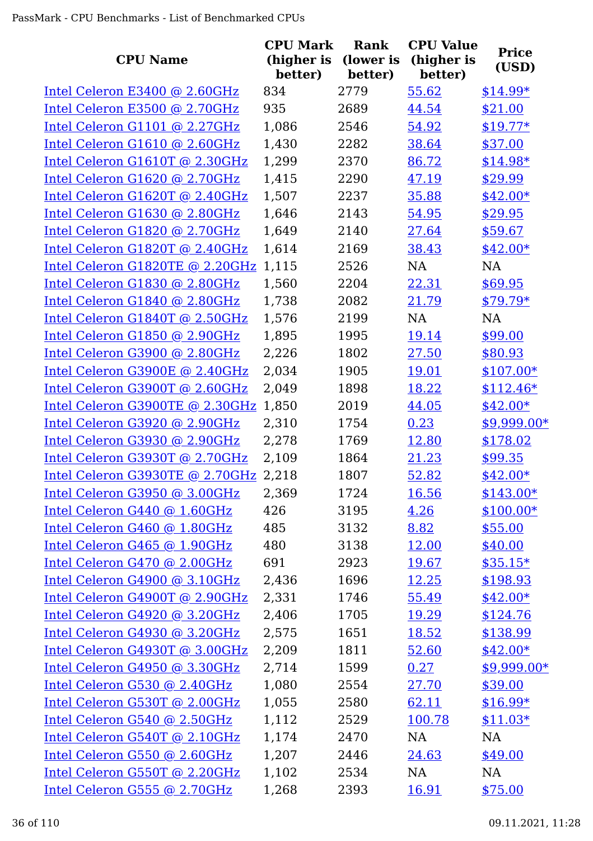|                                 | <b>CPU Mark</b> | <b>Rank</b> | <b>CPU Value</b> | <b>Price</b> |
|---------------------------------|-----------------|-------------|------------------|--------------|
| <b>CPU Name</b>                 | (higher is      | (lower is   | (higher is       | (USD)        |
|                                 | better)         | better)     | better)          |              |
| Intel Celeron E3400 @ 2.60GHz   | 834             | 2779        | 55.62            | $$14.99*$    |
| Intel Celeron E3500 @ 2.70GHz   | 935             | 2689        | 44.54            | \$21.00      |
| Intel Celeron G1101 @ 2.27GHz   | 1,086           | 2546        | 54.92            | $$19.77*$    |
| Intel Celeron G1610 @ 2.60GHz   | 1,430           | 2282        | 38.64            | \$37.00      |
| Intel Celeron G1610T @ 2.30GHz  | 1,299           | 2370        | 86.72            | \$14.98*     |
| Intel Celeron G1620 @ 2.70GHz   | 1,415           | 2290        | 47.19            | \$29.99      |
| Intel Celeron G1620T @ 2.40GHz  | 1,507           | 2237        | 35.88            | $$42.00*$    |
| Intel Celeron G1630 @ 2.80GHz   | 1,646           | 2143        | 54.95            | \$29.95      |
| Intel Celeron G1820 @ 2.70GHz   | 1,649           | 2140        | 27.64            | \$59.67      |
| Intel Celeron G1820T @ 2.40GHz  | 1,614           | 2169        | 38.43            | $$42.00*$    |
| Intel Celeron G1820TE @ 2.20GHz | 1,115           | 2526        | NA               | <b>NA</b>    |
| Intel Celeron G1830 @ 2.80GHz   | 1,560           | 2204        | 22.31            | \$69.95      |
| Intel Celeron G1840 @ 2.80GHz   | 1,738           | 2082        | 21.79            | $$79.79*$    |
| Intel Celeron G1840T @ 2.50GHz  | 1,576           | 2199        | <b>NA</b>        | <b>NA</b>    |
| Intel Celeron G1850 @ 2.90GHz   | 1,895           | 1995        | 19.14            | \$99.00      |
| Intel Celeron G3900 @ 2.80GHz   | 2,226           | 1802        | 27.50            | \$80.93      |
| Intel Celeron G3900E @ 2.40GHz  | 2,034           | 1905        | 19.01            | $$107.00*$   |
| Intel Celeron G3900T @ 2.60GHz  | 2,049           | 1898        | 18.22            | $$112.46*$   |
| Intel Celeron G3900TE @ 2.30GHz | 1,850           | 2019        | 44.05            | $$42.00*$    |
| Intel Celeron G3920 @ 2.90GHz   | 2,310           | 1754        | 0.23             | $$9,999.00*$ |
| Intel Celeron G3930 @ 2.90GHz   | 2,278           | 1769        | 12.80            | \$178.02     |
| Intel Celeron G3930T @ 2.70GHz  | 2,109           | 1864        | 21.23            | \$99.35      |
| Intel Celeron G3930TE @ 2.70GHz | 2,218           | 1807        | 52.82            | $$42.00*$    |
| Intel Celeron G3950 @ 3.00GHz   | 2,369           | 1724        | 16.56            | $$143.00*$   |
| Intel Celeron G440 @ 1.60GHz    | 426             | 3195        | 4.26             | $$100.00*$   |
| Intel Celeron G460 @ 1.80GHz    | 485             | 3132        | 8.82             | \$55.00      |
| Intel Celeron G465 @ 1.90GHz    | 480             | 3138        | 12.00            | \$40.00      |
| Intel Celeron G470 @ 2.00GHz    | 691             | 2923        | 19.67            | $$35.15*$    |
| Intel Celeron G4900 @ 3.10GHz   | 2,436           | 1696        | 12.25            | \$198.93     |
| Intel Celeron G4900T @ 2.90GHz  | 2,331           | 1746        | 55.49            | $$42.00*$    |
| Intel Celeron G4920 @ 3.20GHz   | 2,406           | 1705        | 19.29            | \$124.76     |
| Intel Celeron G4930 @ 3.20GHz   | 2,575           | 1651        | 18.52            | \$138.99     |
| Intel Celeron G4930T @ 3.00GHz  | 2,209           | 1811        | 52.60            | $$42.00*$    |
| Intel Celeron G4950 @ 3.30GHz   | 2,714           | 1599        | 0.27             | $$9,999.00*$ |
| Intel Celeron G530 @ 2.40GHz    | 1,080           | 2554        | 27.70            | \$39.00      |
| Intel Celeron G530T @ 2.00GHz   | 1,055           | 2580        | 62.11            | $$16.99*$    |
| Intel Celeron G540 @ 2.50GHz    | 1,112           | 2529        | 100.78           | $$11.03*$    |
| Intel Celeron G540T @ 2.10GHz   | 1,174           | 2470        | NA               | NA           |
| Intel Celeron G550 @ 2.60GHz    | 1,207           | 2446        | 24.63            | \$49.00      |
| Intel Celeron G550T @ 2.20GHz   | 1,102           | 2534        | NA               | NA           |
| Intel Celeron G555 @ 2.70GHz    | 1,268           | 2393        | 16.91            | \$75.00      |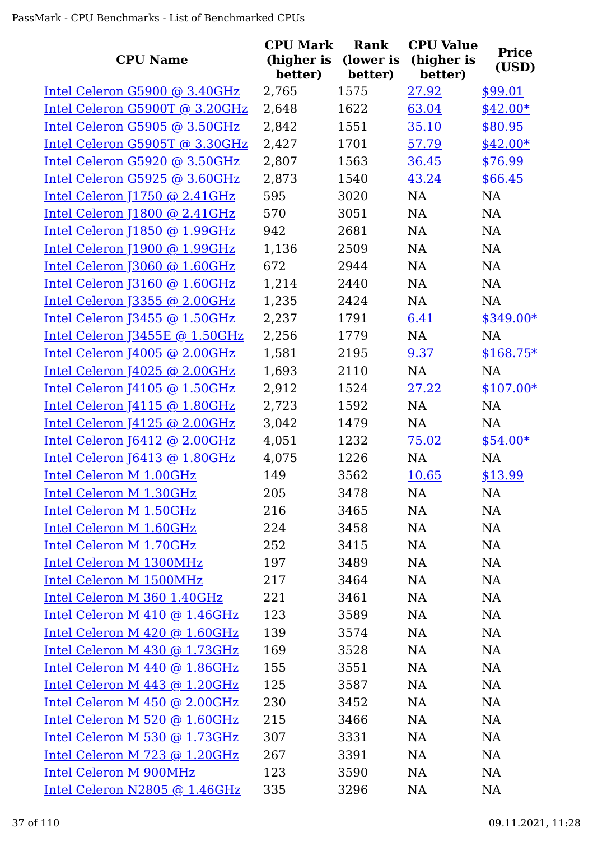|                                 | <b>CPU Mark</b>       | <b>Rank</b>          | <b>CPU Value</b>      |                       |
|---------------------------------|-----------------------|----------------------|-----------------------|-----------------------|
| <b>CPU Name</b>                 | (higher is<br>better) | (lower is<br>better) | (higher is<br>better) | <b>Price</b><br>(USD) |
| Intel Celeron G5900 @ 3.40GHz   | 2,765                 | 1575                 | 27.92                 | \$99.01               |
| Intel Celeron G5900T @ 3.20GHz  | 2,648                 | 1622                 | 63.04                 | $$42.00*$             |
| Intel Celeron G5905 @ 3.50GHz   | 2,842                 | 1551                 | 35.10                 | \$80.95               |
| Intel Celeron G5905T @ 3.30GHz  | 2,427                 | 1701                 | 57.79                 | $$42.00*$             |
| Intel Celeron G5920 @ 3.50GHz   | 2,807                 | 1563                 | 36.45                 | \$76.99               |
| Intel Celeron G5925 @ 3.60GHz   | 2,873                 | 1540                 | 43.24                 | \$66.45               |
| Intel Celeron J1750 @ 2.41GHz   | 595                   | 3020                 | <b>NA</b>             | <b>NA</b>             |
| Intel Celeron J1800 @ 2.41GHz   | 570                   | 3051                 | <b>NA</b>             | <b>NA</b>             |
| Intel Celeron J1850 @ 1.99GHz   | 942                   | 2681                 | NA                    | NA                    |
| Intel Celeron [1900 @ 1.99GHz   | 1,136                 | 2509                 | NA                    | <b>NA</b>             |
| Intel Celeron [3060 @ 1.60GHz   | 672                   | 2944                 | NA                    | NA                    |
| Intel Celeron J3160 @ 1.60GHz   | 1,214                 | 2440                 | NA                    | <b>NA</b>             |
| Intel Celeron J3355 @ 2.00GHz   | 1,235                 | 2424                 | NA                    | <b>NA</b>             |
| Intel Celeron $J3455$ @ 1.50GHz | 2,237                 | 1791                 | 6.41                  | $$349.00*$            |
| Intel Celeron J3455E @ 1.50GHz  | 2,256                 | 1779                 | NA                    | <b>NA</b>             |
| Intel Celeron J4005 @ 2.00GHz   | 1,581                 | 2195                 | 9.37                  | $$168.75*$            |
| Intel Celeron $14025$ @ 2.00GHz | 1,693                 | 2110                 | NA                    | NA                    |
| Intel Celeron J4105 @ 1.50GHz   | 2,912                 | 1524                 | 27.22                 | $$107.00*$            |
| Intel Celeron J4115 @ 1.80GHz   | 2,723                 | 1592                 | NA                    | <b>NA</b>             |
| Intel Celeron J4125 @ 2.00GHz   | 3,042                 | 1479                 | <b>NA</b>             | <b>NA</b>             |
| Intel Celeron J6412 @ 2.00GHz   | 4,051                 | 1232                 | 75.02                 | $$54.00*$             |
| Intel Celeron J6413 @ 1.80GHz   | 4,075                 | 1226                 | <b>NA</b>             | <b>NA</b>             |
| Intel Celeron M 1.00GHz         | 149                   | 3562                 | 10.65                 | \$13.99               |
| Intel Celeron M 1.30GHz         | 205                   | 3478                 | NA                    | <b>NA</b>             |
| Intel Celeron M 1.50GHz         | 216                   | 3465                 | NA                    | NA                    |
| Intel Celeron M 1.60GHz         | 224                   | 3458                 | NA                    | NA                    |
| Intel Celeron M 1.70GHz         | 252                   | 3415                 | NA                    | NA                    |
| Intel Celeron M 1300MHz         | 197                   | 3489                 | NA                    | <b>NA</b>             |
| Intel Celeron M 1500MHz         | 217                   | 3464                 | NA                    | <b>NA</b>             |
| Intel Celeron M 360 1.40GHz     | 221                   | 3461                 | NA                    | <b>NA</b>             |
| Intel Celeron M 410 @ 1.46GHz   | 123                   | 3589                 | NA                    | NA                    |
| Intel Celeron M 420 @ 1.60GHz   | 139                   | 3574                 | NA                    | <b>NA</b>             |
| Intel Celeron M 430 @ 1.73GHz   | 169                   | 3528                 | NA                    | <b>NA</b>             |
| Intel Celeron M 440 @ 1.86GHz   | 155                   | 3551                 | NA                    | <b>NA</b>             |
| Intel Celeron M 443 @ 1.20GHz   | 125                   | 3587                 | NA                    | <b>NA</b>             |
| Intel Celeron M 450 @ 2.00GHz   | 230                   | 3452                 | NA                    | <b>NA</b>             |
| Intel Celeron M 520 @ 1.60GHz   | 215                   | 3466                 | NA                    | <b>NA</b>             |
| Intel Celeron M 530 @ 1.73GHz   | 307                   | 3331                 | NA                    | <b>NA</b>             |
| Intel Celeron M 723 @ 1.20GHz   | 267                   | 3391                 | NA                    | NA                    |
| Intel Celeron M 900MHz          | 123                   | 3590                 | NA                    | <b>NA</b>             |
| Intel Celeron N2805 @ 1.46GHz   | 335                   | 3296                 | <b>NA</b>             | <b>NA</b>             |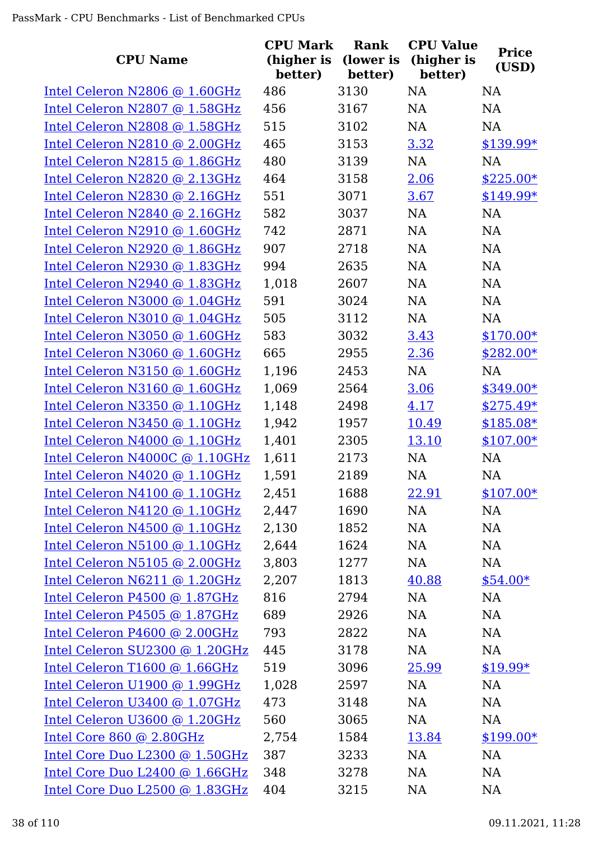| <b>CPU Name</b>                | <b>CPU Mark</b><br>(higher is<br>better) | Rank<br>(lower is<br>better) | <b>CPU Value</b><br>(higher is<br>better) | <b>Price</b><br>(USD) |
|--------------------------------|------------------------------------------|------------------------------|-------------------------------------------|-----------------------|
| Intel Celeron N2806 @ 1.60GHz  | 486                                      | 3130                         | <b>NA</b>                                 | <b>NA</b>             |
| Intel Celeron N2807 @ 1.58GHz  | 456                                      | 3167                         | NA                                        | NA                    |
| Intel Celeron N2808 @ 1.58GHz  | 515                                      | 3102                         | NA                                        | <b>NA</b>             |
| Intel Celeron N2810 @ 2.00GHz  | 465                                      | 3153                         | 3.32                                      | \$139.99*             |
| Intel Celeron N2815 @ 1.86GHz  | 480                                      | 3139                         | NA                                        | <b>NA</b>             |
| Intel Celeron N2820 @ 2.13GHz  | 464                                      | 3158                         | 2.06                                      | $$225.00*$            |
| Intel Celeron N2830 @ 2.16GHz  | 551                                      | 3071                         | 3.67                                      | $$149.99*$            |
| Intel Celeron N2840 @ 2.16GHz  | 582                                      | 3037                         | NA                                        | <b>NA</b>             |
| Intel Celeron N2910 @ 1.60GHz  | 742                                      | 2871                         | <b>NA</b>                                 | <b>NA</b>             |
| Intel Celeron N2920 @ 1.86GHz  | 907                                      | 2718                         | <b>NA</b>                                 | <b>NA</b>             |
| Intel Celeron N2930 @ 1.83GHz  | 994                                      | 2635                         | NA                                        | NA                    |
| Intel Celeron N2940 @ 1.83GHz  | 1,018                                    | 2607                         | <b>NA</b>                                 | <b>NA</b>             |
| Intel Celeron N3000 @ 1.04GHz  | 591                                      | 3024                         | NA                                        | <b>NA</b>             |
| Intel Celeron N3010 @ 1.04GHz  | 505                                      | 3112                         | <b>NA</b>                                 | <b>NA</b>             |
| Intel Celeron N3050 @ 1.60GHz  | 583                                      | 3032                         | 3.43                                      | $$170.00*$            |
| Intel Celeron N3060 @ 1.60GHz  | 665                                      | 2955                         | 2.36                                      | $$282.00*$            |
| Intel Celeron N3150 @ 1.60GHz  | 1,196                                    | 2453                         | NA                                        | <b>NA</b>             |
| Intel Celeron N3160 @ 1.60GHz  | 1,069                                    | 2564                         | 3.06                                      | $$349.00*$            |
| Intel Celeron N3350 @ 1.10GHz  | 1,148                                    | 2498                         | 4.17                                      | $$275.49*$            |
| Intel Celeron N3450 @ 1.10GHz  | 1,942                                    | 1957                         | 10.49                                     | $$185.08*$            |
| Intel Celeron N4000 @ 1.10GHz  | 1,401                                    | 2305                         | 13.10                                     | $$107.00*$            |
| Intel Celeron N4000C @ 1.10GHz | 1,611                                    | 2173                         | <b>NA</b>                                 | <b>NA</b>             |
| Intel Celeron N4020 @ 1.10GHz  | 1,591                                    | 2189                         | NA                                        | <b>NA</b>             |
| Intel Celeron N4100 @ 1.10GHz  | 2,451                                    | 1688                         | 22.91                                     | $$107.00*$            |
| Intel Celeron N4120 @ 1.10GHz  | 2,447                                    | 1690                         | NA                                        | <b>NA</b>             |
| Intel Celeron N4500 @ 1.10GHz  | 2,130                                    | 1852                         | NA                                        | <b>NA</b>             |
| Intel Celeron N5100 @ 1.10GHz  | 2,644                                    | 1624                         | NA                                        | <b>NA</b>             |
| Intel Celeron N5105 @ 2.00GHz  | 3,803                                    | 1277                         | NA                                        | <b>NA</b>             |
| Intel Celeron N6211 @ 1.20GHz  | 2,207                                    | 1813                         | 40.88                                     | $$54.00*$             |
| Intel Celeron P4500 @ 1.87GHz  | 816                                      | 2794                         | NA                                        | <b>NA</b>             |
| Intel Celeron P4505 @ 1.87GHz  | 689                                      | 2926                         | NA                                        | NA                    |
| Intel Celeron P4600 @ 2.00GHz  | 793                                      | 2822                         | NA                                        | <b>NA</b>             |
| Intel Celeron SU2300 @ 1.20GHz | 445                                      | 3178                         | NA                                        | <b>NA</b>             |
| Intel Celeron T1600 @ 1.66GHz  | 519                                      | 3096                         | 25.99                                     | $$19.99*$             |
| Intel Celeron U1900 @ 1.99GHz  | 1,028                                    | 2597                         | NA                                        | NA                    |
| Intel Celeron U3400 @ 1.07GHz  | 473                                      | 3148                         | NA                                        | <b>NA</b>             |
| Intel Celeron U3600 @ 1.20GHz  | 560                                      | 3065                         | NA                                        | NA                    |
| Intel Core 860 @ 2.80GHz       | 2,754                                    | 1584                         | 13.84                                     | $$199.00*$            |
| Intel Core Duo L2300 @ 1.50GHz | 387                                      | 3233                         | NA                                        | <b>NA</b>             |
| Intel Core Duo L2400 @ 1.66GHz | 348                                      | 3278                         | NA                                        | NA                    |
| Intel Core Duo L2500 @ 1.83GHz | 404                                      | 3215                         | <b>NA</b>                                 | <b>NA</b>             |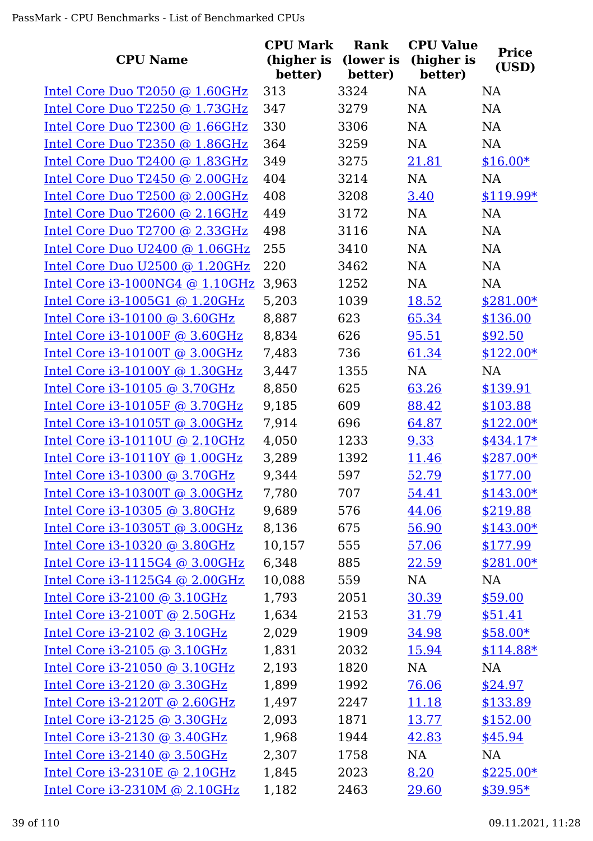| <b>CPU Name</b>                   | <b>CPU Mark</b><br>(higher is<br>better) | <b>Rank</b><br>(lower is<br>better) | <b>CPU Value</b><br>(higher is<br>better) | <b>Price</b><br>(USD) |
|-----------------------------------|------------------------------------------|-------------------------------------|-------------------------------------------|-----------------------|
| Intel Core Duo T2050 @ 1.60GHz    | 313                                      | 3324                                | <b>NA</b>                                 | NA                    |
| Intel Core Duo T2250 @ 1.73GHz    | 347                                      | 3279                                | NA                                        | NA                    |
| Intel Core Duo T2300 @ 1.66GHz    | 330                                      | 3306                                | <b>NA</b>                                 | NA                    |
| Intel Core Duo T2350 @ 1.86GHz    | 364                                      | 3259                                | NA                                        | NA                    |
| Intel Core Duo T2400 @ 1.83GHz    | 349                                      | 3275                                | 21.81                                     | $$16.00*$             |
| Intel Core Duo T2450 @ 2.00GHz    | 404                                      | 3214                                | NA                                        | NA                    |
| Intel Core Duo T2500 @ 2.00GHz    | 408                                      | 3208                                | 3.40                                      | $$119.99*$            |
| Intel Core Duo T2600 @ 2.16GHz    | 449                                      | 3172                                | NA                                        | <b>NA</b>             |
| Intel Core Duo T2700 @ 2.33GHz    | 498                                      | 3116                                | <b>NA</b>                                 | NA                    |
| Intel Core Duo U2400 @ 1.06GHz    | 255                                      | 3410                                | <b>NA</b>                                 | NA                    |
| Intel Core Duo U2500 @ 1.20GHz    | 220                                      | 3462                                | NA                                        | NA                    |
| Intel Core $i3-1000NG4$ @ 1.10GHz | 3,963                                    | 1252                                | NA                                        | NA                    |
| Intel Core i3-1005G1 @ 1.20GHz    | 5,203                                    | 1039                                | 18.52                                     | $$281.00*$            |
| Intel Core i3-10100 @ 3.60GHz     | 8,887                                    | 623                                 | 65.34                                     | \$136.00              |
| Intel Core i3-10100F @ 3.60GHz    | 8,834                                    | 626                                 | 95.51                                     | \$92.50               |
| Intel Core i3-10100T @ 3.00GHz    | 7,483                                    | 736                                 | 61.34                                     | $$122.00*$            |
| Intel Core i3-10100Y @ 1.30GHz    | 3,447                                    | 1355                                | NA                                        | NA                    |
| Intel Core i3-10105 @ 3.70GHz     | 8,850                                    | 625                                 | 63.26                                     | \$139.91              |
| Intel Core i3-10105F @ 3.70GHz    | 9,185                                    | 609                                 | 88.42                                     | \$103.88              |
| Intel Core i3-10105T @ 3.00GHz    | 7,914                                    | 696                                 | 64.87                                     | $$122.00*$            |
| Intel Core i3-10110U @ 2.10GHz    | 4,050                                    | 1233                                | 9.33                                      | \$434.17*             |
| Intel Core i3-10110Y @ 1.00GHz    | 3,289                                    | 1392                                | 11.46                                     | $$287.00*$            |
| Intel Core i3-10300 @ 3.70GHz     | 9,344                                    | 597                                 | 52.79                                     | \$177.00              |
| Intel Core i3-10300T @ 3.00GHz    | 7,780                                    | 707                                 | 54.41                                     | $$143.00*$            |
| Intel Core i3-10305 @ 3.80GHz     | 9,689                                    | 576                                 | 44.06                                     | \$219.88              |
| Intel Core i3-10305T @ 3.00GHz    | 8,136                                    | 675                                 | 56.90                                     | $$143.00*$            |
| Intel Core i3-10320 @ 3.80GHz     | 10,157                                   | 555                                 | 57.06                                     | \$177.99              |
| Intel Core i3-1115G4 @ 3.00GHz    | 6,348                                    | 885                                 | 22.59                                     | $$281.00*$            |
| Intel Core i3-1125G4 @ 2.00GHz    | 10,088                                   | 559                                 | NA                                        | NA                    |
| Intel Core i3-2100 @ 3.10GHz      | 1,793                                    | 2051                                | 30.39                                     | \$59.00               |
| Intel Core $i3-2100T$ @ 2.50GHz   | 1,634                                    | 2153                                | <u>31.79</u>                              | \$51.41               |
| Intel Core i3-2102 @ 3.10GHz      | 2,029                                    | 1909                                | 34.98                                     | $$58.00*$             |
| Intel Core i3-2105 @ 3.10GHz      | 1,831                                    | 2032                                | 15.94                                     | $$114.88*$            |
| Intel Core i3-21050 @ 3.10GHz     | 2,193                                    | 1820                                | NA                                        | NA                    |
| Intel Core i3-2120 @ 3.30GHz      | 1,899                                    | 1992                                | 76.06                                     | \$24.97               |
| Intel Core $i3-2120T$ @ 2.60GHz   | 1,497                                    | 2247                                | 11.18                                     | \$133.89              |
| Intel Core i3-2125 @ 3.30GHz      | 2,093                                    | 1871                                | 13.77                                     | \$152.00              |
| Intel Core i3-2130 @ 3.40GHz      | 1,968                                    | 1944                                | 42.83                                     | \$45.94               |
| Intel Core i3-2140 @ 3.50GHz      | 2,307                                    | 1758                                | NA                                        | NA                    |
| Intel Core i3-2310E @ 2.10GHz     | 1,845                                    | 2023                                | 8.20                                      | $$225.00*$            |
| Intel Core i3-2310M @ 2.10GHz     | 1,182                                    | 2463                                | 29.60                                     | $$39.95*$             |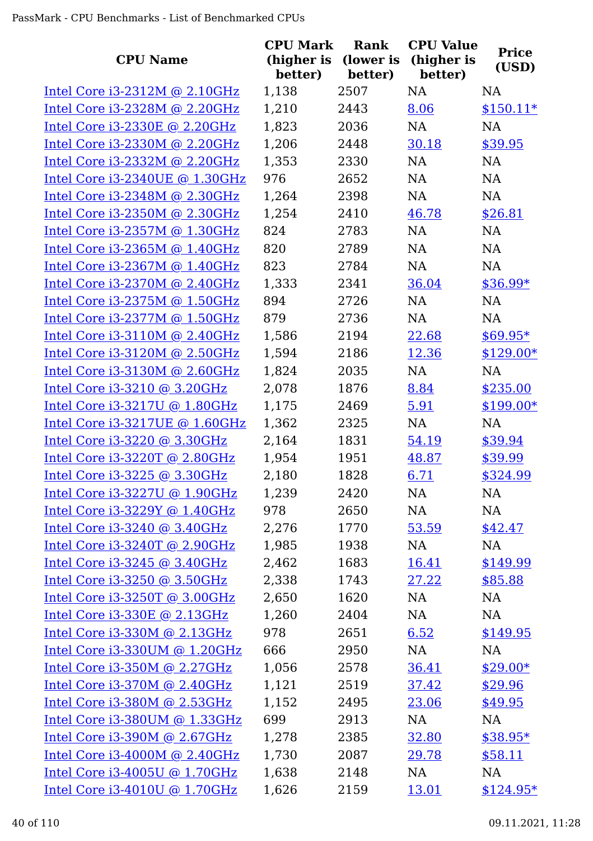| <b>CPU Name</b>                  | <b>CPU Mark</b><br>(higher is<br>better) | Rank<br>(lower is<br>better) | <b>CPU Value</b><br>(higher is<br>better) | <b>Price</b><br>(USD) |
|----------------------------------|------------------------------------------|------------------------------|-------------------------------------------|-----------------------|
| Intel Core $i3-2312M$ @ 2.10GHz  | 1,138                                    | 2507                         | <b>NA</b>                                 | <b>NA</b>             |
| Intel Core i3-2328M @ 2.20GHz    | 1,210                                    | 2443                         | 8.06                                      | $$150.11*$            |
| Intel Core i3-2330E @ 2.20GHz    | 1,823                                    | 2036                         | NA                                        | <b>NA</b>             |
| Intel Core i3-2330M @ 2.20GHz    | 1,206                                    | 2448                         | 30.18                                     | \$39.95               |
| Intel Core i3-2332M @ 2.20GHz    | 1,353                                    | 2330                         | <b>NA</b>                                 | NA                    |
| Intel Core i3-2340UE @ 1.30GHz   | 976                                      | 2652                         | NA                                        | <b>NA</b>             |
| Intel Core i3-2348M @ 2.30GHz    | 1,264                                    | 2398                         | <b>NA</b>                                 | <b>NA</b>             |
| Intel Core i3-2350M @ 2.30GHz    | 1,254                                    | 2410                         | 46.78                                     | \$26.81               |
| Intel Core i3-2357M @ 1.30GHz    | 824                                      | 2783                         | NA                                        | <b>NA</b>             |
| Intel Core i3-2365M @ 1.40GHz    | 820                                      | 2789                         | <b>NA</b>                                 | <b>NA</b>             |
| Intel Core i3-2367M @ 1.40GHz    | 823                                      | 2784                         | NA                                        | NA                    |
| Intel Core $i3-2370M$ @ 2.40GHz  | 1,333                                    | 2341                         | 36.04                                     | $$36.99*$             |
| Intel Core i3-2375M @ 1.50GHz    | 894                                      | 2726                         | NA                                        | <b>NA</b>             |
| Intel Core i3-2377M @ 1.50GHz    | 879                                      | 2736                         | <b>NA</b>                                 | <b>NA</b>             |
| Intel Core i3-3110M @ 2.40GHz    | 1,586                                    | 2194                         | 22.68                                     | $$69.95*$             |
| Intel Core $i3-3120M$ @ 2.50GHz  | 1,594                                    | 2186                         | 12.36                                     | $$129.00*$            |
| Intel Core $i3-3130M$ @ 2.60GHz  | 1,824                                    | 2035                         | NA                                        | NA                    |
| Intel Core i3-3210 @ 3.20GHz     | 2,078                                    | 1876                         | 8.84                                      | \$235.00              |
| Intel Core i3-3217U @ 1.80GHz    | 1,175                                    | 2469                         | 5.91                                      | $$199.00*$            |
| Intel Core i3-3217UE @ 1.60GHz   | 1,362                                    | 2325                         | <b>NA</b>                                 | <b>NA</b>             |
| Intel Core i3-3220 @ 3.30GHz     | 2,164                                    | 1831                         | 54.19                                     | \$39.94               |
| Intel Core i3-3220T @ 2.80GHz    | 1,954                                    | 1951                         | 48.87                                     | \$39.99               |
| Intel Core i3-3225 @ 3.30GHz     | 2,180                                    | 1828                         | 6.71                                      | \$324.99              |
| Intel Core i3-3227U @ 1.90GHz    | 1,239                                    | 2420                         | NA                                        | <b>NA</b>             |
| Intel Core i3-3229Y @ 1.40GHz    | 978                                      | 2650                         | NA                                        | NA                    |
| Intel Core i3-3240 @ 3.40GHz     | 2,276                                    | 1770                         | 53.59                                     | \$42.47               |
| Intel Core i3-3240T @ 2.90GHz    | 1,985                                    | 1938                         | NA                                        | NA                    |
| Intel Core i3-3245 @ 3.40GHz     | 2,462                                    | 1683                         | 16.41                                     | \$149.99              |
| Intel Core i3-3250 @ 3.50GHz     | 2,338                                    | 1743                         | 27.22                                     | \$85.88               |
| Intel Core i3-3250T @ 3.00GHz    | 2,650                                    | 1620                         | NA                                        | NA                    |
| Intel Core i3-330E @ 2.13GHz     | 1,260                                    | 2404                         | NA                                        | NA                    |
| Intel Core $i3-330M$ @ 2.13GHz   | 978                                      | 2651                         | 6.52                                      | \$149.95              |
| Intel Core i3-330UM @ 1.20GHz    | 666                                      | 2950                         | NA                                        | NA                    |
| Intel Core $i3-350M$ @ 2.27GHz   | 1,056                                    | 2578                         | 36.41                                     | $$29.00*$             |
| Intel Core $i3-370M$ @ 2.40GHz   | 1,121                                    | 2519                         | 37.42                                     | \$29.96               |
| Intel Core $i3-380M$ @ 2.53GHz   | 1,152                                    | 2495                         | 23.06                                     | \$49.95               |
| Intel Core $i3-380$ UM @ 1.33GHz | 699                                      | 2913                         | NA                                        | NA                    |
| Intel Core $i3-390M$ @ 2.67GHz   | 1,278                                    | 2385                         | 32.80                                     | $$38.95*$             |
| Intel Core i3-4000M @ 2.40GHz    | 1,730                                    | 2087                         | 29.78                                     | \$58.11               |
| Intel Core $i3-4005U$ @ 1.70GHz  | 1,638                                    | 2148                         | NA                                        | NA                    |
| Intel Core i3-4010U @ 1.70GHz    | 1,626                                    | 2159                         | 13.01                                     | $$124.95*$            |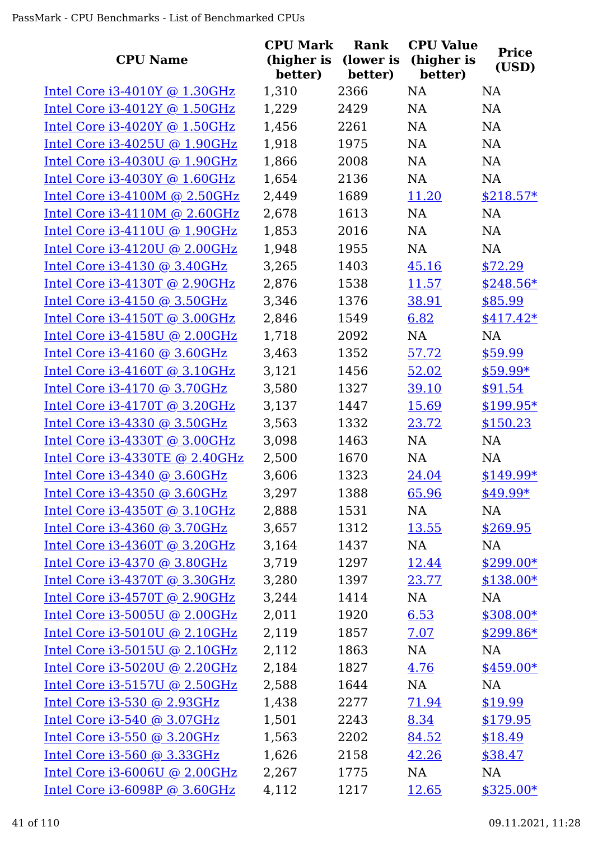| <b>CPU Name</b>                 | <b>CPU Mark</b><br>(higher is<br>better) | Rank<br>(lower is<br>better) | <b>CPU Value</b><br>(higher is<br>better) | <b>Price</b><br>(USD) |
|---------------------------------|------------------------------------------|------------------------------|-------------------------------------------|-----------------------|
| Intel Core $i3-4010Y$ @ 1.30GHz | 1,310                                    | 2366                         | <b>NA</b>                                 | <b>NA</b>             |
| Intel Core $i3-4012Y$ @ 1.50GHz | 1,229                                    | 2429                         | NA                                        | NA                    |
| Intel Core $i3-4020Y$ @ 1.50GHz | 1,456                                    | 2261                         | <b>NA</b>                                 | NA                    |
| Intel Core i3-4025U @ 1.90GHz   | 1,918                                    | 1975                         | NA                                        | NA                    |
| Intel Core i3-4030U @ 1.90GHz   | 1,866                                    | 2008                         | <b>NA</b>                                 | NA                    |
| Intel Core $i3-4030Y$ @ 1.60GHz | 1,654                                    | 2136                         | NA                                        | NA                    |
| Intel Core $i3-4100M$ @ 2.50GHz | 2,449                                    | 1689                         | 11.20                                     | $$218.57*$            |
| Intel Core $i3-4110M$ @ 2.60GHz | 2,678                                    | 1613                         | <b>NA</b>                                 | NA                    |
| Intel Core i3-4110U @ 1.90GHz   | 1,853                                    | 2016                         | <b>NA</b>                                 | NA                    |
| Intel Core $i3-4120U$ @ 2.00GHz | 1,948                                    | 1955                         | <b>NA</b>                                 | <b>NA</b>             |
| Intel Core i3-4130 @ 3.40GHz    | 3,265                                    | 1403                         | 45.16                                     | \$72.29               |
| Intel Core i3-4130T @ 2.90GHz   | 2,876                                    | 1538                         | 11.57                                     | $$248.56*$            |
| Intel Core i3-4150 @ 3.50GHz    | 3,346                                    | 1376                         | 38.91                                     | \$85.99               |
| Intel Core i3-4150T @ 3.00GHz   | 2,846                                    | 1549                         | 6.82                                      | $$417.42*$            |
| Intel Core i3-4158U @ 2.00GHz   | 1,718                                    | 2092                         | NA                                        | <b>NA</b>             |
| Intel Core $i3-4160$ @ 3.60GHz  | 3,463                                    | 1352                         | 57.72                                     | \$59.99               |
| Intel Core $i3-4160T$ @ 3.10GHz | 3,121                                    | 1456                         | 52.02                                     | $$59.99*$             |
| Intel Core i3-4170 @ 3.70GHz    | 3,580                                    | 1327                         | 39.10                                     | \$91.54               |
| Intel Core i3-4170T @ 3.20GHz   | 3,137                                    | 1447                         | <u>15.69</u>                              | $$199.95*$            |
| Intel Core i3-4330 @ 3.50GHz    | 3,563                                    | 1332                         | 23.72                                     | \$150.23              |
| Intel Core i3-4330T @ 3.00GHz   | 3,098                                    | 1463                         | NA                                        | <b>NA</b>             |
| Intel Core i3-4330TE @ 2.40GHz  | 2,500                                    | 1670                         | NA                                        | <b>NA</b>             |
| Intel Core i3-4340 @ 3.60GHz    | 3,606                                    | 1323                         | 24.04                                     | $$149.99*$            |
| Intel Core $i3-4350$ @ 3.60GHz  | 3,297                                    | 1388                         | 65.96                                     | \$49.99*              |
| Intel Core $i3-4350T$ @ 3.10GHz | 2,888                                    | 1531                         | NA                                        | NA                    |
| Intel Core i3-4360 @ 3.70GHz    | 3,657                                    | 1312                         | <u>13.55</u>                              | \$269.95              |
| Intel Core i3-4360T @ 3.20GHz   | 3,164                                    | 1437                         | NA                                        | NA                    |
| Intel Core i3-4370 @ 3.80GHz    | 3,719                                    | 1297                         | 12.44                                     | $$299.00*$            |
| Intel Core i3-4370T @ 3.30GHz   | 3,280                                    | 1397                         | 23.77                                     | $$138.00*$            |
| Intel Core i3-4570T @ 2.90GHz   | 3,244                                    | 1414                         | NA                                        | NA                    |
| Intel Core i3-5005U @ 2.00GHz   | 2,011                                    | 1920                         | 6.53                                      | $$308.00*$            |
| Intel Core i3-5010U @ 2.10GHz   | 2,119                                    | 1857                         | 7.07                                      | $$299.86*$            |
| Intel Core i3-5015U @ 2.10GHz   | 2,112                                    | 1863                         | NA                                        | NA                    |
| Intel Core i3-5020U @ 2.20GHz   | 2,184                                    | 1827                         | 4.76                                      | $$459.00*$            |
| Intel Core i3-5157U @ 2.50GHz   | 2,588                                    | 1644                         | NA                                        | NA                    |
| Intel Core i3-530 @ 2.93GHz     | 1,438                                    | 2277                         | 71.94                                     | \$19.99               |
| Intel Core i3-540 @ 3.07GHz     | 1,501                                    | 2243                         | 8.34                                      | \$179.95              |
| Intel Core i3-550 @ 3.20GHz     | 1,563                                    | 2202                         | 84.52                                     | \$18.49               |
| Intel Core i3-560 @ 3.33GHz     | 1,626                                    | 2158                         | 42.26                                     | \$38.47               |
| Intel Core i3-6006U @ 2.00GHz   | 2,267                                    | 1775                         | NA                                        | NA                    |
| Intel Core i3-6098P @ 3.60GHz   | 4,112                                    | 1217                         | 12.65                                     | $$325.00*$            |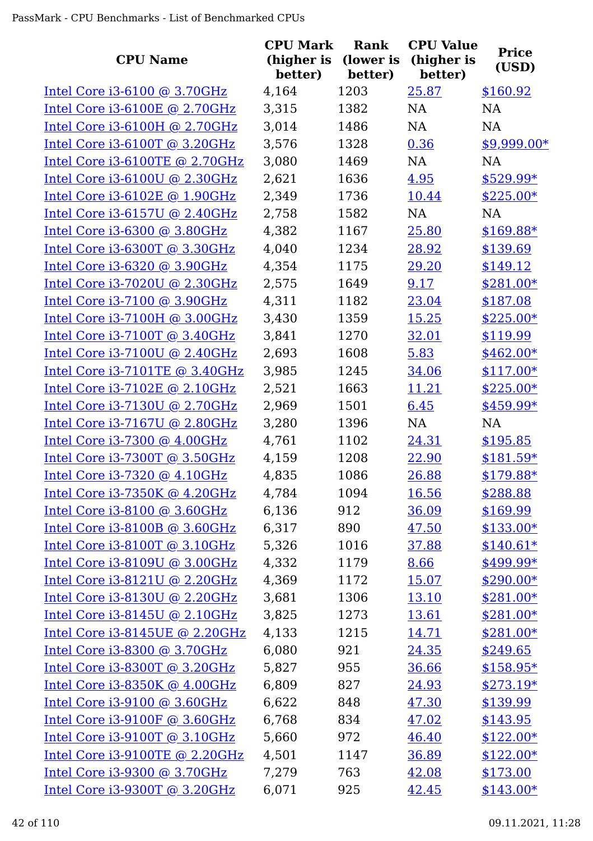| <b>CPU Name</b>                   | <b>CPU Mark</b><br>(higher is<br>better) | Rank<br>(lower is<br>better) | <b>CPU Value</b><br>(higher is<br>better) | <b>Price</b><br>(USD) |
|-----------------------------------|------------------------------------------|------------------------------|-------------------------------------------|-----------------------|
| Intel Core $i3-6100$ @ 3.70GHz    | 4,164                                    | 1203                         | 25.87                                     | \$160.92              |
| Intel Core i3-6100E @ 2.70GHz     | 3,315                                    | 1382                         | <b>NA</b>                                 | NA                    |
| Intel Core i3-6100H @ 2.70GHz     | 3,014                                    | 1486                         | <b>NA</b>                                 | <b>NA</b>             |
| Intel Core i3-6100T @ 3.20GHz     | 3,576                                    | 1328                         | 0.36                                      | \$9,999.00*           |
| Intel Core i3-6100TE @ 2.70GHz    | 3,080                                    | 1469                         | NA                                        | <b>NA</b>             |
| Intel Core i3-6100U @ 2.30GHz     | 2,621                                    | 1636                         | 4.95                                      | $$529.99*$            |
| Intel Core i3-6102E @ 1.90GHz     | 2,349                                    | 1736                         | 10.44                                     | $$225.00*$            |
| Intel Core $i3-6157U$ @ 2.40GHz   | 2,758                                    | 1582                         | <b>NA</b>                                 | <b>NA</b>             |
| Intel Core i3-6300 @ 3.80GHz      | 4,382                                    | 1167                         | 25.80                                     | $$169.88*$            |
| Intel Core i3-6300T @ 3.30GHz     | 4,040                                    | 1234                         | 28.92                                     | \$139.69              |
| Intel Core i3-6320 @ 3.90GHz      | 4,354                                    | 1175                         | 29.20                                     | \$149.12              |
| Intel Core i3-7020U @ 2.30GHz     | 2,575                                    | 1649                         | 9.17                                      | \$281.00*             |
| Intel Core i3-7100 @ 3.90GHz      | 4,311                                    | 1182                         | 23.04                                     | \$187.08              |
| Intel Core i3-7100H @ 3.00GHz     | 3,430                                    | 1359                         | 15.25                                     | $$225.00*$            |
| Intel Core i3-7100T @ 3.40GHz     | 3,841                                    | 1270                         | 32.01                                     | \$119.99              |
| Intel Core $i3-7100U$ @ 2.40GHz   | 2,693                                    | 1608                         | 5.83                                      | $$462.00*$            |
| Intel Core i3-7101TE @ 3.40GHz    | 3,985                                    | 1245                         | 34.06                                     | $$117.00*$            |
| Intel Core i3-7102E @ 2.10GHz     | 2,521                                    | 1663                         | 11.21                                     | $$225.00*$            |
| Intel Core i3-7130U @ 2.70GHz     | 2,969                                    | 1501                         | 6.45                                      | \$459.99*             |
| Intel Core i3-7167U @ 2.80GHz     | 3,280                                    | 1396                         | <b>NA</b>                                 | <b>NA</b>             |
| Intel Core i3-7300 @ 4.00GHz      | 4,761                                    | 1102                         | 24.31                                     | \$195.85              |
| Intel Core i3-7300T @ 3.50GHz     | 4,159                                    | 1208                         | 22.90                                     | $$181.59*$            |
| Intel Core i3-7320 @ 4.10GHz      | 4,835                                    | 1086                         | 26.88                                     | $$179.88*$            |
| Intel Core $i3-7350K$ @ 4.20GHz   | 4,784                                    | 1094                         | 16.56                                     | \$288.88              |
| Intel Core $i3-8100$ @ 3.60GHz    | 6,136                                    | 912                          | 36.09                                     | \$169.99              |
| Intel Core i3-8100B @ 3.60GHz     | 6,317                                    | 890                          | 47.50                                     | $$133.00*$            |
| Intel Core i3-8100T @ 3.10GHz     | 5,326                                    | 1016                         | 37.88                                     | $$140.61*$            |
| Intel Core i3-8109U @ 3.00GHz     | 4,332                                    | 1179                         | 8.66                                      | \$499.99*             |
| Intel Core i3-8121U @ 2.20GHz     | 4,369                                    | 1172                         | 15.07                                     | $$290.00*$            |
| Intel Core i3-8130U @ 2.20GHz     | 3,681                                    | 1306                         | 13.10                                     | $$281.00*$            |
| Intel Core i3-8145U @ 2.10GHz     | 3,825                                    | 1273                         | 13.61                                     | $$281.00*$            |
| Intel Core i3-8145UE @ 2.20GHz    | 4,133                                    | 1215                         | 14.71                                     | $$281.00*$            |
| Intel Core i3-8300 @ 3.70GHz      | 6,080                                    | 921                          | 24.35                                     | \$249.65              |
| Intel Core i3-8300T @ 3.20GHz     | 5,827                                    | 955                          | 36.66                                     | $$158.95*$            |
| Intel Core $i3-8350K$ @ $4.00GHz$ | 6,809                                    | 827                          | 24.93                                     | $$273.19*$            |
| Intel Core i3-9100 @ 3.60GHz      | 6,622                                    | 848                          | 47.30                                     | \$139.99              |
| Intel Core i3-9100F @ 3.60GHz     | 6,768                                    | 834                          | 47.02                                     | \$143.95              |
| Intel Core i3-9100T @ 3.10GHz     | 5,660                                    | 972                          | 46.40                                     | $$122.00*$            |
| Intel Core i3-9100TE @ 2.20GHz    | 4,501                                    | 1147                         | 36.89                                     | $$122.00*$            |
| Intel Core i3-9300 @ 3.70GHz      | 7,279                                    | 763                          | 42.08                                     | \$173.00              |
| Intel Core i3-9300T @ 3.20GHz     | 6,071                                    | 925                          | 42.45                                     | $$143.00*$            |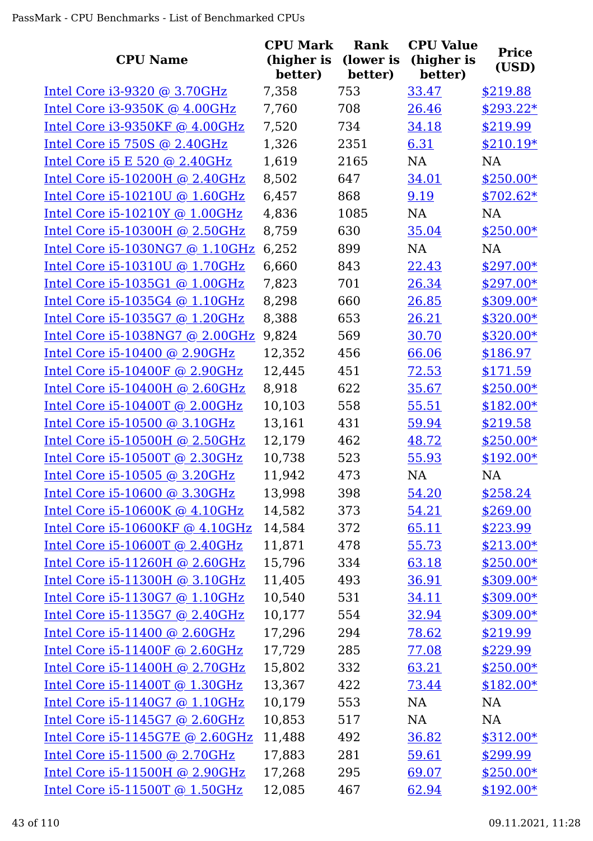| <b>CPU Name</b>                 | <b>CPU Mark</b><br>(higher is<br>better) | <b>Rank</b><br>(lower is<br>better) | <b>CPU Value</b><br>(higher is<br>better) | <b>Price</b><br>(USD) |
|---------------------------------|------------------------------------------|-------------------------------------|-------------------------------------------|-----------------------|
| Intel Core i3-9320 @ 3.70GHz    | 7,358                                    | 753                                 | 33.47                                     | \$219.88              |
| Intel Core i3-9350K @ 4.00GHz   | 7,760                                    | 708                                 | 26.46                                     | $$293.22*$            |
| Intel Core i3-9350KF @ 4.00GHz  | 7,520                                    | 734                                 | 34.18                                     | \$219.99              |
| Intel Core i5 750S $@$ 2.40GHz  | 1,326                                    | 2351                                | 6.31                                      | $$210.19*$            |
| Intel Core i5 E 520 @ 2.40GHz   | 1,619                                    | 2165                                | NA                                        | <b>NA</b>             |
| Intel Core i5-10200H @ 2.40GHz  | 8,502                                    | 647                                 | 34.01                                     | $$250.00*$            |
| Intel Core i5-10210U @ 1.60GHz  | 6,457                                    | 868                                 | 9.19                                      | $$702.62*$            |
| Intel Core i5-10210Y @ 1.00GHz  | 4,836                                    | 1085                                | <b>NA</b>                                 | <b>NA</b>             |
| Intel Core i5-10300H @ 2.50GHz  | 8,759                                    | 630                                 | 35.04                                     | $$250.00*$            |
| Intel Core i5-1030NG7 @ 1.10GHz | 6,252                                    | 899                                 | <b>NA</b>                                 | <b>NA</b>             |
| Intel Core i5-10310U @ 1.70GHz  | 6,660                                    | 843                                 | 22.43                                     | $$297.00*$            |
| Intel Core i5-1035G1 @ 1.00GHz  | 7,823                                    | 701                                 | 26.34                                     | $$297.00*$            |
| Intel Core i5-1035G4 @ 1.10GHz  | 8,298                                    | 660                                 | 26.85                                     | \$309.00*             |
| Intel Core i5-1035G7 @ 1.20GHz  | 8,388                                    | 653                                 | 26.21                                     | $$320.00*$            |
| Intel Core i5-1038NG7 @ 2.00GHz | 9,824                                    | 569                                 | 30.70                                     | $$320.00*$            |
| Intel Core i5-10400 @ 2.90GHz   | 12,352                                   | 456                                 | 66.06                                     | \$186.97              |
| Intel Core i5-10400F @ 2.90GHz  | 12,445                                   | 451                                 | 72.53                                     | \$171.59              |
| Intel Core i5-10400H @ 2.60GHz  | 8,918                                    | 622                                 | 35.67                                     | $$250.00*$            |
| Intel Core i5-10400T @ 2.00GHz  | 10,103                                   | 558                                 | 55.51                                     | $$182.00*$            |
| Intel Core i5-10500 @ 3.10GHz   | 13,161                                   | 431                                 | 59.94                                     | \$219.58              |
| Intel Core i5-10500H @ 2.50GHz  | 12,179                                   | 462                                 | 48.72                                     | $$250.00*$            |
| Intel Core i5-10500T @ 2.30GHz  | 10,738                                   | 523                                 | 55.93                                     | $$192.00*$            |
| Intel Core i5-10505 @ 3.20GHz   | 11,942                                   | 473                                 | NA                                        | <b>NA</b>             |
| Intel Core i5-10600 @ 3.30GHz   | 13,998                                   | 398                                 | 54.20                                     | \$258.24              |
| Intel Core i5-10600K @ 4.10GHz  | 14,582                                   | 373                                 | 54.21                                     | \$269.00              |
| Intel Core i5-10600KF @ 4.10GHz | 14,584                                   | 372                                 | 65.11                                     | \$223.99              |
| Intel Core i5-10600T @ 2.40GHz  | 11,871                                   | 478                                 | 55.73                                     | $$213.00*$            |
| Intel Core i5-11260H @ 2.60GHz  | 15,796                                   | 334                                 | 63.18                                     | $$250.00*$            |
| Intel Core i5-11300H @ 3.10GHz  | 11,405                                   | 493                                 | 36.91                                     | $$309.00*$            |
| Intel Core i5-1130G7 @ 1.10GHz  | 10,540                                   | 531                                 | 34.11                                     | $$309.00*$            |
| Intel Core i5-1135G7 @ 2.40GHz  | 10,177                                   | 554                                 | 32.94                                     | $$309.00*$            |
| Intel Core i5-11400 @ 2.60GHz   | 17,296                                   | 294                                 | 78.62                                     | \$219.99              |
| Intel Core i5-11400F @ 2.60GHz  | 17,729                                   | 285                                 | 77.08                                     | \$229.99              |
| Intel Core i5-11400H @ 2.70GHz  | 15,802                                   | 332                                 | 63.21                                     | $$250.00*$            |
| Intel Core i5-11400T @ 1.30GHz  | 13,367                                   | 422                                 | 73.44                                     | $$182.00*$            |
| Intel Core i5-1140G7 @ 1.10GHz  | 10,179                                   | 553                                 | <b>NA</b>                                 | <b>NA</b>             |
| Intel Core i5-1145G7 @ 2.60GHz  | 10,853                                   | 517                                 | NA                                        | NA                    |
| Intel Core i5-1145G7E @ 2.60GHz | 11,488                                   | 492                                 | 36.82                                     | $$312.00*$            |
| Intel Core i5-11500 @ 2.70GHz   | 17,883                                   | 281                                 | 59.61                                     | \$299.99              |
| Intel Core i5-11500H @ 2.90GHz  | 17,268                                   | 295                                 | 69.07                                     | $$250.00*$            |
| Intel Core i5-11500T @ 1.50GHz  | 12,085                                   | 467                                 | 62.94                                     | $$192.00*$            |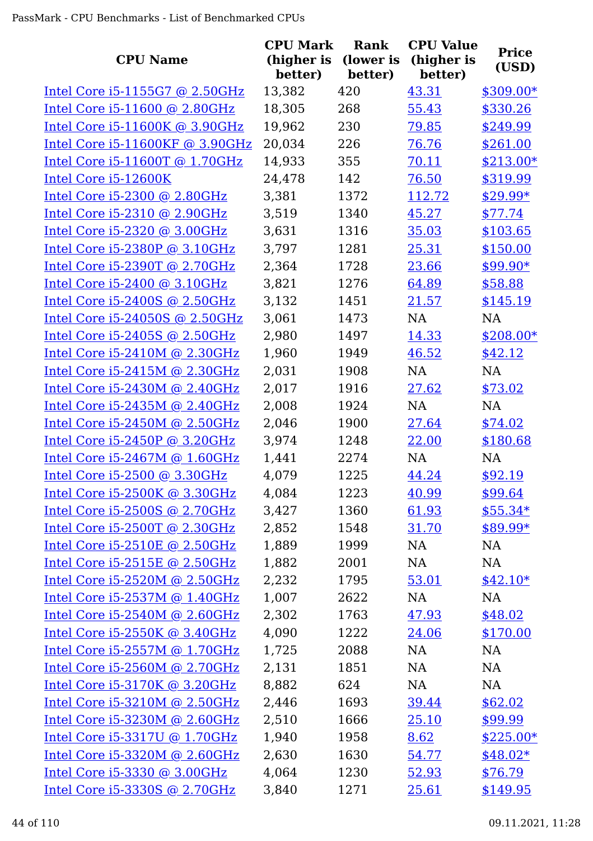| <b>CPU Name</b>                   | <b>CPU Mark</b><br>(higher is | <b>Rank</b><br>(lower is | <b>CPU Value</b><br>(higher is | <b>Price</b> |
|-----------------------------------|-------------------------------|--------------------------|--------------------------------|--------------|
|                                   | better)                       | better)                  | better)                        | (USD)        |
| Intel Core i5-1155G7 @ 2.50GHz    | 13,382                        | 420                      | 43.31                          | $$309.00*$   |
| Intel Core i5-11600 @ 2.80GHz     | 18,305                        | 268                      | 55.43                          | \$330.26     |
| Intel Core i5-11600K @ 3.90GHz    | 19,962                        | 230                      | 79.85                          | \$249.99     |
| Intel Core $i5-11600KF$ @ 3.90GHz | 20,034                        | 226                      | 76.76                          | \$261.00     |
| Intel Core i5-11600T @ 1.70GHz    | 14,933                        | 355                      | 70.11                          | $$213.00*$   |
| Intel Core i5-12600K              | 24,478                        | 142                      | 76.50                          | \$319.99     |
| Intel Core i5-2300 @ 2.80GHz      | 3,381                         | 1372                     | 112.72                         | $$29.99*$    |
| Intel Core i5-2310 @ 2.90GHz      | 3,519                         | 1340                     | 45.27                          | \$77.74      |
| Intel Core i5-2320 @ 3.00GHz      | 3,631                         | 1316                     | 35.03                          | \$103.65     |
| Intel Core i5-2380P @ 3.10GHz     | 3,797                         | 1281                     | 25.31                          | \$150.00     |
| Intel Core i5-2390T @ 2.70GHz     | 2,364                         | 1728                     | 23.66                          | \$99.90*     |
| Intel Core i5-2400 @ 3.10GHz      | 3,821                         | 1276                     | 64.89                          | \$58.88      |
| Intel Core i5-2400S @ 2.50GHz     | 3,132                         | 1451                     | 21.57                          | \$145.19     |
| Intel Core i5-24050S @ 2.50GHz    | 3,061                         | 1473                     | NA                             | <b>NA</b>    |
| Intel Core i5-2405S @ 2.50GHz     | 2,980                         | 1497                     | 14.33                          | $$208.00*$   |
| Intel Core $i5-2410M$ @ 2.30GHz   | 1,960                         | 1949                     | 46.52                          | \$42.12      |
| Intel Core i5-2415M @ 2.30GHz     | 2,031                         | 1908                     | <b>NA</b>                      | NA           |
| Intel Core i5-2430M @ 2.40GHz     | 2,017                         | 1916                     | 27.62                          | \$73.02      |
| Intel Core $i5-2435M$ @ 2.40GHz   | 2,008                         | 1924                     | <b>NA</b>                      | NA           |
| Intel Core i5-2450M @ 2.50GHz     | 2,046                         | 1900                     | 27.64                          | \$74.02      |
| Intel Core i5-2450P @ 3.20GHz     | 3,974                         | 1248                     | 22.00                          | \$180.68     |
| Intel Core i5-2467M @ 1.60GHz     | 1,441                         | 2274                     | <b>NA</b>                      | <b>NA</b>    |
| Intel Core i5-2500 @ 3.30GHz      | 4,079                         | 1225                     | 44.24                          | \$92.19      |
| Intel Core i5-2500K @ 3.30GHz     | 4,084                         | 1223                     | 40.99                          | \$99.64      |
| Intel Core i5-2500S @ 2.70GHz     | 3,427                         | 1360                     | 61.93                          | $$55.34*$    |
| Intel Core i5-2500T @ 2.30GHz     | 2,852                         | 1548                     | 31.70                          | \$89.99*     |
| Intel Core i5-2510E @ 2.50GHz     | 1,889                         | 1999                     | NA                             | NA           |
| Intel Core i5-2515E @ 2.50GHz     | 1,882                         | 2001                     | NA                             | NA           |
| Intel Core $i5-2520M$ @ 2.50GHz   | 2,232                         | 1795                     | 53.01                          | $$42.10*$    |
| Intel Core i5-2537M @ 1.40GHz     | 1,007                         | 2622                     | NA                             | NA           |
| Intel Core $i5-2540M$ @ 2.60GHz   | 2,302                         | 1763                     | 47.93                          | \$48.02      |
| Intel Core $i5-2550K$ @ 3.40GHz   | 4,090                         | 1222                     | 24.06                          | \$170.00     |
| Intel Core i5-2557M @ 1.70GHz     | 1,725                         | 2088                     | NA                             | NA           |
| Intel Core i5-2560M @ 2.70GHz     | 2,131                         | 1851                     | NA                             | NA           |
| Intel Core i5-3170K @ 3.20GHz     | 8,882                         | 624                      | NA                             | NA           |
| Intel Core i5-3210M @ 2.50GHz     | 2,446                         | 1693                     | 39.44                          | \$62.02      |
| Intel Core i5-3230M @ 2.60GHz     | 2,510                         | 1666                     | 25.10                          | \$99.99      |
| Intel Core i5-3317U @ 1.70GHz     | 1,940                         | 1958                     | 8.62                           | $$225.00*$   |
| Intel Core i5-3320M @ 2.60GHz     | 2,630                         | 1630                     | 54.77                          | $$48.02*$    |
| Intel Core i5-3330 @ 3.00GHz      | 4,064                         | 1230                     | 52.93                          | \$76.79      |
| Intel Core i5-3330S @ 2.70GHz     | 3,840                         | 1271                     | 25.61                          | \$149.95     |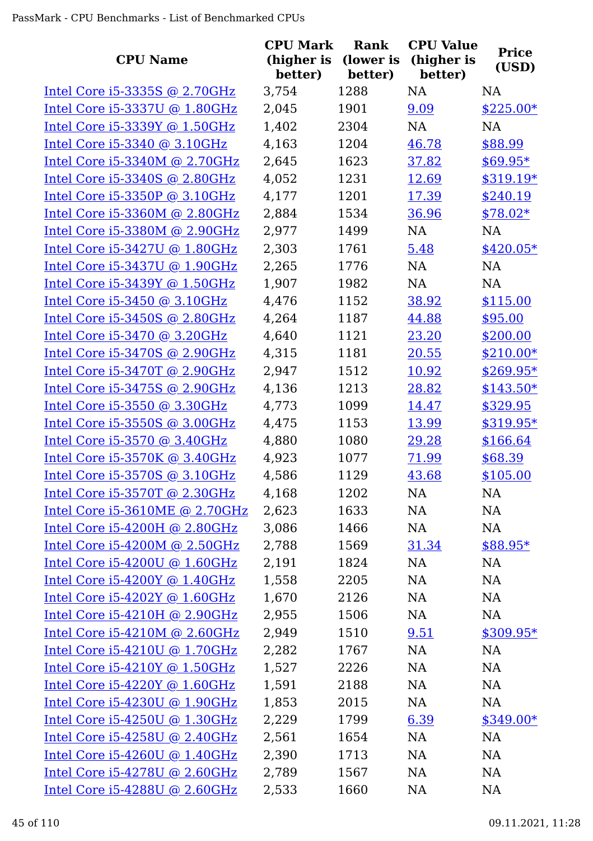| <b>CPU Name</b>                 | <b>CPU Mark</b><br>(higher is<br>better) | Rank<br>(lower is<br>better) | <b>CPU Value</b><br>(higher is<br>better) | <b>Price</b><br>(USD) |
|---------------------------------|------------------------------------------|------------------------------|-------------------------------------------|-----------------------|
| Intel Core $i5-3335S$ @ 2.70GHz | 3,754                                    | 1288                         | <b>NA</b>                                 | <b>NA</b>             |
| Intel Core i5-3337U @ 1.80GHz   | 2,045                                    | 1901                         | 9.09                                      | $$225.00*$            |
| Intel Core i5-3339Y @ 1.50GHz   | 1,402                                    | 2304                         | <b>NA</b>                                 | <b>NA</b>             |
| Intel Core i5-3340 @ 3.10GHz    | 4,163                                    | 1204                         | 46.78                                     | \$88.99               |
| Intel Core $i5-3340M$ @ 2.70GHz | 2,645                                    | 1623                         | 37.82                                     | $$69.95*$             |
| Intel Core i5-3340S @ 2.80GHz   | 4,052                                    | 1231                         | 12.69                                     | \$319.19*             |
| Intel Core i5-3350P @ 3.10GHz   | 4,177                                    | 1201                         | 17.39                                     | \$240.19              |
| Intel Core i5-3360M @ 2.80GHz   | 2,884                                    | 1534                         | 36.96                                     | $$78.02*$             |
| Intel Core i5-3380M @ 2.90GHz   | 2,977                                    | 1499                         | <b>NA</b>                                 | <b>NA</b>             |
| Intel Core i5-3427U @ 1.80GHz   | 2,303                                    | 1761                         | 5.48                                      | $$420.05*$            |
| Intel Core i5-3437U @ 1.90GHz   | 2,265                                    | 1776                         | <b>NA</b>                                 | <b>NA</b>             |
| Intel Core $i5-3439Y$ @ 1.50GHz | 1,907                                    | 1982                         | <b>NA</b>                                 | <b>NA</b>             |
| Intel Core i5-3450 @ 3.10GHz    | 4,476                                    | 1152                         | 38.92                                     | \$115.00              |
| Intel Core i5-3450S @ 2.80GHz   | 4,264                                    | 1187                         | 44.88                                     | \$95.00               |
| Intel Core i5-3470 @ 3.20GHz    | 4,640                                    | 1121                         | 23.20                                     | \$200.00              |
| Intel Core $i5-3470S$ @ 2.90GHz | 4,315                                    | 1181                         | 20.55                                     | $$210.00*$            |
| Intel Core i5-3470T @ 2.90GHz   | 2,947                                    | 1512                         | 10.92                                     | $$269.95*$            |
| Intel Core $i5-3475S$ @ 2.90GHz | 4,136                                    | 1213                         | 28.82                                     | $$143.50*$            |
| Intel Core i5-3550 @ 3.30GHz    | 4,773                                    | 1099                         | 14.47                                     | \$329.95              |
| Intel Core $i5-3550S$ @ 3.00GHz | 4,475                                    | 1153                         | 13.99                                     | $$319.95*$            |
| Intel Core i5-3570 @ 3.40GHz    | 4,880                                    | 1080                         | 29.28                                     | \$166.64              |
| Intel Core $i5-3570K$ @ 3.40GHz | 4,923                                    | 1077                         | 71.99                                     | \$68.39               |
| Intel Core i5-3570S @ 3.10GHz   | 4,586                                    | 1129                         | 43.68                                     | \$105.00              |
| Intel Core i5-3570T @ 2.30GHz   | 4,168                                    | 1202                         | NA                                        | NA                    |
| Intel Core i5-3610ME @ 2.70GHz  | 2,623                                    | 1633                         | NA                                        | NA                    |
| Intel Core i5-4200H @ 2.80GHz   | 3,086                                    | 1466                         | NA                                        | NA                    |
| Intel Core i5-4200M @ 2.50GHz   | 2,788                                    | 1569                         | 31.34                                     | \$88.95*              |
| Intel Core $i5-4200U$ @ 1.60GHz | 2,191                                    | 1824                         | NA                                        | NA                    |
| Intel Core $i5-4200Y$ @ 1.40GHz | 1,558                                    | 2205                         | NA                                        | NA                    |
| Intel Core i5-4202Y @ 1.60GHz   | 1,670                                    | 2126                         | <b>NA</b>                                 | NA                    |
| Intel Core $i5-4210H$ @ 2.90GHz | 2,955                                    | 1506                         | NA                                        | NA                    |
| Intel Core $i5-4210M$ @ 2.60GHz | 2,949                                    | 1510                         | 9.51                                      | $$309.95*$            |
| Intel Core i5-4210U @ 1.70GHz   | 2,282                                    | 1767                         | NA                                        | NA                    |
| Intel Core $i5-4210Y$ @ 1.50GHz | 1,527                                    | 2226                         | NA                                        | NA                    |
| Intel Core $i5-4220Y$ @ 1.60GHz | 1,591                                    | 2188                         | NA                                        | NA                    |
| Intel Core i5-4230U @ 1.90GHz   | 1,853                                    | 2015                         | NA                                        | NA                    |
| Intel Core $i5-4250U$ @ 1.30GHz | 2,229                                    | 1799                         | 6.39                                      | $$349.00*$            |
| Intel Core $i5-4258U$ @ 2.40GHz | 2,561                                    | 1654                         | NA                                        | NA                    |
| Intel Core i5-4260U @ 1.40GHz   | 2,390                                    | 1713                         | NA                                        | NA                    |
| Intel Core $i5-4278U$ @ 2.60GHz | 2,789                                    | 1567                         | NA                                        | NA                    |
| Intel Core $i5-4288U$ @ 2.60GHz | 2,533                                    | 1660                         | NA                                        | <b>NA</b>             |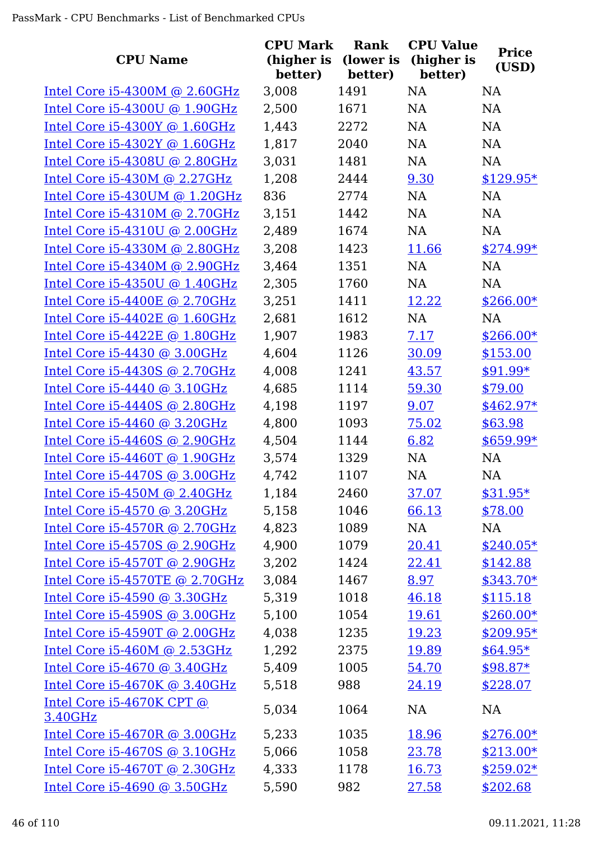| <b>CPU Name</b>                  | <b>CPU Mark</b><br>(higher is<br>better) | Rank<br>(lower is<br>better) | <b>CPU Value</b><br>(higher is<br>better) | <b>Price</b><br>(USD) |
|----------------------------------|------------------------------------------|------------------------------|-------------------------------------------|-----------------------|
| Intel Core $i5-4300M$ @ 2.60GHz  | 3,008                                    | 1491                         | <b>NA</b>                                 | <b>NA</b>             |
| Intel Core i5-4300U @ 1.90GHz    | 2,500                                    | 1671                         | NA                                        | NA                    |
| Intel Core i5-4300Y @ 1.60GHz    | 1,443                                    | 2272                         | <b>NA</b>                                 | <b>NA</b>             |
| Intel Core $i5-4302Y$ @ 1.60GHz  | 1,817                                    | 2040                         | NA                                        | <b>NA</b>             |
| Intel Core i5-4308U @ 2.80GHz    | 3,031                                    | 1481                         | NA                                        | <b>NA</b>             |
| Intel Core $i5-430M$ @ 2.27GHz   | 1,208                                    | 2444                         | 9.30                                      | $$129.95*$            |
| Intel Core $i5-430$ UM @ 1.20GHz | 836                                      | 2774                         | <b>NA</b>                                 | <b>NA</b>             |
| Intel Core $i5-4310M$ @ 2.70GHz  | 3,151                                    | 1442                         | <b>NA</b>                                 | <b>NA</b>             |
| Intel Core i5-4310U @ 2.00GHz    | 2,489                                    | 1674                         | <b>NA</b>                                 | <b>NA</b>             |
| Intel Core i5-4330M @ 2.80GHz    | 3,208                                    | 1423                         | 11.66                                     | $$274.99*$            |
| Intel Core i5-4340M @ 2.90GHz    | 3,464                                    | 1351                         | <b>NA</b>                                 | <b>NA</b>             |
| Intel Core i5-4350U @ 1.40GHz    | 2,305                                    | 1760                         | <b>NA</b>                                 | <b>NA</b>             |
| Intel Core $i5-4400E$ @ 2.70GHz  | 3,251                                    | 1411                         | 12.22                                     | $$266.00*$            |
| Intel Core $i5-4402E$ @ 1.60GHz  | 2,681                                    | 1612                         | <b>NA</b>                                 | <b>NA</b>             |
| Intel Core i5-4422E @ 1.80GHz    | 1,907                                    | 1983                         | 7.17                                      | $$266.00*$            |
| Intel Core $i5-4430$ @ 3.00GHz   | 4,604                                    | 1126                         | 30.09                                     | \$153.00              |
| Intel Core i5-4430S @ 2.70GHz    | 4,008                                    | 1241                         | 43.57                                     | $$91.99*$             |
| Intel Core $i5-4440$ @ 3.10GHz   | 4,685                                    | 1114                         | 59.30                                     | \$79.00               |
| Intel Core $i5-4440S$ @ 2.80GHz  | 4,198                                    | 1197                         | 9.07                                      | $$462.97*$            |
| Intel Core i5-4460 @ 3.20GHz     | 4,800                                    | 1093                         | 75.02                                     | \$63.98               |
| Intel Core i5-4460S @ 2.90GHz    | 4,504                                    | 1144                         | 6.82                                      | $$659.99*$            |
| Intel Core $i5-4460T$ @ 1.90GHz  | 3,574                                    | 1329                         | <b>NA</b>                                 | <b>NA</b>             |
| Intel Core i5-4470S @ 3.00GHz    | 4,742                                    | 1107                         | <b>NA</b>                                 | NA                    |
| Intel Core $i5-450M$ @ 2.40GHz   | 1,184                                    | 2460                         | <u>37.07</u>                              | $$31.95*$             |
| Intel Core i5-4570 @ 3.20GHz     | 5,158                                    | 1046                         | 66.13                                     | \$78.00               |
| Intel Core i5-4570R @ 2.70GHz    | 4,823                                    | 1089                         | NA                                        | <b>NA</b>             |
| Intel Core i5-4570S @ 2.90GHz    | 4,900                                    | 1079                         | 20.41                                     | $$240.05*$            |
| Intel Core i5-4570T @ 2.90GHz    | 3,202                                    | 1424                         | 22.41                                     | \$142.88              |
| Intel Core i5-4570TE @ 2.70GHz   | 3,084                                    | 1467                         | 8.97                                      | $$343.70*$            |
| Intel Core i5-4590 @ 3.30GHz     | 5,319                                    | 1018                         | 46.18                                     | \$115.18              |
| Intel Core $i5-4590S$ @ 3.00GHz  | 5,100                                    | 1054                         | 19.61                                     | $$260.00*$            |
| Intel Core $i5-4590T$ @ 2.00GHz  | 4,038                                    | 1235                         | 19.23                                     | $$209.95*$            |
| Intel Core i5-460M @ 2.53GHz     | 1,292                                    | 2375                         | 19.89                                     | $$64.95*$             |
| Intel Core i5-4670 @ 3.40GHz     | 5,409                                    | 1005                         | 54.70                                     | $$98.87*$             |
| Intel Core i5-4670K @ 3.40GHz    | 5,518                                    | 988                          | 24.19                                     | \$228.07              |
| Intel Core $i5-4670K$ CPT $@$    | 5,034                                    | 1064                         | NA                                        | <b>NA</b>             |
| 3.40GHz                          |                                          |                              |                                           |                       |
| Intel Core i5-4670R @ 3.00GHz    | 5,233                                    | 1035                         | 18.96                                     | $$276.00*$            |
| Intel Core i5-4670S @ 3.10GHz    | 5,066                                    | 1058                         | 23.78                                     | $$213.00*$            |
| Intel Core i5-4670T @ 2.30GHz    | 4,333                                    | 1178                         | 16.73                                     | $$259.02*$            |
| Intel Core i5-4690 @ 3.50GHz     | 5,590                                    | 982                          | 27.58                                     | \$202.68              |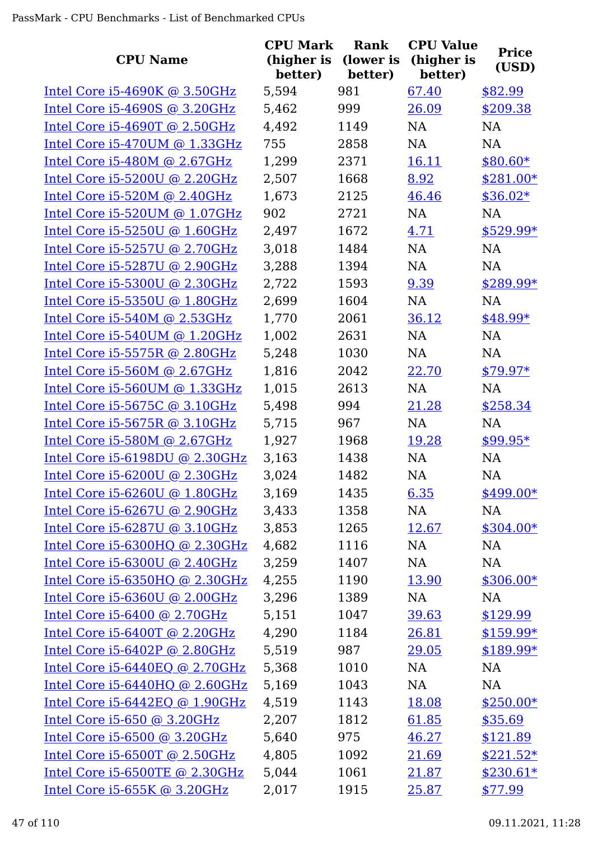| <b>CPU Name</b>                     | <b>CPU Mark</b><br>(higher is<br>better) | Rank<br>(lower is<br>better) | <b>CPU Value</b><br>(higher is<br>better) | <b>Price</b><br>(USD) |
|-------------------------------------|------------------------------------------|------------------------------|-------------------------------------------|-----------------------|
| Intel Core $i5-4690K$ @ 3.50GHz     | 5,594                                    | 981                          | 67.40                                     | \$82.99               |
| Intel Core i5-4690S @ 3.20GHz       | 5,462                                    | 999                          | 26.09                                     | \$209.38              |
| Intel Core i5-4690T @ 2.50GHz       | 4,492                                    | 1149                         | NA                                        | NA                    |
| Intel Core $i5-470$ UM @ 1.33GHz    | 755                                      | 2858                         | NA                                        | NA                    |
| Intel Core i5-480M @ 2.67GHz        | 1,299                                    | 2371                         | 16.11                                     | $$80.60*$             |
| Intel Core i5-5200U @ 2.20GHz       | 2,507                                    | 1668                         | 8.92                                      | $$281.00*$            |
| Intel Core $i5-520M$ @ 2.40GHz      | 1,673                                    | 2125                         | 46.46                                     | $$36.02*$             |
| Intel Core $i5-520$ UM @ $1.07$ GHz | 902                                      | 2721                         | <b>NA</b>                                 | NA                    |
| Intel Core i5-5250U @ 1.60GHz       | 2,497                                    | 1672                         | 4.71                                      | $$529.99*$            |
| Intel Core $i5-5257U$ @ 2.70GHz     | 3,018                                    | 1484                         | NA                                        | NA                    |
| Intel Core i5-5287U @ 2.90GHz       | 3,288                                    | 1394                         | NA                                        | <b>NA</b>             |
| Intel Core i5-5300U @ 2.30GHz       | 2,722                                    | 1593                         | 9.39                                      | \$289.99*             |
| Intel Core i5-5350U @ 1.80GHz       | 2,699                                    | 1604                         | NA                                        | <b>NA</b>             |
| Intel Core i5-540M @ 2.53GHz        | 1,770                                    | 2061                         | 36.12                                     | $$48.99*$             |
| Intel Core i5-540UM @ 1.20GHz       | 1,002                                    | 2631                         | NA                                        | NA                    |
| Intel Core i5-5575R @ 2.80GHz       | 5,248                                    | 1030                         | NA                                        | NA                    |
| Intel Core i5-560M @ 2.67GHz        | 1,816                                    | 2042                         | 22.70                                     | $$79.97*$             |
| Intel Core $i5-560$ UM @ 1.33GHz    | 1,015                                    | 2613                         | NA                                        | NA                    |
| Intel Core i5-5675C @ 3.10GHz       | 5,498                                    | 994                          | 21.28                                     | \$258.34              |
| Intel Core i5-5675R @ 3.10GHz       | 5,715                                    | 967                          | <b>NA</b>                                 | <b>NA</b>             |
| Intel Core i5-580M @ 2.67GHz        | 1,927                                    | 1968                         | 19.28                                     | $$99.95*$             |
| Intel Core $i5-6198DU$ @ 2.30GHz    | 3,163                                    | 1438                         | NA                                        | NA                    |
| Intel Core i5-6200U @ 2.30GHz       | 3,024                                    | 1482                         | <b>NA</b>                                 | NA                    |
| Intel Core $i5-6260U$ @ 1.80GHz     | 3,169                                    | 1435                         | 6.35                                      | $$499.00*$            |
| Intel Core i5-6267U @ 2.90GHz       | 3,433                                    | 1358                         | NA                                        | NA                    |
| Intel Core i5-6287U @ 3.10GHz       | 3,853                                    | 1265                         | 12.67                                     | $$304.00*$            |
| Intel Core i5-6300HQ @ 2.30GHz      | 4,682                                    | 1116                         | NA                                        | NA                    |
| Intel Core i5-6300U @ 2.40GHz       | 3,259                                    | 1407                         | NA                                        | NA                    |
| Intel Core i5-6350HQ @ 2.30GHz      | 4,255                                    | 1190                         | 13.90                                     | $$306.00*$            |
| Intel Core i5-6360U @ 2.00GHz       | 3,296                                    | 1389                         | NA                                        | NA                    |
| Intel Core i5-6400 @ 2.70GHz        | 5,151                                    | 1047                         | 39.63                                     | \$129.99              |
| Intel Core $i5-6400T$ @ 2.20GHz     | 4,290                                    | 1184                         | 26.81                                     | $$159.99*$            |
| Intel Core i5-6402P @ 2.80GHz       | 5,519                                    | 987                          | 29.05                                     | $$189.99*$            |
| Intel Core $i5-6440EQ$ @ 2.70GHz    | 5,368                                    | 1010                         | NA                                        | NA                    |
| Intel Core $i5-6440HQ$ @ 2.60GHz    | 5,169                                    | 1043                         | NA                                        | NA                    |
| Intel Core i5-6442EQ @ 1.90GHz      | 4,519                                    | 1143                         | 18.08                                     | $$250.00*$            |
| Intel Core $i5-650$ @ 3.20GHz       | 2,207                                    | 1812                         | 61.85                                     | \$35.69               |
| Intel Core $i5-6500$ @ 3.20GHz      | 5,640                                    | 975                          | 46.27                                     | \$121.89              |
| Intel Core i5-6500T @ 2.50GHz       | 4,805                                    | 1092                         | 21.69                                     | $$221.52*$            |
| Intel Core i5-6500TE @ 2.30GHz      | 5,044                                    | 1061                         | 21.87                                     | $$230.61*$            |
| Intel Core $i5-655K$ @ 3.20GHz      | 2,017                                    | 1915                         | 25.87                                     | \$77.99               |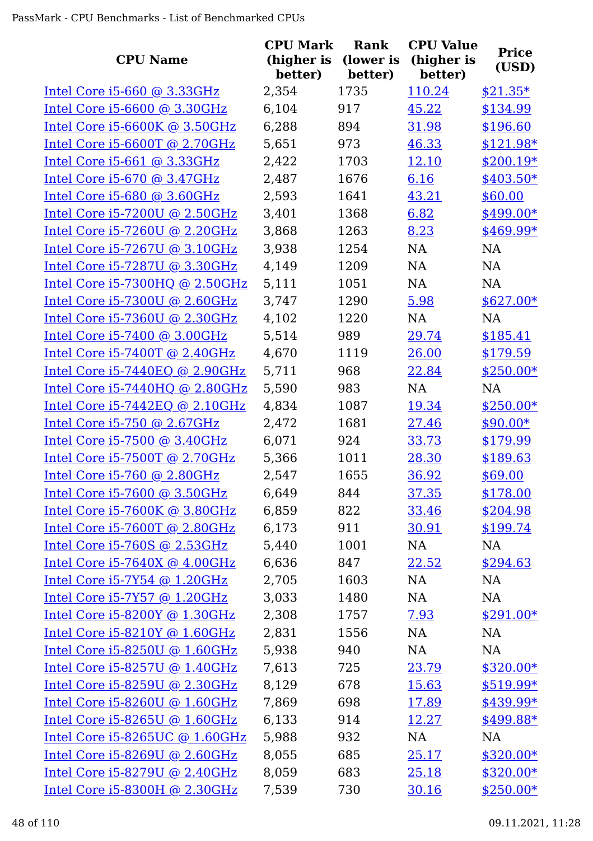| <b>CPU Name</b>                  | <b>CPU Mark</b><br>(higher is<br>better) | <b>Rank</b><br>(lower is<br>better) | <b>CPU Value</b><br>(higher is<br>better) | <b>Price</b><br>(USD) |
|----------------------------------|------------------------------------------|-------------------------------------|-------------------------------------------|-----------------------|
| Intel Core $i5-660$ @ 3.33GHz    | 2,354                                    | 1735                                | 110.24                                    | $$21.35*$             |
| Intel Core i5-6600 @ 3.30GHz     | 6,104                                    | 917                                 | 45.22                                     | \$134.99              |
| Intel Core i5-6600K @ 3.50GHz    | 6,288                                    | 894                                 | 31.98                                     | \$196.60              |
| Intel Core i5-6600T @ 2.70GHz    | 5,651                                    | 973                                 | 46.33                                     | \$121.98*             |
| Intel Core $i5-661$ @ 3.33GHz    | 2,422                                    | 1703                                | 12.10                                     | $$200.19*$            |
| Intel Core i5-670 @ 3.47GHz      | 2,487                                    | 1676                                | 6.16                                      | $$403.50*$            |
| Intel Core $i5-680$ @ 3.60GHz    | 2,593                                    | 1641                                | 43.21                                     | \$60.00               |
| Intel Core $i5-7200U$ @ 2.50GHz  | 3,401                                    | 1368                                | 6.82                                      | $$499.00*$            |
| Intel Core i5-7260U @ 2.20GHz    | 3,868                                    | 1263                                | 8.23                                      | \$469.99*             |
| Intel Core i5-7267U @ 3.10GHz    | 3,938                                    | 1254                                | NA                                        | <b>NA</b>             |
| Intel Core i5-7287U @ 3.30GHz    | 4,149                                    | 1209                                | NA                                        | NA                    |
| Intel Core $i5-7300HQ$ @ 2.50GHz | 5,111                                    | 1051                                | NA                                        | <b>NA</b>             |
| Intel Core i5-7300U @ 2.60GHz    | 3,747                                    | 1290                                | 5.98                                      | $$627.00*$            |
| Intel Core i5-7360U @ 2.30GHz    | 4,102                                    | 1220                                | <b>NA</b>                                 | <b>NA</b>             |
| Intel Core i5-7400 @ 3.00GHz     | 5,514                                    | 989                                 | 29.74                                     | \$185.41              |
| Intel Core $i5-7400T$ @ 2.40GHz  | 4,670                                    | 1119                                | 26.00                                     | \$179.59              |
| Intel Core $i5-7440EQ$ @ 2.90GHz | 5,711                                    | 968                                 | 22.84                                     | $$250.00*$            |
| Intel Core $i5-7440HQ$ @ 2.80GHz | 5,590                                    | 983                                 | <b>NA</b>                                 | <b>NA</b>             |
| Intel Core $i5-7442EQ$ @ 2.10GHz | 4,834                                    | 1087                                | 19.34                                     | $$250.00*$            |
| Intel Core i5-750 @ 2.67GHz      | 2,472                                    | 1681                                | 27.46                                     | $$90.00*$             |
| Intel Core i5-7500 @ 3.40GHz     | 6,071                                    | 924                                 | 33.73                                     | \$179.99              |
| Intel Core i5-7500T @ 2.70GHz    | 5,366                                    | 1011                                | 28.30                                     | \$189.63              |
| Intel Core i5-760 @ 2.80GHz      | 2,547                                    | 1655                                | 36.92                                     | \$69.00               |
| Intel Core i5-7600 @ 3.50GHz     | 6,649                                    | 844                                 | 37.35                                     | \$178.00              |
| Intel Core $i5-7600K$ @ 3.80GHz  | 6,859                                    | 822                                 | 33.46                                     | \$204.98              |
| Intel Core i5-7600T @ 2.80GHz    | 6,173                                    | 911                                 | 30.91                                     | \$199.74              |
| Intel Core i5-760S @ 2.53GHz     | 5,440                                    | 1001                                | NA                                        | NA                    |
| Intel Core i5-7640X @ 4.00GHz    | 6,636                                    | 847                                 | 22.52                                     | \$294.63              |
| Intel Core i5-7Y54 @ 1.20GHz     | 2,705                                    | 1603                                | NA                                        | NA                    |
| Intel Core i5-7Y57 @ 1.20GHz     | 3,033                                    | 1480                                | NA                                        | NA                    |
| Intel Core $i5-8200Y$ @ 1.30GHz  | 2,308                                    | 1757                                | <u>7.93</u>                               | $$291.00*$            |
| Intel Core i5-8210Y @ 1.60GHz    | 2,831                                    | 1556                                | NA                                        | NA                    |
| Intel Core i5-8250U @ 1.60GHz    | 5,938                                    | 940                                 | NA                                        | NA                    |
| Intel Core i5-8257U @ 1.40GHz    | 7,613                                    | 725                                 | 23.79                                     | $$320.00*$            |
| Intel Core i5-8259U @ 2.30GHz    | 8,129                                    | 678                                 | 15.63                                     | $$519.99*$            |
| Intel Core $i5-8260U$ @ 1.60GHz  | 7,869                                    | 698                                 | 17.89                                     | \$439.99*             |
| Intel Core $i5-8265U$ @ 1.60GHz  | 6,133                                    | 914                                 | 12.27                                     | \$499.88*             |
| Intel Core $i5-8265UC$ @ 1.60GHz | 5,988                                    | 932                                 | NA                                        | NA                    |
| Intel Core i5-8269U @ 2.60GHz    | 8,055                                    | 685                                 | 25.17                                     | $$320.00*$            |
| Intel Core i5-8279U @ 2.40GHz    | 8,059                                    | 683                                 | 25.18                                     | $$320.00*$            |
| Intel Core i5-8300H @ 2.30GHz    | 7,539                                    | 730                                 | 30.16                                     | $$250.00*$            |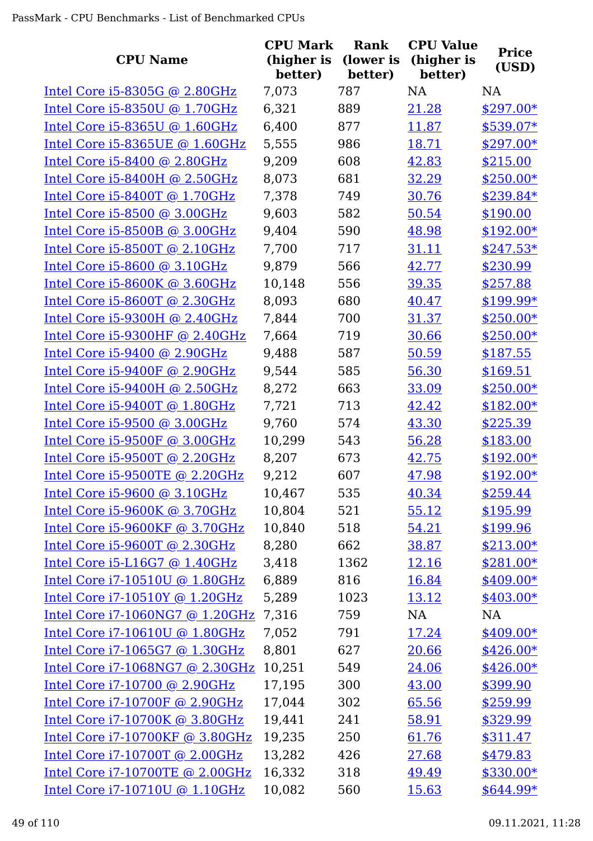| <b>CPU Name</b>                     | <b>CPU Mark</b><br>(higher is<br>better) | Rank<br>(lower is<br>better) | <b>CPU Value</b><br>(higher is<br>better) | <b>Price</b><br>(USD) |
|-------------------------------------|------------------------------------------|------------------------------|-------------------------------------------|-----------------------|
| Intel Core $i5-8305G$ @ 2.80GHz     | 7,073                                    | 787                          | <b>NA</b>                                 | <b>NA</b>             |
| Intel Core i5-8350U @ 1.70GHz       | 6,321                                    | 889                          | 21.28                                     | \$297.00*             |
| Intel Core $i5-8365$ U @ $1.60$ GHz | 6,400                                    | 877                          | 11.87                                     | \$539.07*             |
| Intel Core i5-8365UE @ 1.60GHz      | 5,555                                    | 986                          | 18.71                                     | \$297.00*             |
| Intel Core $i5-8400$ @ 2.80GHz      | 9,209                                    | 608                          | 42.83                                     | \$215.00              |
| Intel Core i5-8400H @ 2.50GHz       | 8,073                                    | 681                          | 32.29                                     | $$250.00*$            |
| Intel Core $i5-8400T$ @ 1.70GHz     | 7,378                                    | 749                          | 30.76                                     | $$239.84*$            |
| Intel Core i5-8500 @ 3.00GHz        | 9,603                                    | 582                          | 50.54                                     | \$190.00              |
| Intel Core i5-8500B @ 3.00GHz       | 9,404                                    | 590                          | 48.98                                     | $$192.00*$            |
| Intel Core i5-8500T @ 2.10GHz       | 7,700                                    | 717                          | 31.11                                     | $$247.53*$            |
| Intel Core i5-8600 @ 3.10GHz        | 9,879                                    | 566                          | 42.77                                     | \$230.99              |
| Intel Core $i5-8600K$ @ 3.60GHz     | 10,148                                   | 556                          | 39.35                                     | \$257.88              |
| Intel Core $i5-8600T$ @ 2.30GHz     | 8,093                                    | 680                          | 40.47                                     | \$199.99*             |
| Intel Core i5-9300H @ 2.40GHz       | 7,844                                    | 700                          | 31.37                                     | $$250.00*$            |
| Intel Core i5-9300HF @ 2.40GHz      | 7,664                                    | 719                          | 30.66                                     | $$250.00*$            |
| Intel Core $i5-9400$ @ 2.90GHz      | 9,488                                    | 587                          | 50.59                                     | \$187.55              |
| Intel Core i5-9400F @ 2.90GHz       | 9,544                                    | 585                          | 56.30                                     | \$169.51              |
| Intel Core $i5-9400H$ @ 2.50GHz     | 8,272                                    | 663                          | 33.09                                     | $$250.00*$            |
| Intel Core i5-9400T @ 1.80GHz       | 7,721                                    | 713                          | 42.42                                     | $$182.00*$            |
| Intel Core i5-9500 @ 3.00GHz        | 9,760                                    | 574                          | 43.30                                     | \$225.39              |
| Intel Core $i5-9500F$ @ 3.00GHz     | 10,299                                   | 543                          | 56.28                                     | \$183.00              |
| Intel Core i5-9500T @ 2.20GHz       | 8,207                                    | 673                          | 42.75                                     | $$192.00*$            |
| Intel Core i5-9500TE @ 2.20GHz      | 9,212                                    | 607                          | 47.98                                     | $$192.00*$            |
| Intel Core i5-9600 @ 3.10GHz        | 10,467                                   | 535                          | <u>40.34</u>                              | \$259.44              |
| Intel Core i5-9600K @ 3.70GHz       | 10,804                                   | 521                          | 55.12                                     | \$195.99              |
| Intel Core i5-9600KF @ 3.70GHz      | 10,840                                   | 518                          | 54.21                                     | \$199.96              |
| Intel Core i5-9600T @ 2.30GHz       | 8,280                                    | 662                          | 38.87                                     | $$213.00*$            |
| Intel Core i5-L16G7 @ 1.40GHz       | 3,418                                    | 1362                         | 12.16                                     | $$281.00*$            |
| Intel Core i7-10510U @ 1.80GHz      | 6,889                                    | 816                          | 16.84                                     | $$409.00*$            |
| Intel Core i7-10510Y @ 1.20GHz      | 5,289                                    | 1023                         | 13.12                                     | $$403.00*$            |
| Intel Core i7-1060NG7 @ 1.20GHz     | 7,316                                    | 759                          | NA                                        | NA                    |
| Intel Core i7-10610U @ 1.80GHz      | 7,052                                    | 791                          | 17.24                                     | $$409.00*$            |
| Intel Core i7-1065G7 @ 1.30GHz      | 8,801                                    | 627                          | 20.66                                     | $$426.00*$            |
| Intel Core i7-1068NG7 @ 2.30GHz     | 10,251                                   | 549                          | 24.06                                     | $$426.00*$            |
| Intel Core i7-10700 @ 2.90GHz       | 17,195                                   | 300                          | 43.00                                     | \$399.90              |
| Intel Core i7-10700F @ 2.90GHz      | 17,044                                   | 302                          | 65.56                                     | \$259.99              |
| Intel Core i7-10700K @ 3.80GHz      | 19,441                                   | 241                          | 58.91                                     | \$329.99              |
| Intel Core i7-10700KF @ 3.80GHz     | 19,235                                   | 250                          | 61.76                                     | \$311.47              |
| Intel Core i7-10700T @ 2.00GHz      | 13,282                                   | 426                          | 27.68                                     | \$479.83              |
| Intel Core i7-10700TE @ 2.00GHz     | 16,332                                   | 318                          | 49.49                                     | $$330.00*$            |
| Intel Core i7-10710U @ 1.10GHz      | 10,082                                   | 560                          | <u>15.63</u>                              | $$644.99*$            |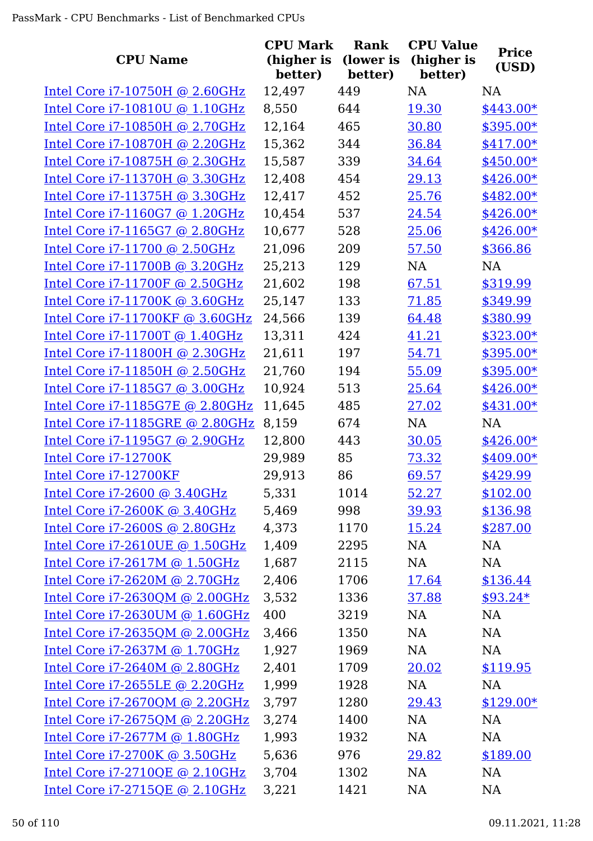| <b>CPU Name</b>                  | <b>CPU Mark</b><br>(higher is<br>better) | <b>Rank</b><br>(lower is<br>better) | <b>CPU Value</b><br>(higher is<br>better) | <b>Price</b><br>(USD) |
|----------------------------------|------------------------------------------|-------------------------------------|-------------------------------------------|-----------------------|
| Intel Core $i7-10750H$ @ 2.60GHz | 12,497                                   | 449                                 | <b>NA</b>                                 | <b>NA</b>             |
| Intel Core i7-10810U @ 1.10GHz   | 8,550                                    | 644                                 | 19.30                                     | \$443.00*             |
| Intel Core i7-10850H @ 2.70GHz   | 12,164                                   | 465                                 | 30.80                                     | \$395.00*             |
| Intel Core i7-10870H @ 2.20GHz   | 15,362                                   | 344                                 | 36.84                                     | \$417.00*             |
| Intel Core i7-10875H @ 2.30GHz   | 15,587                                   | 339                                 | 34.64                                     | $$450.00*$            |
| Intel Core i7-11370H @ 3.30GHz   | 12,408                                   | 454                                 | 29.13                                     | \$426.00*             |
| Intel Core i7-11375H @ 3.30GHz   | 12,417                                   | 452                                 | 25.76                                     | \$482.00*             |
| Intel Core i7-1160G7 @ 1.20GHz   | 10,454                                   | 537                                 | 24.54                                     | $$426.00*$            |
| Intel Core i7-1165G7 @ 2.80GHz   | 10,677                                   | 528                                 | 25.06                                     | $$426.00*$            |
| Intel Core i7-11700 @ 2.50GHz    | 21,096                                   | 209                                 | 57.50                                     | \$366.86              |
| Intel Core i7-11700B @ 3.20GHz   | 25,213                                   | 129                                 | NA                                        | <b>NA</b>             |
| Intel Core i7-11700F @ 2.50GHz   | 21,602                                   | 198                                 | 67.51                                     | \$319.99              |
| Intel Core i7-11700K @ 3.60GHz   | 25,147                                   | 133                                 | 71.85                                     | \$349.99              |
| Intel Core i7-11700KF @ 3.60GHz  | 24,566                                   | 139                                 | 64.48                                     | \$380.99              |
| Intel Core i7-11700T @ 1.40GHz   | 13,311                                   | 424                                 | 41.21                                     | \$323.00*             |
| Intel Core i7-11800H @ 2.30GHz   | 21,611                                   | 197                                 | 54.71                                     | $$395.00*$            |
| Intel Core i7-11850H @ 2.50GHz   | 21,760                                   | 194                                 | 55.09                                     | \$395.00*             |
| Intel Core i7-1185G7 @ 3.00GHz   | 10,924                                   | 513                                 | 25.64                                     | \$426.00*             |
| Intel Core i7-1185G7E @ 2.80GHz  | 11,645                                   | 485                                 | 27.02                                     | \$431.00*             |
| Intel Core i7-1185GRE @ 2.80GHz  | 8,159                                    | 674                                 | <b>NA</b>                                 | <b>NA</b>             |
| Intel Core i7-1195G7 @ 2.90GHz   | 12,800                                   | 443                                 | 30.05                                     | $$426.00*$            |
| Intel Core i7-12700K             | 29,989                                   | 85                                  | 73.32                                     | $$409.00*$            |
| Intel Core i7-12700KF            | 29,913                                   | 86                                  | 69.57                                     | \$429.99              |
| Intel Core i7-2600 @ 3.40GHz     | 5,331                                    | 1014                                | 52.27                                     | \$102.00              |
| Intel Core i7-2600K @ 3.40GHz    | 5,469                                    | 998                                 | 39.93                                     | \$136.98              |
| Intel Core i7-2600S @ 2.80GHz    | 4,373                                    | 1170                                | 15.24                                     | \$287.00              |
| Intel Core i7-2610UE @ 1.50GHz   | 1,409                                    | 2295                                | NA                                        | NA                    |
| Intel Core i7-2617M @ 1.50GHz    | 1,687                                    | 2115                                | NA                                        | NA                    |
| Intel Core i7-2620M @ 2.70GHz    | 2,406                                    | 1706                                | 17.64                                     | \$136.44              |
| Intel Core i7-2630QM @ 2.00GHz   | 3,532                                    | 1336                                | 37.88                                     | $$93.24*$             |
| Intel Core i7-2630UM @ 1.60GHz   | 400                                      | 3219                                | NA                                        | NA                    |
| Intel Core i7-2635QM @ 2.00GHz   | 3,466                                    | 1350                                | NA                                        | <b>NA</b>             |
| Intel Core i7-2637M @ 1.70GHz    | 1,927                                    | 1969                                | NA                                        | NA                    |
| Intel Core i7-2640M @ 2.80GHz    | 2,401                                    | 1709                                | 20.02                                     | \$119.95              |
| Intel Core i7-2655LE @ 2.20GHz   | 1,999                                    | 1928                                | NA                                        | NA                    |
| Intel Core i7-2670QM @ 2.20GHz   | 3,797                                    | 1280                                | 29.43                                     | $$129.00*$            |
| Intel Core i7-2675QM @ 2.20GHz   | 3,274                                    | 1400                                | NA                                        | <b>NA</b>             |
| Intel Core i7-2677M @ 1.80GHz    | 1,993                                    | 1932                                | NA                                        | <b>NA</b>             |
| Intel Core i7-2700K @ 3.50GHz    | 5,636                                    | 976                                 | 29.82                                     | \$189.00              |
| Intel Core i7-2710QE @ 2.10GHz   | 3,704                                    | 1302                                | NA                                        | NA                    |
| Intel Core i7-2715QE @ 2.10GHz   | 3,221                                    | 1421                                | NA                                        | <b>NA</b>             |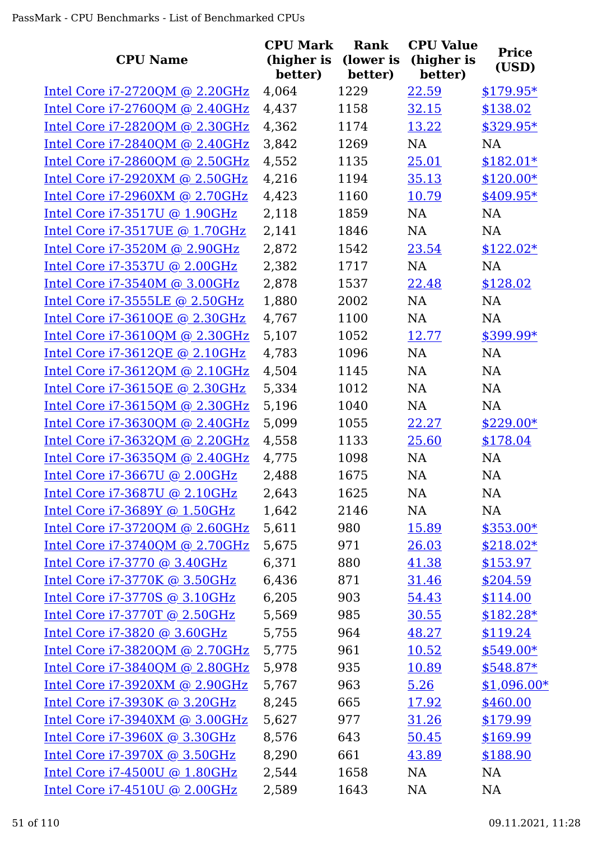|                                   | <b>CPU Mark</b> | <b>Rank</b> | <b>CPU Value</b> |              |
|-----------------------------------|-----------------|-------------|------------------|--------------|
| <b>CPU Name</b>                   | (higher is      | (lower is   | (higher is       | <b>Price</b> |
|                                   | better)         | better)     | better)          | (USD)        |
| Intel Core i7-2720QM @ 2.20GHz    | 4,064           | 1229        | 22.59            | $$179.95*$   |
| Intel Core $i7-2760QM$ @ 2.40GHz  | 4,437           | 1158        | 32.15            | \$138.02     |
| Intel Core $i7-2820QM$ @ 2.30GHz  | 4,362           | 1174        | 13.22            | $$329.95*$   |
| Intel Core i7-2840QM @ 2.40GHz    | 3,842           | 1269        | NA               | NA           |
| Intel Core i7-2860QM @ 2.50GHz    | 4,552           | 1135        | 25.01            | $$182.01*$   |
| Intel Core $i7-2920$ XM @ 2.50GHz | 4,216           | 1194        | 35.13            | $$120.00*$   |
| Intel Core i7-2960XM @ 2.70GHz    | 4,423           | 1160        | 10.79            | $$409.95*$   |
| Intel Core i7-3517U @ 1.90GHz     | 2,118           | 1859        | <b>NA</b>        | NA           |
| Intel Core i7-3517UE @ 1.70GHz    | 2,141           | 1846        | NA               | <b>NA</b>    |
| Intel Core i7-3520M @ 2.90GHz     | 2,872           | 1542        | 23.54            | $$122.02*$   |
| Intel Core i7-3537U @ 2.00GHz     | 2,382           | 1717        | NA               | <b>NA</b>    |
| Intel Core i7-3540M @ 3.00GHz     | 2,878           | 1537        | 22.48            | \$128.02     |
| Intel Core i7-3555LE @ 2.50GHz    | 1,880           | 2002        | NA               | NA           |
| Intel Core i7-3610QE @ 2.30GHz    | 4,767           | 1100        | <b>NA</b>        | <b>NA</b>    |
| Intel Core i7-3610QM @ 2.30GHz    | 5,107           | 1052        | 12.77            | \$399.99*    |
| Intel Core i7-3612QE @ 2.10GHz    | 4,783           | 1096        | <b>NA</b>        | <b>NA</b>    |
| Intel Core $i7-3612QM$ @ 2.10GHz  | 4,504           | 1145        | NA               | NA           |
| Intel Core i7-3615QE @ 2.30GHz    | 5,334           | 1012        | <b>NA</b>        | <b>NA</b>    |
| Intel Core i7-3615QM @ 2.30GHz    | 5,196           | 1040        | NA               | NA           |
| Intel Core i7-3630QM @ 2.40GHz    | 5,099           | 1055        | 22.27            | $$229.00*$   |
| Intel Core i7-3632QM @ 2.20GHz    | 4,558           | 1133        | 25.60            | \$178.04     |
| Intel Core i7-3635QM @ 2.40GHz    | 4,775           | 1098        | NA               | NA           |
| Intel Core i7-3667U @ 2.00GHz     | 2,488           | 1675        | <b>NA</b>        | <b>NA</b>    |
| Intel Core i7-3687U @ 2.10GHz     | 2,643           | 1625        | NA               | NA           |
| Intel Core i7-3689Y @ 1.50GHz     | 1,642           | 2146        | NA               | NA           |
| Intel Core i7-3720QM @ 2.60GHz    | 5,611           | 980         | 15.89            | $$353.00*$   |
| Intel Core i7-3740QM @ 2.70GHz    | 5,675           | 971         | 26.03            | $$218.02*$   |
| Intel Core i7-3770 @ 3.40GHz      | 6,371           | 880         | 41.38            | \$153.97     |
| Intel Core i7-3770K @ 3.50GHz     | 6,436           | 871         | 31.46            | \$204.59     |
| Intel Core i7-3770S @ 3.10GHz     | 6,205           | 903         | 54.43            | \$114.00     |
| Intel Core i7-3770T @ 2.50GHz     | 5,569           | 985         | 30.55            | $$182.28*$   |
| Intel Core i7-3820 @ 3.60GHz      | 5,755           | 964         | 48.27            | \$119.24     |
| Intel Core i7-3820QM @ 2.70GHz    | 5,775           | 961         | 10.52            | $$549.00*$   |
| Intel Core i7-3840QM @ 2.80GHz    | 5,978           | 935         | 10.89            | $$548.87*$   |
| Intel Core i7-3920XM @ 2.90GHz    | 5,767           | 963         | 5.26             | $$1,096.00*$ |
| Intel Core i7-3930K @ 3.20GHz     | 8,245           | 665         | 17.92            | \$460.00     |
| Intel Core i7-3940XM @ 3.00GHz    | 5,627           | 977         | 31.26            | \$179.99     |
| Intel Core i7-3960X @ 3.30GHz     | 8,576           | 643         | 50.45            | \$169.99     |
| Intel Core i7-3970X @ 3.50GHz     | 8,290           | 661         | 43.89            | \$188.90     |
| Intel Core i7-4500U @ 1.80GHz     | 2,544           | 1658        | NA               | NA           |
| Intel Core i7-4510U @ 2.00GHz     | 2,589           | 1643        | NA               | <b>NA</b>    |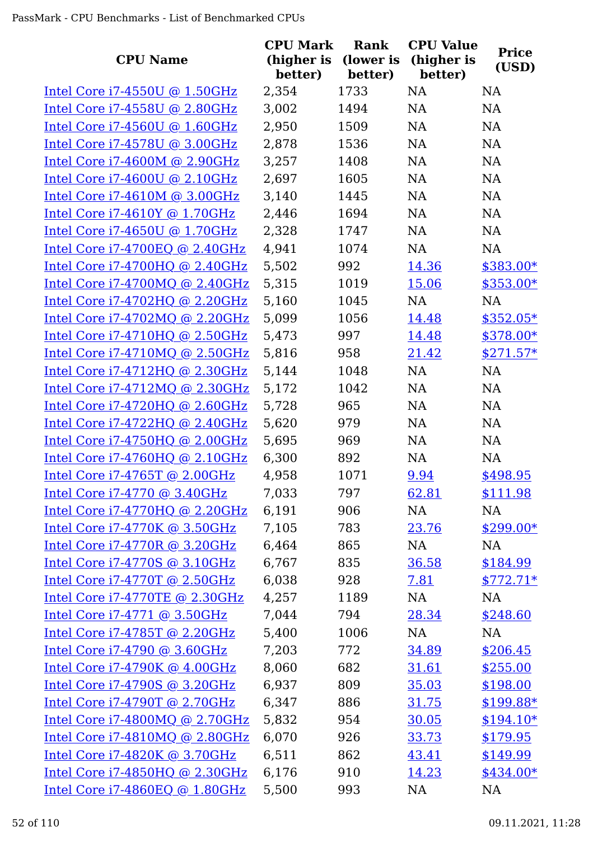| <b>CPU Name</b>                   | <b>CPU Mark</b><br>(higher is<br>better) | <b>Rank</b><br>(lower is<br>better) | <b>CPU Value</b><br>(higher is<br>better) | <b>Price</b><br>(USD) |
|-----------------------------------|------------------------------------------|-------------------------------------|-------------------------------------------|-----------------------|
| Intel Core $i7-4550U$ @ 1.50GHz   | 2,354                                    | 1733                                | <b>NA</b>                                 | <b>NA</b>             |
| Intel Core i7-4558U @ 2.80GHz     | 3,002                                    | 1494                                | NA                                        | NA                    |
| Intel Core i7-4560U @ 1.60GHz     | 2,950                                    | 1509                                | NA                                        | <b>NA</b>             |
| Intel Core i7-4578U @ 3.00GHz     | 2,878                                    | 1536                                | NA                                        | NA                    |
| Intel Core i7-4600M @ 2.90GHz     | 3,257                                    | 1408                                | NA                                        | NA                    |
| Intel Core i7-4600U @ 2.10GHz     | 2,697                                    | 1605                                | <b>NA</b>                                 | NA                    |
| Intel Core i7-4610M @ 3.00GHz     | 3,140                                    | 1445                                | <b>NA</b>                                 | NA                    |
| Intel Core i7-4610Y @ 1.70GHz     | 2,446                                    | 1694                                | <b>NA</b>                                 | <b>NA</b>             |
| Intel Core i7-4650U @ 1.70GHz     | 2,328                                    | 1747                                | NA                                        | <b>NA</b>             |
| Intel Core i7-4700EQ @ 2.40GHz    | 4,941                                    | 1074                                | NA                                        | NA                    |
| Intel Core i7-4700HQ @ 2.40GHz    | 5,502                                    | 992                                 | 14.36                                     | $$383.00*$            |
| Intel Core $i7-4700MQ$ @ 2.40GHz  | 5,315                                    | 1019                                | 15.06                                     | $$353.00*$            |
| Intel Core i7-4702HQ @ 2.20GHz    | 5,160                                    | 1045                                | NA                                        | NA                    |
| Intel Core i7-4702MQ @ 2.20GHz    | 5,099                                    | 1056                                | 14.48                                     | \$352.05*             |
| Intel Core i7-4710HQ @ 2.50GHz    | 5,473                                    | 997                                 | 14.48                                     | \$378.00*             |
| Intel Core $i7-4710MQ$ @ 2.50GHz  | 5,816                                    | 958                                 | 21.42                                     | $$271.57*$            |
| Intel Core i7-4712HQ @ 2.30GHz    | 5,144                                    | 1048                                | NA                                        | NA                    |
| Intel Core i7-4712MQ @ 2.30GHz    | 5,172                                    | 1042                                | <b>NA</b>                                 | NA                    |
| Intel Core $i7-4720HQ$ @ 2.60GHz  | 5,728                                    | 965                                 | <b>NA</b>                                 | <b>NA</b>             |
| Intel Core i7-4722HQ @ 2.40GHz    | 5,620                                    | 979                                 | <b>NA</b>                                 | <b>NA</b>             |
| Intel Core i7-4750HQ @ 2.00GHz    | 5,695                                    | 969                                 | <b>NA</b>                                 | NA                    |
| Intel Core i7-4760HQ @ 2.10GHz    | 6,300                                    | 892                                 | NA                                        | <b>NA</b>             |
| Intel Core i7-4765T @ 2.00GHz     | 4,958                                    | 1071                                | 9.94                                      | \$498.95              |
| Intel Core i7-4770 @ 3.40GHz      | 7,033                                    | 797                                 | 62.81                                     | \$111.98              |
| Intel Core $i7-4770HQ$ @ 2.20GHz  | 6,191                                    | 906                                 | NA                                        | <b>NA</b>             |
| Intel Core i7-4770K @ 3.50GHz     | 7,105                                    | 783                                 | 23.76                                     | $$299.00*$            |
| Intel Core i7-4770R @ 3.20GHz     | 6,464                                    | 865                                 | NA                                        | NA                    |
| Intel Core $i7-4770S$ @ 3.10GHz   | 6,767                                    | 835                                 | 36.58                                     | \$184.99              |
| Intel Core i7-4770T @ 2.50GHz     | 6,038                                    | 928                                 | 7.81                                      | $$772.71*$            |
| Intel Core i7-4770TE @ 2.30GHz    | 4,257                                    | 1189                                | NA                                        | NA                    |
| Intel Core i7-4771 @ 3.50GHz      | 7,044                                    | 794                                 | 28.34                                     | \$248.60              |
| Intel Core i7-4785T @ 2.20GHz     | 5,400                                    | 1006                                | NA                                        | NA                    |
| Intel Core i7-4790 @ 3.60GHz      | 7,203                                    | 772                                 | <u>34.89</u>                              | \$206.45              |
| Intel Core $i7-4790K$ @ $4.00GHz$ | 8,060                                    | 682                                 | 31.61                                     | \$255.00              |
| Intel Core i7-4790S @ 3.20GHz     | 6,937                                    | 809                                 | 35.03                                     | \$198.00              |
| Intel Core $i7-4790T$ @ 2.70GHz   | 6,347                                    | 886                                 | 31.75                                     | $$199.88*$            |
| Intel Core $i7-4800MQ$ @ 2.70GHz  | 5,832                                    | 954                                 | 30.05                                     | $$194.10*$            |
| Intel Core i7-4810MQ @ 2.80GHz    | 6,070                                    | 926                                 | 33.73                                     | \$179.95              |
| Intel Core i7-4820K @ 3.70GHz     | 6,511                                    | 862                                 | 43.41                                     | \$149.99              |
| Intel Core $i7-4850HQ$ @ 2.30GHz  | 6,176                                    | 910                                 | 14.23                                     | $$434.00*$            |
| Intel Core i7-4860EQ @ 1.80GHz    | 5,500                                    | 993                                 | NA                                        | <b>NA</b>             |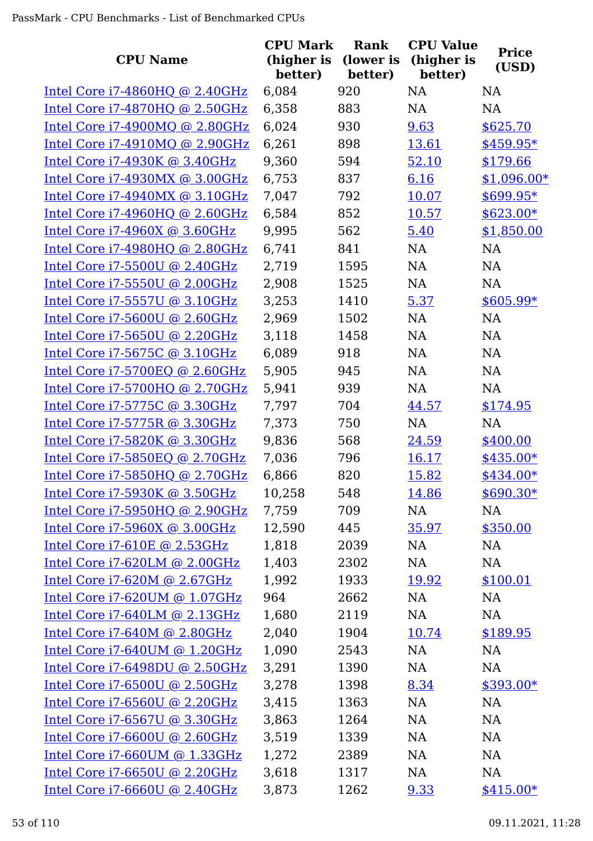|                                  | <b>CPU Mark</b>       | Rank                 | <b>CPU Value</b>      | <b>Price</b> |
|----------------------------------|-----------------------|----------------------|-----------------------|--------------|
| <b>CPU Name</b>                  | (higher is<br>better) | (lower is<br>better) | (higher is<br>better) | (USD)        |
| Intel Core $i7-4860HQ$ @ 2.40GHz | 6,084                 | 920                  | <b>NA</b>             | <b>NA</b>    |
| Intel Core i7-4870HQ @ 2.50GHz   | 6,358                 | 883                  | NA                    | <b>NA</b>    |
| Intel Core $i7-4900MQ$ @ 2.80GHz | 6,024                 | 930                  | 9.63                  | \$625.70     |
| Intel Core $i7-4910MQ$ @ 2.90GHz | 6,261                 | 898                  | 13.61                 | \$459.95*    |
| Intel Core i7-4930K @ 3.40GHz    | 9,360                 | 594                  | 52.10                 | \$179.66     |
| Intel Core i7-4930MX @ 3.00GHz   | 6,753                 | 837                  | 6.16                  | $$1,096.00*$ |
| Intel Core i7-4940MX @ 3.10GHz   | 7,047                 | 792                  | 10.07                 | $$699.95*$   |
| Intel Core $i7-4960HQ$ @ 2.60GHz | 6,584                 | 852                  | 10.57                 | $$623.00*$   |
| Intel Core $i7-4960X$ @ 3.60GHz  | 9,995                 | 562                  | 5.40                  | \$1,850.00   |
| Intel Core i7-4980HQ @ 2.80GHz   | 6,741                 | 841                  | <b>NA</b>             | <b>NA</b>    |
| Intel Core i7-5500U @ 2.40GHz    | 2,719                 | 1595                 | NA                    | <b>NA</b>    |
| Intel Core i7-5550U @ 2.00GHz    | 2,908                 | 1525                 | NA                    | <b>NA</b>    |
| Intel Core i7-5557U @ 3.10GHz    | 3,253                 | 1410                 | 5.37                  | \$605.99*    |
| Intel Core i7-5600U @ 2.60GHz    | 2,969                 | 1502                 | <b>NA</b>             | <b>NA</b>    |
| Intel Core i7-5650U @ 2.20GHz    | 3,118                 | 1458                 | NA                    | NA           |
| Intel Core i7-5675C @ 3.10GHz    | 6,089                 | 918                  | <b>NA</b>             | <b>NA</b>    |
| Intel Core i7-5700EQ @ 2.60GHz   | 5,905                 | 945                  | <b>NA</b>             | NA           |
| Intel Core i7-5700HQ @ 2.70GHz   | 5,941                 | 939                  | <b>NA</b>             | <b>NA</b>    |
| Intel Core i7-5775C @ 3.30GHz    | 7,797                 | 704                  | 44.57                 | \$174.95     |
| Intel Core i7-5775R @ 3.30GHz    | 7,373                 | 750                  | <b>NA</b>             | <b>NA</b>    |
| Intel Core i7-5820K @ 3.30GHz    | 9,836                 | 568                  | 24.59                 | \$400.00     |
| Intel Core i7-5850EQ @ 2.70GHz   | 7,036                 | 796                  | 16.17                 | $$435.00*$   |
| Intel Core i7-5850HQ @ 2.70GHz   | 6,866                 | 820                  | 15.82                 | $$434.00*$   |
| Intel Core i7-5930K @ 3.50GHz    | 10,258                | 548                  | 14.86                 | $$690.30*$   |
| Intel Core i7-5950HQ @ 2.90GHz   | 7,759                 | 709                  | NA                    | NA           |
| Intel Core i7-5960X @ 3.00GHz    | 12,590                | 445                  | 35.97                 | \$350.00     |
| Intel Core i7-610E @ 2.53GHz     | 1,818                 | 2039                 | NA                    | NA           |
| Intel Core $i7-620LM$ @ 2.00GHz  | 1,403                 | 2302                 | NA                    | NA           |
| Intel Core i7-620M @ 2.67GHz     | 1,992                 | 1933                 | 19.92                 | \$100.01     |
| Intel Core i7-620UM @ 1.07GHz    | 964                   | 2662                 | <b>NA</b>             | NA           |
| Intel Core $i7-640LM$ @ 2.13GHz  | 1,680                 | 2119                 | NA                    | NA           |
| Intel Core i7-640M @ 2.80GHz     | 2,040                 | 1904                 | 10.74                 | \$189.95     |
| Intel Core $i7-640$ UM @ 1.20GHz | 1,090                 | 2543                 | NA                    | NA           |
| Intel Core i7-6498DU @ 2.50GHz   | 3,291                 | 1390                 | NA                    | NA           |
| Intel Core i7-6500U @ 2.50GHz    | 3,278                 | 1398                 | 8.34                  | $$393.00*$   |
| Intel Core i7-6560U @ 2.20GHz    | 3,415                 | 1363                 | <b>NA</b>             | NA           |
| Intel Core i7-6567U @ 3.30GHz    | 3,863                 | 1264                 | NA                    | NA           |
| Intel Core i7-6600U @ 2.60GHz    | 3,519                 | 1339                 | NA                    | NA           |
| Intel Core $i7-660$ UM @ 1.33GHz | 1,272                 | 2389                 | NA                    | NA           |
| Intel Core i7-6650U @ 2.20GHz    | 3,618                 | 1317                 | NA                    | NA           |
| Intel Core i7-6660U @ 2.40GHz    | 3,873                 | 1262                 | 9.33                  | $$415.00*$   |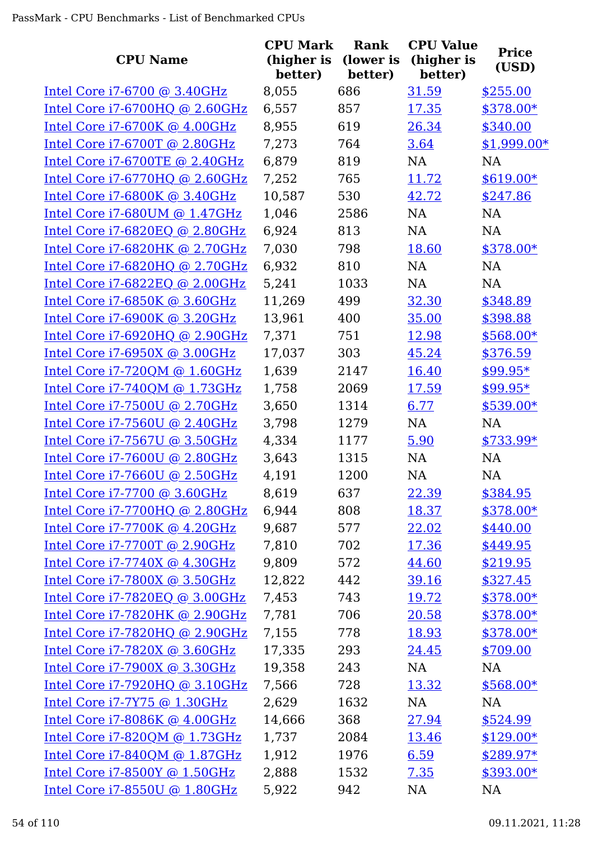| <b>CPU Name</b>                  | <b>CPU Mark</b><br>(higher is<br>better) | Rank<br>(lower is<br>better) | <b>CPU Value</b><br>(higher is<br>better) | <b>Price</b><br>(USD) |
|----------------------------------|------------------------------------------|------------------------------|-------------------------------------------|-----------------------|
| Intel Core $i7-6700$ @ 3.40GHz   | 8,055                                    | 686                          | 31.59                                     | \$255.00              |
| Intel Core i7-6700HQ @ 2.60GHz   | 6,557                                    | 857                          | 17.35                                     | $$378.00*$            |
| Intel Core i7-6700K @ 4.00GHz    | 8,955                                    | 619                          | 26.34                                     | \$340.00              |
| Intel Core i7-6700T @ 2.80GHz    | 7,273                                    | 764                          | 3.64                                      | $$1,999.00*$          |
| Intel Core i7-6700TE @ 2.40GHz   | 6,879                                    | 819                          | <b>NA</b>                                 | <b>NA</b>             |
| Intel Core i7-6770HQ @ 2.60GHz   | 7,252                                    | 765                          | 11.72                                     | $$619.00*$            |
| Intel Core $i7-6800K$ @ 3.40GHz  | 10,587                                   | 530                          | 42.72                                     | \$247.86              |
| Intel Core i7-680UM @ 1.47GHz    | 1,046                                    | 2586                         | <b>NA</b>                                 | NA                    |
| Intel Core i7-6820EQ @ 2.80GHz   | 6,924                                    | 813                          | <b>NA</b>                                 | <b>NA</b>             |
| Intel Core i7-6820HK @ 2.70GHz   | 7,030                                    | 798                          | 18.60                                     | \$378.00*             |
| Intel Core i7-6820HQ @ 2.70GHz   | 6,932                                    | 810                          | NA                                        | <b>NA</b>             |
| Intel Core i7-6822EQ @ 2.00GHz   | 5,241                                    | 1033                         | <b>NA</b>                                 | <b>NA</b>             |
| Intel Core i7-6850K @ 3.60GHz    | 11,269                                   | 499                          | 32.30                                     | \$348.89              |
| Intel Core i7-6900K @ 3.20GHz    | 13,961                                   | 400                          | 35.00                                     | \$398.88              |
| Intel Core i7-6920HQ @ 2.90GHz   | 7,371                                    | 751                          | 12.98                                     | \$568.00*             |
| Intel Core i7-6950X @ 3.00GHz    | 17,037                                   | 303                          | 45.24                                     | \$376.59              |
| Intel Core i7-720QM @ 1.60GHz    | 1,639                                    | 2147                         | 16.40                                     | $$99.95*$             |
| Intel Core $i7-740QM$ @ 1.73GHz  | 1,758                                    | 2069                         | 17.59                                     | $$99.95*$             |
| Intel Core i7-7500U @ 2.70GHz    | 3,650                                    | 1314                         | 6.77                                      | $$539.00*$            |
| Intel Core i7-7560U @ 2.40GHz    | 3,798                                    | 1279                         | NA                                        | <b>NA</b>             |
| Intel Core i7-7567U @ 3.50GHz    | 4,334                                    | 1177                         | 5.90                                      | $$733.99*$            |
| Intel Core i7-7600U @ 2.80GHz    | 3,643                                    | 1315                         | NA                                        | <b>NA</b>             |
| Intel Core i7-7660U @ 2.50GHz    | 4,191                                    | 1200                         | NA                                        | <b>NA</b>             |
| Intel Core i7-7700 @ 3.60GHz     | 8,619                                    | 637                          | 22.39                                     | \$384.95              |
| Intel Core i7-7700HQ @ 2.80GHz   | 6,944                                    | 808                          | 18.37                                     | \$378.00*             |
| Intel Core i7-7700K @ 4.20GHz    | 9,687                                    | 577                          | 22.02                                     | \$440.00              |
| Intel Core i7-7700T @ 2.90GHz    | 7,810                                    | 702                          | 17.36                                     | \$449.95              |
| Intel Core i7-7740X @ 4.30GHz    | 9,809                                    | 572                          | 44.60                                     | \$219.95              |
| Intel Core i7-7800X @ 3.50GHz    | 12,822                                   | 442                          | 39.16                                     | \$327.45              |
| Intel Core $i7-7820EQ$ @ 3.00GHz | 7,453                                    | 743                          | 19.72                                     | $$378.00*$            |
| Intel Core i7-7820HK @ 2.90GHz   | 7,781                                    | 706                          | 20.58                                     | $$378.00*$            |
| Intel Core i7-7820HQ @ 2.90GHz   | 7,155                                    | 778                          | 18.93                                     | $$378.00*$            |
| Intel Core i7-7820X @ 3.60GHz    | 17,335                                   | 293                          | 24.45                                     | \$709.00              |
| Intel Core $i7-7900X$ @ 3.30GHz  | 19,358                                   | 243                          | NA                                        | <b>NA</b>             |
| Intel Core i7-7920HQ @ 3.10GHz   | 7,566                                    | 728                          | 13.32                                     | $$568.00*$            |
| Intel Core i7-7Y75 @ 1.30GHz     | 2,629                                    | 1632                         | NA                                        | NA                    |
| Intel Core i7-8086K @ 4.00GHz    | 14,666                                   | 368                          | 27.94                                     | \$524.99              |
| Intel Core i7-820QM @ 1.73GHz    | 1,737                                    | 2084                         | 13.46                                     | $$129.00*$            |
| Intel Core i7-840QM @ 1.87GHz    | 1,912                                    | 1976                         | 6.59                                      | $$289.97*$            |
| Intel Core i7-8500Y @ 1.50GHz    | 2,888                                    | 1532                         | 7.35                                      | $$393.00*$            |
| Intel Core i7-8550U @ 1.80GHz    | 5,922                                    | 942                          | NA                                        | <b>NA</b>             |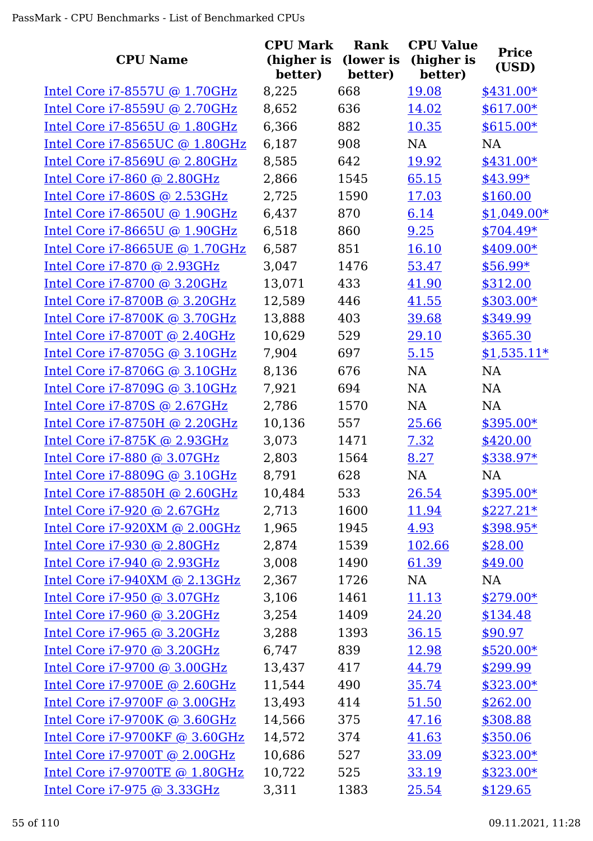| <b>CPU Name</b>                     | <b>CPU Mark</b><br>(higher is<br>better) | Rank<br>(lower is<br>better) | <b>CPU Value</b><br>(higher is<br>better) | <b>Price</b><br>(USD) |
|-------------------------------------|------------------------------------------|------------------------------|-------------------------------------------|-----------------------|
| Intel Core i7-8557U @ 1.70GHz       | 8,225                                    | 668                          | 19.08                                     | \$431.00*             |
| Intel Core i7-8559U @ 2.70GHz       | 8,652                                    | 636                          | 14.02                                     | \$617.00*             |
| Intel Core i7-8565U @ 1.80GHz       | 6,366                                    | 882                          | 10.35                                     | $$615.00*$            |
| Intel Core i7-8565UC @ 1.80GHz      | 6,187                                    | 908                          | NA                                        | NA                    |
| Intel Core i7-8569U @ 2.80GHz       | 8,585                                    | 642                          | 19.92                                     | $$431.00*$            |
| Intel Core i7-860 @ 2.80GHz         | 2,866                                    | 1545                         | 65.15                                     | $$43.99*$             |
| Intel Core $i7-860S$ @ 2.53GHz      | 2,725                                    | 1590                         | 17.03                                     | \$160.00              |
| Intel Core i7-8650U @ 1.90GHz       | 6,437                                    | 870                          | 6.14                                      | $$1,049.00*$          |
| Intel Core i7-8665U @ 1.90GHz       | 6,518                                    | 860                          | 9.25                                      | $$704.49*$            |
| Intel Core i7-8665UE @ 1.70GHz      | 6,587                                    | 851                          | 16.10                                     | \$409.00*             |
| Intel Core i7-870 @ 2.93GHz         | 3,047                                    | 1476                         | 53.47                                     | $$56.99*$             |
| Intel Core i7-8700 @ 3.20GHz        | 13,071                                   | 433                          | 41.90                                     | \$312.00              |
| Intel Core i7-8700B @ 3.20GHz       | 12,589                                   | 446                          | 41.55                                     | $$303.00*$            |
| Intel Core i7-8700K @ 3.70GHz       | 13,888                                   | 403                          | 39.68                                     | \$349.99              |
| Intel Core i7-8700T @ 2.40GHz       | 10,629                                   | 529                          | 29.10                                     | \$365.30              |
| Intel Core i7-8705G @ 3.10GHz       | 7,904                                    | 697                          | 5.15                                      | $$1,535.11*$          |
| Intel Core i7-8706G @ 3.10GHz       | 8,136                                    | 676                          | <b>NA</b>                                 | NA                    |
| Intel Core i7-8709G @ 3.10GHz       | 7,921                                    | 694                          | NA                                        | <b>NA</b>             |
| <u>Intel Core i7-870S @ 2.67GHz</u> | 2,786                                    | 1570                         | NA                                        | <b>NA</b>             |
| Intel Core i7-8750H @ 2.20GHz       | 10,136                                   | 557                          | 25.66                                     | $$395.00*$            |
| <u>Intel Core i7-875K @ 2.93GHz</u> | 3,073                                    | 1471                         | 7.32                                      | \$420.00              |
| Intel Core i7-880 @ 3.07GHz         | 2,803                                    | 1564                         | 8.27                                      | \$338.97*             |
| Intel Core i7-8809G @ 3.10GHz       | 8,791                                    | 628                          | <b>NA</b>                                 | <b>NA</b>             |
| Intel Core i7-8850H @ 2.60GHz       | 10,484                                   | 533                          | 26.54                                     | \$395.00*             |
| Intel Core i7-920 @ 2.67GHz         | 2,713                                    | 1600                         | 11.94                                     | $$227.21*$            |
| Intel Core i7-920XM @ 2.00GHz       | 1,965                                    | 1945                         | 4.93                                      | \$398.95*             |
| Intel Core i7-930 @ 2.80GHz         | 2,874                                    | 1539                         | 102.66                                    | \$28.00               |
| Intel Core i7-940 @ 2.93GHz         | 3,008                                    | 1490                         | 61.39                                     | \$49.00               |
| Intel Core i7-940XM @ 2.13GHz       | 2,367                                    | 1726                         | NA                                        | NA                    |
| Intel Core i7-950 @ 3.07GHz         | 3,106                                    | 1461                         | 11.13                                     | $$279.00*$            |
| Intel Core i7-960 @ 3.20GHz         | 3,254                                    | 1409                         | 24.20                                     | \$134.48              |
| Intel Core i7-965 @ 3.20GHz         | 3,288                                    | 1393                         | 36.15                                     | \$90.97               |
| Intel Core i7-970 @ 3.20GHz         | 6,747                                    | 839                          | 12.98                                     | $$520.00*$            |
| Intel Core i7-9700 @ 3.00GHz        | 13,437                                   | 417                          | 44.79                                     | \$299.99              |
| Intel Core i7-9700E @ 2.60GHz       | 11,544                                   | 490                          | 35.74                                     | $$323.00*$            |
| Intel Core i7-9700F @ 3.00GHz       | 13,493                                   | 414                          | 51.50                                     | \$262.00              |
| Intel Core i7-9700K @ 3.60GHz       | 14,566                                   | 375                          | 47.16                                     | \$308.88              |
| Intel Core i7-9700KF @ 3.60GHz      | 14,572                                   | 374                          | 41.63                                     | \$350.06              |
| Intel Core i7-9700T @ 2.00GHz       | 10,686                                   | 527                          | 33.09                                     | \$323.00*             |
| Intel Core i7-9700TE @ 1.80GHz      | 10,722                                   | 525                          | 33.19                                     | $$323.00*$            |
| Intel Core i7-975 @ 3.33GHz         | 3,311                                    | 1383                         | 25.54                                     | \$129.65              |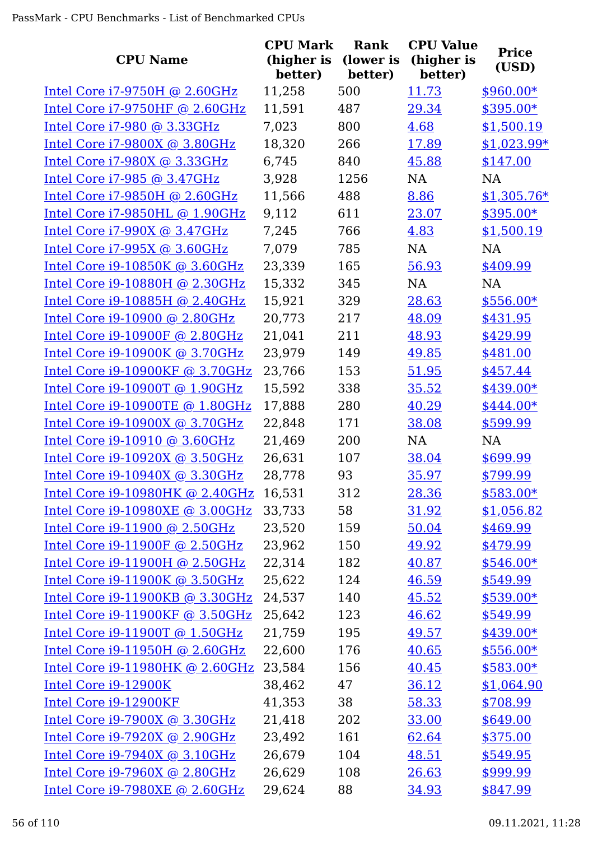| <b>CPU Name</b>                 | <b>CPU Mark</b><br>(higher is<br>better) | <b>Rank</b><br>(lower is<br>better) | <b>CPU Value</b><br>(higher is<br>better) | <b>Price</b><br>(USD) |
|---------------------------------|------------------------------------------|-------------------------------------|-------------------------------------------|-----------------------|
| Intel Core i7-9750H @ 2.60GHz   | 11,258                                   | 500                                 | 11.73                                     | $$960.00*$            |
| Intel Core i7-9750HF @ 2.60GHz  | 11,591                                   | 487                                 | 29.34                                     | \$395.00*             |
| Intel Core i7-980 @ 3.33GHz     | 7,023                                    | 800                                 | 4.68                                      | \$1,500.19            |
| Intel Core i7-9800X @ 3.80GHz   | 18,320                                   | 266                                 | 17.89                                     | $$1,023.99*$          |
| Intel Core i7-980X @ 3.33GHz    | 6,745                                    | 840                                 | 45.88                                     | \$147.00              |
| Intel Core i7-985 @ 3.47GHz     | 3,928                                    | 1256                                | <b>NA</b>                                 | NA                    |
| Intel Core i7-9850H @ 2.60GHz   | 11,566                                   | 488                                 | 8.86                                      | $$1,305.76*$          |
| Intel Core i7-9850HL @ 1.90GHz  | 9,112                                    | 611                                 | 23.07                                     | $$395.00*$            |
| Intel Core i7-990X @ 3.47GHz    | 7,245                                    | 766                                 | 4.83                                      | \$1,500.19            |
| Intel Core $i7-995X$ @ 3.60GHz  | 7,079                                    | 785                                 | NA                                        | NA                    |
| Intel Core i9-10850K @ 3.60GHz  | 23,339                                   | 165                                 | 56.93                                     | \$409.99              |
| Intel Core i9-10880H @ 2.30GHz  | 15,332                                   | 345                                 | <b>NA</b>                                 | <b>NA</b>             |
| Intel Core i9-10885H @ 2.40GHz  | 15,921                                   | 329                                 | 28.63                                     | \$556.00*             |
| Intel Core i9-10900 @ 2.80GHz   | 20,773                                   | 217                                 | 48.09                                     | \$431.95              |
| Intel Core i9-10900F @ 2.80GHz  | 21,041                                   | 211                                 | 48.93                                     | \$429.99              |
| Intel Core i9-10900K @ 3.70GHz  | 23,979                                   | 149                                 | 49.85                                     | \$481.00              |
| Intel Core i9-10900KF @ 3.70GHz | 23,766                                   | 153                                 | 51.95                                     | \$457.44              |
| Intel Core i9-10900T @ 1.90GHz  | 15,592                                   | 338                                 | 35.52                                     | $$439.00*$            |
| Intel Core i9-10900TE @ 1.80GHz | 17,888                                   | 280                                 | 40.29                                     | \$444.00*             |
| Intel Core i9-10900X @ 3.70GHz  | 22,848                                   | 171                                 | 38.08                                     | \$599.99              |
| Intel Core i9-10910 @ 3.60GHz   | 21,469                                   | 200                                 | <b>NA</b>                                 | NA                    |
| Intel Core i9-10920X @ 3.50GHz  | 26,631                                   | 107                                 | 38.04                                     | \$699.99              |
| Intel Core i9-10940X @ 3.30GHz  | 28,778                                   | 93                                  | 35.97                                     | \$799.99              |
| Intel Core i9-10980HK @ 2.40GHz | 16,531                                   | 312                                 | 28.36                                     | $$583.00*$            |
| Intel Core i9-10980XE @ 3.00GHz | 33,733                                   | 58                                  | 31.92                                     | \$1,056.82            |
| Intel Core i9-11900 @ 2.50GHz   | 23,520                                   | 159                                 | 50.04                                     | \$469.99              |
| Intel Core i9-11900F @ 2.50GHz  | 23,962                                   | 150                                 | 49.92                                     | \$479.99              |
| Intel Core i9-11900H @ 2.50GHz  | 22,314                                   | 182                                 | 40.87                                     | $$546.00*$            |
| Intel Core i9-11900K @ 3.50GHz  | 25,622                                   | 124                                 | 46.59                                     | \$549.99              |
| Intel Core i9-11900KB @ 3.30GHz | 24,537                                   | 140                                 | 45.52                                     | \$539.00*             |
| Intel Core i9-11900KF @ 3.50GHz | 25,642                                   | 123                                 | 46.62                                     | \$549.99              |
| Intel Core i9-11900T @ 1.50GHz  | 21,759                                   | 195                                 | 49.57                                     | $$439.00*$            |
| Intel Core i9-11950H @ 2.60GHz  | 22,600                                   | 176                                 | 40.65                                     | $$556.00*$            |
| Intel Core i9-11980HK @ 2.60GHz | 23,584                                   | 156                                 | 40.45                                     | $$583.00*$            |
| Intel Core i9-12900K            | 38,462                                   | 47                                  | 36.12                                     | \$1,064.90            |
| Intel Core i9-12900KF           | 41,353                                   | 38                                  | 58.33                                     | \$708.99              |
| Intel Core $i9-7900X$ @ 3.30GHz | 21,418                                   | 202                                 | 33.00                                     | \$649.00              |
| Intel Core i9-7920X @ 2.90GHz   | 23,492                                   | 161                                 | 62.64                                     | \$375.00              |
| Intel Core i9-7940X @ 3.10GHz   | 26,679                                   | 104                                 | 48.51                                     | \$549.95              |
| Intel Core $i9-7960X$ @ 2.80GHz | 26,629                                   | 108                                 | 26.63                                     | \$999.99              |
| Intel Core i9-7980XE @ 2.60GHz  | 29,624                                   | 88                                  | 34.93                                     | \$847.99              |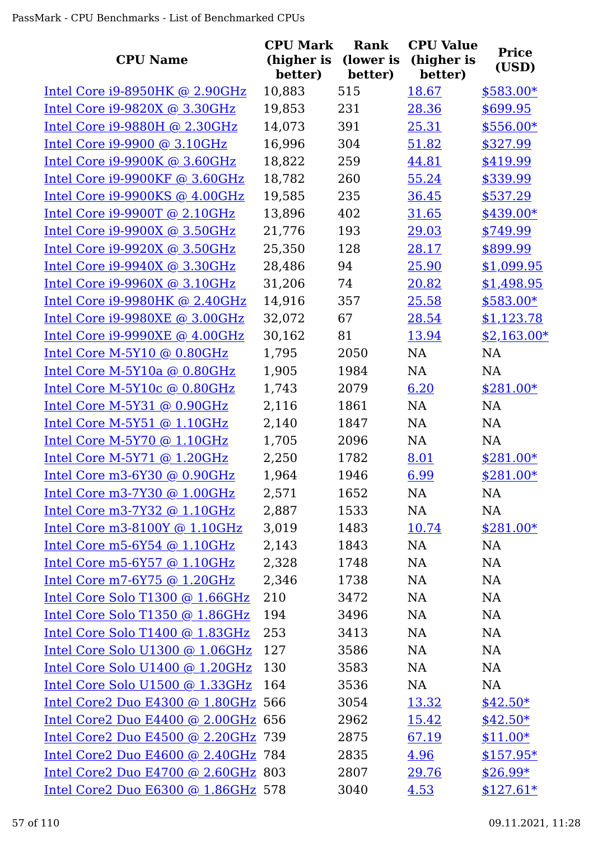|                                     | <b>CPU Mark</b>       | <b>Rank</b>          | <b>CPU Value</b>      | <b>Price</b> |
|-------------------------------------|-----------------------|----------------------|-----------------------|--------------|
| <b>CPU Name</b>                     | (higher is<br>better) | (lower is<br>better) | (higher is<br>better) | (USD)        |
| Intel Core i9-8950HK @ 2.90GHz      | 10,883                | 515                  | 18.67                 | $$583.00*$   |
| Intel Core i9-9820X @ 3.30GHz       | 19,853                | 231                  | 28.36                 | \$699.95     |
| Intel Core i9-9880H @ 2.30GHz       | 14,073                | 391                  | 25.31                 | \$556.00*    |
| Intel Core i9-9900 @ 3.10GHz        | 16,996                | 304                  | 51.82                 | \$327.99     |
| Intel Core i9-9900K @ 3.60GHz       | 18,822                | 259                  | 44.81                 | \$419.99     |
| Intel Core $i9-9900KF$ @ 3.60GHz    | 18,782                | 260                  | 55.24                 | \$339.99     |
| Intel Core i9-9900KS @ 4.00GHz      | 19,585                | 235                  | 36.45                 | \$537.29     |
| Intel Core i9-9900T @ 2.10GHz       | 13,896                | 402                  | 31.65                 | $$439.00*$   |
| Intel Core $i9-9900X$ @ 3.50GHz     | 21,776                | 193                  | 29.03                 | \$749.99     |
| Intel Core $i9-9920X$ @ 3.50GHz     | 25,350                | 128                  | 28.17                 | \$899.99     |
| Intel Core i9-9940X @ 3.30GHz       | 28,486                | 94                   | 25.90                 | \$1,099.95   |
| Intel Core $i9-9960X$ @ 3.10GHz     | 31,206                | 74                   | 20.82                 | \$1,498.95   |
| Intel Core i9-9980HK @ 2.40GHz      | 14,916                | 357                  | 25.58                 | $$583.00*$   |
| Intel Core i9-9980XE @ 3.00GHz      | 32,072                | 67                   | 28.54                 | \$1,123.78   |
| Intel Core i9-9990XE @ 4.00GHz      | 30,162                | 81                   | 13.94                 | $$2,163.00*$ |
| Intel Core M-5Y10 @ 0.80GHz         | 1,795                 | 2050                 | <b>NA</b>             | <b>NA</b>    |
| Intel Core M-5Y10a @ 0.80GHz        | 1,905                 | 1984                 | NA                    | NA           |
| Intel Core M-5Y10c @ 0.80GHz        | 1,743                 | 2079                 | 6.20                  | $$281.00*$   |
| Intel Core M-5Y31 @ 0.90GHz         | 2,116                 | 1861                 | <b>NA</b>             | NA           |
| Intel Core M-5Y51 $@1.10GHz$        | 2,140                 | 1847                 | NA                    | <b>NA</b>    |
| Intel Core M-5Y70 @ 1.10GHz         | 1,705                 | 2096                 | NA                    | <b>NA</b>    |
| Intel Core $M-5Y71$ @ 1.20GHz       | 2,250                 | 1782                 | 8.01                  | $$281.00*$   |
| Intel Core m3-6Y30 @ 0.90GHz        | 1,964                 | 1946                 | 6.99                  | \$281.00*    |
| Intel Core m3-7Y30 @ 1.00GHz        | 2,571                 | 1652                 | NA                    | <b>NA</b>    |
| Intel Core m3-7Y32 @ 1.10GHz        | 2,887                 | 1533                 | NA                    | NA           |
| Intel Core m3-8100Y $@1.10GHz$      | 3,019                 | 1483                 | 10.74                 | \$281.00*    |
| Intel Core m5-6Y54 $@$ 1.10GHz      | 2,143                 | 1843                 | NA                    | NA           |
| Intel Core $m5-6Y57$ @ 1.10GHz      | 2,328                 | 1748                 | NA                    | NA           |
| Intel Core m7-6Y75 $@1.20GHz$       | 2,346                 | 1738                 | NA                    | NA           |
| Intel Core Solo T1300 @ 1.66GHz     | 210                   | 3472                 | NA                    | <b>NA</b>    |
| Intel Core Solo T1350 @ 1.86GHz     | 194                   | 3496                 | NA                    | NA           |
| Intel Core Solo T1400 @ 1.83GHz     | 253                   | 3413                 | NA                    | <b>NA</b>    |
| Intel Core Solo U1300 @ 1.06GHz     | 127                   | 3586                 | NA                    | NA           |
| Intel Core Solo U1400 @ 1.20GHz     | 130                   | 3583                 | NA                    | NA           |
| Intel Core Solo U1500 @ 1.33GHz     | 164                   | 3536                 | NA                    | NA           |
| Intel Core2 Duo E4300 @ 1.80GHz 566 |                       | 3054                 | 13.32                 | $$42.50*$    |
| Intel Core2 Duo E4400 @ 2.00GHz 656 |                       | 2962                 | 15.42                 | $$42.50*$    |
| Intel Core2 Duo E4500 @ 2.20GHz 739 |                       | 2875                 | 67.19                 | $$11.00*$    |
| Intel Core2 Duo E4600 @ 2.40GHz 784 |                       | 2835                 | 4.96                  | $$157.95*$   |
| Intel Core2 Duo E4700 @ 2.60GHz 803 |                       | 2807                 | 29.76                 | $$26.99*$    |
| Intel Core2 Duo E6300 @ 1.86GHz 578 |                       | 3040                 | 4.53                  | $$127.61*$   |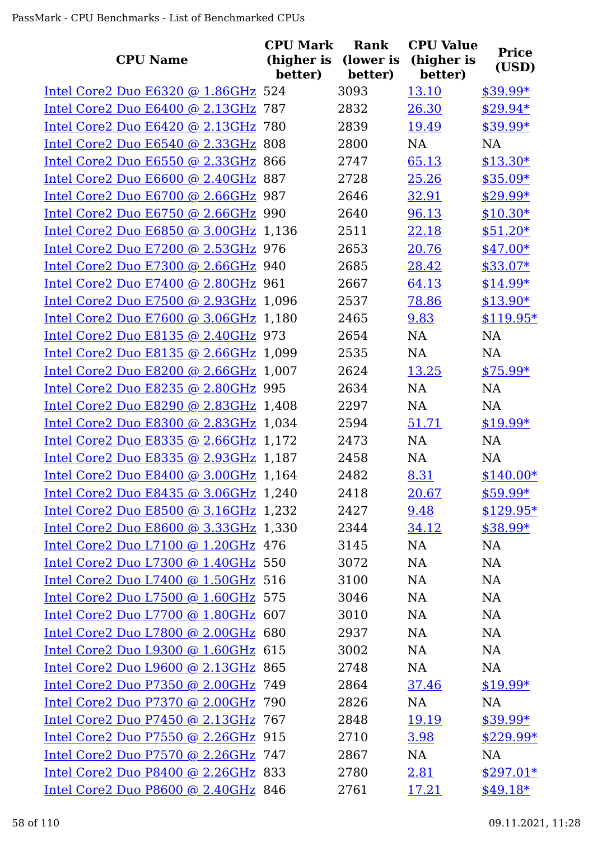| <b>CPU Name</b>                       | <b>CPU Mark</b><br>(higher is | <b>Rank</b><br>(lower is | <b>CPU Value</b><br>(higher is | <b>Price</b><br>(USD) |
|---------------------------------------|-------------------------------|--------------------------|--------------------------------|-----------------------|
|                                       | better)                       | better)                  | better)                        |                       |
| Intel Core2 Duo E6320 @ 1.86GHz 524   |                               | 3093                     | 13.10                          | $$39.99*$             |
| Intel Core2 Duo E6400 @ 2.13GHz 787   |                               | 2832                     | 26.30                          | $$29.94*$             |
| Intel Core2 Duo E6420 @ 2.13GHz 780   |                               | 2839                     | 19.49                          | $$39.99*$             |
| Intel Core2 Duo E6540 @ 2.33GHz 808   |                               | 2800                     | <b>NA</b>                      | <b>NA</b>             |
| Intel Core2 Duo E6550 @ 2.33GHz 866   |                               | 2747                     | 65.13                          | $$13.30*$             |
| Intel Core2 Duo E6600 @ 2.40GHz 887   |                               | 2728                     | 25.26                          | \$35.09*              |
| Intel Core2 Duo E6700 @ 2.66GHz 987   |                               | 2646                     | 32.91                          | \$29.99*              |
| Intel Core2 Duo E6750 @ 2.66GHz 990   |                               | 2640                     | 96.13                          | $$10.30*$             |
| Intel Core2 Duo E6850 @ 3.00GHz 1,136 |                               | 2511                     | 22.18                          | $$51.20*$             |
| Intel Core2 Duo E7200 @ 2.53GHz 976   |                               | 2653                     | 20.76                          | $$47.00*$             |
| Intel Core2 Duo E7300 @ 2.66GHz 940   |                               | 2685                     | 28.42                          | $$33.07*$             |
| Intel Core2 Duo E7400 @ 2.80GHz 961   |                               | 2667                     | 64.13                          | $$14.99*$             |
| Intel Core2 Duo E7500 @ 2.93GHz 1,096 |                               | 2537                     | 78.86                          | $$13.90*$             |
| Intel Core2 Duo E7600 @ 3.06GHz 1,180 |                               | 2465                     | 9.83                           | $$119.95*$            |
| Intel Core2 Duo E8135 @ 2.40GHz 973   |                               | 2654                     | NA                             | NA                    |
| Intel Core2 Duo E8135 @ 2.66GHz 1,099 |                               | 2535                     | <b>NA</b>                      | <b>NA</b>             |
| Intel Core2 Duo E8200 @ 2.66GHz 1,007 |                               | 2624                     | 13.25                          | $$75.99*$             |
| Intel Core2 Duo E8235 @ 2.80GHz 995   |                               | 2634                     | NA                             | <b>NA</b>             |
| Intel Core2 Duo E8290 @ 2.83GHz 1,408 |                               | 2297                     | <b>NA</b>                      | <b>NA</b>             |
| Intel Core2 Duo E8300 @ 2.83GHz 1,034 |                               | 2594                     | 51.71                          | $$19.99*$             |
| Intel Core2 Duo E8335 @ 2.66GHz 1,172 |                               | 2473                     | <b>NA</b>                      | <b>NA</b>             |
| Intel Core2 Duo E8335 @ 2.93GHz 1,187 |                               | 2458                     | NA                             | <b>NA</b>             |
| Intel Core2 Duo E8400 @ 3.00GHz 1,164 |                               | 2482                     | 8.31                           | $$140.00*$            |
| Intel Core2 Duo E8435 @ 3.06GHz 1,240 |                               | 2418                     | 20.67                          | $$59.99*$             |
| Intel Core2 Duo E8500 @ 3.16GHz 1,232 |                               | 2427                     | 9.48                           | $$129.95*$            |
| Intel Core2 Duo E8600 @ 3.33GHz 1,330 |                               | 2344                     | 34.12                          | $$38.99*$             |
| Intel Core2 Duo L7100 @ 1.20GHz 476   |                               | 3145                     | <b>NA</b>                      | NA                    |
| Intel Core2 Duo L7300 @ 1.40GHz 550   |                               | 3072                     | NA                             | <b>NA</b>             |
| Intel Core2 Duo L7400 @ 1.50GHz 516   |                               | 3100                     | <b>NA</b>                      | <b>NA</b>             |
| Intel Core2 Duo L7500 @ 1.60GHz 575   |                               | 3046                     | <b>NA</b>                      | <b>NA</b>             |
| Intel Core2 Duo L7700 @ 1.80GHz 607   |                               | 3010                     | <b>NA</b>                      | <b>NA</b>             |
| Intel Core2 Duo L7800 @ 2.00GHz 680   |                               | 2937                     | NA                             | <b>NA</b>             |
| Intel Core2 Duo L9300 @ 1.60GHz 615   |                               | 3002                     | NA                             | <b>NA</b>             |
| Intel Core2 Duo L9600 @ 2.13GHz 865   |                               | 2748                     | <b>NA</b>                      | <b>NA</b>             |
| Intel Core2 Duo P7350 @ 2.00GHz 749   |                               | 2864                     | 37.46                          | $$19.99*$             |
| Intel Core2 Duo P7370 @ 2.00GHz 790   |                               | 2826                     | NA                             | NA                    |
| Intel Core2 Duo P7450 @ 2.13GHz 767   |                               | 2848                     | 19.19                          | $$39.99*$             |
| Intel Core2 Duo P7550 @ 2.26GHz 915   |                               | 2710                     | 3.98                           | $$229.99*$            |
| Intel Core2 Duo P7570 @ 2.26GHz 747   |                               | 2867                     | <b>NA</b>                      | NA                    |
| Intel Core2 Duo P8400 @ 2.26GHz 833   |                               | 2780                     | <u>2.81</u>                    | $$297.01*$            |
| Intel Core2 Duo P8600 @ 2.40GHz 846   |                               | 2761                     | 17.21                          | $$49.18*$             |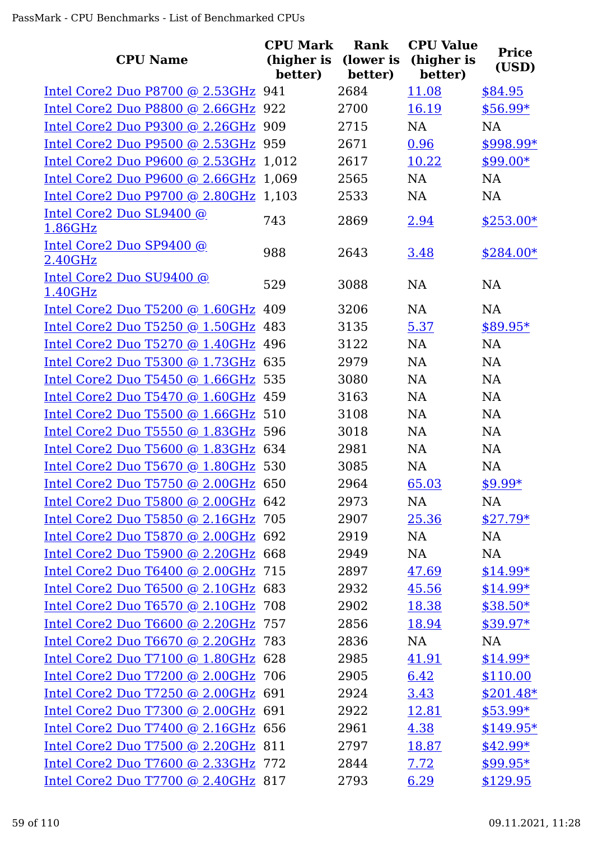| <b>CPU Name</b>                       | <b>CPU Mark</b> | Rank<br>(higher is (lower is | <b>CPU Value</b><br>(higher is | <b>Price</b> |
|---------------------------------------|-----------------|------------------------------|--------------------------------|--------------|
|                                       | better)         | better)                      | better)                        | (USD)        |
| Intel Core2 Duo P8700 @ 2.53GHz 941   |                 | 2684                         | 11.08                          | \$84.95      |
| Intel Core2 Duo P8800 @ 2.66GHz 922   |                 | 2700                         | 16.19                          | $$56.99*$    |
| Intel Core2 Duo P9300 @ 2.26GHz 909   |                 | 2715                         | NA                             | <b>NA</b>    |
| Intel Core2 Duo P9500 @ 2.53GHz 959   |                 | 2671                         | 0.96                           | \$998.99*    |
| Intel Core2 Duo P9600 @ 2.53GHz 1,012 |                 | 2617                         | 10.22                          | $$99.00*$    |
| Intel Core2 Duo P9600 @ 2.66GHz 1,069 |                 | 2565                         | NA                             | NA           |
| Intel Core2 Duo P9700 @ 2.80GHz 1,103 |                 | 2533                         | <b>NA</b>                      | <b>NA</b>    |
| Intel Core2 Duo SL9400 @<br>1.86GHz   | 743             | 2869                         | 2.94                           | $$253.00*$   |
| Intel Core2 Duo SP9400 @<br>2.40GHz   | 988             | 2643                         | 3.48                           | $$284.00*$   |
| Intel Core2 Duo SU9400 @<br>1.40GHz   | 529             | 3088                         | <b>NA</b>                      | <b>NA</b>    |
| Intel Core2 Duo T5200 @ 1.60GHz 409   |                 | 3206                         | <b>NA</b>                      | <b>NA</b>    |
| Intel Core2 Duo T5250 @ 1.50GHz 483   |                 | 3135                         | 5.37                           | \$89.95*     |
| Intel Core2 Duo T5270 @ 1.40GHz 496   |                 | 3122                         | <b>NA</b>                      | <b>NA</b>    |
| Intel Core2 Duo T5300 @ 1.73GHz 635   |                 | 2979                         | <b>NA</b>                      | <b>NA</b>    |
| Intel Core2 Duo T5450 @ 1.66GHz 535   |                 | 3080                         | <b>NA</b>                      | <b>NA</b>    |
| Intel Core2 Duo T5470 @ 1.60GHz 459   |                 | 3163                         | NA                             | NA           |
| Intel Core2 Duo T5500 @ 1.66GHz 510   |                 | 3108                         | <b>NA</b>                      | NA           |
| Intel Core2 Duo T5550 @ 1.83GHz 596   |                 | 3018                         | NA                             | <b>NA</b>    |
| Intel Core2 Duo T5600 @ 1.83GHz 634   |                 | 2981                         | <b>NA</b>                      | <b>NA</b>    |
| Intel Core2 Duo T5670 @ 1.80GHz 530   |                 | 3085                         | <b>NA</b>                      | NA           |
| Intel Core2 Duo T5750 @ 2.00GHz 650   |                 | 2964                         | 65.03                          | \$9.99*      |
| Intel Core2 Duo T5800 @ 2.00GHz 642   |                 | 2973                         | NA.                            | NA           |
| Intel Core2 Duo T5850 @ 2.16GHz 705   |                 | 2907                         | 25.36                          | $$27.79*$    |
| Intel Core2 Duo T5870 @ 2.00GHz 692   |                 | 2919                         | NA                             | <b>NA</b>    |
| Intel Core2 Duo T5900 @ 2.20GHz 668   |                 | 2949                         | NA                             | NA           |
| Intel Core2 Duo T6400 @ 2.00GHz 715   |                 | 2897                         | 47.69                          | $$14.99*$    |
| Intel Core2 Duo T6500 @ 2.10GHz 683   |                 | 2932                         | 45.56                          | $$14.99*$    |
| Intel Core2 Duo T6570 @ 2.10GHz 708   |                 | 2902                         | 18.38                          | $$38.50*$    |
| Intel Core2 Duo T6600 @ 2.20GHz 757   |                 | 2856                         | 18.94                          | $$39.97*$    |
| Intel Core2 Duo T6670 @ 2.20GHz 783   |                 | 2836                         | NA                             | NA           |
| Intel Core2 Duo T7100 @ 1.80GHz 628   |                 | 2985                         | 41.91                          | $$14.99*$    |
| Intel Core2 Duo T7200 @ 2.00GHz 706   |                 | 2905                         | 6.42                           | \$110.00     |
| Intel Core2 Duo T7250 @ 2.00GHz 691   |                 | 2924                         | 3.43                           | $$201.48*$   |
| Intel Core2 Duo T7300 @ 2.00GHz 691   |                 | 2922                         | 12.81                          | $$53.99*$    |
| Intel Core2 Duo T7400 @ 2.16GHz 656   |                 | 2961                         | 4.38                           | $$149.95*$   |
| Intel Core2 Duo T7500 @ 2.20GHz 811   |                 | 2797                         | 18.87                          | $$42.99*$    |
| Intel Core2 Duo T7600 @ 2.33GHz 772   |                 | 2844                         | 7.72                           | $$99.95*$    |
| Intel Core2 Duo T7700 @ 2.40GHz 817   |                 | 2793                         | 6.29                           | \$129.95     |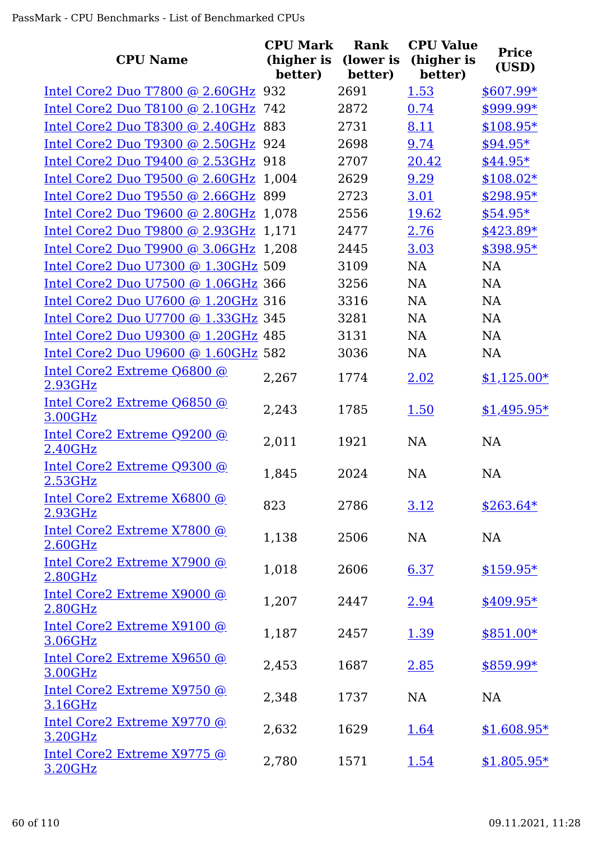| <b>CPU Name</b>                        | <b>CPU Mark</b><br>(higher is | Rank<br>(lower is | <b>CPU Value</b><br>(higher is | <b>Price</b><br>(USD) |
|----------------------------------------|-------------------------------|-------------------|--------------------------------|-----------------------|
|                                        | better)                       | better)           | better)                        |                       |
| Intel Core2 Duo T7800 @ 2.60GHz 932    |                               | 2691              | 1.53                           | \$607.99*             |
| Intel Core2 Duo T8100 @ 2.10GHz 742    |                               | 2872              | 0.74                           | \$999.99*             |
| Intel Core2 Duo T8300 @ 2.40GHz 883    |                               | 2731              | 8.11                           | $$108.95*$            |
| Intel Core2 Duo T9300 @ 2.50GHz 924    |                               | 2698              | 9.74                           | \$94.95*              |
| Intel Core2 Duo T9400 @ 2.53GHz 918    |                               | 2707              | 20.42                          | $$44.95*$             |
| Intel Core2 Duo T9500 @ 2.60GHz 1,004  |                               | 2629              | 9.29                           | $$108.02*$            |
| Intel Core2 Duo T9550 @ 2.66GHz 899    |                               | 2723              | 3.01                           | \$298.95*             |
| Intel Core2 Duo T9600 @ 2.80GHz 1,078  |                               | 2556              | 19.62                          | $$54.95*$             |
| Intel Core2 Duo T9800 @ 2.93GHz 1,171  |                               | 2477              | 2.76                           | $$423.89*$            |
| Intel Core2 Duo T9900 @ 3.06GHz 1,208  |                               | 2445              | 3.03                           | \$398.95*             |
| Intel Core2 Duo U7300 @ 1.30GHz 509    |                               | 3109              | <b>NA</b>                      | <b>NA</b>             |
| Intel Core2 Duo U7500 @ 1.06GHz 366    |                               | 3256              | <b>NA</b>                      | <b>NA</b>             |
| Intel Core2 Duo U7600 @ 1.20GHz 316    |                               | 3316              | NA                             | <b>NA</b>             |
| Intel Core2 Duo U7700 @ 1.33GHz 345    |                               | 3281              | <b>NA</b>                      | <b>NA</b>             |
| Intel Core2 Duo U9300 @ 1.20GHz 485    |                               | 3131              | NA                             | <b>NA</b>             |
| Intel Core2 Duo U9600 @ 1.60GHz 582    |                               | 3036              | <b>NA</b>                      | NA                    |
| Intel Core2 Extreme Q6800 @<br>2.93GHz | 2,267                         | 1774              | 2.02                           | $$1,125.00*$          |
| Intel Core2 Extreme Q6850 @<br>3.00GHz | 2,243                         | 1785              | 1.50                           | $$1,495.95*$          |
| Intel Core2 Extreme Q9200 @<br>2.40GHz | 2,011                         | 1921              | <b>NA</b>                      | <b>NA</b>             |
| Intel Core2 Extreme Q9300 @<br>2.53GHz | 1,845                         | 2024              | <b>NA</b>                      | <b>NA</b>             |
| Intel Core2 Extreme X6800 @<br>2.93GHz | 823                           | 2786              | 3.12                           | $$263.64*$            |
| Intel Core2 Extreme X7800 @<br>2.60GHz | 1,138                         | 2506              | <b>NA</b>                      | NA                    |
| Intel Core2 Extreme X7900 @<br>2.80GHz | 1,018                         | 2606              | 6.37                           | $$159.95*$            |
| Intel Core2 Extreme X9000 @<br>2.80GHz | 1,207                         | 2447              | 2.94                           | $$409.95*$            |
| Intel Core2 Extreme X9100 @<br>3.06GHz | 1,187                         | 2457              | 1.39                           | $$851.00*$            |
| Intel Core2 Extreme X9650 @<br>3.00GHz | 2,453                         | 1687              | 2.85                           | \$859.99*             |
| Intel Core2 Extreme X9750 @<br>3.16GHz | 2,348                         | 1737              | <b>NA</b>                      | NA                    |
| Intel Core2 Extreme X9770 @<br>3.20GHz | 2,632                         | 1629              | 1.64                           | $$1,608.95*$          |
| Intel Core2 Extreme X9775 @<br>3.20GHz | 2,780                         | 1571              | 1.54                           | $$1,805.95*$          |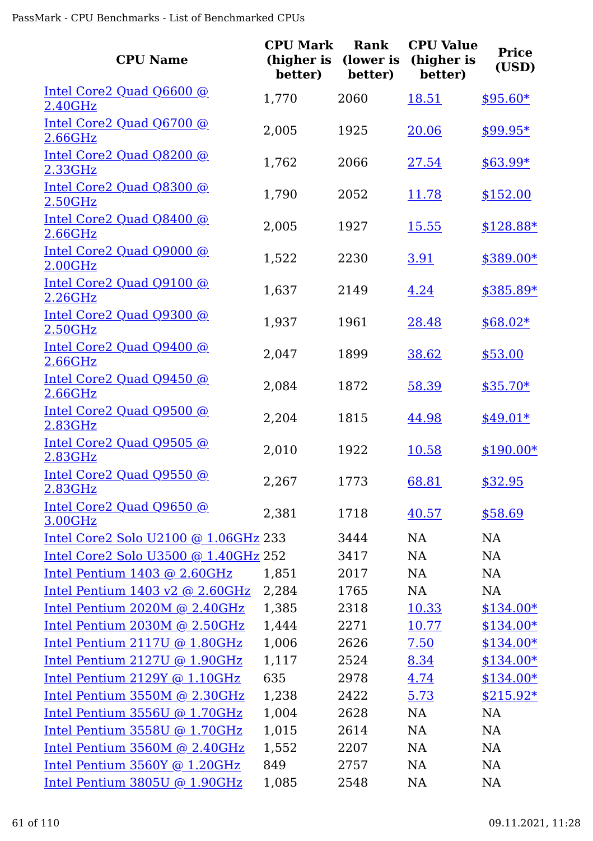| <b>CPU Name</b>                                            | <b>CPU Mark</b><br>(higher is<br>better) | <b>Rank</b><br>(lower is<br>better) | <b>CPU Value</b><br>(higher is<br>better) | <b>Price</b><br>(USD) |
|------------------------------------------------------------|------------------------------------------|-------------------------------------|-------------------------------------------|-----------------------|
| Intel Core2 Quad Q6600 @<br>2.40GHz                        | 1,770                                    | 2060                                | 18.51                                     | $$95.60*$             |
| Intel Core2 Quad Q6700 @<br>2.66GHz                        | 2,005                                    | 1925                                | 20.06                                     | $$99.95*$             |
| Intel Core2 Quad Q8200 @<br>2.33GHz                        | 1,762                                    | 2066                                | 27.54                                     | $$63.99*$             |
| Intel Core2 Quad Q8300 @<br>2.50GHz                        | 1,790                                    | 2052                                | 11.78                                     | \$152.00              |
| Intel Core2 Quad Q8400 @<br>2.66GHz                        | 2,005                                    | 1927                                | <u>15.55</u>                              | $$128.88*$            |
| Intel Core2 Quad Q9000 @<br>2.00GHz                        | 1,522                                    | 2230                                | 3.91                                      | \$389.00*             |
| Intel Core2 Quad Q9100 @<br>2.26GHz                        | 1,637                                    | 2149                                | 4.24                                      | \$385.89*             |
| Intel Core2 Quad Q9300 @<br>2.50GHz                        | 1,937                                    | 1961                                | 28.48                                     | $$68.02*$             |
| Intel Core2 Quad Q9400 @<br>2.66GHz                        | 2,047                                    | 1899                                | 38.62                                     | \$53.00               |
| Intel Core2 Quad Q9450 @<br>2.66GHz                        | 2,084                                    | 1872                                | 58.39                                     | $$35.70*$             |
| Intel Core2 Quad Q9500 @<br>2.83GHz                        | 2,204                                    | 1815                                | 44.98                                     | $$49.01*$             |
| Intel Core2 Quad Q9505 @<br>2.83GHz                        | 2,010                                    | 1922                                | 10.58                                     | $$190.00*$            |
| Intel Core2 Quad Q9550 @<br><u>2.83GHz</u>                 | 2,267                                    | 1773                                | 68.81                                     | \$32.95               |
| Intel Core2 Quad Q9650 @<br>3.00GHz                        | 2,381                                    | 1718                                | 40.57                                     | \$58.69               |
| Intel Core2 Solo U2100 @ 1.06GHz 233                       |                                          | 3444                                | <b>NA</b>                                 | <b>NA</b>             |
| Intel Core2 Solo U3500 @ 1.40GHz 252                       |                                          | 3417                                | NA                                        | NA                    |
| Intel Pentium $1403$ @ 2.60GHz                             | 1,851                                    | 2017                                | NA                                        | <b>NA</b>             |
| Intel Pentium $1403 \text{ v}2 \text{ @ } 2.60 \text{GHz}$ | 2,284                                    | 1765                                | NA                                        | NA                    |
| Intel Pentium 2020M @ 2.40GHz                              | 1,385                                    | 2318                                | 10.33                                     | $$134.00*$            |
| Intel Pentium 2030M @ 2.50GHz                              | 1,444                                    | 2271                                | 10.77                                     | $$134.00*$            |
| Intel Pentium 2117U @ 1.80GHz                              | 1,006                                    | 2626                                | 7.50                                      | $$134.00*$            |
| Intel Pentium 2127U @ 1.90GHz                              | 1,117                                    | 2524                                | 8.34                                      | $$134.00*$            |
| Intel Pentium $2129Y$ @ $1.10GHz$                          | 635                                      | 2978                                | 4.74                                      | $$134.00*$            |
| Intel Pentium 3550M @ 2.30GHz                              | 1,238                                    | 2422                                | 5.73                                      | $$215.92*$            |
| Intel Pentium 3556U @ 1.70GHz                              | 1,004                                    | 2628                                | NA                                        | NA                    |
| Intel Pentium 3558U @ 1.70GHz                              | 1,015                                    | 2614                                | NA                                        | NA                    |
| Intel Pentium 3560M @ 2.40GHz                              | 1,552                                    | 2207                                | NA                                        | <b>NA</b>             |
| Intel Pentium $3560Y$ @ 1.20GHz                            | 849                                      | 2757                                | NA                                        | <b>NA</b>             |
| Intel Pentium 3805U @ 1.90GHz                              | 1,085                                    | 2548                                | NA                                        | <b>NA</b>             |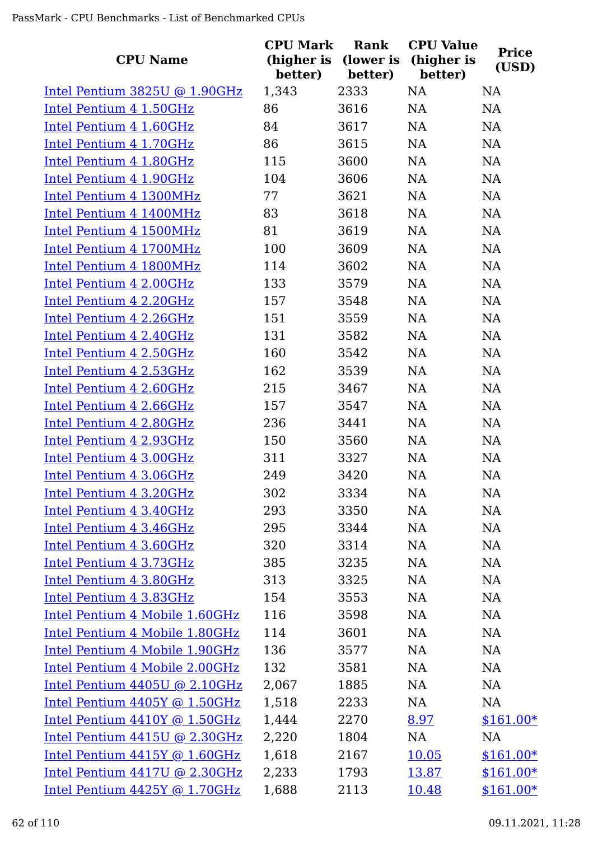| <b>CPU Name</b>                   | <b>CPU Mark</b><br>(higher is | Rank<br>(lower is | <b>CPU Value</b><br>(higher is | <b>Price</b> |
|-----------------------------------|-------------------------------|-------------------|--------------------------------|--------------|
|                                   | better)                       | better)           | better)                        | (USD)        |
| Intel Pentium $3825U$ @ 1.90GHz   | 1,343                         | 2333              | NA                             | NA           |
| Intel Pentium 4 1.50GHz           | 86                            | 3616              | <b>NA</b>                      | NA           |
| Intel Pentium 4 1.60GHz           | 84                            | 3617              | NA                             | NA           |
| Intel Pentium 4 1.70GHz           | 86                            | 3615              | NA                             | NA           |
| Intel Pentium 4 1.80GHz           | 115                           | 3600              | NA                             | NA           |
| Intel Pentium 4 1.90GHz           | 104                           | 3606              | NA                             | <b>NA</b>    |
| Intel Pentium 4 1300MHz           | 77                            | 3621              | NA                             | <b>NA</b>    |
| Intel Pentium 4 1400MHz           | 83                            | 3618              | <b>NA</b>                      | <b>NA</b>    |
| Intel Pentium 4 1500MHz           | 81                            | 3619              | <b>NA</b>                      | <b>NA</b>    |
| Intel Pentium 4 1700MHz           | 100                           | 3609              | <b>NA</b>                      | NA           |
| Intel Pentium 4 1800MHz           | 114                           | 3602              | NA                             | NA           |
| Intel Pentium 4 2.00GHz           | 133                           | 3579              | <b>NA</b>                      | <b>NA</b>    |
| Intel Pentium 4 2.20GHz           | 157                           | 3548              | <b>NA</b>                      | NA           |
| Intel Pentium 4 2.26GHz           | 151                           | 3559              | <b>NA</b>                      | <b>NA</b>    |
| Intel Pentium 4 2.40GHz           | 131                           | 3582              | NA                             | NA           |
| Intel Pentium 4 2.50GHz           | 160                           | 3542              | NA                             | NA           |
| Intel Pentium 4 2.53GHz           | 162                           | 3539              | NA                             | NA           |
| Intel Pentium 4 2.60GHz           | 215                           | 3467              | NA                             | <b>NA</b>    |
| Intel Pentium 4 2.66GHz           | 157                           | 3547              | <b>NA</b>                      | <b>NA</b>    |
| Intel Pentium 4 2.80GHz           | 236                           | 3441              | <b>NA</b>                      | <b>NA</b>    |
| Intel Pentium 4 2.93GHz           | 150                           | 3560              | <b>NA</b>                      | <b>NA</b>    |
| Intel Pentium 4 3.00GHz           | 311                           | 3327              | <b>NA</b>                      | NA           |
| Intel Pentium 4 3.06GHz           | 249                           | 3420              | NA                             | NA           |
| Intel Pentium 4 3.20GHz           | 302                           | 3334              | <b>NA</b>                      | <b>NA</b>    |
| Intel Pentium 4 3.40GHz           | 293                           | 3350              | NA                             | NA           |
| Intel Pentium 4 3.46GHz           | 295                           | 3344              | NA                             | NA           |
| Intel Pentium 4 3.60GHz           | 320                           | 3314              | NA                             | <b>NA</b>    |
| Intel Pentium 4 3.73GHz           | 385                           | 3235              | NA                             | NA           |
| Intel Pentium 4 3.80GHz           | 313                           | 3325              | <b>NA</b>                      | NA           |
| Intel Pentium 4 3.83GHz           | 154                           | 3553              | NA                             | <b>NA</b>    |
| Intel Pentium 4 Mobile 1.60GHz    | 116                           | 3598              | <b>NA</b>                      | <b>NA</b>    |
| Intel Pentium 4 Mobile 1.80GHz    | 114                           | 3601              | NA                             | NA           |
| Intel Pentium 4 Mobile 1.90GHz    | 136                           | 3577              | NA                             | NA           |
| Intel Pentium 4 Mobile 2.00GHz    | 132                           | 3581              | NA                             | NA           |
| Intel Pentium $4405U$ @ 2.10GHz   | 2,067                         | 1885              | NA                             | NA           |
| Intel Pentium $4405Y$ @ 1.50GHz   | 1,518                         | 2233              | NA                             | <b>NA</b>    |
| Intel Pentium $4410Y$ @ $1.50GHz$ | 1,444                         | 2270              | 8.97                           | $$161.00*$   |
| Intel Pentium 4415U @ 2.30GHz     | 2,220                         | 1804              | NA                             | NA           |
| Intel Pentium 4415Y @ 1.60GHz     | 1,618                         | 2167              | 10.05                          | $$161.00*$   |
| Intel Pentium $4417U$ @ 2.30GHz   | 2,233                         | 1793              | 13.87                          | $$161.00*$   |
| Intel Pentium 4425Y @ 1.70GHz     | 1,688                         | 2113              | 10.48                          | $$161.00*$   |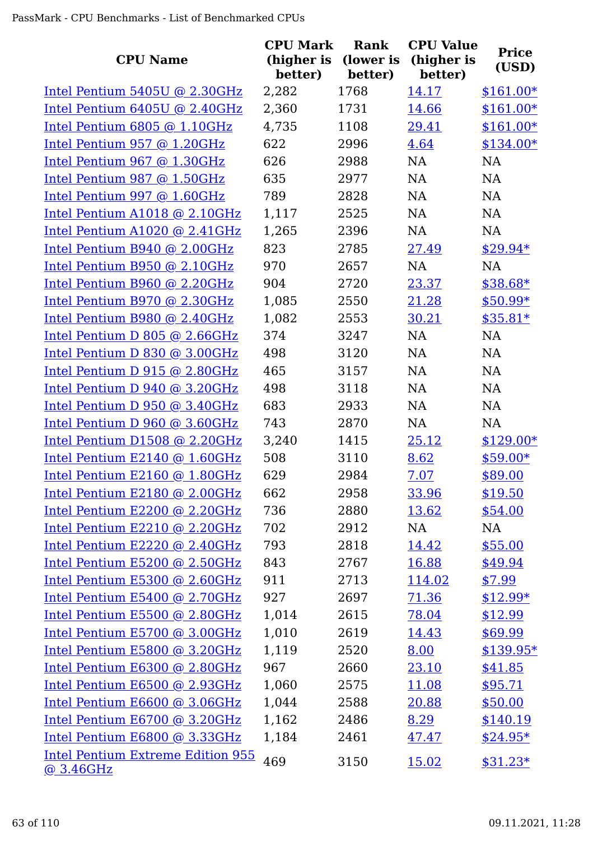| <b>CPU Name</b>                                       | <b>CPU Mark</b><br>(higher is<br>better) | Rank<br>(lower is<br>better) | <b>CPU Value</b><br>(higher is<br>better) | <b>Price</b><br>(USD) |
|-------------------------------------------------------|------------------------------------------|------------------------------|-------------------------------------------|-----------------------|
| Intel Pentium $5405U$ @ 2.30GHz                       | 2,282                                    | 1768                         | 14.17                                     | $$161.00*$            |
| Intel Pentium 6405U @ 2.40GHz                         | 2,360                                    | 1731                         | 14.66                                     | $$161.00*$            |
| Intel Pentium $6805$ @ 1.10GHz                        | 4,735                                    | 1108                         | 29.41                                     | $$161.00*$            |
| Intel Pentium 957 @ 1.20GHz                           | 622                                      | 2996                         | 4.64                                      | $$134.00*$            |
| Intel Pentium 967 @ 1.30GHz                           | 626                                      | 2988                         | <b>NA</b>                                 | NA                    |
| Intel Pentium 987 @ 1.50GHz                           | 635                                      | 2977                         | NA                                        | NA                    |
| Intel Pentium 997 $@$ 1.60GHz                         | 789                                      | 2828                         | NA                                        | NA                    |
| Intel Pentium A1018 @ 2.10GHz                         | 1,117                                    | 2525                         | <b>NA</b>                                 | <b>NA</b>             |
| Intel Pentium A1020 @ 2.41GHz                         | 1,265                                    | 2396                         | NA                                        | <b>NA</b>             |
| Intel Pentium B940 @ 2.00GHz                          | 823                                      | 2785                         | 27.49                                     | $$29.94*$             |
| Intel Pentium B950 @ 2.10GHz                          | 970                                      | 2657                         | <b>NA</b>                                 | <b>NA</b>             |
| Intel Pentium B960 @ 2.20GHz                          | 904                                      | 2720                         | 23.37                                     | \$38.68*              |
| Intel Pentium B970 @ 2.30GHz                          | 1,085                                    | 2550                         | 21.28                                     | $$50.99*$             |
| Intel Pentium B980 @ 2.40GHz                          | 1,082                                    | 2553                         | 30.21                                     | $$35.81*$             |
| Intel Pentium D 805 @ 2.66GHz                         | 374                                      | 3247                         | NA                                        | NA                    |
| Intel Pentium D 830 @ 3.00GHz                         | 498                                      | 3120                         | <b>NA</b>                                 | NA                    |
| Intel Pentium D 915 @ 2.80GHz                         | 465                                      | 3157                         | NA                                        | NA                    |
| Intel Pentium D $940 \text{ @ } 3.20 \text{GHz}$      | 498                                      | 3118                         | NA                                        | NA                    |
| Intel Pentium D $950 \text{ @ } 3.40 \text{GHz}$      | 683                                      | 2933                         | NA                                        | <b>NA</b>             |
| Intel Pentium D 960 @ 3.60GHz                         | 743                                      | 2870                         | <b>NA</b>                                 | <b>NA</b>             |
| Intel Pentium D1508 @ 2.20GHz                         | 3,240                                    | 1415                         | 25.12                                     | $$129.00*$            |
| Intel Pentium E2140 @ 1.60GHz                         | 508                                      | 3110                         | 8.62                                      | $$59.00*$             |
| Intel Pentium E2160 @ 1.80GHz                         | 629                                      | 2984                         | 7.07                                      | \$89.00               |
| Intel Pentium E2180 @ 2.00GHz                         | 662                                      | 2958                         | 33.96                                     | \$19.50               |
| Intel Pentium E2200 @ 2.20GHz                         | 736                                      | 2880                         | 13.62                                     | \$54.00               |
| Intel Pentium E2210 @ 2.20GHz                         | 702                                      | 2912                         | NA                                        | NA                    |
| Intel Pentium E2220 @ 2.40GHz                         | 793                                      | 2818                         | 14.42                                     | \$55.00               |
| Intel Pentium E5200 @ 2.50GHz                         | 843                                      | 2767                         | 16.88                                     | \$49.94               |
| Intel Pentium E5300 @ 2.60GHz                         | 911                                      | 2713                         | 114.02                                    | \$7.99                |
| Intel Pentium E5400 @ 2.70GHz                         | 927                                      | 2697                         | 71.36                                     | $$12.99*$             |
| Intel Pentium E5500 @ 2.80GHz                         | 1,014                                    | 2615                         | 78.04                                     | \$12.99               |
| Intel Pentium E5700 @ 3.00GHz                         | 1,010                                    | 2619                         | 14.43                                     | \$69.99               |
| Intel Pentium E5800 @ 3.20GHz                         | 1,119                                    | 2520                         | 8.00                                      | $$139.95*$            |
| Intel Pentium E6300 @ 2.80GHz                         | 967                                      | 2660                         | 23.10                                     | \$41.85               |
| Intel Pentium E6500 @ 2.93GHz                         | 1,060                                    | 2575                         | 11.08                                     | \$95.71               |
| Intel Pentium E6600 @ 3.06GHz                         | 1,044                                    | 2588                         | 20.88                                     | \$50.00               |
| Intel Pentium E6700 @ 3.20GHz                         | 1,162                                    | 2486                         | 8.29                                      | \$140.19              |
| Intel Pentium E6800 @ 3.33GHz                         | 1,184                                    | 2461                         | 47.47                                     | $$24.95*$             |
| <b>Intel Pentium Extreme Edition 955</b><br>@ 3.46GHz | 469                                      | 3150                         | 15.02                                     | $$31.23*$             |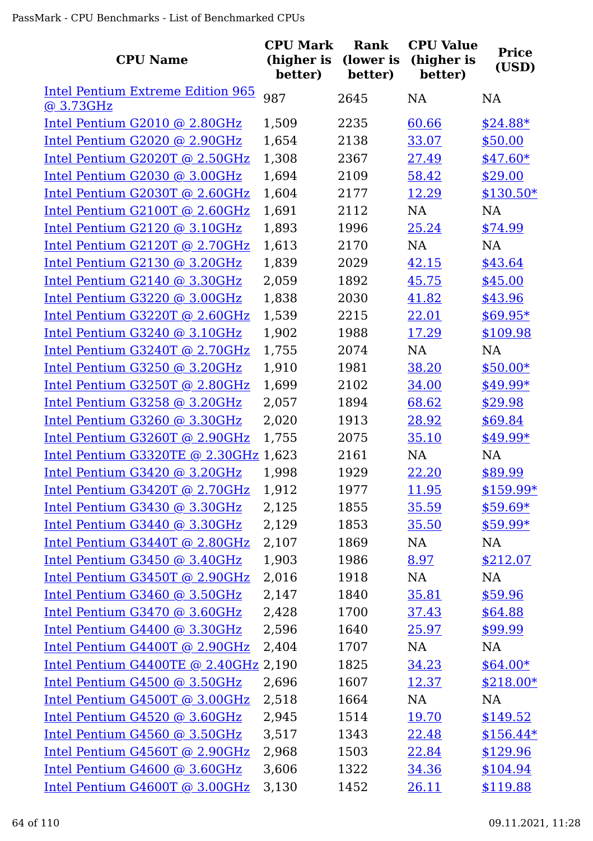| <b>CPU Name</b>                                       | <b>CPU Mark</b><br>(higher is<br>better) | Rank<br>(lower is<br>better) | <b>CPU Value</b><br>(higher is<br>better) | <b>Price</b><br>(USD) |
|-------------------------------------------------------|------------------------------------------|------------------------------|-------------------------------------------|-----------------------|
| <b>Intel Pentium Extreme Edition 965</b><br>@ 3.73GHz | 987                                      | 2645                         | <b>NA</b>                                 | <b>NA</b>             |
| Intel Pentium G2010 @ 2.80GHz                         | 1,509                                    | 2235                         | 60.66                                     | $$24.88*$             |
| Intel Pentium G2020 @ 2.90GHz                         | 1,654                                    | 2138                         | 33.07                                     | \$50.00               |
| Intel Pentium G2020T @ 2.50GHz                        | 1,308                                    | 2367                         | 27.49                                     | $$47.60*$             |
| Intel Pentium G2030 @ 3.00GHz                         | 1,694                                    | 2109                         | 58.42                                     | \$29.00               |
| Intel Pentium G2030T @ 2.60GHz                        | 1,604                                    | 2177                         | 12.29                                     | $$130.50*$            |
| Intel Pentium G2100T @ 2.60GHz                        | 1,691                                    | 2112                         | <b>NA</b>                                 | <b>NA</b>             |
| Intel Pentium G2120 @ 3.10GHz                         | 1,893                                    | 1996                         | 25.24                                     | \$74.99               |
| Intel Pentium G2120T @ 2.70GHz                        | 1,613                                    | 2170                         | NA                                        | NA                    |
| Intel Pentium G2130 @ 3.20GHz                         | 1,839                                    | 2029                         | 42.15                                     | \$43.64               |
| Intel Pentium G2140 @ 3.30GHz                         | 2,059                                    | 1892                         | 45.75                                     | \$45.00               |
| Intel Pentium G3220 @ 3.00GHz                         | 1,838                                    | 2030                         | 41.82                                     | \$43.96               |
| Intel Pentium G3220T @ 2.60GHz                        | 1,539                                    | 2215                         | 22.01                                     | $$69.95*$             |
| Intel Pentium G3240 @ 3.10GHz                         | 1,902                                    | 1988                         | 17.29                                     | \$109.98              |
| Intel Pentium G3240T @ 2.70GHz                        | 1,755                                    | 2074                         | NA                                        | NA                    |
| Intel Pentium G3250 @ 3.20GHz                         | 1,910                                    | 1981                         | 38.20                                     | $$50.00*$             |
| Intel Pentium G3250T @ 2.80GHz                        | 1,699                                    | 2102                         | 34.00                                     | \$49.99*              |
| Intel Pentium G3258 @ 3.20GHz                         | 2,057                                    | 1894                         | 68.62                                     | \$29.98               |
| Intel Pentium G3260 @ 3.30GHz                         | 2,020                                    | 1913                         | 28.92                                     | \$69.84               |
| Intel Pentium G3260T @ 2.90GHz                        | 1,755                                    | 2075                         | 35.10                                     | \$49.99*              |
| Intel Pentium G3320TE @ 2.30GHz 1,623                 |                                          | 2161                         | NA                                        | <b>NA</b>             |
| Intel Pentium G3420 @ 3.20GHz                         | 1,998                                    | 1929                         | 22.20                                     | \$89.99               |
| Intel Pentium G3420T @ 2.70GHz                        | 1,912                                    | 1977                         | 11.95                                     | $$159.99*$            |
| Intel Pentium G3430 @ 3.30GHz                         | 2,125                                    | 1855                         | 35.59                                     | $$59.69*$             |
| Intel Pentium G3440 @ 3.30GHz                         | 2,129                                    | 1853                         | 35.50                                     | $$59.99*$             |
| Intel Pentium G3440T @ 2.80GHz                        | 2,107                                    | 1869                         | NA                                        | NA                    |
| Intel Pentium G3450 @ 3.40GHz                         | 1,903                                    | 1986                         | 8.97                                      | \$212.07              |
| Intel Pentium G3450T @ 2.90GHz                        | 2,016                                    | 1918                         | NA                                        | <b>NA</b>             |
| Intel Pentium G3460 @ 3.50GHz                         | 2,147                                    | 1840                         | 35.81                                     | \$59.96               |
| Intel Pentium G3470 @ 3.60GHz                         | 2,428                                    | 1700                         | 37.43                                     | \$64.88               |
| Intel Pentium G4400 @ 3.30GHz                         | 2,596                                    | 1640                         | 25.97                                     | \$99.99               |
| Intel Pentium G4400T @ 2.90GHz                        | 2,404                                    | 1707                         | NA                                        | NA                    |
| Intel Pentium G4400TE @ 2.40GHz 2,190                 |                                          | 1825                         | 34.23                                     | $$64.00*$             |
| Intel Pentium G4500 @ 3.50GHz                         | 2,696                                    | 1607                         | 12.37                                     | $$218.00*$            |
| Intel Pentium G4500T @ 3.00GHz                        | 2,518                                    | 1664                         | NA                                        | NA                    |
| Intel Pentium G4520 @ 3.60GHz                         | 2,945                                    | 1514                         | 19.70                                     | \$149.52              |
| Intel Pentium G4560 @ 3.50GHz                         | 3,517                                    | 1343                         | 22.48                                     | $$156.44*$            |
| Intel Pentium G4560T @ 2.90GHz                        | 2,968                                    | 1503                         | 22.84                                     | \$129.96              |
| Intel Pentium G4600 @ 3.60GHz                         | 3,606                                    | 1322                         | 34.36                                     | \$104.94              |
| Intel Pentium G4600T @ 3.00GHz                        | 3,130                                    | 1452                         | 26.11                                     | \$119.88              |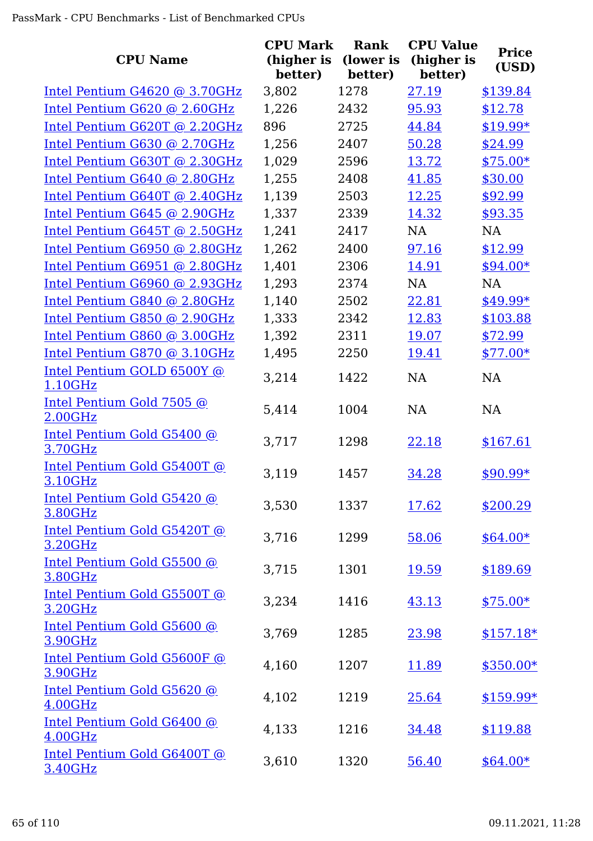| <b>CPU Name</b>                        | <b>CPU Mark</b><br>(higher is<br>better) | Rank<br>(lower is<br>better) | <b>CPU Value</b><br>(higher is<br>better) | <b>Price</b><br>(USD) |
|----------------------------------------|------------------------------------------|------------------------------|-------------------------------------------|-----------------------|
| Intel Pentium $G4620$ @ 3.70GHz        | 3,802                                    | 1278                         | 27.19                                     | \$139.84              |
| Intel Pentium G620 @ 2.60GHz           | 1,226                                    | 2432                         | 95.93                                     | \$12.78               |
| Intel Pentium G620T @ 2.20GHz          | 896                                      | 2725                         | 44.84                                     | $$19.99*$             |
| Intel Pentium G630 @ 2.70GHz           | 1,256                                    | 2407                         | 50.28                                     | \$24.99               |
| Intel Pentium G630T @ 2.30GHz          | 1,029                                    | 2596                         | 13.72                                     | $$75.00*$             |
| Intel Pentium G640 @ 2.80GHz           | 1,255                                    | 2408                         | 41.85                                     | \$30.00               |
| Intel Pentium G640T @ 2.40GHz          | 1,139                                    | 2503                         | 12.25                                     | \$92.99               |
| Intel Pentium G645 @ 2.90GHz           | 1,337                                    | 2339                         | 14.32                                     | \$93.35               |
| Intel Pentium G645T @ 2.50GHz          | 1,241                                    | 2417                         | <b>NA</b>                                 | <b>NA</b>             |
| Intel Pentium G6950 @ 2.80GHz          | 1,262                                    | 2400                         | 97.16                                     | \$12.99               |
| Intel Pentium G6951 @ 2.80GHz          | 1,401                                    | 2306                         | 14.91                                     | $$94.00*$             |
| Intel Pentium G6960 @ 2.93GHz          | 1,293                                    | 2374                         | <b>NA</b>                                 | <b>NA</b>             |
| Intel Pentium G840 @ 2.80GHz           | 1,140                                    | 2502                         | 22.81                                     | \$49.99*              |
| Intel Pentium G850 @ 2.90GHz           | 1,333                                    | 2342                         | 12.83                                     | \$103.88              |
| Intel Pentium G860 @ 3.00GHz           | 1,392                                    | 2311                         | 19.07                                     | \$72.99               |
| Intel Pentium G870 @ 3.10GHz           | 1,495                                    | 2250                         | 19.41                                     | $$77.00*$             |
| Intel Pentium GOLD 6500Y @<br>1.10GHz  | 3,214                                    | 1422                         | NA                                        | <b>NA</b>             |
| Intel Pentium Gold 7505 @<br>2.00GHz   | 5,414                                    | 1004                         | <b>NA</b>                                 | <b>NA</b>             |
| Intel Pentium Gold G5400 @<br>3.70GHz  | 3,717                                    | 1298                         | 22.18                                     | \$167.61              |
| Intel Pentium Gold G5400T @<br>3.10GHz | 3,119                                    | 1457                         | 34.28                                     | \$90.99*              |
| Intel Pentium Gold G5420 @<br>3.80GHz  | 3,530                                    | 1337                         | <u>17.62</u>                              | \$200.29              |
| Intel Pentium Gold G5420T @<br>3.20GHz | 3,716                                    | 1299                         | 58.06                                     | $$64.00*$             |
| Intel Pentium Gold G5500 @<br>3.80GHz  | 3,715                                    | 1301                         | 19.59                                     | \$189.69              |
| Intel Pentium Gold G5500T @<br>3.20GHz | 3,234                                    | 1416                         | 43.13                                     | $$75.00*$             |
| Intel Pentium Gold G5600 @<br>3.90GHz  | 3,769                                    | 1285                         | <u>23.98</u>                              | $$157.18*$            |
| Intel Pentium Gold G5600F @<br>3.90GHz | 4,160                                    | 1207                         | 11.89                                     | $$350.00*$            |
| Intel Pentium Gold G5620 @<br>4.00GHz  | 4,102                                    | 1219                         | 25.64                                     | $$159.99*$            |
| Intel Pentium Gold G6400 @<br>4.00GHz  | 4,133                                    | 1216                         | <u>34.48</u>                              | \$119.88              |
| Intel Pentium Gold G6400T @<br>3.40GHz | 3,610                                    | 1320                         | 56.40                                     | $$64.00*$             |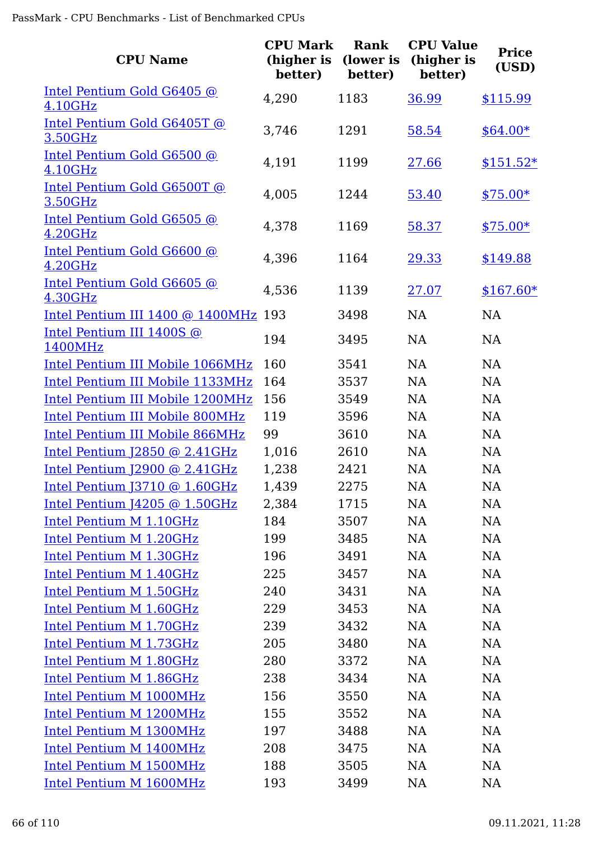| <b>CPU Name</b>                                   | <b>CPU Mark</b><br>(higher is<br>better) | Rank<br>(lower is<br>better) | <b>CPU Value</b><br>(higher is<br>better) | <b>Price</b><br>(USD) |
|---------------------------------------------------|------------------------------------------|------------------------------|-------------------------------------------|-----------------------|
| Intel Pentium Gold G6405 @<br>4.10GHz             | 4,290                                    | 1183                         | 36.99                                     | \$115.99              |
| Intel Pentium Gold G6405T @<br>3.50GHz            | 3,746                                    | 1291                         | 58.54                                     | $$64.00*$             |
| Intel Pentium Gold G6500 @<br>4.10GHz             | 4,191                                    | 1199                         | 27.66                                     | $$151.52*$            |
| Intel Pentium Gold G6500T @<br>3.50GHz            | 4,005                                    | 1244                         | 53.40                                     | $$75.00*$             |
| Intel Pentium Gold G6505 @<br>4.20GHz             | 4,378                                    | 1169                         | 58.37                                     | $$75.00*$             |
| Intel Pentium Gold G6600 @<br>4.20GHz             | 4,396                                    | 1164                         | 29.33                                     | \$149.88              |
| Intel Pentium Gold G6605 @<br>4.30GHz             | 4,536                                    | 1139                         | 27.07                                     | $$167.60*$            |
| Intel Pentium III 1400 @ 1400MHz 193              |                                          | 3498                         | <b>NA</b>                                 | <b>NA</b>             |
| Intel Pentium III 1400S @<br>1400MHz              | 194                                      | 3495                         | <b>NA</b>                                 | <b>NA</b>             |
| Intel Pentium III Mobile 1066MHz                  | 160                                      | 3541                         | <b>NA</b>                                 | <b>NA</b>             |
| Intel Pentium III Mobile 1133MHz                  | 164                                      | 3537                         | <b>NA</b>                                 | <b>NA</b>             |
| Intel Pentium III Mobile 1200MHz                  | 156                                      | 3549                         | <b>NA</b>                                 | <b>NA</b>             |
| <b>Intel Pentium III Mobile 800MHz</b>            | 119                                      | 3596                         | <b>NA</b>                                 | <b>NA</b>             |
| <b>Intel Pentium III Mobile 866MHz</b>            | 99                                       | 3610                         | <b>NA</b>                                 | <b>NA</b>             |
| Intel Pentium $[2850 \text{ @ } 2.41 \text{GHz}]$ | 1,016                                    | 2610                         | <b>NA</b>                                 | <b>NA</b>             |
| Intel Pentium J2900 @ 2.41GHz                     | 1,238                                    | 2421                         | <b>NA</b>                                 | <b>NA</b>             |
| Intel Pentium J3710 @ 1.60GHz                     | 1,439                                    | 2275                         | NA                                        | NA                    |
| <u>Intel Pentium J4205 @ 1.50GHz</u>              | 2,384                                    | 1715                         | NA                                        | <b>NA</b>             |
| Intel Pentium M 1.10GHz                           | 184                                      | 3507                         | NA                                        | NA                    |
| Intel Pentium M 1.20GHz                           | 199                                      | 3485                         | NA                                        | NA                    |
| Intel Pentium M 1.30GHz                           | 196                                      | 3491                         | NA                                        | NA                    |
| Intel Pentium M 1.40GHz                           | 225                                      | 3457                         | <b>NA</b>                                 | NA                    |
| Intel Pentium M 1.50GHz                           | 240                                      | 3431                         | <b>NA</b>                                 | NA                    |
| Intel Pentium M 1.60GHz                           | 229                                      | 3453                         | NA                                        | NA                    |
| Intel Pentium M 1.70GHz                           | 239                                      | 3432                         | <b>NA</b>                                 | NA                    |
| Intel Pentium M 1.73GHz                           | 205                                      | 3480                         | <b>NA</b>                                 | NA                    |
| Intel Pentium M 1.80GHz                           | 280                                      | 3372                         | <b>NA</b>                                 | NA                    |
| Intel Pentium M 1.86GHz                           | 238                                      | 3434                         | <b>NA</b>                                 | NA                    |
| Intel Pentium M 1000MHz                           | 156                                      | 3550                         | <b>NA</b>                                 | <b>NA</b>             |
| Intel Pentium M 1200MHz                           | 155                                      | 3552                         | <b>NA</b>                                 | NA                    |
| Intel Pentium M 1300MHz                           | 197                                      | 3488                         | NA                                        | NA                    |
| Intel Pentium M 1400MHz                           | 208                                      | 3475                         | NA                                        | NA                    |
| <b>Intel Pentium M 1500MHz</b>                    | 188                                      | 3505                         | <b>NA</b>                                 | NA                    |
| Intel Pentium M 1600MHz                           | 193                                      | 3499                         | NA                                        | <b>NA</b>             |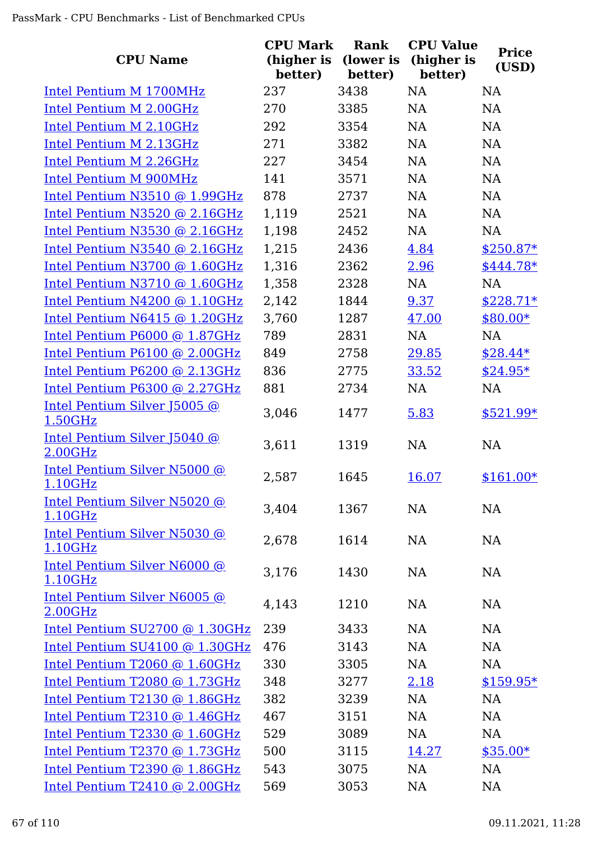| <b>CPU Name</b>                                | <b>CPU Mark</b><br>(higher is<br>better) | <b>Rank</b><br>(lower is<br>better) | <b>CPU Value</b><br>(higher is<br>better) | <b>Price</b><br>(USD) |
|------------------------------------------------|------------------------------------------|-------------------------------------|-------------------------------------------|-----------------------|
| Intel Pentium M 1700MHz                        | 237                                      | 3438                                | <b>NA</b>                                 | <b>NA</b>             |
| Intel Pentium M 2.00GHz                        | 270                                      | 3385                                | NA                                        | <b>NA</b>             |
| Intel Pentium M 2.10GHz                        | 292                                      | 3354                                | NA                                        | NA                    |
| Intel Pentium M 2.13GHz                        | 271                                      | 3382                                | NA                                        | NA                    |
| Intel Pentium M 2.26GHz                        | 227                                      | 3454                                | NA                                        | NA                    |
| <b>Intel Pentium M 900MHz</b>                  | 141                                      | 3571                                | NA                                        | NA                    |
| Intel Pentium N3510 @ 1.99GHz                  | 878                                      | 2737                                | NA                                        | <b>NA</b>             |
| Intel Pentium N3520 @ 2.16GHz                  | 1,119                                    | 2521                                | NA                                        | <b>NA</b>             |
| Intel Pentium N3530 @ 2.16GHz                  | 1,198                                    | 2452                                | NA                                        | NA                    |
| Intel Pentium N3540 @ 2.16GHz                  | 1,215                                    | 2436                                | 4.84                                      | $$250.87*$            |
| Intel Pentium N3700 @ 1.60GHz                  | 1,316                                    | 2362                                | 2.96                                      | $$444.78*$            |
| Intel Pentium N3710 @ 1.60GHz                  | 1,358                                    | 2328                                | NA                                        | <b>NA</b>             |
| Intel Pentium N4200 @ 1.10GHz                  | 2,142                                    | 1844                                | 9.37                                      | $$228.71*$            |
| Intel Pentium N6415 @ 1.20GHz                  | 3,760                                    | 1287                                | 47.00                                     | $$80.00*$             |
| Intel Pentium P6000 @ 1.87GHz                  | 789                                      | 2831                                | NA                                        | <b>NA</b>             |
| Intel Pentium P6100 @ 2.00GHz                  | 849                                      | 2758                                | 29.85                                     | $$28.44*$             |
| Intel Pentium P6200 @ 2.13GHz                  | 836                                      | 2775                                | 33.52                                     | $$24.95*$             |
| Intel Pentium P6300 @ 2.27GHz                  | 881                                      | 2734                                | NA                                        | <b>NA</b>             |
| Intel Pentium Silver 15005 @<br>1.50GHz        | 3,046                                    | 1477                                | 5.83                                      | $$521.99*$            |
| Intel Pentium Silver 15040 @<br>2.00GHz        | 3,611                                    | 1319                                | NA                                        | NA                    |
| Intel Pentium Silver N5000 @<br><u>1.10GHz</u> | 2,587                                    | 1645                                | 16.07                                     | $$161.00*$            |
| Intel Pentium Silver N5020 @<br>1.10GHz        | 3,404                                    | 1367                                | NA                                        | NA                    |
| Intel Pentium Silver N5030 @<br>1.10GHz        | 2,678                                    | 1614                                | NA                                        | <b>NA</b>             |
| Intel Pentium Silver N6000 @<br>1.10GHz        | 3,176                                    | 1430                                | <b>NA</b>                                 | <b>NA</b>             |
| Intel Pentium Silver N6005 @<br>2.00GHz        | 4,143                                    | 1210                                | <b>NA</b>                                 | <b>NA</b>             |
| Intel Pentium SU2700 @ 1.30GHz                 | 239                                      | 3433                                | <b>NA</b>                                 | NA                    |
| Intel Pentium SU4100 @ 1.30GHz                 | 476                                      | 3143                                | NA                                        | NA                    |
| Intel Pentium T2060 @ 1.60GHz                  | 330                                      | 3305                                | NA                                        | NA                    |
| Intel Pentium T2080 @ 1.73GHz                  | 348                                      | 3277                                | 2.18                                      | $$159.95*$            |
| Intel Pentium $T2130$ @ 1.86GHz                | 382                                      | 3239                                | NA                                        | <b>NA</b>             |
| Intel Pentium T2310 @ 1.46GHz                  | 467                                      | 3151                                | <b>NA</b>                                 | <b>NA</b>             |
| Intel Pentium T2330 @ 1.60GHz                  | 529                                      | 3089                                | NA                                        | NA                    |
| Intel Pentium T2370 @ 1.73GHz                  | 500                                      | 3115                                | 14.27                                     | $$35.00*$             |
| Intel Pentium T2390 @ 1.86GHz                  | 543                                      | 3075                                | NA                                        | NA                    |
| Intel Pentium T2410 $@$ 2.00GHz                | 569                                      | 3053                                | <b>NA</b>                                 | <b>NA</b>             |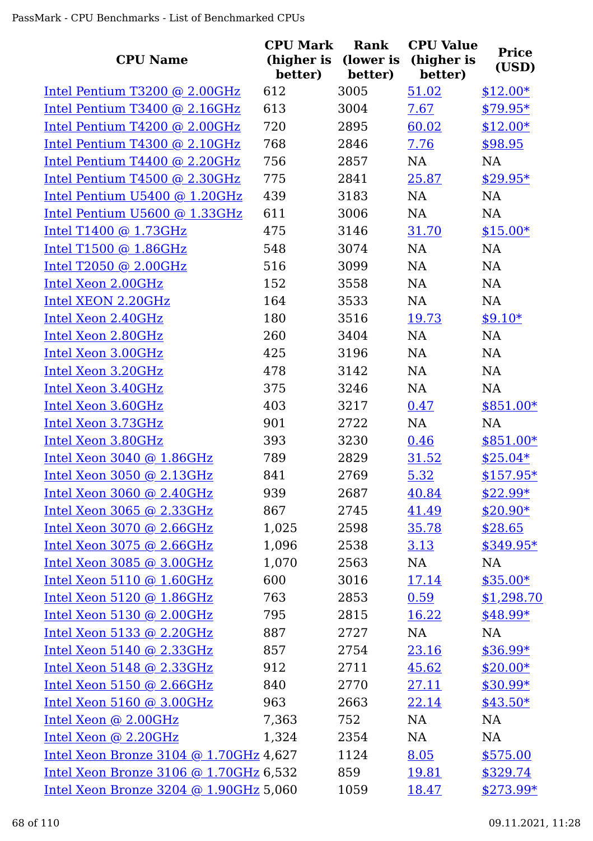| <b>CPU Name</b>                        | <b>CPU Mark</b><br>(higher is<br>better) | <b>Rank</b><br>(lower is<br>better) | <b>CPU Value</b><br>(higher is<br>better) | <b>Price</b><br>(USD) |
|----------------------------------------|------------------------------------------|-------------------------------------|-------------------------------------------|-----------------------|
| Intel Pentium T3200 @ 2.00GHz          | 612                                      | 3005                                | 51.02                                     | $$12.00*$             |
| Intel Pentium T3400 @ 2.16GHz          | 613                                      | 3004                                | 7.67                                      | $$79.95*$             |
| Intel Pentium T4200 @ 2.00GHz          | 720                                      | 2895                                | 60.02                                     | $$12.00*$             |
| Intel Pentium T4300 @ 2.10GHz          | 768                                      | 2846                                | 7.76                                      | \$98.95               |
| Intel Pentium T4400 @ 2.20GHz          | 756                                      | 2857                                | NA                                        | NA                    |
| Intel Pentium T4500 @ 2.30GHz          | 775                                      | 2841                                | 25.87                                     | \$29.95*              |
| Intel Pentium U5400 @ 1.20GHz          | 439                                      | 3183                                | NA                                        | NA                    |
| Intel Pentium U5600 @ 1.33GHz          | 611                                      | 3006                                | NA                                        | <b>NA</b>             |
| Intel T1400 $@$ 1.73GHz                | 475                                      | 3146                                | 31.70                                     | $$15.00*$             |
| Intel T1500 $@$ 1.86GHz                | 548                                      | 3074                                | <b>NA</b>                                 | NA                    |
| Intel T2050 @ 2.00GHz                  | 516                                      | 3099                                | NA                                        | <b>NA</b>             |
| Intel Xeon 2.00GHz                     | 152                                      | 3558                                | NA                                        | NA                    |
| Intel XEON 2.20GHz                     | 164                                      | 3533                                | NA                                        | <b>NA</b>             |
| Intel Xeon 2.40GHz                     | 180                                      | 3516                                | 19.73                                     | $$9.10*$              |
| Intel Xeon 2.80GHz                     | 260                                      | 3404                                | NA                                        | NA                    |
| Intel Xeon 3.00GHz                     | 425                                      | 3196                                | NA                                        | NA                    |
| Intel Xeon 3.20GHz                     | 478                                      | 3142                                | NA                                        | NA                    |
| Intel Xeon 3.40GHz                     | 375                                      | 3246                                | NA                                        | NA                    |
| Intel Xeon 3.60GHz                     | 403                                      | 3217                                | 0.47                                      | $$851.00*$            |
| Intel Xeon 3.73GHz                     | 901                                      | 2722                                | NA                                        | NA                    |
| Intel Xeon 3.80GHz                     | 393                                      | 3230                                | 0.46                                      | $$851.00*$            |
| Intel Xeon 3040 @ 1.86GHz              | 789                                      | 2829                                | 31.52                                     | $$25.04*$             |
| Intel Xeon 3050 @ 2.13GHz              | 841                                      | 2769                                | 5.32                                      | $$157.95*$            |
| Intel Xeon 3060 @ 2.40GHz              | 939                                      | 2687                                | 40.84                                     | $$22.99*$             |
| Intel Xeon 3065 @ 2.33GHz              | 867                                      | 2745                                | 41.49                                     | $$20.90*$             |
| Intel Xeon $3070$ @ 2.66GHz            | 1,025                                    | 2598                                | 35.78                                     | \$28.65               |
| Intel Xeon $3075$ @ 2.66GHz            | 1,096                                    | 2538                                | 3.13                                      | $$349.95*$            |
| Intel Xeon 3085 @ 3.00GHz              | 1,070                                    | 2563                                | NA                                        | <b>NA</b>             |
| Intel Xeon 5110 @ 1.60GHz              | 600                                      | 3016                                | <u>17.14</u>                              | $$35.00*$             |
| Intel Xeon 5120 @ 1.86GHz              | 763                                      | 2853                                | 0.59                                      | \$1,298.70            |
| Intel Xeon 5130 @ 2.00GHz              | 795                                      | 2815                                | 16.22                                     | $$48.99*$             |
| Intel Xeon 5133 @ 2.20GHz              | 887                                      | 2727                                | NA                                        | NA                    |
| Intel Xeon 5140 @ 2.33GHz              | 857                                      | 2754                                | 23.16                                     | $$36.99*$             |
| Intel Xeon 5148 @ 2.33GHz              | 912                                      | 2711                                | 45.62                                     | $$20.00*$             |
| Intel Xeon 5150 @ 2.66GHz              | 840                                      | 2770                                | 27.11                                     | $$30.99*$             |
| Intel Xeon 5160 @ 3.00GHz              | 963                                      | 2663                                | 22.14                                     | $$43.50*$             |
| Intel Xeon @ 2.00GHz                   | 7,363                                    | 752                                 | NA                                        | NA                    |
| Intel Xeon @ 2.20GHz                   | 1,324                                    | 2354                                | NA                                        | NA                    |
| Intel Xeon Bronze 3104 @ 1.70GHz 4,627 |                                          | 1124                                | 8.05                                      | \$575.00              |
| Intel Xeon Bronze 3106 @ 1.70GHz 6,532 |                                          | 859                                 | <u>19.81</u>                              | \$329.74              |
| Intel Xeon Bronze 3204 @ 1.90GHz 5,060 |                                          | 1059                                | 18.47                                     | $$273.99*$            |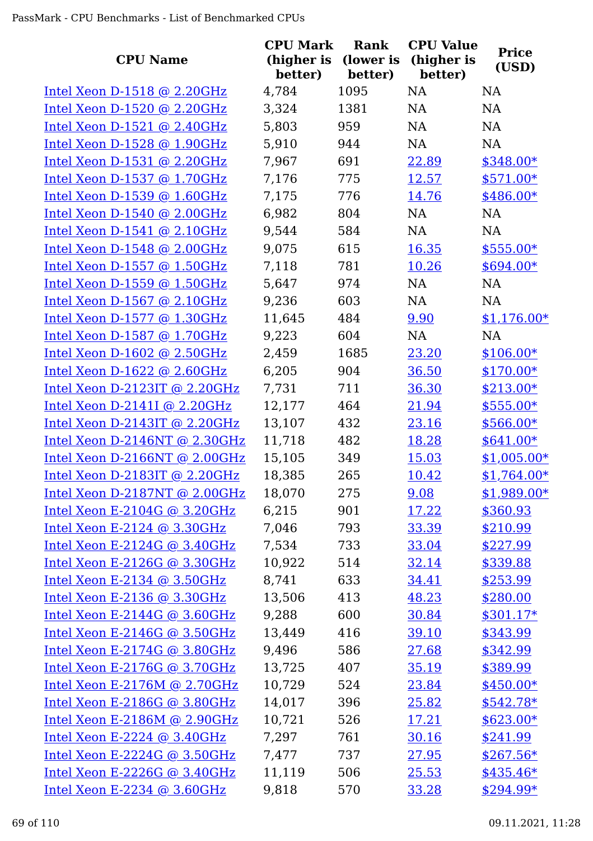| <b>CPU Name</b>                 | <b>CPU Mark</b><br>(higher is<br>better) | Rank<br>(lower is<br>better) | <b>CPU Value</b><br>(higher is<br>better) | <b>Price</b><br>(USD) |
|---------------------------------|------------------------------------------|------------------------------|-------------------------------------------|-----------------------|
| Intel Xeon $D-1518$ @ 2.20GHz   | 4,784                                    | 1095                         | NA                                        | <b>NA</b>             |
| Intel Xeon D-1520 @ 2.20GHz     | 3,324                                    | 1381                         | NA                                        | <b>NA</b>             |
| Intel Xeon D-1521 $@$ 2.40GHz   | 5,803                                    | 959                          | NA                                        | <b>NA</b>             |
| Intel Xeon $D-1528$ @ 1.90GHz   | 5,910                                    | 944                          | NA                                        | <b>NA</b>             |
| Intel Xeon $D-1531$ @ 2.20GHz   | 7,967                                    | 691                          | 22.89                                     | $$348.00*$            |
| Intel Xeon D-1537 @ 1.70GHz     | 7,176                                    | 775                          | 12.57                                     | $$571.00*$            |
| Intel Xeon $D-1539$ @ 1.60GHz   | 7,175                                    | 776                          | 14.76                                     | $$486.00*$            |
| Intel Xeon $D-1540$ @ 2.00GHz   | 6,982                                    | 804                          | <b>NA</b>                                 | NA                    |
| Intel Xeon D-1541 $@$ 2.10GHz   | 9,544                                    | 584                          | <b>NA</b>                                 | <b>NA</b>             |
| Intel Xeon $D-1548$ @ 2.00GHz   | 9,075                                    | 615                          | 16.35                                     | $$555.00*$            |
| Intel Xeon D-1557 @ 1.50GHz     | 7,118                                    | 781                          | 10.26                                     | $$694.00*$            |
| Intel Xeon $D-1559$ @ 1.50GHz   | 5,647                                    | 974                          | <b>NA</b>                                 | <b>NA</b>             |
| Intel Xeon D-1567 $@ 2.10 GHz$  | 9,236                                    | 603                          | <b>NA</b>                                 | <b>NA</b>             |
| Intel Xeon D-1577 @ 1.30GHz     | 11,645                                   | 484                          | 9.90                                      | $$1,176.00*$          |
| Intel Xeon D-1587 $@$ 1.70GHz   | 9,223                                    | 604                          | NA                                        | NA                    |
| Intel Xeon $D-1602$ @ 2.50GHz   | 2,459                                    | 1685                         | 23.20                                     | $$106.00*$            |
| Intel Xeon $D-1622$ @ 2.60GHz   | 6,205                                    | 904                          | 36.50                                     | $$170.00*$            |
| Intel Xeon $D-2123IT$ @ 2.20GHz | 7,731                                    | 711                          | 36.30                                     | $$213.00*$            |
| Intel Xeon D-2141I @ 2.20GHz    | 12,177                                   | 464                          | 21.94                                     | $$555.00*$            |
| Intel Xeon D-2143IT @ 2.20GHz   | 13,107                                   | 432                          | 23.16                                     | \$566.00*             |
| Intel Xeon D-2146NT @ 2.30GHz   | 11,718                                   | 482                          | 18.28                                     | $$641.00*$            |
| Intel Xeon D-2166NT @ 2.00GHz   | 15,105                                   | 349                          | 15.03                                     | $$1,005.00*$          |
| Intel Xeon D-2183IT @ 2.20GHz   | 18,385                                   | 265                          | 10.42                                     | $$1,764.00*$          |
| Intel Xeon D-2187NT @ 2.00GHz   | 18,070                                   | 275                          | 9.08                                      | $$1,989.00*$          |
| Intel Xeon E-2104G @ $3.20$ GHz | 6,215                                    | 901                          | 17.22                                     | \$360.93              |
| Intel Xeon E-2124 @ $3.30$ GHz  | 7,046                                    | 793                          | 33.39                                     | \$210.99              |
| Intel Xeon E-2124G $@3.40GHz$   | 7,534                                    | 733                          | 33.04                                     | \$227.99              |
| Intel Xeon E-2126G @ $3.30$ GHz | 10,922                                   | 514                          | 32.14                                     | \$339.88              |
| Intel Xeon E-2134 @ $3.50$ GHz  | 8,741                                    | 633                          | 34.41                                     | \$253.99              |
| Intel Xeon E-2136 $@$ 3.30GHz   | 13,506                                   | 413                          | 48.23                                     | \$280.00              |
| Intel Xeon E-2144G $@3.60GHz$   | 9,288                                    | 600                          | 30.84                                     | $$301.17*$            |
| Intel Xeon E-2146G @ $3.50$ GHz | 13,449                                   | 416                          | 39.10                                     | \$343.99              |
| Intel Xeon E-2174G $@3.80GHz$   | 9,496                                    | 586                          | 27.68                                     | \$342.99              |
| Intel Xeon E-2176G @ 3.70GHz    | 13,725                                   | 407                          | 35.19                                     | \$389.99              |
| Intel Xeon E-2176M @ $2.70GHz$  | 10,729                                   | 524                          | 23.84                                     | $$450.00*$            |
| Intel Xeon E-2186G $@3.80GHz$   | 14,017                                   | 396                          | 25.82                                     | $$542.78*$            |
| Intel Xeon E-2186M @ 2.90GHz    | 10,721                                   | 526                          | 17.21                                     | $$623.00*$            |
| Intel Xeon E-2224 @ $3.40$ GHz  | 7,297                                    | 761                          | 30.16                                     | \$241.99              |
| Intel Xeon E-2224G $@3.50GHz$   | 7,477                                    | 737                          | 27.95                                     | $$267.56*$            |
| Intel Xeon E-2226G @ $3.40$ GHz | 11,119                                   | 506                          | 25.53                                     | $$435.46*$            |
| Intel Xeon E-2234 $@3.60GHz$    | 9,818                                    | 570                          | 33.28                                     | $$294.99*$            |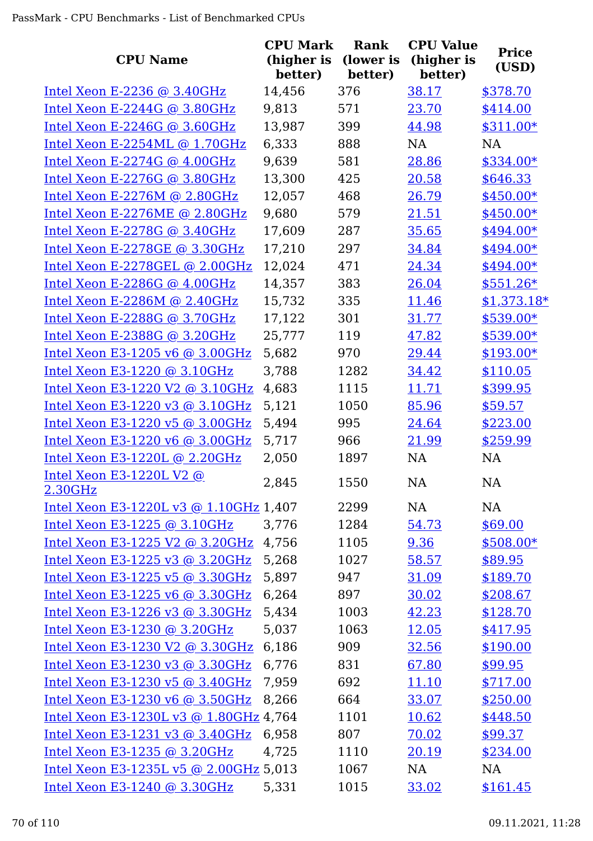|                                               | <b>CPU Mark</b>       | Rank                 | <b>CPU Value</b>      | <b>Price</b> |
|-----------------------------------------------|-----------------------|----------------------|-----------------------|--------------|
| <b>CPU Name</b>                               | (higher is<br>better) | (lower is<br>better) | (higher is<br>better) | (USD)        |
| Intel Xeon E-2236 $@3.40GHz$                  | 14,456                | 376                  | 38.17                 | \$378.70     |
| Intel Xeon E-2244G @ 3.80GHz                  | 9,813                 | 571                  | 23.70                 | \$414.00     |
| Intel Xeon E-2246G $@3.60GHz$                 | 13,987                | 399                  | 44.98                 | $$311.00*$   |
| Intel Xeon E-2254ML @ 1.70GHz                 | 6,333                 | 888                  | NA                    | NA           |
| Intel Xeon E-2274G $@$ 4.00GHz                | 9,639                 | 581                  | 28.86                 | $$334.00*$   |
| Intel Xeon E-2276G $@3.80GHz$                 | 13,300                | 425                  | 20.58                 | \$646.33     |
| Intel Xeon E-2276M @ $2.80GHz$                | 12,057                | 468                  | 26.79                 | $$450.00*$   |
| Intel Xeon E-2276ME @ 2.80GHz                 | 9,680                 | 579                  | 21.51                 | $$450.00*$   |
| Intel Xeon E-2278G @ 3.40GHz                  | 17,609                | 287                  | 35.65                 | $$494.00*$   |
| Intel Xeon E-2278GE @ 3.30GHz                 | 17,210                | 297                  | 34.84                 | \$494.00*    |
| Intel Xeon E-2278GEL @ 2.00GHz                | 12,024                | 471                  | 24.34                 | $$494.00*$   |
| Intel Xeon E-2286G $@$ 4.00GHz                | 14,357                | 383                  | 26.04                 | $$551.26*$   |
| <u>Intel Xeon E-2286M @ 2.40GHz</u>           | 15,732                | 335                  | 11.46                 | $$1,373.18*$ |
| Intel Xeon E-2288G @ 3.70GHz                  | 17,122                | 301                  | 31.77                 | $$539.00*$   |
| Intel Xeon E-2388G @ 3.20GHz                  | 25,777                | 119                  | 47.82                 | \$539.00*    |
| Intel Xeon E3-1205 v6 $@$ 3.00GHz             | 5,682                 | 970                  | 29.44                 | $$193.00*$   |
| Intel Xeon E3-1220 @ 3.10GHz                  | 3,788                 | 1282                 | 34.42                 | \$110.05     |
| Intel Xeon E3-1220 V2 @ 3.10GHz               | 4,683                 | 1115                 | 11.71                 | \$399.95     |
| Intel Xeon E3-1220 v3 @ 3.10GHz               | 5,121                 | 1050                 | 85.96                 | \$59.57      |
| Intel Xeon E3-1220 v5 @ 3.00GHz               | 5,494                 | 995                  | 24.64                 | \$223.00     |
| Intel Xeon E3-1220 v6 @ 3.00GHz               | 5,717                 | 966                  | 21.99                 | \$259.99     |
| <u>Intel Xeon E3-1220L @ 2.20GHz</u>          | 2,050                 | 1897                 | NA                    | NA           |
| Intel Xeon E3-1220L V2 @                      | 2,845                 | 1550                 | NA                    | <b>NA</b>    |
| 2.30GHz                                       |                       |                      |                       |              |
| <u>Intel Xeon E3-1220L v3 @ 1.10GHz</u> 1,407 |                       | 2299                 | NA                    | NA           |
| Intel Xeon E3-1225 $@3.10GHz$                 | 3,776                 | 1284                 | 54.73                 | \$69.00      |
| <u>Intel Xeon E3-1225 V2 @ 3.20GHz</u> 4,756  |                       | 1105                 | 9.36                  | $$508.00*$   |
| Intel Xeon E3-1225 v3 @ 3.20GHz               | 5,268                 | 1027                 | 58.57                 | \$89.95      |
| Intel Xeon E3-1225 v5 @ 3.30GHz               | 5,897                 | 947                  | 31.09                 | \$189.70     |
| Intel Xeon E3-1225 v6 @ 3.30GHz               | 6,264                 | 897                  | 30.02                 | \$208.67     |
| <u> Intel Xeon E3-1226 v3 @ 3.30GHz</u>       | 5,434                 | 1003                 | 42.23                 | \$128.70     |
| Intel Xeon E3-1230 @ 3.20GHz                  | 5,037                 | 1063                 | 12.05                 | \$417.95     |
| Intel Xeon E3-1230 V2 @ 3.30GHz 6,186         |                       | 909                  | 32.56                 | \$190.00     |
| Intel Xeon E3-1230 v3 @ 3.30GHz               | 6,776                 | 831                  | 67.80                 | \$99.95      |
| Intel Xeon E3-1230 v5 @ 3.40GHz               | 7,959                 | 692                  | 11.10                 | \$717.00     |
| Intel Xeon E3-1230 v6 @ 3.50GHz               | 8,266                 | 664                  | 33.07                 | \$250.00     |
| Intel Xeon E3-1230L v3 @ 1.80GHz 4,764        |                       | 1101                 | 10.62                 | \$448.50     |
| Intel Xeon E3-1231 v3 @ $3.40$ GHz            | 6,958                 | 807                  | 70.02                 | \$99.37      |
| Intel Xeon E3-1235 @ 3.20GHz                  | 4,725                 | 1110                 | 20.19                 | \$234.00     |
| <u>Intel Xeon E3-1235L v5 @ 2.00GHz</u> 5,013 |                       | 1067                 | NA                    | NA           |
| <u> Intel Xeon E3-1240 @ 3.30GHz</u>          | 5,331                 | 1015                 | 33.02                 | \$161.45     |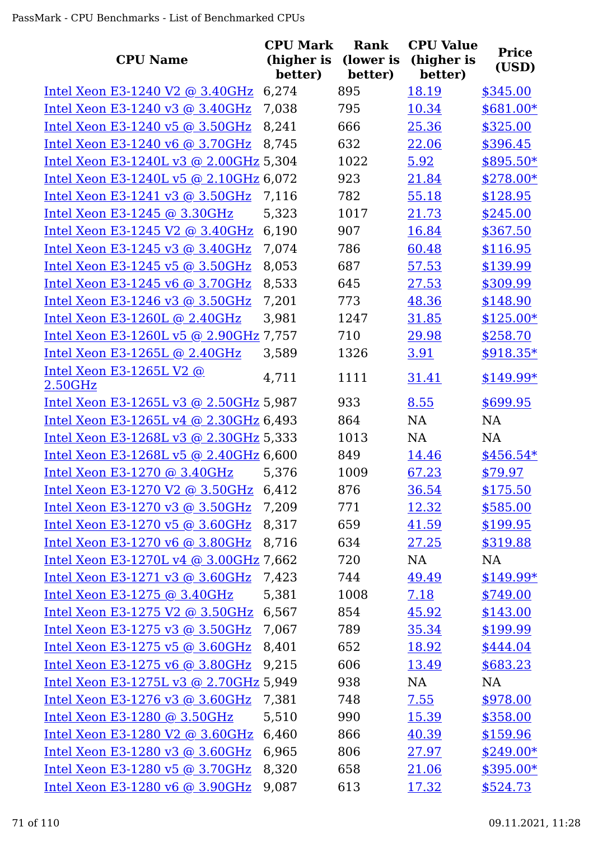| <b>CPU Name</b>                                                    | <b>CPU Mark</b><br>(higher is | <b>Rank</b><br>(lower is | <b>CPU Value</b><br>(higher is<br>better) | <b>Price</b><br>(USD)  |
|--------------------------------------------------------------------|-------------------------------|--------------------------|-------------------------------------------|------------------------|
|                                                                    | better)<br>6,274              | better)<br>895           |                                           |                        |
| Intel Xeon E3-1240 V2 @ 3.40GHz<br>Intel Xeon E3-1240 v3 @ 3.40GHz | 7,038                         | 795                      | 18.19<br>10.34                            | \$345.00<br>$$681.00*$ |
| Intel Xeon E3-1240 v5 @ 3.50GHz                                    | 8,241                         | 666                      | 25.36                                     | \$325.00               |
| Intel Xeon E3-1240 v6 @ 3.70GHz                                    | 8,745                         | 632                      | 22.06                                     | \$396.45               |
| Intel Xeon E3-1240L v3 @ 2.00GHz 5,304                             |                               | 1022                     | 5.92                                      | $$895.50*$             |
| Intel Xeon E3-1240L v5 @ 2.10GHz 6,072                             |                               | 923                      | 21.84                                     | \$278.00*              |
| Intel Xeon E3-1241 v3 @ 3.50GHz                                    | 7,116                         | 782                      | 55.18                                     | \$128.95               |
| Intel Xeon E3-1245 @ 3.30GHz                                       | 5,323                         | 1017                     | 21.73                                     | \$245.00               |
| Intel Xeon E3-1245 V2 @ 3.40GHz                                    | 6,190                         | 907                      | 16.84                                     | \$367.50               |
| Intel Xeon E3-1245 v3 @ 3.40GHz                                    | 7,074                         | 786                      | 60.48                                     | \$116.95               |
| Intel Xeon E3-1245 v5 @ 3.50GHz                                    | 8,053                         | 687                      | 57.53                                     | \$139.99               |
| Intel Xeon E3-1245 v6 @ 3.70GHz                                    | 8,533                         | 645                      | 27.53                                     | \$309.99               |
| Intel Xeon E3-1246 v3 @ 3.50GHz                                    | 7,201                         | 773                      | 48.36                                     | \$148.90               |
| Intel Xeon E3-1260L @ 2.40GHz                                      | 3,981                         | 1247                     | 31.85                                     | $$125.00*$             |
| Intel Xeon E3-1260L v5 @ 2.90GHz 7,757                             |                               | 710                      | 29.98                                     | \$258.70               |
| Intel Xeon E3-1265L @ 2.40GHz                                      | 3,589                         | 1326                     | 3.91                                      | $$918.35*$             |
| Intel Xeon E3-1265L V2 @                                           |                               |                          |                                           |                        |
| 2.50GHz                                                            | 4,711                         | 1111                     | 31.41                                     | $$149.99*$             |
| Intel Xeon E3-1265L v3 @ 2.50GHz 5,987                             |                               | 933                      | 8.55                                      | \$699.95               |
| Intel Xeon E3-1265L v4 @ 2.30GHz 6,493                             |                               | 864                      | NA                                        | NA                     |
| Intel Xeon E3-1268L v3 @ 2.30GHz 5,333                             |                               | 1013                     | NA                                        | <b>NA</b>              |
| Intel Xeon E3-1268L v5 @ 2.40GHz 6,600                             |                               | 849                      | <u>14.46</u>                              | $$456.54*$             |
| Intel Xeon E3-1270 @ 3.40GHz                                       | 5,376                         | 1009                     | 67.23                                     | \$79.97                |
| Intel Xeon E3-1270 V2 @ 3.50GHz                                    | 6,412                         | 876                      | 36.54                                     | \$175.50               |
| Intel Xeon E3-1270 v3 @ 3.50GHz                                    | 7,209                         | 771                      | 12.32                                     | \$585.00               |
| Intel Xeon E3-1270 v5 @ 3.60GHz                                    | 8,317                         | 659                      | 41.59                                     | \$199.95               |
| Intel Xeon E3-1270 v6 @ 3.80GHz                                    | 8,716                         | 634                      | 27.25                                     | \$319.88               |
| Intel Xeon E3-1270L v4 @ 3.00GHz 7,662                             |                               | 720                      | NA                                        | NA                     |
| Intel Xeon E3-1271 v3 @ 3.60GHz                                    | 7,423                         | 744                      | 49.49                                     | $$149.99*$             |
| <u>Intel Xeon E3-1275 @ 3.40GHz</u>                                | 5,381                         | 1008                     | 7.18                                      | \$749.00               |
| Intel Xeon E3-1275 V2 @ 3.50GHz                                    | 6,567                         | 854                      | 45.92                                     | \$143.00               |
| Intel Xeon E3-1275 v3 @ 3.50GHz                                    | 7,067                         | 789                      | 35.34                                     | \$199.99               |
| Intel Xeon E3-1275 v5 @ 3.60GHz                                    | 8,401                         | 652                      | 18.92                                     | \$444.04               |
| Intel Xeon E3-1275 v6 @ 3.80GHz                                    | 9,215                         | 606                      | 13.49                                     | \$683.23               |
| Intel Xeon E3-1275L v3 @ 2.70GHz 5,949                             |                               | 938                      | NA                                        | <b>NA</b>              |
| Intel Xeon E3-1276 v3 @ 3.60GHz                                    | 7,381                         | 748                      | 7.55                                      | \$978.00               |
| Intel Xeon E3-1280 @ 3.50GHz                                       | 5,510                         | 990                      | 15.39                                     | \$358.00               |
| Intel Xeon E3-1280 V2 @ 3.60GHz                                    | 6,460                         | 866                      | 40.39                                     | \$159.96               |
| Intel Xeon E3-1280 v3 @ 3.60GHz                                    | 6,965                         | 806                      | 27.97                                     | $$249.00*$             |
| Intel Xeon E3-1280 v5 @ 3.70GHz                                    | 8,320                         | 658                      | 21.06                                     | $$395.00*$             |
| Intel Xeon E3-1280 v6 @ 3.90GHz                                    | 9,087                         | 613                      | 17.32                                     | \$524.73               |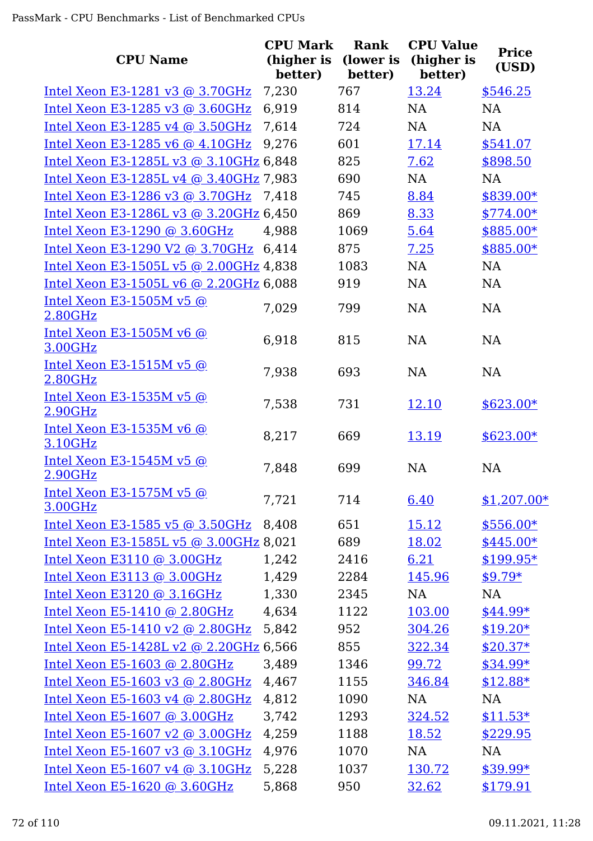| <b>CPU Name</b>                            | <b>CPU Mark</b><br>(higher is | Rank<br>(lower is | <b>CPU Value</b><br>(higher is | <b>Price</b> |
|--------------------------------------------|-------------------------------|-------------------|--------------------------------|--------------|
|                                            | better)                       | better)           | better)                        | (USD)        |
| Intel Xeon E3-1281 v3 @ 3.70GHz            | 7,230                         | 767               | 13.24                          | \$546.25     |
| Intel Xeon E3-1285 v3 @ 3.60GHz            | 6,919                         | 814               | NA                             | <b>NA</b>    |
| Intel Xeon E3-1285 v4 @ 3.50GHz            | 7,614                         | 724               | <b>NA</b>                      | <b>NA</b>    |
| Intel Xeon E3-1285 v6 @ 4.10GHz            | 9,276                         | 601               | 17.14                          | \$541.07     |
| Intel Xeon E3-1285L v3 @ 3.10GHz 6,848     |                               | 825               | 7.62                           | \$898.50     |
| Intel Xeon E3-1285L v4 @ 3.40GHz 7,983     |                               | 690               | <b>NA</b>                      | <b>NA</b>    |
| Intel Xeon E3-1286 v3 @ 3.70GHz            | 7,418                         | 745               | 8.84                           | \$839.00*    |
| Intel Xeon E3-1286L v3 @ 3.20GHz 6,450     |                               | 869               | 8.33                           | $$774.00*$   |
| Intel Xeon E3-1290 @ 3.60GHz               | 4,988                         | 1069              | 5.64                           | \$885.00*    |
| Intel Xeon E3-1290 V2 @ 3.70GHz 6,414      |                               | 875               | 7.25                           | \$885.00*    |
| Intel Xeon E3-1505L v5 @ 2.00GHz 4,838     |                               | 1083              | NA                             | <b>NA</b>    |
| Intel Xeon E3-1505L v6 @ 2.20GHz 6,088     |                               | 919               | <b>NA</b>                      | <b>NA</b>    |
| Intel Xeon E3-1505M v5 @<br>2.80GHz        | 7,029                         | 799               | <b>NA</b>                      | <b>NA</b>    |
| Intel Xeon E3-1505M v6 $@$<br>3.00GHz      | 6,918                         | 815               | <b>NA</b>                      | <b>NA</b>    |
| Intel Xeon E3-1515M v5 @<br>2.80GHz        | 7,938                         | 693               | <b>NA</b>                      | <b>NA</b>    |
| <u>Intel Xeon E3-1535M v5 @</u><br>2.90GHz | 7,538                         | 731               | 12.10                          | $$623.00*$   |
| Intel Xeon E3-1535M v6 @<br>3.10GHz        | 8,217                         | 669               | 13.19                          | $$623.00*$   |
| Intel Xeon E3-1545M v5 @<br>2.90GHz        | 7,848                         | 699               | <b>NA</b>                      | <b>NA</b>    |
| Intel Xeon E3-1575M v5 @<br>3.00GHz        | 7,721                         | 714               | 6.40                           | $$1,207.00*$ |
| Intel Xeon E3-1585 v5 @ 3.50GHz            | 8,408                         | 651               | <u>15.12</u>                   | \$556.00*    |
| Intel Xeon E3-1585L v5 @ 3.00GHz 8,021     |                               | 689               | 18.02                          | \$445.00*    |
| Intel Xeon E3110 $@$ 3.00GHz               | 1,242                         | 2416              | 6.21                           | $$199.95*$   |
| Intel Xeon E3113 @ 3.00GHz                 | 1,429                         | 2284              | 145.96                         | $$9.79*$     |
| Intel Xeon E3120 $@$ 3.16GHz               | 1,330                         | 2345              | NA                             | NA           |
| Intel Xeon E5-1410 @ 2.80GHz               | 4,634                         | 1122              | 103.00                         | $$44.99*$    |
| Intel Xeon E5-1410 v2 @ 2.80GHz            | 5,842                         | 952               | 304.26                         | $$19.20*$    |
| Intel Xeon E5-1428L v2 @ 2.20GHz 6,566     |                               | 855               | 322.34                         | $$20.37*$    |
| Intel Xeon E5-1603 @ 2.80GHz               | 3,489                         | 1346              | 99.72                          | $$34.99*$    |
| Intel Xeon E5-1603 v3 @ 2.80GHz            | 4,467                         | 1155              | 346.84                         | $$12.88*$    |
| Intel Xeon E5-1603 v4 @ 2.80GHz            | 4,812                         | 1090              | NA                             | NA           |
| Intel Xeon E5-1607 @ 3.00GHz               | 3,742                         | 1293              | 324.52                         | $$11.53*$    |
| Intel Xeon E5-1607 v2 @ 3.00GHz            | 4,259                         | 1188              | 18.52                          | \$229.95     |
| Intel Xeon E5-1607 v3 @ 3.10GHz            | 4,976                         | 1070              | NA                             | <b>NA</b>    |
| Intel Xeon E5-1607 v4 @ 3.10GHz            | 5,228                         | 1037              | 130.72                         | $$39.99*$    |
| Intel Xeon E5-1620 @ 3.60GHz               | 5,868                         | 950               | 32.62                          | \$179.91     |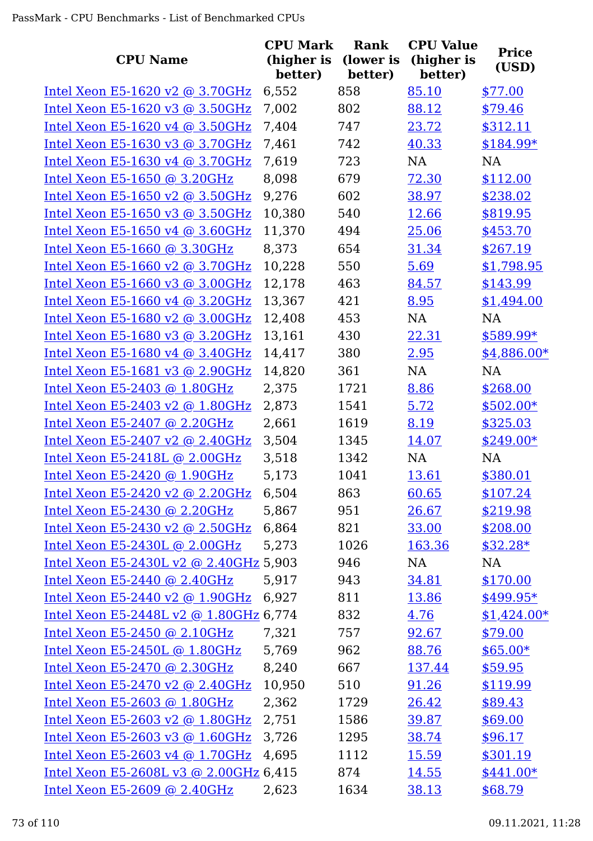| <b>CPU Name</b>                        | <b>CPU Mark</b><br>(higher is<br>better) | Rank<br>(lower is<br>better) | <b>CPU Value</b><br>(higher is<br>better) | <b>Price</b><br>(USD) |
|----------------------------------------|------------------------------------------|------------------------------|-------------------------------------------|-----------------------|
| Intel Xeon E5-1620 v2 @ 3.70GHz        | 6,552                                    | 858                          | 85.10                                     | \$77.00               |
| Intel Xeon E5-1620 v3 @ 3.50GHz        | 7,002                                    | 802                          | 88.12                                     | \$79.46               |
| Intel Xeon E5-1620 v4 @ 3.50GHz        | 7,404                                    | 747                          | 23.72                                     | \$312.11              |
| Intel Xeon E5-1630 v3 @ 3.70GHz        | 7,461                                    | 742                          | 40.33                                     | \$184.99*             |
| Intel Xeon E5-1630 v4 @ 3.70GHz        | 7,619                                    | 723                          | <b>NA</b>                                 | <b>NA</b>             |
| Intel Xeon E5-1650 @ 3.20GHz           | 8,098                                    | 679                          | 72.30                                     | \$112.00              |
| Intel Xeon E5-1650 v2 @ 3.50GHz        | 9,276                                    | 602                          | 38.97                                     | \$238.02              |
| Intel Xeon E5-1650 v3 @ 3.50GHz        | 10,380                                   | 540                          | 12.66                                     | \$819.95              |
| Intel Xeon E5-1650 v4 @ 3.60GHz        | 11,370                                   | 494                          | 25.06                                     | \$453.70              |
| Intel Xeon E5-1660 @ 3.30GHz           | 8,373                                    | 654                          | 31.34                                     | \$267.19              |
| Intel Xeon E5-1660 v2 @ 3.70GHz        | 10,228                                   | 550                          | 5.69                                      | \$1,798.95            |
| Intel Xeon E5-1660 v3 @ 3.00GHz        | 12,178                                   | 463                          | 84.57                                     | \$143.99              |
| Intel Xeon E5-1660 v4 @ 3.20GHz        | 13,367                                   | 421                          | 8.95                                      | \$1,494.00            |
| Intel Xeon E5-1680 v2 @ 3.00GHz        | 12,408                                   | 453                          | NA                                        | <b>NA</b>             |
| Intel Xeon E5-1680 v3 @ 3.20GHz        | 13,161                                   | 430                          | 22.31                                     | $$589.99*$            |
| Intel Xeon E5-1680 v4 @ 3.40GHz        | 14,417                                   | 380                          | 2.95                                      | $$4,886.00*$          |
| Intel Xeon E5-1681 v3 @ 2.90GHz        | 14,820                                   | 361                          | NA                                        | <b>NA</b>             |
| Intel Xeon E5-2403 @ 1.80GHz           | 2,375                                    | 1721                         | 8.86                                      | \$268.00              |
| Intel Xeon E5-2403 v2 @ 1.80GHz        | 2,873                                    | 1541                         | 5.72                                      | $$502.00*$            |
| Intel Xeon E5-2407 @ 2.20GHz           | 2,661                                    | 1619                         | 8.19                                      | \$325.03              |
| Intel Xeon E5-2407 v2 $@$ 2.40GHz      | 3,504                                    | 1345                         | 14.07                                     | $$249.00*$            |
| Intel Xeon E5-2418L @ 2.00GHz          | 3,518                                    | 1342                         | NA                                        | NA                    |
| Intel Xeon E5-2420 @ 1.90GHz           | 5,173                                    | 1041                         | 13.61                                     | \$380.01              |
| Intel Xeon E5-2420 v2 @ 2.20GHz        | 6,504                                    | 863                          | 60.65                                     | \$107.24              |
| Intel Xeon E5-2430 @ 2.20GHz           | 5,867                                    | 951                          | 26.67                                     | \$219.98              |
| Intel Xeon E5-2430 v2 @ 2.50GHz        | 6,864                                    | 821                          | 33.00                                     | \$208.00              |
| Intel Xeon E5-2430L @ 2.00GHz          | 5,273                                    | 1026                         | 163.36                                    | $$32.28*$             |
| Intel Xeon E5-2430L v2 @ 2.40GHz 5,903 |                                          | 946                          | NA                                        | <b>NA</b>             |
| Intel Xeon E5-2440 @ 2.40GHz           | 5,917                                    | 943                          | 34.81                                     | \$170.00              |
| Intel Xeon E5-2440 v2 @ 1.90GHz        | 6,927                                    | 811                          | 13.86                                     | \$499.95*             |
| Intel Xeon E5-2448L v2 @ 1.80GHz 6,774 |                                          | 832                          | 4.76                                      | $$1,424.00*$          |
| Intel Xeon E5-2450 @ 2.10GHz           | 7,321                                    | 757                          | 92.67                                     | \$79.00               |
| Intel Xeon E5-2450L @ 1.80GHz          | 5,769                                    | 962                          | 88.76                                     | $$65.00*$             |
| Intel Xeon $E5-2470$ @ 2.30GHz         | 8,240                                    | 667                          | 137.44                                    | \$59.95               |
| Intel Xeon E5-2470 v2 @ 2.40GHz        | 10,950                                   | 510                          | 91.26                                     | \$119.99              |
| Intel Xeon E5-2603 @ 1.80GHz           | 2,362                                    | 1729                         | 26.42                                     | \$89.43               |
| Intel Xeon E5-2603 v2 @ 1.80GHz        | 2,751                                    | 1586                         | 39.87                                     | \$69.00               |
| Intel Xeon E5-2603 v3 @ 1.60GHz        | 3,726                                    | 1295                         | 38.74                                     | \$96.17               |
| Intel Xeon E5-2603 v4 @ 1.70GHz        | 4,695                                    | 1112                         | <u>15.59</u>                              | \$301.19              |
| Intel Xeon E5-2608L v3 @ 2.00GHz 6,415 |                                          | 874                          | 14.55                                     | $$441.00*$            |
| Intel Xeon E5-2609 @ 2.40GHz           | 2,623                                    | 1634                         | 38.13                                     | \$68.79               |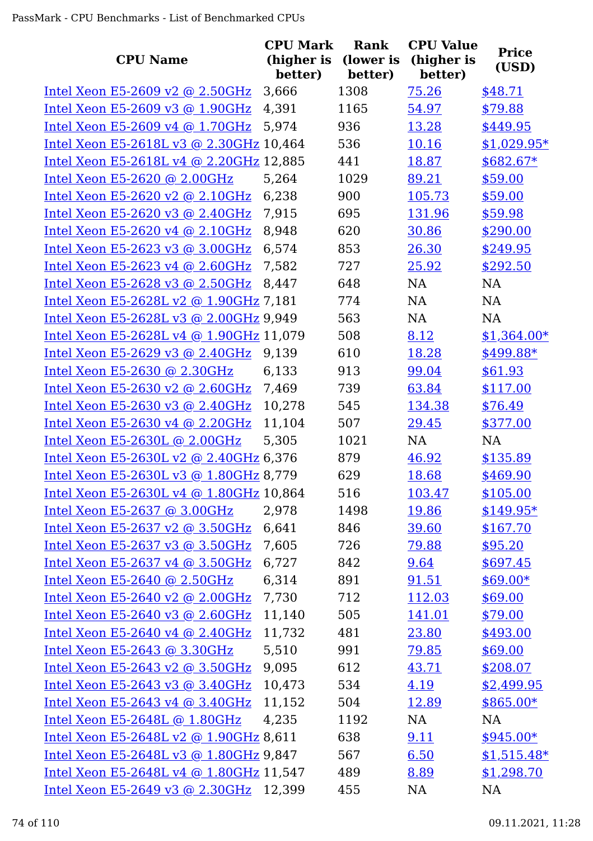|                                               | <b>CPU Mark</b>       | Rank                 | <b>CPU Value</b>      | <b>Price</b> |
|-----------------------------------------------|-----------------------|----------------------|-----------------------|--------------|
| <b>CPU Name</b>                               | (higher is<br>better) | (lower is<br>better) | (higher is<br>better) | (USD)        |
| Intel Xeon E5-2609 v2 $@$ 2.50GHz             | 3,666                 | 1308                 | 75.26                 | \$48.71      |
| Intel Xeon E5-2609 v3 @ 1.90GHz               | 4,391                 | 1165                 | 54.97                 | \$79.88      |
| Intel Xeon E5-2609 v4 $@$ 1.70GHz             | 5,974                 | 936                  | 13.28                 | \$449.95     |
| Intel Xeon E5-2618L v3 @ 2.30GHz 10,464       |                       | 536                  | 10.16                 | $$1,029.95*$ |
| Intel Xeon E5-2618L v4 @ 2.20GHz 12,885       |                       | 441                  | 18.87                 | $$682.67*$   |
| Intel Xeon E5-2620 @ 2.00GHz                  | 5,264                 | 1029                 | 89.21                 | \$59.00      |
| Intel Xeon E5-2620 v2 @ $2.10GHz$             | 6,238                 | 900                  | 105.73                | \$59.00      |
| Intel Xeon E5-2620 v3 @ 2.40GHz               | 7,915                 | 695                  | 131.96                | \$59.98      |
| Intel Xeon E5-2620 v4 $@$ 2.10GHz             | 8,948                 | 620                  | 30.86                 | \$290.00     |
| Intel Xeon E5-2623 v3 @ 3.00GHz               | 6,574                 | 853                  | 26.30                 | \$249.95     |
| Intel Xeon E5-2623 v4 @ $2.60$ GHz            | 7,582                 | 727                  | 25.92                 | \$292.50     |
| Intel Xeon E5-2628 v3 @ 2.50GHz               | 8,447                 | 648                  | NA                    | NA           |
| Intel Xeon E5-2628L v2 @ 1.90GHz 7,181        |                       | 774                  | NA                    | NA           |
| Intel Xeon E5-2628L v3 @ 2.00GHz 9,949        |                       | 563                  | NA                    | <b>NA</b>    |
| Intel Xeon E5-2628L v4 @ 1.90GHz 11,079       |                       | 508                  | 8.12                  | $$1,364.00*$ |
| Intel Xeon E5-2629 v3 $@$ 2.40GHz             | 9,139                 | 610                  | 18.28                 | \$499.88*    |
| Intel Xeon E5-2630 @ 2.30GHz                  | 6,133                 | 913                  | 99.04                 | \$61.93      |
| Intel Xeon E5-2630 v2 @ 2.60GHz               | 7,469                 | 739                  | 63.84                 | \$117.00     |
| Intel Xeon E5-2630 v3 @ 2.40GHz               | 10,278                | 545                  | 134.38                | \$76.49      |
| Intel Xeon E5-2630 v4 @ 2.20GHz               | 11,104                | 507                  | 29.45                 | \$377.00     |
| Intel Xeon E5-2630L @ 2.00GHz                 | 5,305                 | 1021                 | NA                    | <b>NA</b>    |
| Intel Xeon E5-2630L v2 @ 2.40GHz 6,376        |                       | 879                  | 46.92                 | \$135.89     |
| Intel Xeon E5-2630L v3 @ 1.80GHz 8,779        |                       | 629                  | 18.68                 | \$469.90     |
| Intel Xeon E5-2630L v4 @ 1.80GHz 10,864       |                       | 516                  | 103.47                | \$105.00     |
| Intel Xeon E5-2637 @ $3.00$ GHz               | 2,978                 | 1498                 | 19.86                 | $$149.95*$   |
| Intel Xeon E5-2637 v2 @ 3.50GHz               | 6,641                 | 846                  | 39.60                 | \$167.70     |
| Intel Xeon E5-2637 v3 @ 3.50GHz               | 7,605                 | 726                  | 79.88                 | \$95.20      |
| Intel Xeon E5-2637 v4 $@$ 3.50GHz             | 6,727                 | 842                  | 9.64                  | \$697.45     |
| Intel Xeon E5-2640 @ 2.50GHz                  | 6,314                 | 891                  | 91.51                 | $$69.00*$    |
| Intel Xeon E5-2640 v2 @ 2.00GHz               | 7,730                 | 712                  | 112.03                | \$69.00      |
| Intel Xeon E5-2640 v3 @ 2.60GHz               | 11,140                | 505                  | 141.01                | \$79.00      |
| Intel Xeon E5-2640 v4 @ 2.40GHz               | 11,732                | 481                  | 23.80                 | \$493.00     |
| Intel Xeon E5-2643 @ 3.30GHz                  | 5,510                 | 991                  | 79.85                 | \$69.00      |
| Intel Xeon E5-2643 v2 $\omega$ 3.50GHz        | 9,095                 | 612                  | 43.71                 | \$208.07     |
| Intel Xeon E5-2643 v3 @ 3.40GHz               | 10,473                | 534                  | 4.19                  | \$2,499.95   |
| Intel Xeon E5-2643 v4 @ 3.40GHz               | 11,152                | 504                  | 12.89                 | $$865.00*$   |
| Intel Xeon E5-2648L @ 1.80GHz                 | 4,235                 | 1192                 | NA                    | NA           |
| Intel Xeon E5-2648L v2 @ 1.90GHz 8,611        |                       | 638                  | 9.11                  | $$945.00*$   |
| Intel Xeon E5-2648L v3 @ 1.80GHz 9,847        |                       | 567                  | 6.50                  | $$1,515.48*$ |
| Intel Xeon E5-2648L v4 @ 1.80GHz 11,547       |                       | 489                  | 8.89                  | \$1,298.70   |
| <u>Intel Xeon E5-2649 v3 @ 2.30GHz</u> 12,399 |                       | 455                  | <b>NA</b>             | <b>NA</b>    |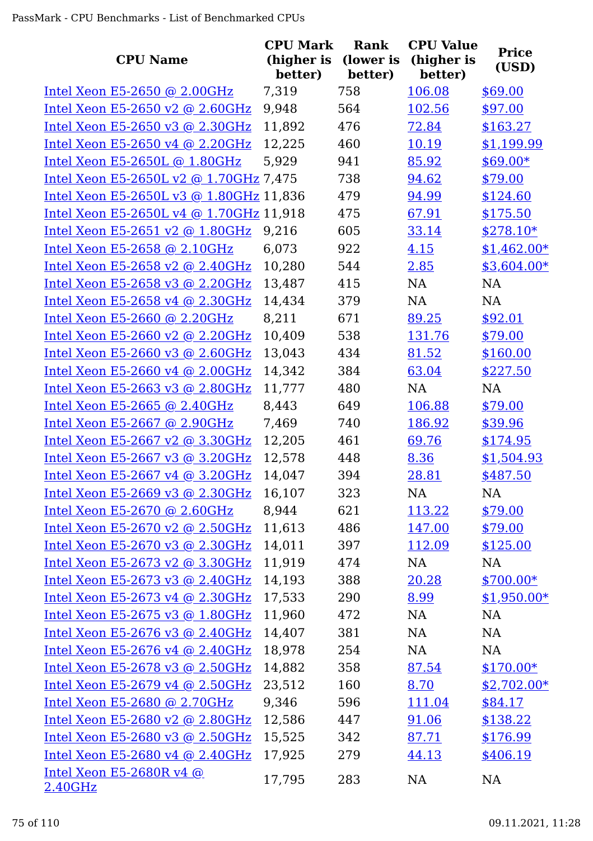| <b>CPU Name</b>                            | <b>CPU Mark</b><br>(higher is | <b>Rank</b><br>(lower is | <b>CPU Value</b><br>(higher is | <b>Price</b> |
|--------------------------------------------|-------------------------------|--------------------------|--------------------------------|--------------|
|                                            | better)                       | better)                  | better)                        | (USD)        |
| Intel Xeon E5-2650 @ 2.00GHz               | 7,319                         | 758                      | 106.08                         | \$69.00      |
| Intel Xeon E5-2650 v2 @ 2.60GHz            | 9,948                         | 564                      | 102.56                         | \$97.00      |
| Intel Xeon E5-2650 v3 @ 2.30GHz            | 11,892                        | 476                      | 72.84                          | \$163.27     |
| Intel Xeon E5-2650 v4 @ 2.20GHz            | 12,225                        | 460                      | 10.19                          | \$1,199.99   |
| Intel Xeon E5-2650L @ 1.80GHz              | 5,929                         | 941                      | 85.92                          | $$69.00*$    |
| Intel Xeon E5-2650L v2 @ 1.70GHz 7,475     |                               | 738                      | 94.62                          | \$79.00      |
| Intel Xeon E5-2650L v3 @ 1.80GHz 11,836    |                               | 479                      | 94.99                          | \$124.60     |
| Intel Xeon E5-2650L v4 @ 1.70GHz 11,918    |                               | 475                      | 67.91                          | \$175.50     |
| Intel Xeon E5-2651 v2 @ 1.80GHz            | 9,216                         | 605                      | 33.14                          | $$278.10*$   |
| Intel Xeon E5-2658 @ 2.10GHz               | 6,073                         | 922                      | 4.15                           | $$1,462.00*$ |
| Intel Xeon E5-2658 v2 @ 2.40GHz            | 10,280                        | 544                      | 2.85                           | \$3,604.00*  |
| Intel Xeon E5-2658 v3 @ 2.20GHz            | 13,487                        | 415                      | <b>NA</b>                      | <b>NA</b>    |
| Intel Xeon E5-2658 v4 @ 2.30GHz            | 14,434                        | 379                      | NA                             | NA           |
| Intel Xeon E5-2660 @ 2.20GHz               | 8,211                         | 671                      | 89.25                          | \$92.01      |
| Intel Xeon E5-2660 v2 @ 2.20GHz            | 10,409                        | 538                      | 131.76                         | \$79.00      |
| Intel Xeon E5-2660 v3 @ $2.60$ GHz         | 13,043                        | 434                      | 81.52                          | \$160.00     |
| Intel Xeon E5-2660 v4 @ 2.00GHz            | 14,342                        | 384                      | 63.04                          | \$227.50     |
| Intel Xeon E5-2663 v3 @ 2.80GHz            | 11,777                        | 480                      | <b>NA</b>                      | <b>NA</b>    |
| Intel Xeon E5-2665 @ 2.40GHz               | 8,443                         | 649                      | 106.88                         | \$79.00      |
| Intel Xeon E5-2667 @ 2.90GHz               | 7,469                         | 740                      | 186.92                         | \$39.96      |
| Intel Xeon E5-2667 v2 @ 3.30GHz            | 12,205                        | 461                      | 69.76                          | \$174.95     |
| Intel Xeon E5-2667 v3 @ 3.20GHz            | 12,578                        | 448                      | 8.36                           | \$1,504.93   |
| Intel Xeon E5-2667 v4 @ 3.20GHz            | 14,047                        | 394                      | 28.81                          | \$487.50     |
| Intel Xeon E5-2669 v3 @ 2.30GHz            | 16,107                        | 323                      | NA                             | <b>NA</b>    |
| Intel Xeon E5-2670 @ 2.60GHz               | 8,944                         | 621                      | 113.22                         | \$79.00      |
| Intel Xeon E5-2670 v2 @ 2.50GHz            | 11,613                        | 486                      | 147.00                         | \$79.00      |
| Intel Xeon E5-2670 v3 @ 2.30GHz            | 14,011                        | 397                      | 112.09                         | \$125.00     |
| Intel Xeon E5-2673 v2 @ 3.30GHz            | 11,919                        | 474                      | NA                             | NA           |
| Intel Xeon E5-2673 v3 @ 2.40GHz            | 14,193                        | 388                      | 20.28                          | $$700.00*$   |
| Intel Xeon E5-2673 v4 @ 2.30GHz            | 17,533                        | 290                      | 8.99                           | $$1,950.00*$ |
| Intel Xeon E5-2675 v3 @ 1.80GHz            | 11,960                        | 472                      | NA                             | NA           |
| Intel Xeon E5-2676 v3 @ 2.40GHz            | 14,407                        | 381                      | <b>NA</b>                      | NA           |
| Intel Xeon E5-2676 v4 @ 2.40GHz            | 18,978                        | 254                      | <b>NA</b>                      | NA           |
| Intel Xeon E5-2678 v3 @ 2.50GHz            | 14,882                        | 358                      | 87.54                          | $$170.00*$   |
| Intel Xeon E5-2679 v4 @ 2.50GHz            | 23,512                        | 160                      | 8.70                           | $$2,702.00*$ |
| Intel Xeon E5-2680 @ 2.70GHz               | 9,346                         | 596                      | 111.04                         | \$84.17      |
| Intel Xeon E5-2680 v2 @ 2.80GHz            | 12,586                        | 447                      | 91.06                          | \$138.22     |
| Intel Xeon E5-2680 v3 @ 2.50GHz            | 15,525                        | 342                      | 87.71                          | \$176.99     |
| Intel Xeon E5-2680 v4 @ 2.40GHz            | 17,925                        | 279                      | 44.13                          | \$406.19     |
| Intel Xeon E5-2680R v4 @<br><u>2.40GHz</u> | 17,795                        | 283                      | NA                             | NA           |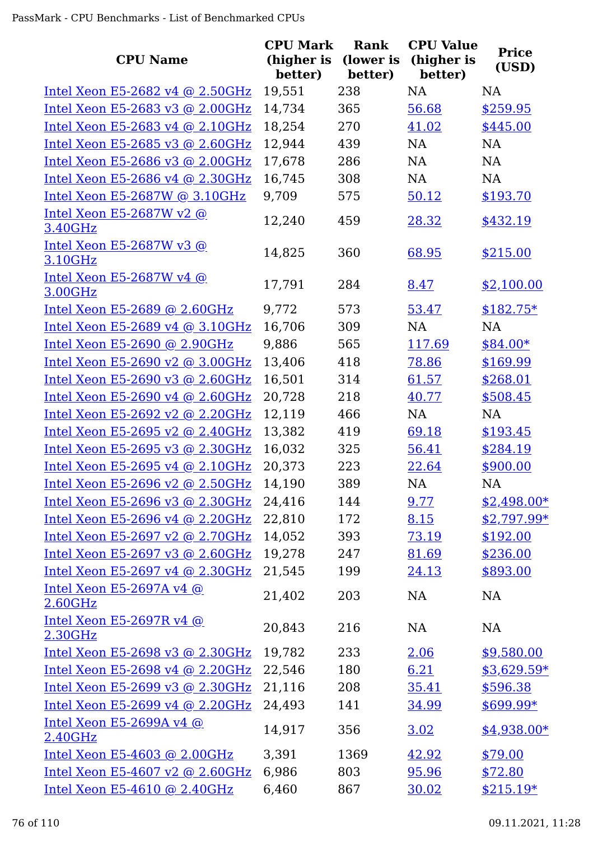|                                            | <b>CPU Mark</b>       | Rank                 | <b>CPU Value</b>      | <b>Price</b> |
|--------------------------------------------|-----------------------|----------------------|-----------------------|--------------|
| <b>CPU Name</b>                            | (higher is<br>better) | (lower is<br>better) | (higher is<br>better) | (USD)        |
| Intel Xeon E5-2682 v4 @ 2.50GHz            | 19,551                | 238                  | <b>NA</b>             | <b>NA</b>    |
| Intel Xeon E5-2683 v3 @ 2.00GHz            | 14,734                | 365                  | 56.68                 | \$259.95     |
| Intel Xeon E5-2683 v4 @ 2.10GHz            | 18,254                | 270                  | 41.02                 | \$445.00     |
| Intel Xeon E5-2685 v3 @ 2.60GHz            | 12,944                | 439                  | NA                    | NA           |
| Intel Xeon E5-2686 v3 @ 2.00GHz            | 17,678                | 286                  | NA                    | NA           |
| Intel Xeon E5-2686 v4 @ 2.30GHz            | 16,745                | 308                  | NA                    | NA           |
| Intel Xeon E5-2687W @ 3.10GHz              | 9,709                 | 575                  | 50.12                 | \$193.70     |
| Intel Xeon E5-2687W v2 @<br>3.40GHz        | 12,240                | 459                  | 28.32                 | \$432.19     |
| Intel Xeon E5-2687W v3 $@$<br>3.10GHz      | 14,825                | 360                  | 68.95                 | \$215.00     |
| Intel Xeon E5-2687W v4 @<br>3.00GHz        | 17,791                | 284                  | 8.47                  | \$2,100.00   |
| Intel Xeon E5-2689 @ 2.60GHz               | 9,772                 | 573                  | 53.47                 | $$182.75*$   |
| Intel Xeon E5-2689 v4 @ 3.10GHz            | 16,706                | 309                  | <b>NA</b>             | NA           |
| Intel Xeon E5-2690 @ 2.90GHz               | 9,886                 | 565                  | 117.69                | $$84.00*$    |
| Intel Xeon E5-2690 v2 @ 3.00GHz            | 13,406                | 418                  | 78.86                 | \$169.99     |
| Intel Xeon E5-2690 v3 @ 2.60GHz            | 16,501                | 314                  | 61.57                 | \$268.01     |
| Intel Xeon E5-2690 v4 @ 2.60GHz            | 20,728                | 218                  | 40.77                 | \$508.45     |
| Intel Xeon E5-2692 v2 @ 2.20GHz            | 12,119                | 466                  | NA                    | NA           |
| Intel Xeon E5-2695 v2 @ 2.40GHz            | 13,382                | 419                  | 69.18                 | \$193.45     |
| Intel Xeon E5-2695 v3 @ 2.30GHz            | 16,032                | 325                  | 56.41                 | \$284.19     |
| Intel Xeon E5-2695 v4 @ 2.10GHz            | 20,373                | 223                  | 22.64                 | \$900.00     |
| Intel Xeon E5-2696 v2 @ 2.50GHz            | 14.190                | 389                  | NA                    | NA           |
| Intel Xeon E5-2696 v3 @ $2.30$ GHz         | 24,416                | 144                  | 9.77                  | $$2,498.00*$ |
| Intel Xeon E5-2696 v4 @ 2.20GHz            | 22,810                | 172                  | 8.15                  | $$2,797.99*$ |
| Intel Xeon E5-2697 v2 @ 2.70GHz            | 14,052                | 393                  | 73.19                 | \$192.00     |
| Intel Xeon E5-2697 v3 @ $2.60$ GHz         | 19,278                | 247                  | 81.69                 | \$236.00     |
| Intel Xeon E5-2697 v4 @ 2.30GHz            | 21,545                | 199                  | 24.13                 | \$893.00     |
| <u>Intel Xeon E5-2697A v4 @</u><br>2.60GHz | 21,402                | 203                  | NA                    | NA           |
| Intel Xeon E5-2697R v4 @<br>2.30GHz        | 20,843                | 216                  | NA                    | <b>NA</b>    |
| Intel Xeon E5-2698 v3 @ 2.30GHz            | 19,782                | 233                  | 2.06                  | \$9,580.00   |
| Intel Xeon E5-2698 v4 @ 2.20GHz            | 22,546                | 180                  | 6.21                  | $$3,629.59*$ |
| Intel Xeon E5-2699 v3 @ 2.30GHz            | 21,116                | 208                  | 35.41                 | \$596.38     |
| Intel Xeon E5-2699 v4 @ 2.20GHz            | 24,493                | 141                  | 34.99                 | $$699.99*$   |
| Intel Xeon E5-2699A v4 $@$<br>2.40GHz      | 14,917                | 356                  | 3.02                  | $$4,938.00*$ |
| Intel Xeon E5-4603 @ $2.00$ GHz            | 3,391                 | 1369                 | 42.92                 | \$79.00      |
| Intel Xeon E5-4607 v2 @ 2.60GHz            | 6,986                 | 803                  | 95.96                 | \$72.80      |
| Intel Xeon E5-4610 @ 2.40GHz               | 6,460                 | 867                  | 30.02                 | $$215.19*$   |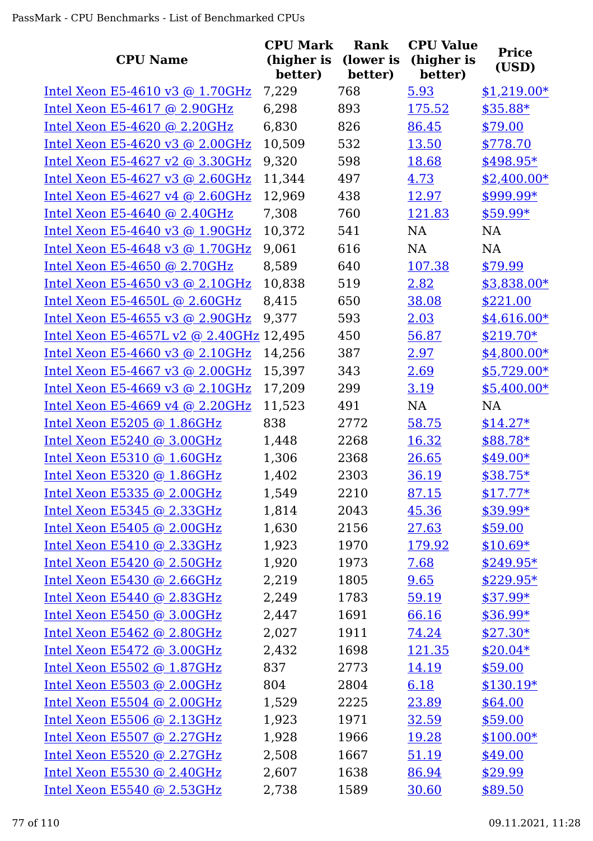| <b>CPU Name</b>                         | <b>CPU Mark</b><br>(higher is<br>better) | Rank<br>(lower is<br>better) | <b>CPU Value</b><br>(higher is<br>better) | <b>Price</b><br>(USD) |
|-----------------------------------------|------------------------------------------|------------------------------|-------------------------------------------|-----------------------|
| Intel Xeon E5-4610 v3 @ 1.70GHz         | 7,229                                    | 768                          | 5.93                                      | $$1,219.00*$          |
| Intel Xeon E5-4617 @ 2.90GHz            | 6,298                                    | 893                          | 175.52                                    | \$35.88*              |
| Intel Xeon $E5-4620$ @ 2.20GHz          | 6,830                                    | 826                          | 86.45                                     | \$79.00               |
| Intel Xeon E5-4620 v3 @ 2.00GHz         | 10,509                                   | 532                          | 13.50                                     | \$778.70              |
| Intel Xeon E5-4627 v2 @ $3.30$ GHz      | 9,320                                    | 598                          | 18.68                                     | $$498.95*$            |
| Intel Xeon E5-4627 v3 @ 2.60GHz         | 11,344                                   | 497                          | 4.73                                      | $$2,400.00*$          |
| Intel Xeon E5-4627 v4 @ 2.60GHz         | 12,969                                   | 438                          | 12.97                                     | \$999.99*             |
| Intel Xeon E5-4640 @ 2.40GHz            | 7,308                                    | 760                          | 121.83                                    | $$59.99*$             |
| Intel Xeon E5-4640 v3 $\omega$ 1.90GHz  | 10,372                                   | 541                          | NA                                        | NA                    |
| Intel Xeon E5-4648 v3 @ 1.70GHz         | 9,061                                    | 616                          | <b>NA</b>                                 | <b>NA</b>             |
| Intel Xeon E5-4650 @ 2.70GHz            | 8,589                                    | 640                          | 107.38                                    | \$79.99               |
| Intel Xeon E5-4650 v3 @ 2.10GHz         | 10,838                                   | 519                          | 2.82                                      | \$3,838.00*           |
| Intel Xeon E5-4650L @ 2.60GHz           | 8,415                                    | 650                          | 38.08                                     | \$221.00              |
| Intel Xeon E5-4655 v3 @ 2.90GHz         | 9,377                                    | 593                          | 2.03                                      | $$4,616.00*$          |
| Intel Xeon E5-4657L v2 @ 2.40GHz 12,495 |                                          | 450                          | 56.87                                     | $$219.70*$            |
| Intel Xeon E5-4660 v3 @ $2.10$ GHz      | 14,256                                   | 387                          | 2.97                                      | $$4,800.00*$          |
| Intel Xeon E5-4667 v3 @ 2.00GHz         | 15,397                                   | 343                          | 2.69                                      | $$5,729.00*$          |
| Intel Xeon E5-4669 v3 @ 2.10GHz         | 17,209                                   | 299                          | 3.19                                      | $$5,400.00*$          |
| Intel Xeon E5-4669 v4 @ 2.20GHz         | 11,523                                   | 491                          | NA                                        | NA                    |
| Intel Xeon E5205 @ 1.86GHz              | 838                                      | 2772                         | 58.75                                     | $$14.27*$             |
| Intel Xeon E5240 @ 3.00GHz              | 1,448                                    | 2268                         | 16.32                                     | \$88.78*              |
| Intel Xeon E5310 @ 1.60GHz              | 1,306                                    | 2368                         | 26.65                                     | $$49.00*$             |
| Intel Xeon E5320 @ 1.86GHz              | 1,402                                    | 2303                         | 36.19                                     | $$38.75*$             |
| Intel Xeon E5335 @ 2.00GHz              | 1,549                                    | 2210                         | 87.15                                     | $$17.77*$             |
| Intel Xeon E5345 @ 2.33GHz              | 1,814                                    | 2043                         | 45.36                                     | \$39.99*              |
| Intel Xeon $E5405$ @ 2.00GHz            | 1,630                                    | 2156                         | 27.63                                     | \$59.00               |
| Intel Xeon $E5410$ @ 2.33GHz            | 1,923                                    | 1970                         | 179.92                                    | $$10.69*$             |
| Intel Xeon E5420 @ 2.50GHz              | 1,920                                    | 1973                         | 7.68                                      | $$249.95*$            |
| Intel Xeon $E5430$ @ 2.66GHz            | 2,219                                    | 1805                         | 9.65                                      | $$229.95*$            |
| Intel Xeon E5440 @ 2.83GHz              | 2,249                                    | 1783                         | 59.19                                     | $$37.99*$             |
| Intel Xeon $E5450$ @ 3.00GHz            | 2,447                                    | 1691                         | 66.16                                     | $$36.99*$             |
| Intel Xeon E5462 @ 2.80GHz              | 2,027                                    | 1911                         | 74.24                                     | $$27.30*$             |
| Intel Xeon $E5472$ @ 3.00GHz            | 2,432                                    | 1698                         | <u>121.35</u>                             | $$20.04*$             |
| Intel Xeon E5502 $@$ 1.87GHz            | 837                                      | 2773                         | 14.19                                     | \$59.00               |
| Intel Xeon E5503 @ 2.00GHz              | 804                                      | 2804                         | 6.18                                      | $$130.19*$            |
| Intel Xeon $E5504$ @ 2.00GHz            | 1,529                                    | 2225                         | 23.89                                     | \$64.00               |
| Intel Xeon $E5506$ @ 2.13GHz            | 1,923                                    | 1971                         | 32.59                                     | \$59.00               |
| Intel Xeon E5507 @ $2.27$ GHz           | 1,928                                    | 1966                         | 19.28                                     | $$100.00*$            |
| Intel Xeon $E5520$ @ 2.27GHz            | 2,508                                    | 1667                         | 51.19                                     | \$49.00               |
| Intel Xeon $E5530$ @ 2.40GHz            | 2,607                                    | 1638                         | 86.94                                     | \$29.99               |
| Intel Xeon E5540 @ 2.53GHz              | 2,738                                    | 1589                         | 30.60                                     | \$89.50               |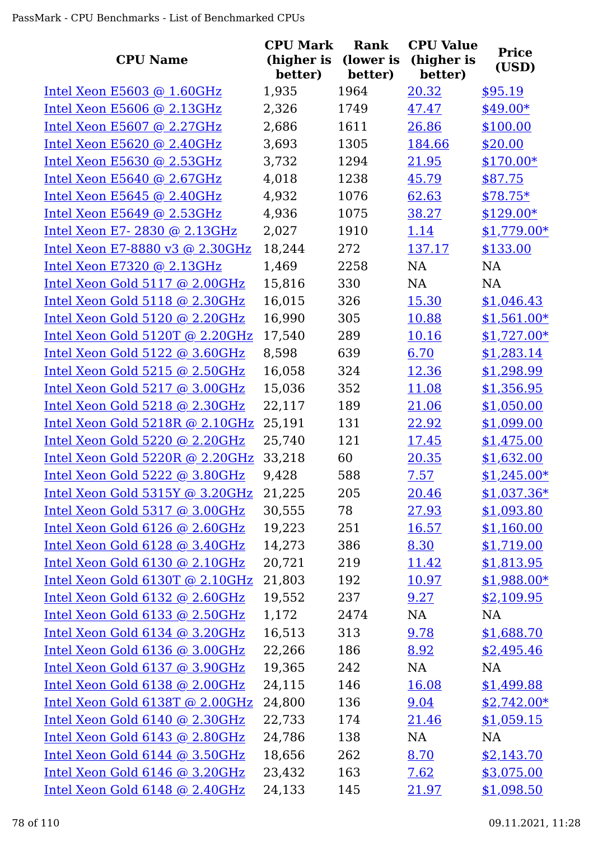| <b>CPU Name</b>                 | <b>CPU Mark</b><br>(higher is | Rank<br>(lower is | <b>CPU Value</b><br>(higher is | <b>Price</b><br>(USD) |
|---------------------------------|-------------------------------|-------------------|--------------------------------|-----------------------|
|                                 | better)                       | better)           | better)                        |                       |
| Intel Xeon E5603 @ 1.60GHz      | 1,935                         | 1964              | 20.32                          | \$95.19               |
| Intel Xeon E5606 @ 2.13GHz      | 2,326                         | 1749              | 47.47                          | $$49.00*$             |
| Intel Xeon E5607 @ 2.27GHz      | 2,686                         | 1611              | 26.86                          | \$100.00              |
| Intel Xeon E5620 @ 2.40GHz      | 3,693                         | 1305              | 184.66                         | \$20.00               |
| Intel Xeon E5630 @ 2.53GHz      | 3,732                         | 1294              | 21.95                          | $$170.00*$            |
| Intel Xeon E5640 @ 2.67GHz      | 4,018                         | 1238              | 45.79                          | \$87.75               |
| Intel Xeon E5645 @ 2.40GHz      | 4,932                         | 1076              | 62.63                          | $$78.75*$             |
| Intel Xeon E5649 @ 2.53GHz      | 4,936                         | 1075              | 38.27                          | $$129.00*$            |
| Intel Xeon E7-2830 @ 2.13GHz    | 2,027                         | 1910              | 1.14                           | $$1,779.00*$          |
| Intel Xeon E7-8880 v3 @ 2.30GHz | 18,244                        | 272               | 137.17                         | \$133.00              |
| Intel Xeon E7320 @ 2.13GHz      | 1,469                         | 2258              | <b>NA</b>                      | <b>NA</b>             |
| Intel Xeon Gold 5117 @ 2.00GHz  | 15,816                        | 330               | NA                             | <b>NA</b>             |
| Intel Xeon Gold 5118 @ 2.30GHz  | 16,015                        | 326               | 15.30                          | \$1,046.43            |
| Intel Xeon Gold 5120 @ 2.20GHz  | 16,990                        | 305               | 10.88                          | $$1,561.00*$          |
| Intel Xeon Gold 5120T @ 2.20GHz | 17,540                        | 289               | 10.16                          | $$1,727.00*$          |
| Intel Xeon Gold 5122 @ 3.60GHz  | 8,598                         | 639               | 6.70                           | \$1,283.14            |
| Intel Xeon Gold 5215 @ 2.50GHz  | 16,058                        | 324               | 12.36                          | \$1,298.99            |
| Intel Xeon Gold 5217 @ 3.00GHz  | 15,036                        | 352               | 11.08                          | \$1,356.95            |
| Intel Xeon Gold 5218 @ 2.30GHz  | 22,117                        | 189               | 21.06                          | \$1,050.00            |
| Intel Xeon Gold 5218R @ 2.10GHz | 25,191                        | 131               | 22.92                          | \$1,099.00            |
| Intel Xeon Gold 5220 @ 2.20GHz  | 25,740                        | 121               | 17.45                          | \$1,475.00            |
| Intel Xeon Gold 5220R @ 2.20GHz | 33,218                        | 60                | 20.35                          | \$1,632.00            |
| Intel Xeon Gold 5222 @ 3.80GHz  | 9,428                         | 588               | 7.57                           | $$1,245.00*$          |
| Intel Xeon Gold 5315Y @ 3.20GHz | 21,225                        | 205               | 20.46                          | $$1,037.36*$          |
| Intel Xeon Gold 5317 @ 3.00GHz  | 30,555                        | 78                | 27.93                          | \$1,093.80            |
| Intel Xeon Gold 6126 @ 2.60GHz  | 19,223                        | 251               | <u>16.57</u>                   | \$1,160.00            |
| Intel Xeon Gold 6128 @ 3.40GHz  | 14,273                        | 386               | 8.30                           | \$1,719.00            |
| Intel Xeon Gold 6130 @ 2.10GHz  | 20,721                        | 219               | <u>11.42</u>                   | \$1,813.95            |
| Intel Xeon Gold 6130T @ 2.10GHz | 21,803                        | 192               | 10.97                          | $$1,988.00*$          |
| Intel Xeon Gold 6132 @ 2.60GHz  | 19,552                        | 237               | 9.27                           | \$2,109.95            |
| Intel Xeon Gold 6133 @ 2.50GHz  | 1,172                         | 2474              | NA                             | NA                    |
| Intel Xeon Gold 6134 @ 3.20GHz  | 16,513                        | 313               | 9.78                           | \$1,688.70            |
| Intel Xeon Gold 6136 @ 3.00GHz  | 22,266                        | 186               | 8.92                           | \$2,495.46            |
| Intel Xeon Gold 6137 @ 3.90GHz  | 19,365                        | 242               | NA                             | <b>NA</b>             |
| Intel Xeon Gold 6138 @ 2.00GHz  | 24,115                        | 146               | 16.08                          | \$1,499.88            |
| Intel Xeon Gold 6138T @ 2.00GHz | 24,800                        | 136               | 9.04                           | $$2,742.00*$          |
| Intel Xeon Gold 6140 @ 2.30GHz  | 22,733                        | 174               | 21.46                          | \$1,059.15            |
| Intel Xeon Gold 6143 @ 2.80GHz  | 24,786                        | 138               | NA                             | NA                    |
| Intel Xeon Gold 6144 @ 3.50GHz  | 18,656                        | 262               | 8.70                           | \$2,143.70            |
| Intel Xeon Gold 6146 @ 3.20GHz  | 23,432                        | 163               | 7.62                           | \$3,075.00            |
| Intel Xeon Gold 6148 @ 2.40GHz  | 24,133                        | 145               | 21.97                          | \$1,098.50            |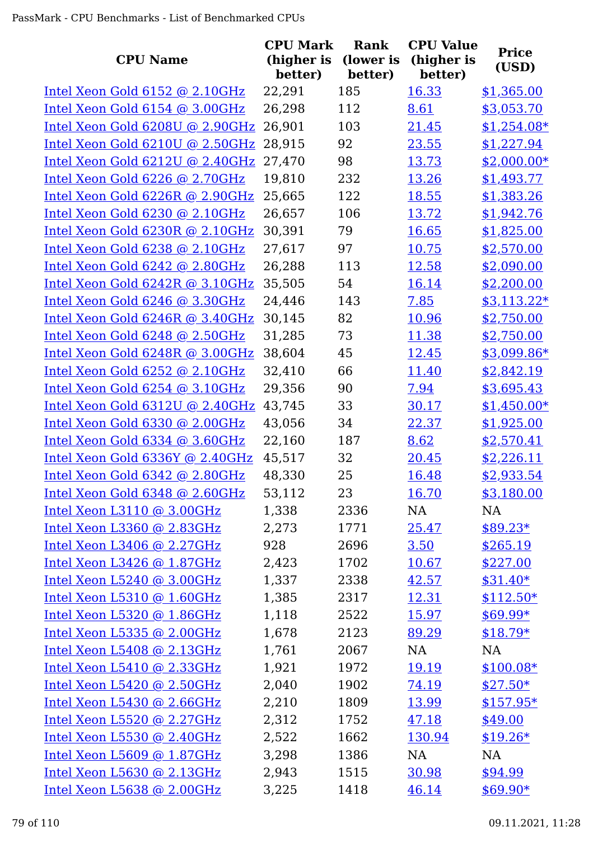| <b>CPU Name</b>                 | <b>CPU Mark</b><br>(higher is | <b>Rank</b><br>(lower is | <b>CPU Value</b><br>(higher is | <b>Price</b> |
|---------------------------------|-------------------------------|--------------------------|--------------------------------|--------------|
|                                 | better)                       | better)                  | better)                        | (USD)        |
| Intel Xeon Gold 6152 @ 2.10GHz  | 22,291                        | 185                      | 16.33                          | \$1,365.00   |
| Intel Xeon Gold 6154 @ 3.00GHz  | 26,298                        | 112                      | 8.61                           | \$3,053.70   |
| Intel Xeon Gold 6208U @ 2.90GHz | 26,901                        | 103                      | 21.45                          | $$1,254.08*$ |
| Intel Xeon Gold 6210U @ 2.50GHz | 28,915                        | 92                       | 23.55                          | \$1,227.94   |
| Intel Xeon Gold 6212U @ 2.40GHz | 27,470                        | 98                       | 13.73                          | $$2,000.00*$ |
| Intel Xeon Gold 6226 @ 2.70GHz  | 19,810                        | 232                      | 13.26                          | \$1,493.77   |
| Intel Xeon Gold 6226R @ 2.90GHz | 25,665                        | 122                      | 18.55                          | \$1,383.26   |
| Intel Xeon Gold 6230 @ 2.10GHz  | 26,657                        | 106                      | 13.72                          | \$1,942.76   |
| Intel Xeon Gold 6230R @ 2.10GHz | 30,391                        | 79                       | 16.65                          | \$1,825.00   |
| Intel Xeon Gold 6238 @ 2.10GHz  | 27,617                        | 97                       | 10.75                          | \$2,570.00   |
| Intel Xeon Gold 6242 @ 2.80GHz  | 26,288                        | 113                      | 12.58                          | \$2,090.00   |
| Intel Xeon Gold 6242R @ 3.10GHz | 35,505                        | 54                       | 16.14                          | \$2,200.00   |
| Intel Xeon Gold 6246 @ 3.30GHz  | 24,446                        | 143                      | 7.85                           | $$3,113.22*$ |
| Intel Xeon Gold 6246R @ 3.40GHz | 30,145                        | 82                       | 10.96                          | \$2,750.00   |
| Intel Xeon Gold 6248 @ 2.50GHz  | 31,285                        | 73                       | 11.38                          | \$2,750.00   |
| Intel Xeon Gold 6248R @ 3.00GHz | 38,604                        | 45                       | 12.45                          | \$3,099.86*  |
| Intel Xeon Gold 6252 @ 2.10GHz  | 32,410                        | 66                       | 11.40                          | \$2,842.19   |
| Intel Xeon Gold 6254 @ 3.10GHz  | 29,356                        | 90                       | 7.94                           | \$3,695.43   |
| Intel Xeon Gold 6312U @ 2.40GHz | 43,745                        | 33                       | 30.17                          | $$1,450.00*$ |
| Intel Xeon Gold 6330 @ 2.00GHz  | 43,056                        | 34                       | 22.37                          | \$1,925.00   |
| Intel Xeon Gold 6334 @ 3.60GHz  | 22,160                        | 187                      | 8.62                           | \$2,570.41   |
| Intel Xeon Gold 6336Y @ 2.40GHz | 45,517                        | 32                       | 20.45                          | \$2,226.11   |
| Intel Xeon Gold 6342 @ 2.80GHz  | 48,330                        | 25                       | 16.48                          | \$2,933.54   |
| Intel Xeon Gold 6348 @ 2.60GHz  | 53,112                        | 23                       | 16.70                          | \$3,180.00   |
| Intel Xeon L3110 @ 3.00GHz      | 1,338                         | 2336                     | NA                             | NA           |
| Intel Xeon L3360 @ 2.83GHz      | 2,273                         | 1771                     | 25.47                          | $$89.23*$    |
| Intel Xeon $L3406$ @ 2.27GHz    | 928                           | 2696                     | 3.50                           | \$265.19     |
| Intel Xeon L3426 @ 1.87GHz      | 2,423                         | 1702                     | 10.67                          | \$227.00     |
| Intel Xeon $L5240$ @ 3.00GHz    | 1,337                         | 2338                     | 42.57                          | $$31.40*$    |
| Intel Xeon $L5310$ @ 1.60GHz    | 1,385                         | 2317                     | 12.31                          | $$112.50*$   |
| Intel Xeon L5320 @ 1.86GHz      | 1,118                         | 2522                     | <u>15.97</u>                   | $$69.99*$    |
| Intel Xeon L5335 @ 2.00GHz      | 1,678                         | 2123                     | 89.29                          | $$18.79*$    |
| Intel Xeon L5408 @ 2.13GHz      | 1,761                         | 2067                     | NA                             | NA           |
| Intel Xeon L5410 @ 2.33GHz      | 1,921                         | 1972                     | 19.19                          | $$100.08*$   |
| Intel Xeon $L5420$ @ 2.50GHz    | 2,040                         | 1902                     | 74.19                          | $$27.50*$    |
| Intel Xeon L5430 @ 2.66GHz      | 2,210                         | 1809                     | 13.99                          | $$157.95*$   |
| Intel Xeon L5520 @ 2.27GHz      | 2,312                         | 1752                     | 47.18                          | \$49.00      |
| Intel Xeon L5530 @ 2.40GHz      | 2,522                         | 1662                     | 130.94                         | $$19.26*$    |
| Intel Xeon $L5609$ @ 1.87GHz    | 3,298                         | 1386                     | NA                             | NA           |
| Intel Xeon L5630 @ 2.13GHz      | 2,943                         | 1515                     | 30.98                          | \$94.99      |
| Intel Xeon L5638 @ 2.00GHz      | 3,225                         | 1418                     | 46.14                          | $$69.90*$    |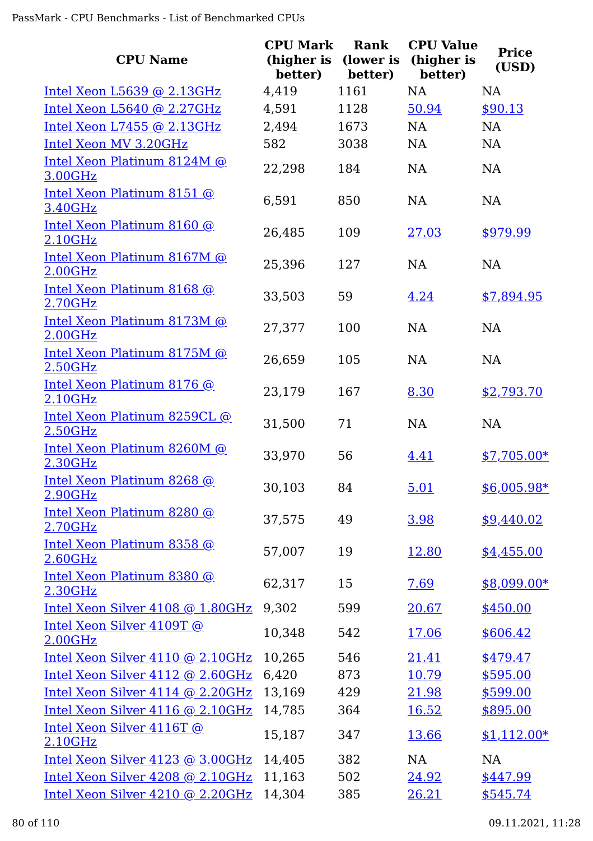| <b>CPU Name</b>                              | <b>CPU Mark</b><br>(higher is<br>better) | Rank<br>(lower is<br>better) | <b>CPU Value</b><br>(higher is<br>better) | <b>Price</b><br>(USD) |
|----------------------------------------------|------------------------------------------|------------------------------|-------------------------------------------|-----------------------|
| Intel Xeon $L5639$ @ 2.13GHz                 | 4,419                                    | 1161                         | <b>NA</b>                                 | <b>NA</b>             |
| Intel Xeon L5640 @ 2.27GHz                   | 4,591                                    | 1128                         | 50.94                                     | \$90.13               |
| Intel Xeon L7455 @ 2.13GHz                   | 2,494                                    | 1673                         | <b>NA</b>                                 | <b>NA</b>             |
| Intel Xeon MV 3.20GHz                        | 582                                      | 3038                         | <b>NA</b>                                 | <b>NA</b>             |
| Intel Xeon Platinum 8124M @<br>3.00GHz       | 22,298                                   | 184                          | <b>NA</b>                                 | <b>NA</b>             |
| Intel Xeon Platinum 8151 @<br>3.40GHz        | 6,591                                    | 850                          | <b>NA</b>                                 | NA                    |
| Intel Xeon Platinum 8160 @<br>2.10GHz        | 26,485                                   | 109                          | 27.03                                     | \$979.99              |
| Intel Xeon Platinum 8167M @<br>2.00GHz       | 25,396                                   | 127                          | <b>NA</b>                                 | <b>NA</b>             |
| Intel Xeon Platinum 8168 @<br>2.70GHz        | 33,503                                   | 59                           | 4.24                                      | \$7,894.95            |
| Intel Xeon Platinum 8173M @<br>2.00GHz       | 27,377                                   | 100                          | <b>NA</b>                                 | <b>NA</b>             |
| Intel Xeon Platinum 8175M @<br>2.50GHz       | 26,659                                   | 105                          | <b>NA</b>                                 | <b>NA</b>             |
| Intel Xeon Platinum 8176 @<br>2.10GHz        | 23,179                                   | 167                          | 8.30                                      | \$2,793.70            |
| Intel Xeon Platinum 8259CL @<br>2.50GHz      | 31,500                                   | 71                           | <b>NA</b>                                 | <b>NA</b>             |
| Intel Xeon Platinum 8260M @<br>2.30GHz       | 33,970                                   | 56                           | 4.41                                      | $$7,705.00*$          |
| Intel Xeon Platinum 8268 @<br>2.90GHz        | 30,103                                   | 84                           | 5.01                                      | $$6,005.98*$          |
| Intel Xeon Platinum 8280 @<br>2.70GHz        | 37,575                                   | 49                           | 3.98                                      | \$9,440.02            |
| <u>Intel Xeon Platinum 8358 @</u><br>2.60GHz | 57,007                                   | 19                           | 12.80                                     | \$4,455.00            |
| Intel Xeon Platinum 8380 @<br>2.30GHz        | 62,317                                   | 15                           | 7.69                                      | \$8,099.00*           |
| Intel Xeon Silver 4108 @ 1.80GHz             | 9,302                                    | 599                          | 20.67                                     | \$450.00              |
| Intel Xeon Silver 4109T @<br>2.00GHz         | 10,348                                   | 542                          | 17.06                                     | \$606.42              |
| Intel Xeon Silver 4110 @ 2.10GHz             | 10,265                                   | 546                          | <u>21.41</u>                              | \$479.47              |
| Intel Xeon Silver 4112 @ 2.60GHz             | 6,420                                    | 873                          | 10.79                                     | \$595.00              |
| Intel Xeon Silver 4114 @ 2.20GHz             | 13,169                                   | 429                          | 21.98                                     | \$599.00              |
| Intel Xeon Silver 4116 @ 2.10GHz             | 14,785                                   | 364                          | 16.52                                     | \$895.00              |
| Intel Xeon Silver 4116T @<br>2.10GHz         | 15,187                                   | 347                          | 13.66                                     | $$1,112.00*$          |
| Intel Xeon Silver 4123 @ 3.00GHz             | 14,405                                   | 382                          | <b>NA</b>                                 | <b>NA</b>             |
| Intel Xeon Silver 4208 @ 2.10GHz             | 11,163                                   | 502                          | 24.92                                     | \$447.99              |
| Intel Xeon Silver 4210 @ 2.20GHz             | 14,304                                   | 385                          | 26.21                                     | \$545.74              |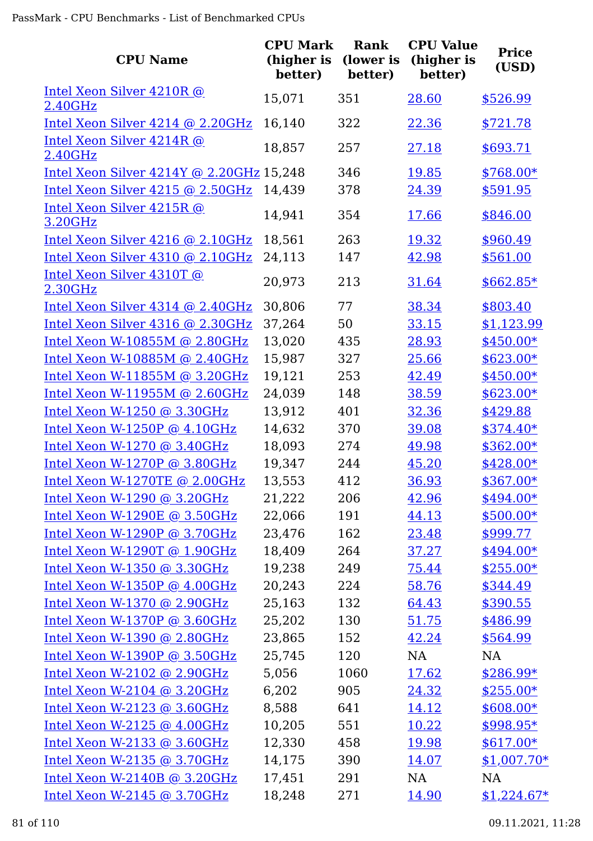| <b>CPU Name</b>                             | <b>CPU Mark</b><br>(higher is<br>better) | Rank<br>(lower is<br>better) | <b>CPU Value</b><br>(higher is<br>better) | <b>Price</b><br>(USD) |
|---------------------------------------------|------------------------------------------|------------------------------|-------------------------------------------|-----------------------|
| Intel Xeon Silver 4210R @                   | 15,071                                   | 351                          | 28.60                                     | \$526.99              |
| 2.40GHz<br>Intel Xeon Silver 4214 @ 2.20GHz | 16,140                                   | 322                          | 22.36                                     | \$721.78              |
| Intel Xeon Silver 4214R @                   |                                          |                              |                                           |                       |
| 2.40GHz                                     | 18,857                                   | 257                          | 27.18                                     | \$693.71              |
| Intel Xeon Silver 4214Y @ 2.20GHz 15,248    |                                          | 346                          | 19.85                                     | \$768.00*             |
| Intel Xeon Silver 4215 @ 2.50GHz            | 14,439                                   | 378                          | 24.39                                     | \$591.95              |
| Intel Xeon Silver 4215R @<br>3.20GHz        | 14,941                                   | 354                          | <u>17.66</u>                              | \$846.00              |
| Intel Xeon Silver 4216 @ 2.10GHz            | 18,561                                   | 263                          | 19.32                                     | \$960.49              |
| Intel Xeon Silver 4310 @ 2.10GHz            | 24,113                                   | 147                          | 42.98                                     | \$561.00              |
| Intel Xeon Silver 4310T @<br>2.30GHz        | 20,973                                   | 213                          | 31.64                                     | $$662.85*$            |
| Intel Xeon Silver 4314 @ 2.40GHz            | 30,806                                   | 77                           | 38.34                                     | \$803.40              |
| Intel Xeon Silver 4316 @ 2.30GHz            | 37,264                                   | 50                           | 33.15                                     | \$1,123.99            |
| Intel Xeon W-10855M @ 2.80GHz               | 13,020                                   | 435                          | 28.93                                     | \$450.00*             |
| Intel Xeon W-10885M @ 2.40GHz               | 15,987                                   | 327                          | 25.66                                     | $$623.00*$            |
| Intel Xeon W-11855M @ 3.20GHz               | 19,121                                   | 253                          | 42.49                                     | $$450.00*$            |
| Intel Xeon W-11955M @ 2.60GHz               | 24,039                                   | 148                          | 38.59                                     | $$623.00*$            |
| Intel Xeon W-1250 @ 3.30GHz                 | 13,912                                   | 401                          | 32.36                                     | \$429.88              |
| Intel Xeon W-1250P @ 4.10GHz                | 14,632                                   | 370                          | 39.08                                     | $$374.40*$            |
| Intel Xeon W-1270 @ 3.40GHz                 | 18,093                                   | 274                          | 49.98                                     | $$362.00*$            |
| Intel Xeon W-1270P @ 3.80GHz                | 19,347                                   | 244                          | 45.20                                     | \$428.00*             |
| Intel Xeon W-1270TE @ 2.00GHz               | 13,553                                   | 412                          | 36.93                                     | \$367.00*             |
| <u>Intel Xeon W-1290 @ 3.20GHz</u>          | 21,222                                   | 206                          | 42.96                                     | $$494.00*$            |
| Intel Xeon W-1290E @ 3.50GHz                | 22,066                                   | 191                          | 44.13                                     | $$500.00*$            |
| Intel Xeon W-1290P @ 3.70GHz                | 23,476                                   | 162                          | 23.48                                     | \$999.77              |
| Intel Xeon W-1290T $@1.90GHz$               | 18,409                                   | 264                          | 37.27                                     | $$494.00*$            |
| Intel Xeon W-1350 @ 3.30GHz                 | 19,238                                   | 249                          | 75.44                                     | $$255.00*$            |
| Intel Xeon W-1350P $@$ 4.00GHz              | 20,243                                   | 224                          | 58.76                                     | \$344.49              |
| Intel Xeon W-1370 @ 2.90GHz                 | 25,163                                   | 132                          | 64.43                                     | \$390.55              |
| Intel Xeon W-1370P $@3.60GHz$               | 25,202                                   | 130                          | 51.75                                     | \$486.99              |
| Intel Xeon W-1390 @ 2.80GHz                 | 23,865                                   | 152                          | 42.24                                     | \$564.99              |
| Intel Xeon W-1390P $@3.50GHz$               | 25,745                                   | 120                          | NA                                        | <b>NA</b>             |
| Intel Xeon W-2102 @ $2.90GHz$               | 5,056                                    | 1060                         | 17.62                                     | $$286.99*$            |
| Intel Xeon W-2104 @ 3.20GHz                 | 6,202                                    | 905                          | 24.32                                     | $$255.00*$            |
| Intel Xeon W-2123 @ 3.60GHz                 | 8,588                                    | 641                          | 14.12                                     | $$608.00*$            |
| Intel Xeon W-2125 $@$ 4.00GHz               | 10,205                                   | 551                          | 10.22                                     | $$998.95*$            |
| Intel Xeon W-2133 @ 3.60GHz                 | 12,330                                   | 458                          | 19.98                                     | $$617.00*$            |
| Intel Xeon W-2135 $@3.70GHz$                | 14,175                                   | 390                          | 14.07                                     | $$1,007.70*$          |
| Intel Xeon W-2140B $@3.20GHz$               | 17,451                                   | 291                          | NA                                        | NA                    |
| Intel Xeon W-2145 @ 3.70GHz                 | 18,248                                   | 271                          | 14.90                                     | $$1,224.67*$          |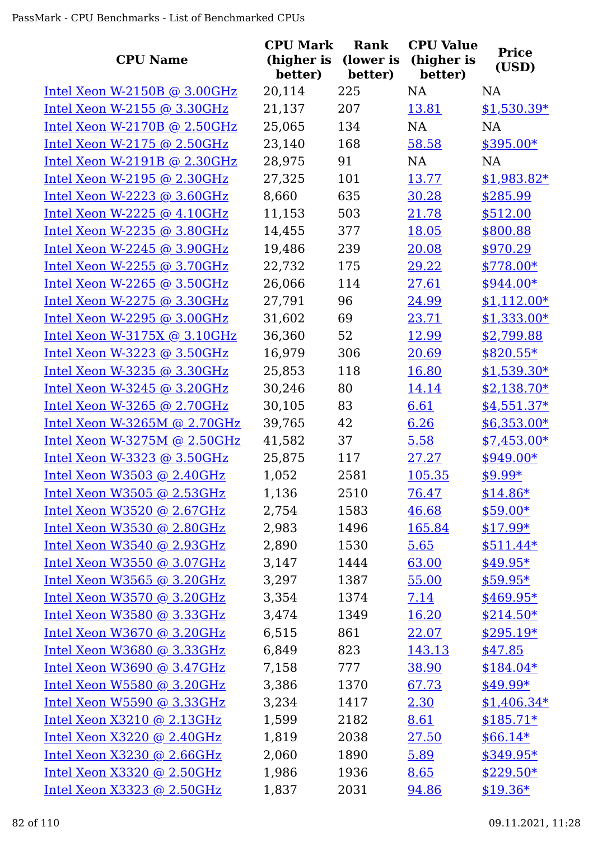| <b>CPU Name</b>               | <b>CPU Mark</b><br>(higher is<br>better) | Rank<br>(lower is<br>better) | <b>CPU Value</b><br>(higher is<br>better) | <b>Price</b><br>(USD) |
|-------------------------------|------------------------------------------|------------------------------|-------------------------------------------|-----------------------|
| Intel Xeon W-2150B @ 3.00GHz  | 20,114                                   | 225                          | <b>NA</b>                                 | <b>NA</b>             |
| Intel Xeon W-2155 @ 3.30GHz   | 21,137                                   | 207                          | 13.81                                     | $$1,530.39*$          |
| Intel Xeon W-2170B @ 2.50GHz  | 25,065                                   | 134                          | <b>NA</b>                                 | <b>NA</b>             |
| Intel Xeon W-2175 $@$ 2.50GHz | 23,140                                   | 168                          | 58.58                                     | \$395.00*             |
| Intel Xeon W-2191B @ 2.30GHz  | 28,975                                   | 91                           | <b>NA</b>                                 | <b>NA</b>             |
| Intel Xeon W-2195 @ 2.30GHz   | 27,325                                   | 101                          | 13.77                                     | $$1,983.82*$          |
| Intel Xeon W-2223 $@3.60GHz$  | 8,660                                    | 635                          | 30.28                                     | \$285.99              |
| Intel Xeon W-2225 $@$ 4.10GHz | 11,153                                   | 503                          | 21.78                                     | \$512.00              |
| Intel Xeon W-2235 $@3.80GHz$  | 14,455                                   | 377                          | 18.05                                     | \$800.88              |
| Intel Xeon W-2245 $@3.90GHz$  | 19,486                                   | 239                          | 20.08                                     | \$970.29              |
| Intel Xeon W-2255 @ 3.70GHz   | 22,732                                   | 175                          | 29.22                                     | $$778.00*$            |
| Intel Xeon W-2265 $@3.50GHz$  | 26,066                                   | 114                          | 27.61                                     | \$944.00*             |
| Intel Xeon W-2275 @ 3.30GHz   | 27,791                                   | 96                           | 24.99                                     | $$1,112.00*$          |
| Intel Xeon W-2295 @ 3.00GHz   | 31,602                                   | 69                           | 23.71                                     | $$1,333.00*$          |
| Intel Xeon W-3175X @ 3.10GHz  | 36,360                                   | 52                           | 12.99                                     | \$2,799.88            |
| Intel Xeon W-3223 @ 3.50GHz   | 16,979                                   | 306                          | 20.69                                     | $$820.55*$            |
| Intel Xeon W-3235 @ 3.30GHz   | 25,853                                   | 118                          | 16.80                                     | $$1,539.30*$          |
| Intel Xeon W-3245 $@$ 3.20GHz | 30,246                                   | 80                           | 14.14                                     | $$2,138.70*$          |
| Intel Xeon W-3265 @ 2.70GHz   | 30,105                                   | 83                           | 6.61                                      | $$4,551.37*$          |
| Intel Xeon W-3265M @ 2.70GHz  | 39,765                                   | 42                           | 6.26                                      | $$6,353.00*$          |
| Intel Xeon W-3275M @ 2.50GHz  | 41,582                                   | 37                           | 5.58                                      | $$7,453.00*$          |
| Intel Xeon W-3323 @ 3.50GHz   | 25,875                                   | 117                          | 27.27                                     | $$949.00*$            |
| Intel Xeon W3503 @ 2.40GHz    | 1,052                                    | 2581                         | 105.35                                    | $$9.99*$              |
| Intel Xeon W3505 $@$ 2.53GHz  | 1,136                                    | 2510                         | 76.47                                     | $$14.86*$             |
| Intel Xeon W3520 @ $2.67$ GHz | 2,754                                    | 1583                         | 46.68                                     | $$59.00*$             |
| Intel Xeon W3530 @ 2.80GHz    | 2,983                                    | 1496                         | 165.84                                    | $$17.99*$             |
| Intel Xeon W3540 @ 2.93GHz    | 2,890                                    | 1530                         | 5.65                                      | $$511.44*$            |
| Intel Xeon W3550 $@3.07$ GHz  | 3,147                                    | 1444                         | 63.00                                     | $$49.95*$             |
| Intel Xeon W3565 @ 3.20GHz    | 3,297                                    | 1387                         | 55.00                                     | $$59.95*$             |
| Intel Xeon $W3570$ @ 3.20GHz  | 3,354                                    | 1374                         | 7.14                                      | $$469.95*$            |
| Intel Xeon W3580 $@$ 3.33GHz  | 3,474                                    | 1349                         | 16.20                                     | $$214.50*$            |
| Intel Xeon W3670 @ $3.20$ GHz | 6,515                                    | 861                          | 22.07                                     | $$295.19*$            |
| Intel Xeon W3680 @ 3.33GHz    | 6,849                                    | 823                          | 143.13                                    | \$47.85               |
| Intel Xeon W3690 @ 3.47GHz    | 7,158                                    | 777                          | 38.90                                     | $$184.04*$            |
| Intel Xeon W5580 @ 3.20GHz    | 3,386                                    | 1370                         | 67.73                                     | $$49.99*$             |
| Intel Xeon $W5590$ @ 3.33GHz  | 3,234                                    | 1417                         | 2.30                                      | $$1,406.34*$          |
| Intel Xeon $X3210$ @ 2.13GHz  | 1,599                                    | 2182                         | 8.61                                      | $$185.71*$            |
| Intel Xeon $X3220$ @ 2.40GHz  | 1,819                                    | 2038                         | 27.50                                     | $$66.14*$             |
| Intel Xeon $X3230$ @ 2.66GHz  | 2,060                                    | 1890                         | 5.89                                      | $$349.95*$            |
| Intel Xeon $X3320$ @ 2.50GHz  | 1,986                                    | 1936                         | 8.65                                      | $$229.50*$            |
| Intel Xeon $X3323$ @ 2.50GHz  | 1,837                                    | 2031                         | 94.86                                     | $$19.36*$             |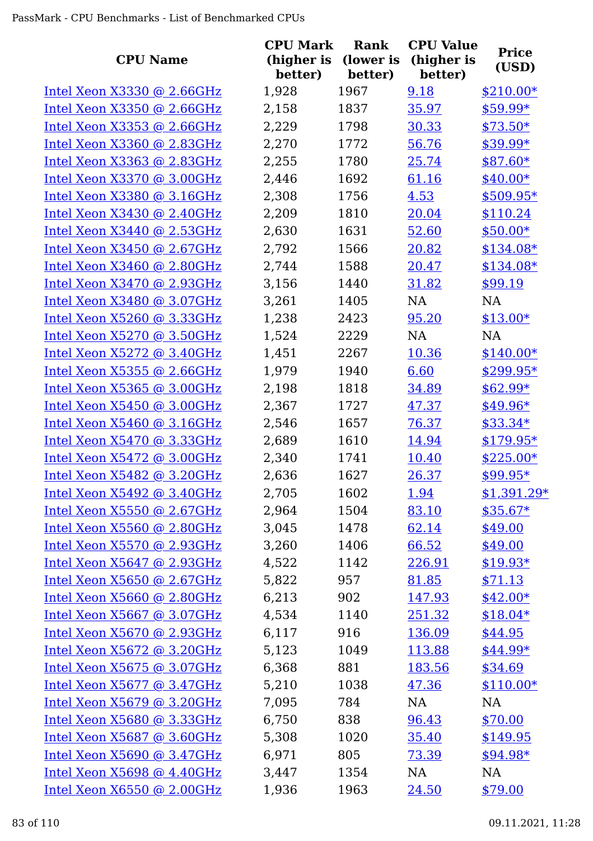|                              | <b>CPU Mark</b>       | Rank                 | <b>CPU Value</b>      |                       |
|------------------------------|-----------------------|----------------------|-----------------------|-----------------------|
| <b>CPU Name</b>              | (higher is<br>better) | (lower is<br>better) | (higher is<br>better) | <b>Price</b><br>(USD) |
| Intel Xeon $X3330$ @ 2.66GHz | 1,928                 | 1967                 | 9.18                  | $$210.00*$            |
| Intel Xeon X3350 @ 2.66GHz   | 2,158                 | 1837                 | 35.97                 | $$59.99*$             |
| Intel Xeon $X3353$ @ 2.66GHz | 2,229                 | 1798                 | 30.33                 | $$73.50*$             |
| Intel Xeon X3360 @ 2.83GHz   | 2,270                 | 1772                 | 56.76                 | \$39.99*              |
| Intel Xeon X3363 @ 2.83GHz   | 2,255                 | 1780                 | 25.74                 | $$87.60*$             |
| Intel Xeon X3370 @ 3.00GHz   | 2,446                 | 1692                 | 61.16                 | $$40.00*$             |
| Intel Xeon $X3380$ @ 3.16GHz | 2,308                 | 1756                 | 4.53                  | $$509.95*$            |
| Intel Xeon X3430 @ 2.40GHz   | 2,209                 | 1810                 | 20.04                 | \$110.24              |
| Intel Xeon $X3440$ @ 2.53GHz | 2,630                 | 1631                 | 52.60                 | $$50.00*$             |
| Intel Xeon $X3450$ @ 2.67GHz | 2,792                 | 1566                 | 20.82                 | $$134.08*$            |
| Intel Xeon X3460 @ 2.80GHz   | 2,744                 | 1588                 | 20.47                 | $$134.08*$            |
| Intel Xeon $X3470$ @ 2.93GHz | 3,156                 | 1440                 | 31.82                 | \$99.19               |
| Intel Xeon X3480 @ 3.07GHz   | 3,261                 | 1405                 | <b>NA</b>             | <b>NA</b>             |
| Intel Xeon X5260 @ 3.33GHz   | 1,238                 | 2423                 | 95.20                 | $$13.00*$             |
| Intel Xeon X5270 @ 3.50GHz   | 1,524                 | 2229                 | NA                    | NA                    |
| Intel Xeon X5272 @ 3.40GHz   | 1,451                 | 2267                 | 10.36                 | $$140.00*$            |
| Intel Xeon $X5355$ @ 2.66GHz | 1,979                 | 1940                 | 6.60                  | \$299.95*             |
| Intel Xeon $X5365$ @ 3.00GHz | 2,198                 | 1818                 | 34.89                 | $$62.99*$             |
| Intel Xeon $X5450$ @ 3.00GHz | 2,367                 | 1727                 | 47.37                 | $$49.96*$             |
| Intel Xeon $X5460$ @ 3.16GHz | 2,546                 | 1657                 | 76.37                 | $$33.34*$             |
| Intel Xeon $X5470$ @ 3.33GHz | 2,689                 | 1610                 | 14.94                 | $$179.95*$            |
| Intel Xeon $X5472$ @ 3.00GHz | 2,340                 | 1741                 | 10.40                 | $$225.00*$            |
| Intel Xeon X5482 @ 3.20GHz   | 2,636                 | 1627                 | 26.37                 | $$99.95*$             |
| Intel Xeon $X5492$ @ 3.40GHz | 2,705                 | 1602                 | 1.94                  | $$1,391.29*$          |
| Intel Xeon X5550 @ 2.67GHz   | 2,964                 | 1504                 | 83.10                 | $$35.67*$             |
| Intel Xeon $X5560$ @ 2.80GHz | 3,045                 | 1478                 | 62.14                 | \$49.00               |
| Intel Xeon $X5570$ @ 2.93GHz | 3,260                 | 1406                 | 66.52                 | \$49.00               |
| Intel Xeon X5647 @ 2.93GHz   | 4,522                 | 1142                 | 226.91                | $$19.93*$             |
| Intel Xeon $X5650$ @ 2.67GHz | 5,822                 | 957                  | 81.85                 | \$71.13               |
| Intel Xeon $X5660$ @ 2.80GHz | 6,213                 | 902                  | 147.93                | $$42.00*$             |
| Intel Xeon $X5667$ @ 3.07GHz | 4,534                 | 1140                 | 251.32                | $$18.04*$             |
| Intel Xeon X5670 @ 2.93GHz   | 6,117                 | 916                  | 136.09                | \$44.95               |
| Intel Xeon $X5672$ @ 3.20GHz | 5,123                 | 1049                 | 113.88                | $$44.99*$             |
| Intel Xeon $X5675$ @ 3.07GHz | 6,368                 | 881                  | 183.56                | \$34.69               |
| Intel Xeon X5677 @ 3.47GHz   | 5,210                 | 1038                 | 47.36                 | $$110.00*$            |
| Intel Xeon X5679 @ 3.20GHz   | 7,095                 | 784                  | NA                    | NA                    |
| Intel Xeon X5680 @ 3.33GHz   | 6,750                 | 838                  | 96.43                 | \$70.00               |
| Intel Xeon $X5687$ @ 3.60GHz | 5,308                 | 1020                 | 35.40                 | \$149.95              |
| Intel Xeon $X5690$ @ 3.47GHz | 6,971                 | 805                  | 73.39                 | $$94.98*$             |
| Intel Xeon X5698 @ 4.40GHz   | 3,447                 | 1354                 | NA                    | NA                    |
| Intel Xeon $X6550$ @ 2.00GHz | 1,936                 | 1963                 | 24.50                 | \$79.00               |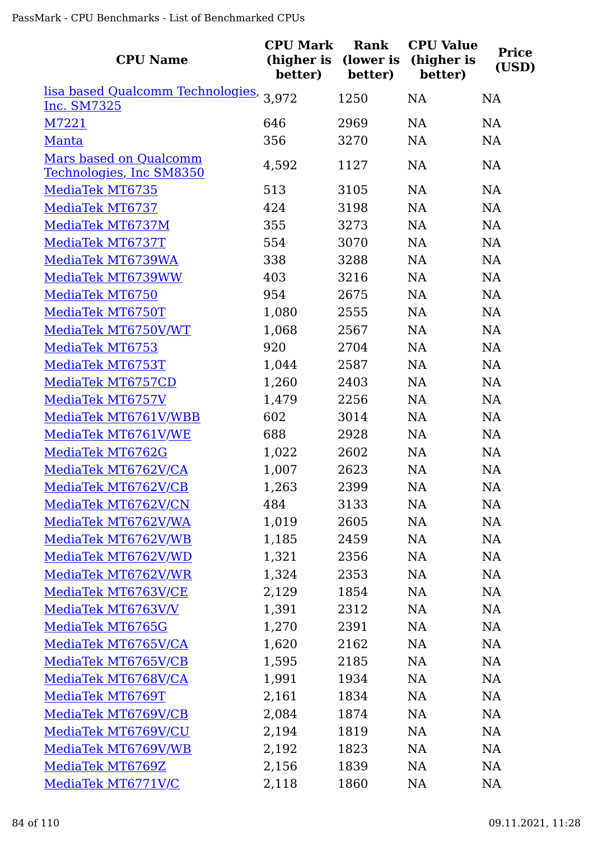| <b>CPU Name</b>                                        | <b>CPU Mark</b><br>(higher is<br>better) | Rank<br>(lower is<br>better) | <b>CPU Value</b><br>(higher is<br>better) | <b>Price</b><br>(USD) |
|--------------------------------------------------------|------------------------------------------|------------------------------|-------------------------------------------|-----------------------|
| lisa based Qualcomm Technologies, 3,972<br>Inc. SM7325 |                                          | 1250                         | NA                                        | NA                    |
| M7221                                                  | 646                                      | 2969                         | NA                                        | NA                    |
| Manta                                                  | 356                                      | 3270                         | NA                                        | NA                    |
| Mars based on Qualcomm                                 |                                          |                              |                                           |                       |
| Technologies, Inc SM8350                               | 4,592                                    | 1127                         | NA                                        | NA                    |
| MediaTek MT6735                                        | 513                                      | 3105                         | NA                                        | NA                    |
| MediaTek MT6737                                        | 424                                      | 3198                         | NA                                        | NA                    |
| MediaTek MT6737M                                       | 355                                      | 3273                         | NA                                        | <b>NA</b>             |
| MediaTek MT6737T                                       | 554                                      | 3070                         | NA                                        | NA                    |
| MediaTek MT6739WA                                      | 338                                      | 3288                         | NA                                        | <b>NA</b>             |
| MediaTek MT6739WW                                      | 403                                      | 3216                         | NA                                        | NA                    |
| MediaTek MT6750                                        | 954                                      | 2675                         | NA                                        | NA                    |
| MediaTek MT6750T                                       | 1,080                                    | 2555                         | NA                                        | NA                    |
| MediaTek MT6750V/WT                                    | 1,068                                    | 2567                         | NA                                        | NA                    |
| MediaTek MT6753                                        | 920                                      | 2704                         | NA                                        | <b>NA</b>             |
| MediaTek MT6753T                                       | 1,044                                    | 2587                         | NA                                        | <b>NA</b>             |
| MediaTek MT6757CD                                      | 1,260                                    | 2403                         | NA                                        | <b>NA</b>             |
| MediaTek MT6757V                                       | 1,479                                    | 2256                         | NA                                        | NA                    |
| MediaTek MT6761V/WBB                                   | 602                                      | 3014                         | NA                                        | <b>NA</b>             |
| MediaTek MT6761V/WE                                    | 688                                      | 2928                         | NA                                        | NA                    |
| MediaTek MT6762G                                       | 1,022                                    | 2602                         | NA                                        | NA                    |
| MediaTek MT6762V/CA                                    | 1,007                                    | 2623                         | NA                                        | NA                    |
| MediaTek MT6762V/CB                                    | 1,263                                    | 2399                         | NA                                        | NA                    |
| MediaTek MT6762V/CN                                    | 484                                      | 3133                         | NA                                        | <b>NA</b>             |
| MediaTek MT6762V/WA                                    | 1,019                                    | 2605                         | NA                                        | <b>NA</b>             |
| MediaTek MT6762V/WB                                    | 1,185                                    | 2459                         | NA                                        | NA                    |
| MediaTek MT6762V/WD                                    | 1,321                                    | 2356                         | NA                                        | NA                    |
| MediaTek MT6762V/WR                                    | 1,324                                    | 2353                         | NA                                        | NA                    |
| MediaTek MT6763V/CE                                    | 2,129                                    | 1854                         | NA                                        | <b>NA</b>             |
| MediaTek MT6763V/V                                     | 1,391                                    | 2312                         | NA                                        | <b>NA</b>             |
| MediaTek MT6765G                                       | 1,270                                    | 2391                         | NA                                        | <b>NA</b>             |
| MediaTek MT6765V/CA                                    | 1,620                                    | 2162                         | NA                                        | <b>NA</b>             |
| MediaTek MT6765V/CB                                    | 1,595                                    | 2185                         | <b>NA</b>                                 | <b>NA</b>             |
| MediaTek MT6768V/CA                                    | 1,991                                    | 1934                         | NA                                        | <b>NA</b>             |
| MediaTek MT6769T                                       | 2,161                                    | 1834                         | NA                                        | <b>NA</b>             |
| MediaTek MT6769V/CB                                    | 2,084                                    | 1874                         | NA                                        | <b>NA</b>             |
| MediaTek MT6769V/CU                                    | 2,194                                    | 1819                         | NA                                        | <b>NA</b>             |
| MediaTek MT6769V/WB                                    | 2,192                                    | 1823                         | NA                                        | <b>NA</b>             |
| MediaTek MT6769Z                                       | 2,156                                    | 1839                         | NA                                        | NA                    |
| MediaTek MT6771V/C                                     | 2,118                                    | 1860                         | NA                                        | NA                    |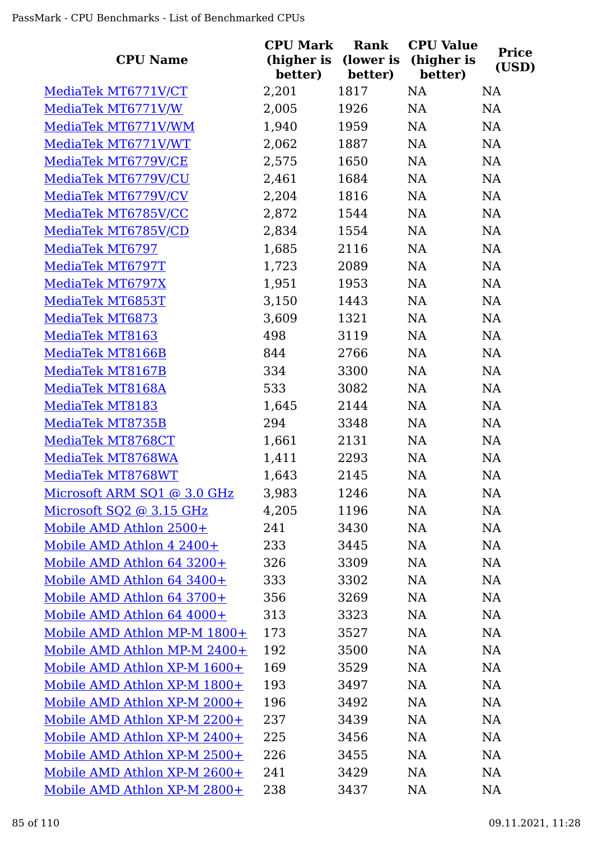| <b>CPU Name</b>              | <b>CPU Mark</b><br>(higher is<br>better) | <b>Rank</b><br>(lower is<br>better) | <b>CPU Value</b><br>(higher is<br>better) | <b>Price</b><br>(USD) |
|------------------------------|------------------------------------------|-------------------------------------|-------------------------------------------|-----------------------|
| MediaTek MT6771V/CT          | 2,201                                    | 1817                                | NA                                        | <b>NA</b>             |
| MediaTek MT6771V/W           | 2,005                                    | 1926                                | <b>NA</b>                                 | NA                    |
| MediaTek MT6771V/WM          | 1,940                                    | 1959                                | <b>NA</b>                                 | NA                    |
| MediaTek MT6771V/WT          | 2,062                                    | 1887                                | NA                                        | <b>NA</b>             |
| MediaTek MT6779V/CE          | 2,575                                    | 1650                                | NA                                        | NA                    |
| MediaTek MT6779V/CU          | 2,461                                    | 1684                                | NA                                        | NA                    |
| MediaTek MT6779V/CV          | 2,204                                    | 1816                                | NA                                        | <b>NA</b>             |
| MediaTek MT6785V/CC          | 2,872                                    | 1544                                | NA                                        | <b>NA</b>             |
| MediaTek MT6785V/CD          | 2,834                                    | 1554                                | NA                                        | <b>NA</b>             |
| MediaTek MT6797              | 1,685                                    | 2116                                | NA                                        | NA                    |
| MediaTek MT6797T             | 1,723                                    | 2089                                | NA                                        | NA                    |
| MediaTek MT6797X             | 1,951                                    | 1953                                | NA                                        | NA                    |
| MediaTek MT6853T             | 3,150                                    | 1443                                | NA                                        | NA                    |
| MediaTek MT6873              | 3,609                                    | 1321                                | NA                                        | NA                    |
| MediaTek MT8163              | 498                                      | 3119                                | NA                                        | <b>NA</b>             |
| MediaTek MT8166B             | 844                                      | 2766                                | NA                                        | <b>NA</b>             |
| MediaTek MT8167B             | 334                                      | 3300                                | <b>NA</b>                                 | <b>NA</b>             |
| MediaTek MT8168A             | 533                                      | 3082                                | NA                                        | <b>NA</b>             |
| MediaTek MT8183              | 1,645                                    | 2144                                | NA                                        | <b>NA</b>             |
| MediaTek MT8735B             | 294                                      | 3348                                | NA                                        | NA                    |
| MediaTek MT8768CT            | 1,661                                    | 2131                                | NA                                        | NA                    |
| MediaTek MT8768WA            | 1,411                                    | 2293                                | NA                                        | <b>NA</b>             |
| MediaTek MT8768WT            | 1,643                                    | 2145                                | <b>NA</b>                                 | NA                    |
| Microsoft ARM SQ1 @ 3.0 GHz  | 3,983                                    | 1246                                | NA                                        | NA                    |
| Microsoft SQ2 @ 3.15 GHz     | 4,205                                    | 1196                                | <b>NA</b>                                 | <b>NA</b>             |
| Mobile AMD Athlon 2500+      | 241                                      | 3430                                | NA                                        | <b>NA</b>             |
| Mobile AMD Athlon 4 2400+    | 233                                      | 3445                                | NA                                        | <b>NA</b>             |
| Mobile AMD Athlon 64 3200+   | 326                                      | 3309                                | <b>NA</b>                                 | <b>NA</b>             |
| Mobile AMD Athlon 64 3400+   | 333                                      | 3302                                | <b>NA</b>                                 | <b>NA</b>             |
| Mobile AMD Athlon 64 3700+   | 356                                      | 3269                                | <b>NA</b>                                 | <b>NA</b>             |
| Mobile AMD Athlon 64 4000+   | 313                                      | 3323                                | <b>NA</b>                                 | <b>NA</b>             |
| Mobile AMD Athlon MP-M 1800+ | 173                                      | 3527                                | <b>NA</b>                                 | <b>NA</b>             |
| Mobile AMD Athlon MP-M 2400+ | 192                                      | 3500                                | <b>NA</b>                                 | <b>NA</b>             |
| Mobile AMD Athlon XP-M 1600+ | 169                                      | 3529                                | <b>NA</b>                                 | <b>NA</b>             |
| Mobile AMD Athlon XP-M 1800+ | 193                                      | 3497                                | <b>NA</b>                                 | NA                    |
| Mobile AMD Athlon XP-M 2000+ | 196                                      | 3492                                | NA                                        | <b>NA</b>             |
| Mobile AMD Athlon XP-M 2200+ | 237                                      | 3439                                | <b>NA</b>                                 | <b>NA</b>             |
| Mobile AMD Athlon XP-M 2400+ | 225                                      | 3456                                | NA                                        | <b>NA</b>             |
| Mobile AMD Athlon XP-M 2500+ | 226                                      | 3455                                | <b>NA</b>                                 | <b>NA</b>             |
| Mobile AMD Athlon XP-M 2600+ | 241                                      | 3429                                | <b>NA</b>                                 | <b>NA</b>             |
| Mobile AMD Athlon XP-M 2800+ | 238                                      | 3437                                | <b>NA</b>                                 | <b>NA</b>             |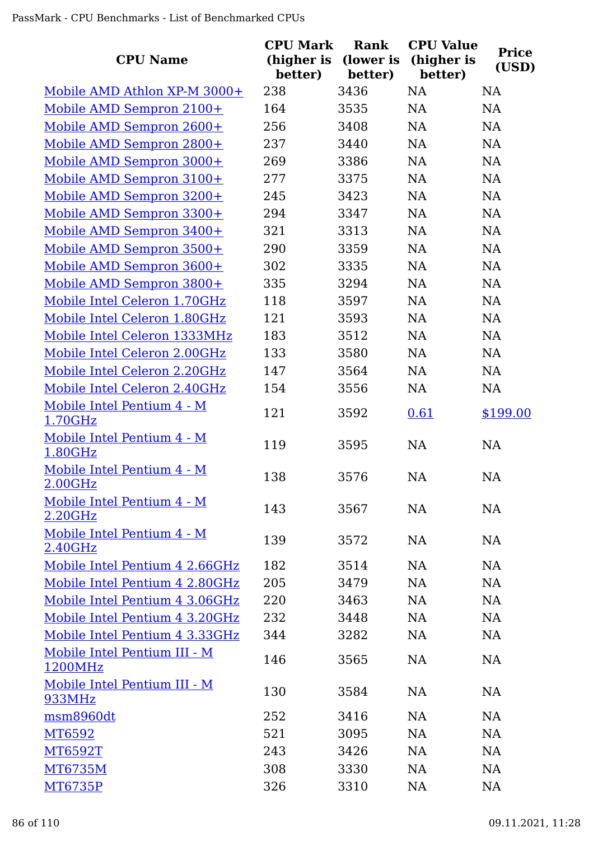| <b>CPU Name</b>                         | <b>CPU Mark</b><br>(higher is<br>better) | Rank<br>(lower is<br>better) | <b>CPU Value</b><br>(higher is<br>better) | <b>Price</b><br>(USD) |
|-----------------------------------------|------------------------------------------|------------------------------|-------------------------------------------|-----------------------|
| Mobile AMD Athlon XP-M 3000+            | 238                                      | 3436                         | <b>NA</b>                                 | <b>NA</b>             |
| Mobile AMD Sempron 2100+                | 164                                      | 3535                         | <b>NA</b>                                 | <b>NA</b>             |
| Mobile AMD Sempron 2600+                | 256                                      | 3408                         | NA                                        | NA                    |
| Mobile AMD Sempron 2800+                | 237                                      | 3440                         | NA                                        | NA                    |
| Mobile AMD Sempron 3000+                | 269                                      | 3386                         | NA                                        | <b>NA</b>             |
| Mobile AMD Sempron 3100+                | 277                                      | 3375                         | NA                                        | NA                    |
| Mobile AMD Sempron 3200+                | 245                                      | 3423                         | NA                                        | <b>NA</b>             |
| Mobile AMD Sempron 3300+                | 294                                      | 3347                         | <b>NA</b>                                 | <b>NA</b>             |
| Mobile AMD Sempron 3400+                | 321                                      | 3313                         | <b>NA</b>                                 | <b>NA</b>             |
| Mobile AMD Sempron 3500+                | 290                                      | 3359                         | NA                                        | <b>NA</b>             |
| Mobile AMD Sempron 3600+                | 302                                      | 3335                         | <b>NA</b>                                 | <b>NA</b>             |
| Mobile AMD Sempron 3800+                | 335                                      | 3294                         | <b>NA</b>                                 | <b>NA</b>             |
| Mobile Intel Celeron 1.70GHz            | 118                                      | 3597                         | NA                                        | <b>NA</b>             |
| Mobile Intel Celeron 1.80GHz            | 121                                      | 3593                         | <b>NA</b>                                 | <b>NA</b>             |
| Mobile Intel Celeron 1333MHz            | 183                                      | 3512                         | NA                                        | NA                    |
| Mobile Intel Celeron 2.00GHz            | 133                                      | 3580                         | NA                                        | NA                    |
| Mobile Intel Celeron 2.20GHz            | 147                                      | 3564                         | NA                                        | NA                    |
| Mobile Intel Celeron 2.40GHz            | 154                                      | 3556                         | <b>NA</b>                                 | NA                    |
| Mobile Intel Pentium 4 - M<br>1.70GHz   | 121                                      | 3592                         | 0.61                                      | \$199.00              |
| Mobile Intel Pentium 4 - M<br>1.80GHz   | 119                                      | 3595                         | <b>NA</b>                                 | <b>NA</b>             |
| Mobile Intel Pentium 4 - M<br>2.00GHz   | 138                                      | 3576                         | <b>NA</b>                                 | <b>NA</b>             |
| Mobile Intel Pentium 4 - M<br>2.20GHz   | 143                                      | 3567                         | <b>NA</b>                                 | NA                    |
| Mobile Intel Pentium 4 - M<br>2.40GHz   | 139                                      | 3572                         | NA                                        | <b>NA</b>             |
| Mobile Intel Pentium 4 2.66GHz          | 182                                      | 3514                         | <b>NA</b>                                 | <b>NA</b>             |
| Mobile Intel Pentium 4 2.80GHz          | 205                                      | 3479                         | NA                                        | NA                    |
| Mobile Intel Pentium 4 3.06GHz          | 220                                      | 3463                         | NA                                        | <b>NA</b>             |
| Mobile Intel Pentium 4 3.20GHz          | 232                                      | 3448                         | NA                                        | NA                    |
| Mobile Intel Pentium 4 3.33GHz          | 344                                      | 3282                         | NA                                        | NA                    |
| Mobile Intel Pentium III - M<br>1200MHz | 146                                      | 3565                         | <b>NA</b>                                 | NA                    |
| Mobile Intel Pentium III - M<br>933MHz  | 130                                      | 3584                         | <b>NA</b>                                 | <b>NA</b>             |
| msm8960dt                               | 252                                      | 3416                         | <b>NA</b>                                 | <b>NA</b>             |
| MT6592                                  | 521                                      | 3095                         | <b>NA</b>                                 | NA                    |
| MT6592T                                 | 243                                      | 3426                         | NA                                        | <b>NA</b>             |
| <b>MT6735M</b>                          | 308                                      | 3330                         | NA                                        | <b>NA</b>             |
| <b>MT6735P</b>                          | 326                                      | 3310                         | NA                                        | <b>NA</b>             |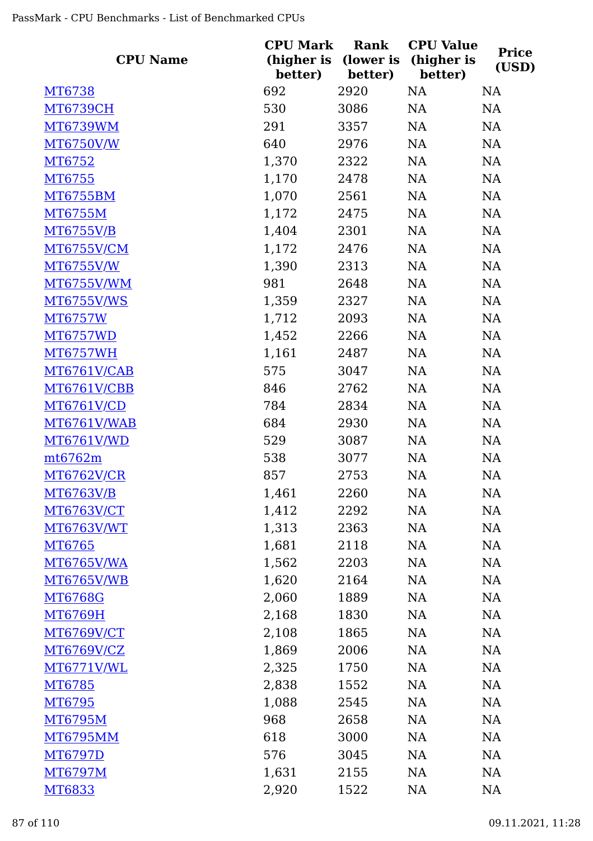| <b>CPU Name</b>   | <b>CPU Mark</b><br>(higher is<br>better) | Rank<br>(lower is<br>better) | <b>CPU Value</b><br>(higher is<br>better) | <b>Price</b><br>(USD) |  |
|-------------------|------------------------------------------|------------------------------|-------------------------------------------|-----------------------|--|
| MT6738            | 692                                      | 2920                         | NA                                        | <b>NA</b>             |  |
| <b>MT6739CH</b>   | 530                                      | 3086                         | <b>NA</b>                                 | NA                    |  |
| <b>MT6739WM</b>   | 291                                      | 3357                         | <b>NA</b>                                 | NA                    |  |
| MT6750V/W         | 640                                      | 2976                         | NA                                        | NA                    |  |
| MT6752            | 1,370                                    | 2322                         | NA                                        | NA                    |  |
| MT6755            | 1,170                                    | 2478                         | <b>NA</b>                                 | NA                    |  |
| <b>MT6755BM</b>   | 1,070                                    | 2561                         | NA                                        | NA                    |  |
| <b>MT6755M</b>    | 1,172                                    | 2475                         | NA                                        | NA                    |  |
| MT6755V/B         | 1,404                                    | 2301                         | NA                                        | <b>NA</b>             |  |
| MT6755V/CM        | 1,172                                    | 2476                         | NA                                        | NA                    |  |
| MT6755V/W         | 1,390                                    | 2313                         | NA                                        | NA                    |  |
| MT6755V/WM        | 981                                      | 2648                         | NA                                        | NA                    |  |
| <b>MT6755V/WS</b> | 1,359                                    | 2327                         | <b>NA</b>                                 | NA                    |  |
| <b>MT6757W</b>    | 1,712                                    | 2093                         | NA                                        | NA                    |  |
| <b>MT6757WD</b>   | 1,452                                    | 2266                         | <b>NA</b>                                 | <b>NA</b>             |  |
| <b>MT6757WH</b>   | 1,161                                    | 2487                         | NA                                        | NA                    |  |
| MT6761V/CAB       | 575                                      | 3047                         | NA                                        | NA                    |  |
| MT6761V/CBB       | 846                                      | 2762                         | NA                                        | <b>NA</b>             |  |
| MT6761V/CD        | 784                                      | 2834                         | <b>NA</b>                                 | NA                    |  |
| MT6761V/WAB       | 684                                      | 2930                         | NA                                        | NA                    |  |
| MT6761V/WD        | 529                                      | 3087                         | NA                                        | NA                    |  |
| $m$ t6762m        | 538                                      | 3077                         | NA                                        | NA                    |  |
| <b>MT6762V/CR</b> | 857                                      | 2753                         | NA                                        | <b>NA</b>             |  |
| MT6763V/B         | 1,461                                    | 2260                         | NA                                        | NA                    |  |
| <b>MT6763V/CT</b> | 1,412                                    | 2292                         | NA                                        | NA                    |  |
| <b>MT6763V/WT</b> | 1,313                                    | 2363                         | NA                                        | NA                    |  |
| MT6765            | 1,681                                    | 2118                         | NA                                        | NA                    |  |
| <b>MT6765V/WA</b> | 1,562                                    | 2203                         | NA                                        | NA                    |  |
| <b>MT6765V/WB</b> | 1,620                                    | 2164                         | NA                                        | NA                    |  |
| MT6768G           | 2,060                                    | 1889                         | NA                                        | <b>NA</b>             |  |
| <b>MT6769H</b>    | 2,168                                    | 1830                         | NA                                        | NA                    |  |
| <b>MT6769V/CT</b> | 2,108                                    | 1865                         | NA                                        | NA                    |  |
| <b>MT6769V/CZ</b> | 1,869                                    | 2006                         | NA                                        | <b>NA</b>             |  |
| MT6771V/WL        | 2,325                                    | 1750                         | NA                                        | <b>NA</b>             |  |
| MT6785            | 2,838                                    | 1552                         | <b>NA</b>                                 | NA                    |  |
| MT6795            | 1,088                                    | 2545                         | NA                                        | NA                    |  |
| <b>MT6795M</b>    | 968                                      | 2658                         | NA                                        | NA                    |  |
| <b>MT6795MM</b>   | 618                                      | 3000                         | NA                                        | NA                    |  |
| MT6797D           | 576                                      | 3045                         | NA                                        | NA                    |  |
| <b>MT6797M</b>    | 1,631                                    | 2155                         | NA                                        | <b>NA</b>             |  |
| MT6833            | 2,920                                    | 1522                         | NA                                        | NA                    |  |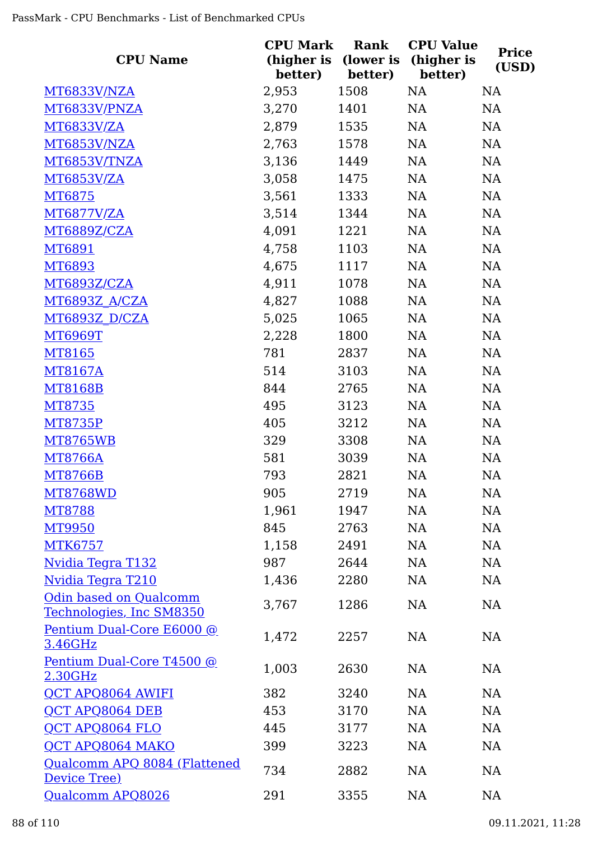| <b>CPU Name</b>                                           | <b>CPU Mark</b><br>(higher is<br>better) | <b>Rank</b><br>(lower is<br>better) | <b>CPU Value</b><br>(higher is<br>better) | <b>Price</b><br>(USD) |
|-----------------------------------------------------------|------------------------------------------|-------------------------------------|-------------------------------------------|-----------------------|
| MT6833V/NZA                                               | 2,953                                    | 1508                                | NA                                        | <b>NA</b>             |
| MT6833V/PNZA                                              | 3,270                                    | 1401                                | <b>NA</b>                                 | NA                    |
| <b>MT6833V/ZA</b>                                         | 2,879                                    | 1535                                | NA                                        | NA                    |
| MT6853V/NZA                                               | 2,763                                    | 1578                                | NA                                        | <b>NA</b>             |
| MT6853V/TNZA                                              | 3,136                                    | 1449                                | NA                                        | NA                    |
| <b>MT6853V/ZA</b>                                         | 3,058                                    | 1475                                | <b>NA</b>                                 | NA                    |
| MT6875                                                    | 3,561                                    | 1333                                | NA                                        | NA                    |
| <b>MT6877V/ZA</b>                                         | 3,514                                    | 1344                                | <b>NA</b>                                 | NA                    |
| <b>MT6889Z/CZA</b>                                        | 4,091                                    | 1221                                | NA                                        | <b>NA</b>             |
| MT6891                                                    | 4,758                                    | 1103                                | NA                                        | NA                    |
| MT6893                                                    | 4,675                                    | 1117                                | NA                                        | NA                    |
| MT6893Z/CZA                                               | 4,911                                    | 1078                                | NA                                        | NA                    |
| MT6893Z A/CZA                                             | 4,827                                    | 1088                                | NA                                        | NA                    |
| <b>MT6893Z D/CZA</b>                                      | 5,025                                    | 1065                                | NA                                        | NA                    |
| <b>MT6969T</b>                                            | 2,228                                    | 1800                                | <b>NA</b>                                 | <b>NA</b>             |
| MT8165                                                    | 781                                      | 2837                                | NA                                        | NA                    |
| MT8167A                                                   | 514                                      | 3103                                | <b>NA</b>                                 | NA                    |
| <b>MT8168B</b>                                            | 844                                      | 2765                                | NA                                        | <b>NA</b>             |
| MT8735                                                    | 495                                      | 3123                                | <b>NA</b>                                 | NA                    |
| <b>MT8735P</b>                                            | 405                                      | 3212                                | NA                                        | NA                    |
| <b>MT8765WB</b>                                           | 329                                      | 3308                                | NA                                        | NA                    |
| <b>MT8766A</b>                                            | 581                                      | 3039                                | NA                                        | NA                    |
| <b>MT8766B</b>                                            | 793                                      | 2821                                | NA                                        | NA                    |
| MT8768WD                                                  | 905                                      | 2719                                | NA                                        | <b>NA</b>             |
| <b>MT8788</b>                                             | 1,961                                    | 1947                                | NA                                        | NA                    |
| <b>MT9950</b>                                             | 845                                      | 2763                                | NA                                        | NA                    |
| <b>MTK6757</b>                                            | 1,158                                    | 2491                                | <b>NA</b>                                 | NA                    |
| <u> Nvidia Tegra T132</u>                                 | 987                                      | 2644                                | NA                                        | NA                    |
| Nvidia Tegra T210                                         | 1,436                                    | 2280                                | <b>NA</b>                                 | NA                    |
| <b>Odin based on Qualcomm</b><br>Technologies, Inc SM8350 | 3,767                                    | 1286                                | NA                                        | NA                    |
| Pentium Dual-Core E6000 @<br>3.46GHz                      | 1,472                                    | 2257                                | <b>NA</b>                                 | NA                    |
| Pentium Dual-Core T4500 @<br>2.30GHz                      | 1,003                                    | 2630                                | <b>NA</b>                                 | NA                    |
| <b>QCT APQ8064 AWIFI</b>                                  | 382                                      | 3240                                | <b>NA</b>                                 | NA                    |
| QCT APQ8064 DEB                                           | 453                                      | 3170                                | <b>NA</b>                                 | NA                    |
| <b>QCT APQ8064 FLO</b>                                    | 445                                      | 3177                                | NA                                        | NA                    |
| QCT APQ8064 MAKO                                          | 399                                      | 3223                                | <b>NA</b>                                 | NA                    |
| Qualcomm APQ 8084 (Flattened<br>Device Tree)              | 734                                      | 2882                                | <b>NA</b>                                 | NA                    |
| Qualcomm APQ8026                                          | 291                                      | 3355                                | NA                                        | NA                    |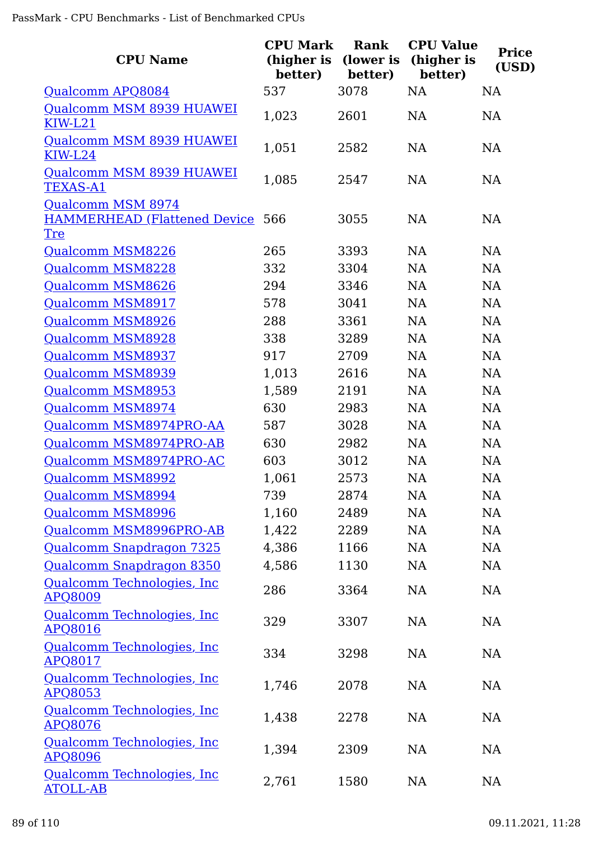| <b>CPU Name</b>                                              | <b>CPU Mark</b><br>(higher is<br>better) | Rank<br>(lower is<br>better) | <b>CPU Value</b><br>(higher is<br>better) | <b>Price</b><br>(USD) |
|--------------------------------------------------------------|------------------------------------------|------------------------------|-------------------------------------------|-----------------------|
| Qualcomm APQ8084                                             | 537                                      | 3078                         | <b>NA</b>                                 | <b>NA</b>             |
| Qualcomm MSM 8939 HUAWEI<br>$KIW-L21$                        | 1,023                                    | 2601                         | <b>NA</b>                                 | <b>NA</b>             |
| Qualcomm MSM 8939 HUAWEI<br><b>KIW-L24</b>                   | 1,051                                    | 2582                         | <b>NA</b>                                 | <b>NA</b>             |
| Qualcomm MSM 8939 HUAWEI<br><b>TEXAS-A1</b>                  | 1,085                                    | 2547                         | NA                                        | <b>NA</b>             |
| Qualcomm MSM 8974<br>HAMMERHEAD (Flattened Device 566<br>Tre |                                          | 3055                         | <b>NA</b>                                 | <b>NA</b>             |
| Qualcomm MSM8226                                             | 265                                      | 3393                         | <b>NA</b>                                 | <b>NA</b>             |
| Qualcomm MSM8228                                             | 332                                      | 3304                         | <b>NA</b>                                 | <b>NA</b>             |
| Qualcomm MSM8626                                             | 294                                      | 3346                         | <b>NA</b>                                 | <b>NA</b>             |
| Qualcomm MSM8917                                             | 578                                      | 3041                         | <b>NA</b>                                 | <b>NA</b>             |
| Qualcomm MSM8926                                             | 288                                      | 3361                         | <b>NA</b>                                 | <b>NA</b>             |
| Qualcomm MSM8928                                             | 338                                      | 3289                         | NA                                        | <b>NA</b>             |
| Qualcomm MSM8937                                             | 917                                      | 2709                         | <b>NA</b>                                 | <b>NA</b>             |
| Qualcomm MSM8939                                             | 1,013                                    | 2616                         | NA                                        | <b>NA</b>             |
| Qualcomm MSM8953                                             | 1,589                                    | 2191                         | <b>NA</b>                                 | <b>NA</b>             |
| Qualcomm MSM8974                                             | 630                                      | 2983                         | NA                                        | <b>NA</b>             |
| Qualcomm MSM8974PRO-AA                                       | 587                                      | 3028                         | NA                                        | <b>NA</b>             |
| Qualcomm MSM8974PRO-AB                                       | 630                                      | 2982                         | NA                                        | <b>NA</b>             |
| Qualcomm MSM8974PRO-AC                                       | 603                                      | 3012                         | <b>NA</b>                                 | <b>NA</b>             |
| <b>Qualcomm MSM8992</b>                                      | 1,061                                    | 2573                         | <b>NA</b>                                 | NA                    |
| <b>Qualcomm MSM8994</b>                                      | 739                                      | 2874                         | <b>NA</b>                                 | NA                    |
| Qualcomm MSM8996                                             | 1,160                                    | 2489                         | NA                                        | NA                    |
| Qualcomm MSM8996PRO-AB                                       | 1,422                                    | 2289                         | NA                                        | <b>NA</b>             |
| Qualcomm Snapdragon 7325                                     | 4,386                                    | 1166                         | NA                                        | <b>NA</b>             |
| Qualcomm Snapdragon 8350                                     | 4,586                                    | 1130                         | NA                                        | <b>NA</b>             |
| Qualcomm Technologies, Inc.<br><b>APQ8009</b>                | 286                                      | 3364                         | NA                                        | <b>NA</b>             |
| Qualcomm Technologies, Inc<br>APQ8016                        | 329                                      | 3307                         | NA                                        | <b>NA</b>             |
| Qualcomm Technologies, Inc<br>APQ8017                        | 334                                      | 3298                         | NA                                        | NA                    |
| Qualcomm Technologies, Inc<br>APQ8053                        | 1,746                                    | 2078                         | NA                                        | <b>NA</b>             |
| Qualcomm Technologies, Inc<br>APQ8076                        | 1,438                                    | 2278                         | NA                                        | <b>NA</b>             |
| Qualcomm Technologies, Inc<br>APQ8096                        | 1,394                                    | 2309                         | NA                                        | <b>NA</b>             |
| Qualcomm Technologies, Inc<br><b>ATOLL-AB</b>                | 2,761                                    | 1580                         | NA                                        | <b>NA</b>             |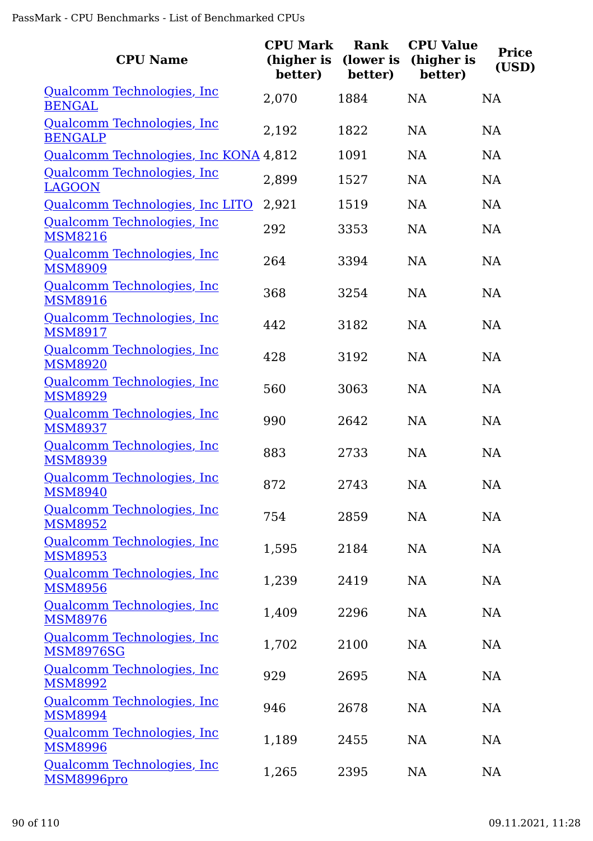| <b>CPU Name</b>                                | <b>CPU Mark</b><br>(higher is<br>better) | Rank<br>(lower is<br>better) | <b>CPU Value</b><br>(higher is<br>better) | <b>Price</b><br>(USD) |
|------------------------------------------------|------------------------------------------|------------------------------|-------------------------------------------|-----------------------|
| Qualcomm Technologies, Inc.<br><b>BENGAL</b>   | 2,070                                    | 1884                         | <b>NA</b>                                 | <b>NA</b>             |
| Qualcomm Technologies, Inc<br><b>BENGALP</b>   | 2,192                                    | 1822                         | <b>NA</b>                                 | <b>NA</b>             |
| Qualcomm Technologies, Inc KONA 4,812          |                                          | 1091                         | <b>NA</b>                                 | <b>NA</b>             |
| Qualcomm Technologies, Inc<br><b>LAGOON</b>    | 2,899                                    | 1527                         | <b>NA</b>                                 | <b>NA</b>             |
| Qualcomm Technologies, Inc LITO                | 2,921                                    | 1519                         | <b>NA</b>                                 | <b>NA</b>             |
| Qualcomm Technologies, Inc<br><b>MSM8216</b>   | 292                                      | 3353                         | <b>NA</b>                                 | NA                    |
| Qualcomm Technologies, Inc<br><b>MSM8909</b>   | 264                                      | 3394                         | NA                                        | NA                    |
| Qualcomm Technologies, Inc.<br><b>MSM8916</b>  | 368                                      | 3254                         | <b>NA</b>                                 | <b>NA</b>             |
| Qualcomm Technologies, Inc.<br><b>MSM8917</b>  | 442                                      | 3182                         | <b>NA</b>                                 | <b>NA</b>             |
| Qualcomm Technologies, Inc<br><b>MSM8920</b>   | 428                                      | 3192                         | <b>NA</b>                                 | <b>NA</b>             |
| Qualcomm Technologies, Inc<br><b>MSM8929</b>   | 560                                      | 3063                         | <b>NA</b>                                 | <b>NA</b>             |
| Qualcomm Technologies, Inc<br><b>MSM8937</b>   | 990                                      | 2642                         | <b>NA</b>                                 | NA                    |
| Qualcomm Technologies, Inc<br><b>MSM8939</b>   | 883                                      | 2733                         | <b>NA</b>                                 | NA                    |
| Qualcomm Technologies, Inc.<br><b>MSM8940</b>  | 872                                      | 2743                         | <b>NA</b>                                 | <b>NA</b>             |
| Qualcomm Technologies, Inc<br><b>MSM8952</b>   | 754                                      | 2859                         | NA                                        | NA                    |
| Qualcomm Technologies, Inc.<br><b>MSM8953</b>  | 1,595                                    | 2184                         | NA                                        | NA                    |
| Qualcomm Technologies, Inc.<br><b>MSM8956</b>  | 1,239                                    | 2419                         | NA                                        | NA                    |
| Qualcomm Technologies, Inc.<br><b>MSM8976</b>  | 1,409                                    | 2296                         | NA                                        | NA                    |
| Qualcomm Technologies, Inc<br><b>MSM8976SG</b> | 1,702                                    | 2100                         | <b>NA</b>                                 | NA                    |
| Qualcomm Technologies, Inc<br><b>MSM8992</b>   | 929                                      | 2695                         | NA                                        | NA                    |
| Qualcomm Technologies, Inc<br><b>MSM8994</b>   | 946                                      | 2678                         | NA                                        | NA                    |
| Qualcomm Technologies, Inc<br><b>MSM8996</b>   | 1,189                                    | 2455                         | NA                                        | NA                    |
| Qualcomm Technologies, Inc<br>MSM8996pro       | 1,265                                    | 2395                         | NA                                        | NA                    |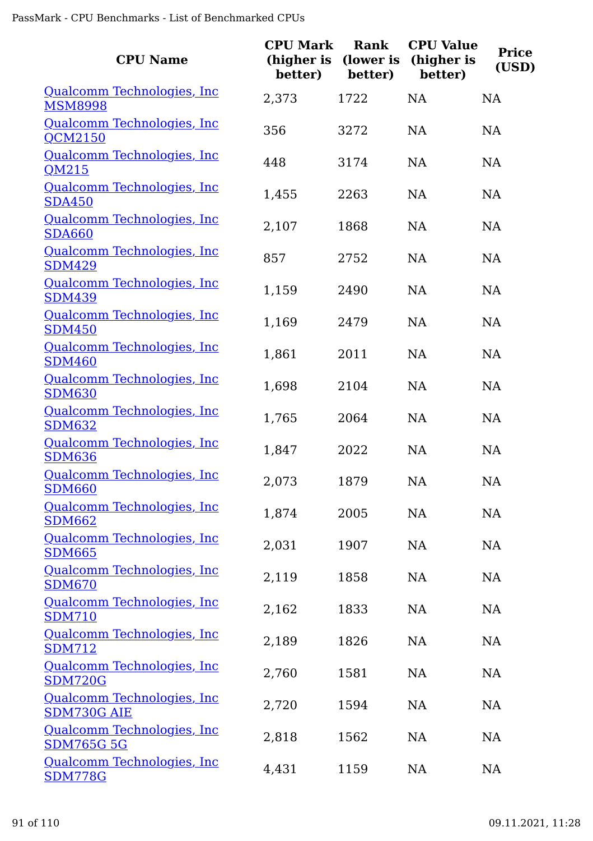| <b>CPU Name</b>                                 | <b>CPU Mark</b><br>(higher is<br>better) | Rank<br>(lower is<br>better) | <b>CPU Value</b><br>(higher is<br>better) | <b>Price</b><br>(USD) |
|-------------------------------------------------|------------------------------------------|------------------------------|-------------------------------------------|-----------------------|
| Qualcomm Technologies, Inc.<br><b>MSM8998</b>   | 2,373                                    | 1722                         | <b>NA</b>                                 | <b>NA</b>             |
| Qualcomm Technologies, Inc.<br><b>QCM2150</b>   | 356                                      | 3272                         | <b>NA</b>                                 | <b>NA</b>             |
| Qualcomm Technologies, Inc.<br>QM215            | 448                                      | 3174                         | <b>NA</b>                                 | <b>NA</b>             |
| Qualcomm Technologies, Inc.<br><b>SDA450</b>    | 1,455                                    | 2263                         | <b>NA</b>                                 | <b>NA</b>             |
| Qualcomm Technologies, Inc.<br><b>SDA660</b>    | 2,107                                    | 1868                         | <b>NA</b>                                 | <b>NA</b>             |
| Qualcomm Technologies, Inc<br><b>SDM429</b>     | 857                                      | 2752                         | <b>NA</b>                                 | <b>NA</b>             |
| Qualcomm Technologies, Inc.<br><b>SDM439</b>    | 1,159                                    | 2490                         | <b>NA</b>                                 | NA                    |
| Qualcomm Technologies, Inc.<br><b>SDM450</b>    | 1,169                                    | 2479                         | <b>NA</b>                                 | <b>NA</b>             |
| Qualcomm Technologies, Inc<br><b>SDM460</b>     | 1,861                                    | 2011                         | <b>NA</b>                                 | <b>NA</b>             |
| Qualcomm Technologies, Inc.<br><b>SDM630</b>    | 1,698                                    | 2104                         | <b>NA</b>                                 | <b>NA</b>             |
| Qualcomm Technologies, Inc.<br><b>SDM632</b>    | 1,765                                    | 2064                         | <b>NA</b>                                 | <b>NA</b>             |
| Qualcomm Technologies, Inc.<br><b>SDM636</b>    | 1,847                                    | 2022                         | <b>NA</b>                                 | <b>NA</b>             |
| Qualcomm Technologies, Inc.<br><b>SDM660</b>    | 2,073                                    | 1879                         | NA                                        | <b>NA</b>             |
| Qualcomm Technologies, Inc<br><b>SDM662</b>     | 1,874                                    | 2005                         | <b>NA</b>                                 | NA                    |
| Qualcomm Technologies, Inc<br><b>SDM665</b>     | 2,031                                    | 1907                         | <b>NA</b>                                 | NA                    |
| Qualcomm Technologies, Inc<br><b>SDM670</b>     | 2,119                                    | 1858                         | <b>NA</b>                                 | <b>NA</b>             |
| Qualcomm Technologies, Inc.<br><b>SDM710</b>    | 2,162                                    | 1833                         | <b>NA</b>                                 | <b>NA</b>             |
| Qualcomm Technologies, Inc<br><b>SDM712</b>     | 2,189                                    | 1826                         | <b>NA</b>                                 | <b>NA</b>             |
| Qualcomm Technologies, Inc<br><b>SDM720G</b>    | 2,760                                    | 1581                         | <b>NA</b>                                 | <b>NA</b>             |
| Qualcomm Technologies, Inc<br>SDM730G AIE       | 2,720                                    | 1594                         | <b>NA</b>                                 | <b>NA</b>             |
| Qualcomm Technologies, Inc<br><b>SDM765G 5G</b> | 2,818                                    | 1562                         | <b>NA</b>                                 | <b>NA</b>             |
| Qualcomm Technologies, Inc.<br><b>SDM778G</b>   | 4,431                                    | 1159                         | NA                                        | NA                    |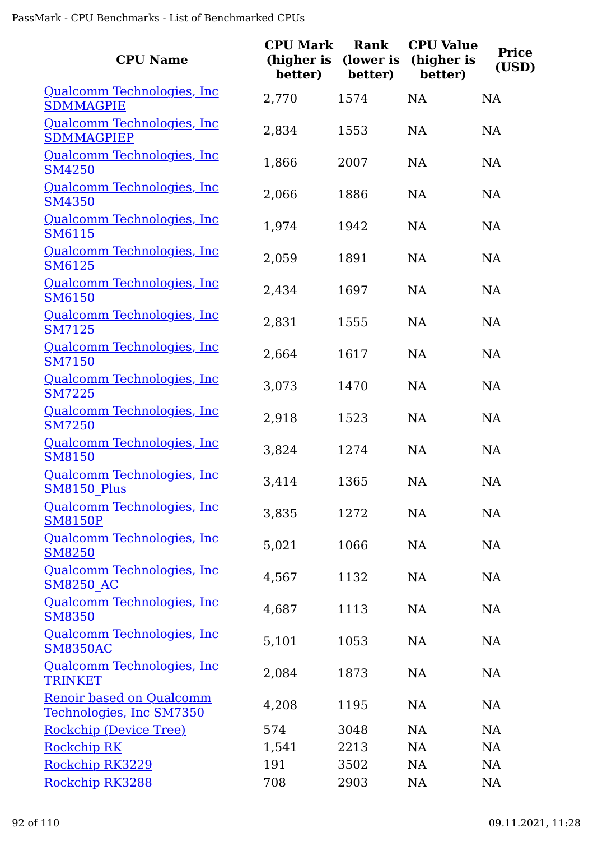| <b>CPU Name</b>                                      | <b>CPU Mark</b><br>(higher is<br>better) | Rank<br>(lower is<br>better) | <b>CPU Value</b><br>(higher is<br>better) | <b>Price</b><br>(USD) |
|------------------------------------------------------|------------------------------------------|------------------------------|-------------------------------------------|-----------------------|
| Qualcomm Technologies, Inc.<br><b>SDMMAGPIE</b>      | 2,770                                    | 1574                         | <b>NA</b>                                 | <b>NA</b>             |
| Qualcomm Technologies, Inc<br><b>SDMMAGPIEP</b>      | 2,834                                    | 1553                         | NA                                        | <b>NA</b>             |
| Qualcomm Technologies, Inc.<br><b>SM4250</b>         | 1,866                                    | 2007                         | <b>NA</b>                                 | <b>NA</b>             |
| Qualcomm Technologies, Inc.<br><b>SM4350</b>         | 2,066                                    | 1886                         | NA                                        | <b>NA</b>             |
| Qualcomm Technologies, Inc<br>SM6115                 | 1,974                                    | 1942                         | NA                                        | <b>NA</b>             |
| Qualcomm Technologies, Inc.<br><b>SM6125</b>         | 2,059                                    | 1891                         | <b>NA</b>                                 | <b>NA</b>             |
| Qualcomm Technologies, Inc.<br><b>SM6150</b>         | 2,434                                    | 1697                         | <b>NA</b>                                 | <b>NA</b>             |
| Qualcomm Technologies, Inc<br><b>SM7125</b>          | 2,831                                    | 1555                         | <b>NA</b>                                 | <b>NA</b>             |
| Qualcomm Technologies, Inc.<br><b>SM7150</b>         | 2,664                                    | 1617                         | <b>NA</b>                                 | <b>NA</b>             |
| Qualcomm Technologies, Inc.<br><b>SM7225</b>         | 3,073                                    | 1470                         | <b>NA</b>                                 | <b>NA</b>             |
| Qualcomm Technologies, Inc.<br><b>SM7250</b>         | 2,918                                    | 1523                         | NA                                        | <b>NA</b>             |
| Qualcomm Technologies, Inc.<br><b>SM8150</b>         | 3,824                                    | 1274                         | <b>NA</b>                                 | <b>NA</b>             |
| Qualcomm Technologies, Inc.<br><b>SM8150 Plus</b>    | 3,414                                    | 1365                         | NA                                        | NA                    |
| Qualcomm Technologies, Inc<br><b>SM8150P</b>         | 3,835                                    | 1272                         | NA                                        | NA                    |
| Qualcomm Technologies, Inc<br><b>SM8250</b>          | 5,021                                    | 1066                         | NA                                        | NA                    |
| Qualcomm Technologies, Inc.<br><b>SM8250 AC</b>      | 4,567                                    | 1132                         | NA                                        | NA                    |
| Qualcomm Technologies, Inc<br><b>SM8350</b>          | 4,687                                    | 1113                         | NA                                        | <b>NA</b>             |
| Qualcomm Technologies, Inc<br><b>SM8350AC</b>        | 5,101                                    | 1053                         | NA                                        | NA                    |
| Qualcomm Technologies, Inc.<br><b>TRINKET</b>        | 2,084                                    | 1873                         | NA                                        | NA                    |
| Renoir based on Qualcomm<br>Technologies, Inc SM7350 | 4,208                                    | 1195                         | NA                                        | <b>NA</b>             |
| Rockchip (Device Tree)                               | 574                                      | 3048                         | NA                                        | NA                    |
| <b>Rockchip RK</b>                                   | 1,541                                    | 2213                         | NA                                        | NA                    |
| Rockchip RK3229                                      | 191                                      | 3502                         | NA                                        | <b>NA</b>             |
| Rockchip RK3288                                      | 708                                      | 2903                         | <b>NA</b>                                 | <b>NA</b>             |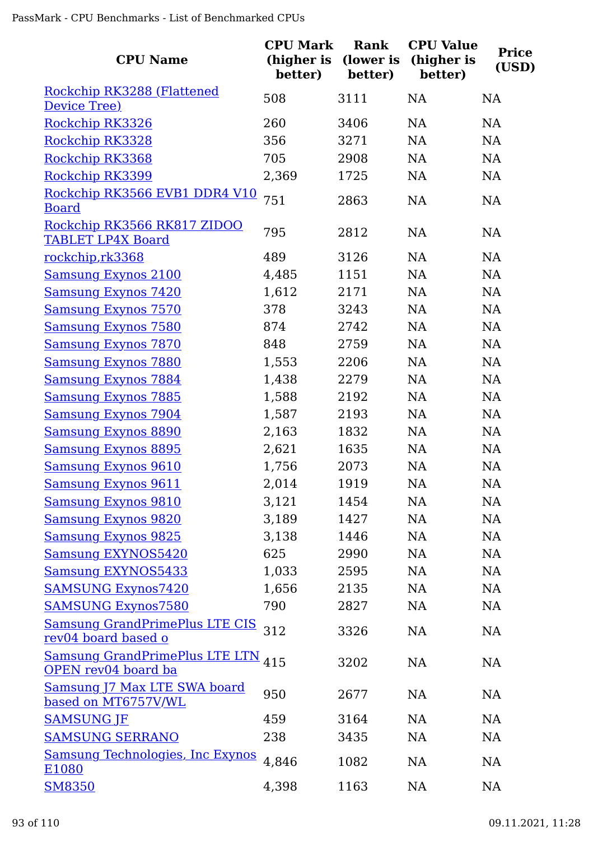| <b>CPU Name</b>                                              | <b>CPU Mark</b><br>(higher is<br>better) | Rank<br>(lower is<br>better) | <b>CPU Value</b><br>(higher is<br>better) | <b>Price</b><br>(USD) |
|--------------------------------------------------------------|------------------------------------------|------------------------------|-------------------------------------------|-----------------------|
| Rockchip RK3288 (Flattened<br>Device Tree)                   | 508                                      | 3111                         | NA                                        | NA                    |
| Rockchip RK3326                                              | 260                                      | 3406                         | NA                                        | NA                    |
| Rockchip RK3328                                              | 356                                      | 3271                         | NA                                        | <b>NA</b>             |
| Rockchip RK3368                                              | 705                                      | 2908                         | NA                                        | NA                    |
| Rockchip RK3399                                              | 2,369                                    | 1725                         | NA                                        | NA                    |
| Rockchip RK3566 EVB1 DDR4 V10<br><b>Board</b>                | 751                                      | 2863                         | NA                                        | NA                    |
| Rockchip RK3566 RK817 ZIDOO<br><b>TABLET LP4X Board</b>      | 795                                      | 2812                         | NA                                        | NA                    |
| rockchip,rk3368                                              | 489                                      | 3126                         | NA                                        | NA                    |
| <b>Samsung Exynos 2100</b>                                   | 4,485                                    | 1151                         | NA                                        | NA                    |
| <b>Samsung Exynos 7420</b>                                   | 1,612                                    | 2171                         | NA                                        | NA                    |
| <b>Samsung Exynos 7570</b>                                   | 378                                      | 3243                         | NA                                        | NA                    |
| <b>Samsung Exynos 7580</b>                                   | 874                                      | 2742                         | NA                                        | NA                    |
| <b>Samsung Exynos 7870</b>                                   | 848                                      | 2759                         | NA                                        | NA                    |
| <b>Samsung Exynos 7880</b>                                   | 1,553                                    | 2206                         | NA                                        | NA                    |
| <b>Samsung Exynos 7884</b>                                   | 1,438                                    | 2279                         | NA                                        | NA                    |
| <b>Samsung Exynos 7885</b>                                   | 1,588                                    | 2192                         | NA                                        | NA                    |
| <b>Samsung Exynos 7904</b>                                   | 1,587                                    | 2193                         | NA                                        | NA                    |
| <b>Samsung Exynos 8890</b>                                   | 2,163                                    | 1832                         | <b>NA</b>                                 | NA                    |
| <b>Samsung Exynos 8895</b>                                   | 2,621                                    | 1635                         | NA                                        | NA                    |
| <b>Samsung Exynos 9610</b>                                   | 1,756                                    | 2073                         | NA                                        | NA                    |
| <b>Samsung Exynos 9611</b>                                   | 2,014                                    | 1919                         | NA                                        | <b>NA</b>             |
| <b>Samsung Exynos 9810</b>                                   | 3,121                                    | 1454                         | <b>NA</b>                                 | <b>NA</b>             |
| <b>Samsung Exynos 9820</b>                                   | 3,189                                    | 1427                         | NA                                        | NA                    |
| <b>Samsung Exynos 9825</b>                                   | 3,138                                    | 1446                         | NA                                        | NA                    |
| <b>Samsung EXYNOS5420</b>                                    | 625                                      | 2990                         | NA                                        | NA                    |
| <b>Samsung EXYNOS5433</b>                                    | 1,033                                    | 2595                         | NA                                        | NA                    |
| <b>SAMSUNG Exynos7420</b>                                    | 1,656                                    | 2135                         | NA                                        | NA                    |
| <b>SAMSUNG Exynos7580</b>                                    | 790                                      | 2827                         | NA                                        | NA                    |
| <b>Samsung GrandPrimePlus LTE CIS</b><br>rev04 board based o | 312                                      | 3326                         | NA                                        | NA                    |
| <b>Samsung GrandPrimePlus LTE LTN</b><br>OPEN rev04 board ba | 415                                      | 3202                         | NA                                        | NA                    |
| Samsung J7 Max LTE SWA board<br>based on MT6757V/WL          | 950                                      | 2677                         | NA                                        | NA                    |
| <b>SAMSUNG JF</b>                                            | 459                                      | 3164                         | NA                                        | NA                    |
| <b>SAMSUNG SERRANO</b>                                       | 238                                      | 3435                         | <b>NA</b>                                 | NA                    |
| <b>Samsung Technologies, Inc Exynos</b><br>E1080             | 4,846                                    | 1082                         | NA                                        | NA                    |
| <b>SM8350</b>                                                | 4,398                                    | 1163                         | NA                                        | <b>NA</b>             |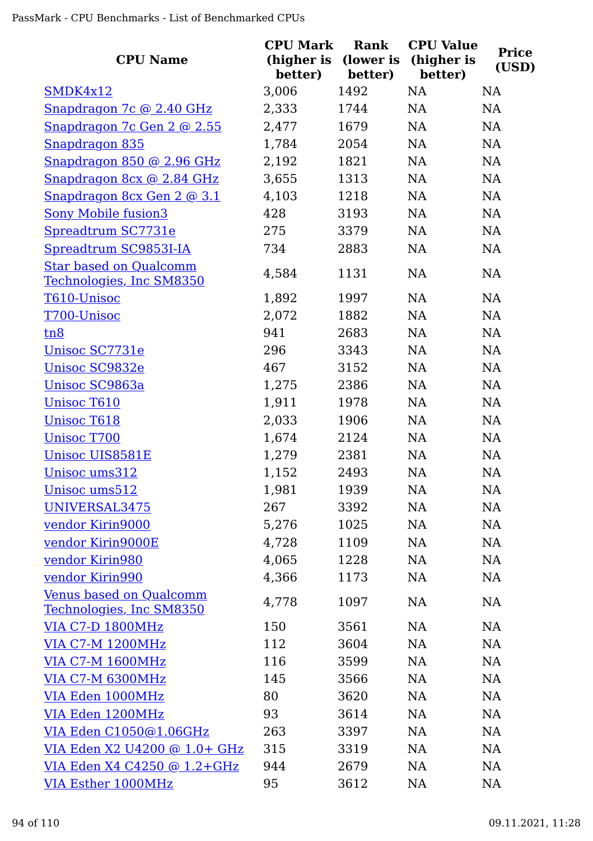| <b>CPU Name</b>                                            | <b>CPU Mark</b><br>(higher is<br>better) | Rank<br>(lower is<br>better) | <b>CPU Value</b><br>(higher is<br>better) | <b>Price</b><br>(USD) |
|------------------------------------------------------------|------------------------------------------|------------------------------|-------------------------------------------|-----------------------|
| SMDK4x12                                                   | 3,006                                    | 1492                         | NA                                        | <b>NA</b>             |
| Snapdragon 7c @ 2.40 GHz                                   | 2,333                                    | 1744                         | NA                                        | NA                    |
| Snapdragon 7c Gen 2 @ 2.55                                 | 2,477                                    | 1679                         | NA                                        | NA                    |
| Snapdragon 835                                             | 1,784                                    | 2054                         | NA                                        | NA                    |
| Snapdragon 850 @ 2.96 GHz                                  | 2,192                                    | 1821                         | NA                                        | NA                    |
| Snapdragon 8cx @ 2.84 GHz                                  | 3,655                                    | 1313                         | NA                                        | NA                    |
| Snapdragon 8cx Gen 2 @ 3.1                                 | 4,103                                    | 1218                         | NA                                        | NA                    |
| <b>Sony Mobile fusion3</b>                                 | 428                                      | 3193                         | NA                                        | <b>NA</b>             |
| Spreadtrum SC7731e                                         | 275                                      | 3379                         | NA                                        | NA                    |
| Spreadtrum SC9853I-IA                                      | 734                                      | 2883                         | NA                                        | NA                    |
| <b>Star based on Qualcomm</b><br>Technologies, Inc SM8350  | 4,584                                    | 1131                         | <b>NA</b>                                 | <b>NA</b>             |
| T610-Unisoc                                                | 1,892                                    | 1997                         | <b>NA</b>                                 | <b>NA</b>             |
| T700-Unisoc                                                | 2,072                                    | 1882                         | NA                                        | NA                    |
| tn8                                                        | 941                                      | 2683                         | NA                                        | <b>NA</b>             |
| Unisoc SC7731e                                             | 296                                      | 3343                         | NA                                        | NA                    |
| <b>Unisoc SC9832e</b>                                      | 467                                      | 3152                         | NA                                        | <b>NA</b>             |
| Unisoc SC9863a                                             | 1,275                                    | 2386                         | NA                                        | NA                    |
| <b>Unisoc T610</b>                                         | 1,911                                    | 1978                         | NA                                        | NA                    |
| <b>Unisoc T618</b>                                         | 2,033                                    | 1906                         | NA                                        | NA                    |
| <b>Unisoc T700</b>                                         | 1,674                                    | 2124                         | NA                                        | NA                    |
| <b>Unisoc UIS8581E</b>                                     | 1,279                                    | 2381                         | NA                                        | <b>NA</b>             |
| Unisoc ums312                                              | 1,152                                    | 2493                         | <b>NA</b>                                 | NA                    |
| Unisoc ums512                                              | 1,981                                    | 1939                         | <b>NA</b>                                 | NA                    |
| UNIVERSAL3475                                              | 267                                      | 3392                         | NA                                        | <b>NA</b>             |
| vendor Kirin9000                                           | 5,276                                    | 1025                         | NA                                        | <b>NA</b>             |
| vendor Kirin9000E                                          | 4,728                                    | 1109                         | <b>NA</b>                                 | <b>NA</b>             |
| vendor Kirin980                                            | 4,065                                    | 1228                         | <b>NA</b>                                 | NA                    |
| vendor Kirin990                                            | 4,366                                    | 1173                         | NA                                        | NA                    |
| <b>Venus based on Qualcomm</b><br>Technologies, Inc SM8350 | 4,778                                    | 1097                         | <b>NA</b>                                 | <b>NA</b>             |
| <b>VIA C7-D 1800MHz</b>                                    | 150                                      | 3561                         | <b>NA</b>                                 | NA                    |
| <b>VIA C7-M 1200MHz</b>                                    | 112                                      | 3604                         | <b>NA</b>                                 | <b>NA</b>             |
| <b>VIA C7-M 1600MHz</b>                                    | 116                                      | 3599                         | <b>NA</b>                                 | NA                    |
| <b>VIA C7-M 6300MHz</b>                                    | 145                                      | 3566                         | <b>NA</b>                                 | NA                    |
| VIA Eden 1000MHz                                           | 80                                       | 3620                         | <b>NA</b>                                 | NA                    |
| VIA Eden 1200MHz                                           | 93                                       | 3614                         | <b>NA</b>                                 | NA                    |
| VIA Eden C1050@1.06GHz                                     | 263                                      | 3397                         | NA                                        | <b>NA</b>             |
| VIA Eden X2 U4200 @ 1.0+ GHz                               | 315                                      | 3319                         | <b>NA</b>                                 | NA                    |
| VIA Eden X4 C4250 @ 1.2+GHz                                | 944                                      | 2679                         | NA                                        | NA                    |
| <b>VIA Esther 1000MHz</b>                                  | 95                                       | 3612                         | NA                                        | NA                    |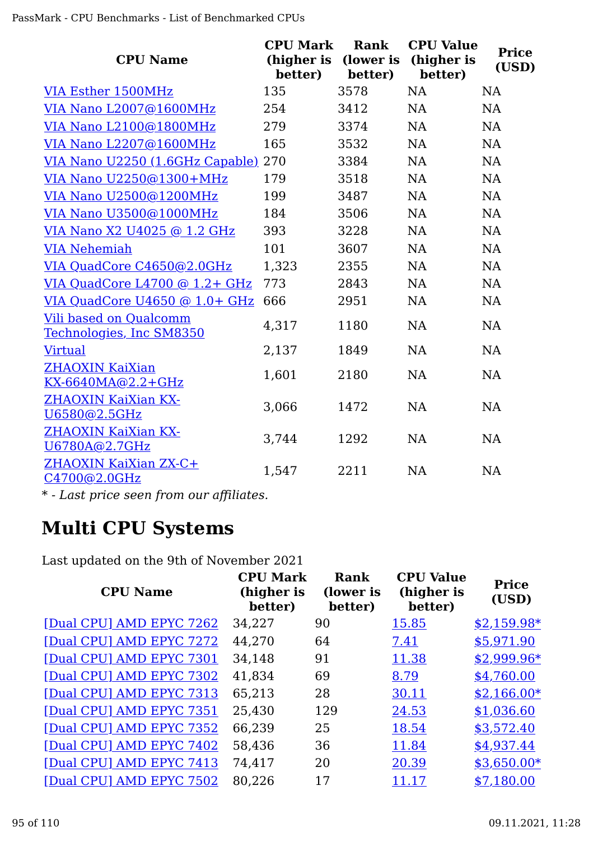| <b>CPU Name</b>                                           | <b>CPU Mark</b><br>(higher is<br>better) | Rank<br>(lower is<br>better) | <b>CPU Value</b><br>(higher is<br>better) | <b>Price</b><br>(USD) |
|-----------------------------------------------------------|------------------------------------------|------------------------------|-------------------------------------------|-----------------------|
| VIA Esther 1500MHz                                        | 135                                      | 3578                         | NA                                        | NA                    |
| VIA Nano L2007@1600MHz                                    | 254                                      | 3412                         | NA                                        | NA                    |
| VIA Nano L2100@1800MHz                                    | 279                                      | 3374                         | NA                                        | NA                    |
| VIA Nano L2207@1600MHz                                    | 165                                      | 3532                         | NA                                        | <b>NA</b>             |
| VIA Nano U2250 (1.6GHz Capable) 270                       |                                          | 3384                         | NA                                        | <b>NA</b>             |
| VIA Nano U2250@1300+MHz                                   | 179                                      | 3518                         | NA                                        | NA                    |
| VIA Nano U2500@1200MHz                                    | 199                                      | 3487                         | NA                                        | NA                    |
| VIA Nano U3500@1000MHz                                    | 184                                      | 3506                         | NA                                        | NA                    |
| VIA Nano X2 U4025 @ 1.2 GHz                               | 393                                      | 3228                         | NA                                        | <b>NA</b>             |
| <b>VIA Nehemiah</b>                                       | 101                                      | 3607                         | NA                                        | NA                    |
| VIA QuadCore C4650@2.0GHz                                 | 1,323                                    | 2355                         | NA                                        | NA                    |
| VIA QuadCore $L4700$ @ 1.2+ GHz                           | 773                                      | 2843                         | NA                                        | NA                    |
| VIA QuadCore U4650 @ 1.0+ GHz                             | 666                                      | 2951                         | NA                                        | NA                    |
| <b>Vili based on Qualcomm</b><br>Technologies, Inc SM8350 | 4,317                                    | 1180                         | NA                                        | NA                    |
| <b>Virtual</b>                                            | 2,137                                    | 1849                         | NA                                        | NA                    |
| <b>ZHAOXIN KaiXian</b><br><u>KX-6640MA@2.2+GHz</u>        | 1,601                                    | 2180                         | NA                                        | NA                    |
| <b>ZHAOXIN KaiXian KX-</b><br>U6580@2.5GHz                | 3,066                                    | 1472                         | NA                                        | NA                    |
| <b>ZHAOXIN KaiXian KX-</b><br>U6780A@2.7GHz               | 3,744                                    | 1292                         | NA                                        | NA                    |
| ZHAOXIN KaiXian ZX-C+<br>C4700@2.0GHz                     | 1,547                                    | 2211                         | NA                                        | <b>NA</b>             |
|                                                           |                                          |                              |                                           |                       |

*\* - Last price seen from our affiliates.*

## **Multi CPU Systems**

Last updated on the 9th of November 2021

| <b>CPU Name</b>          | <b>CPU Mark</b><br>(higher is<br>better) | Rank<br>(lower is<br>better) | <b>CPU Value</b><br>(higher is<br>better) | <b>Price</b><br>(USD) |
|--------------------------|------------------------------------------|------------------------------|-------------------------------------------|-----------------------|
| [Dual CPU] AMD EPYC 7262 | 34,227                                   | 90                           | 15.85                                     | $$2,159.98*$          |
| [Dual CPU] AMD EPYC 7272 | 44,270                                   | 64                           | 7.41                                      | \$5,971.90            |
| [Dual CPU] AMD EPYC 7301 | 34,148                                   | 91                           | 11.38                                     | $$2,999.96*$          |
| [Dual CPU] AMD EPYC 7302 | 41,834                                   | 69                           | 8.79                                      | \$4,760.00            |
| [Dual CPU] AMD EPYC 7313 | 65,213                                   | 28                           | 30.11                                     | $$2,166.00*$          |
| [Dual CPU] AMD EPYC 7351 | 25,430                                   | 129                          | 24.53                                     | \$1,036.60            |
| [Dual CPU] AMD EPYC 7352 | 66,239                                   | 25                           | 18.54                                     | \$3,572.40            |
| [Dual CPU] AMD EPYC 7402 | 58,436                                   | 36                           | 11.84                                     | \$4,937.44            |
| [Dual CPU] AMD EPYC 7413 | 74,417                                   | 20                           | 20.39                                     | $$3,650.00*$          |
| [Dual CPU] AMD EPYC 7502 | 80,226                                   | 17                           | 11.17                                     | \$7,180.00            |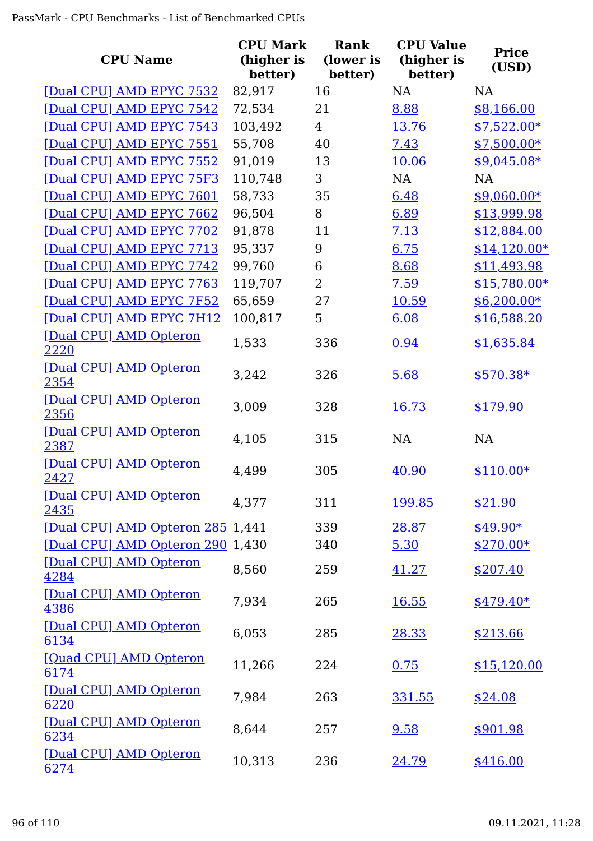| <b>CPU Name</b>                  | <b>CPU Mark</b><br>(higher is<br>better) | Rank<br>(lower is<br>better) | <b>CPU Value</b><br>(higher is<br>better) | <b>Price</b><br>(USD) |
|----------------------------------|------------------------------------------|------------------------------|-------------------------------------------|-----------------------|
| [Dual CPU] AMD EPYC 7532         | 82,917                                   | 16                           | NA                                        | <b>NA</b>             |
| [Dual CPU] AMD EPYC 7542         | 72,534                                   | 21                           | 8.88                                      | \$8,166.00            |
| [Dual CPU] AMD EPYC 7543         | 103,492                                  | $\overline{4}$               | 13.76                                     | $$7,522.00*$          |
| [Dual CPU] AMD EPYC 7551         | 55,708                                   | 40                           | 7.43                                      | $$7,500.00*$          |
| [Dual CPU] AMD EPYC 7552         | 91,019                                   | 13                           | 10.06                                     | $$9,045.08*$          |
| [Dual CPU] AMD EPYC 75F3         | 110,748                                  | 3                            | NA                                        | <b>NA</b>             |
| [Dual CPU] AMD EPYC 7601         | 58,733                                   | 35                           | 6.48                                      | $$9,060.00*$          |
| [Dual CPU] AMD EPYC 7662         | 96,504                                   | 8                            | 6.89                                      | \$13,999.98           |
| [Dual CPU] AMD EPYC 7702         | 91,878                                   | 11                           | 7.13                                      | \$12,884.00           |
| [Dual CPU] AMD EPYC 7713         | 95,337                                   | 9                            | 6.75                                      | $$14,120.00*$         |
| [Dual CPU] AMD EPYC 7742         | 99,760                                   | 6                            | 8.68                                      | \$11,493.98           |
| [Dual CPU] AMD EPYC 7763         | 119,707                                  | $\overline{2}$               | 7.59                                      | $$15,780.00*$         |
| [Dual CPU] AMD EPYC 7F52         | 65,659                                   | 27                           | 10.59                                     | $$6,200.00*$          |
| [Dual CPU] AMD EPYC 7H12         | 100,817                                  | 5                            | 6.08                                      | \$16,588.20           |
| [Dual CPU] AMD Opteron<br>2220   | 1,533                                    | 336                          | 0.94                                      | \$1,635.84            |
| [Dual CPU] AMD Opteron<br>2354   | 3,242                                    | 326                          | 5.68                                      | $$570.38*$            |
| [Dual CPU] AMD Opteron<br>2356   | 3,009                                    | 328                          | 16.73                                     | \$179.90              |
| [Dual CPU] AMD Opteron<br>2387   | 4,105                                    | 315                          | <b>NA</b>                                 | <b>NA</b>             |
| [Dual CPU] AMD Opteron<br>2427   | 4,499                                    | 305                          | 40.90                                     | $$110.00*$            |
| [Dual CPU] AMD Opteron<br>2435   | 4,377                                    | 311                          | 199.85                                    | \$21.90               |
| [Dual CPU] AMD Opteron 285 1,441 |                                          | 339                          | 28.87                                     | \$49.90*              |
| [Dual CPU] AMD Opteron 290 1,430 |                                          | 340                          | 5.30                                      | $$270.00*$            |
| [Dual CPU] AMD Opteron<br>4284   | 8,560                                    | 259                          | 41.27                                     | \$207.40              |
| [Dual CPU] AMD Opteron<br>4386   | 7,934                                    | 265                          | 16.55                                     | $$479.40*$            |
| [Dual CPU] AMD Opteron<br>6134   | 6,053                                    | 285                          | 28.33                                     | \$213.66              |
| [Quad CPU] AMD Opteron<br>6174   | 11,266                                   | 224                          | 0.75                                      | \$15,120.00           |
| [Dual CPU] AMD Opteron<br>6220   | 7,984                                    | 263                          | 331.55                                    | \$24.08               |
| [Dual CPU] AMD Opteron<br>6234   | 8,644                                    | 257                          | 9.58                                      | \$901.98              |
| [Dual CPU] AMD Opteron<br>6274   | 10,313                                   | 236                          | 24.79                                     | \$416.00              |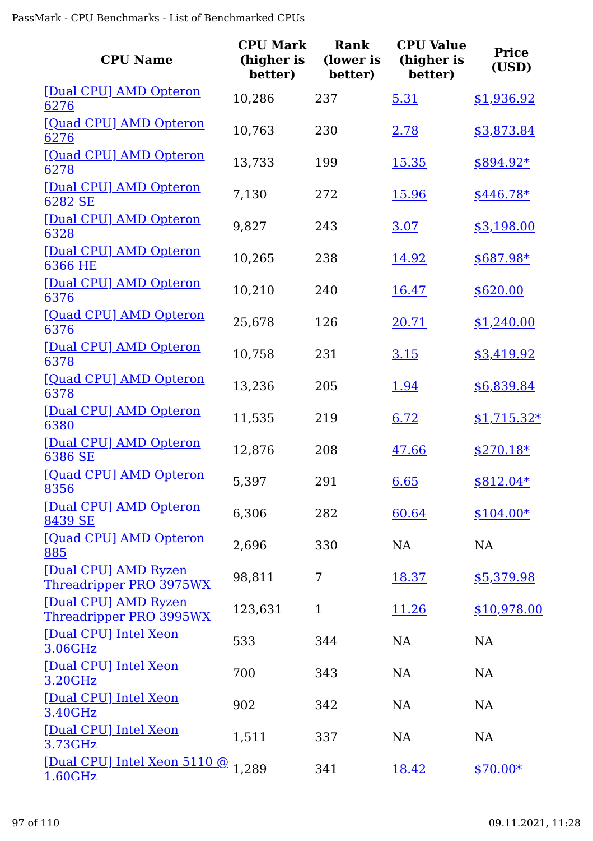| <b>CPU Name</b>                                 | <b>CPU Mark</b><br>(higher is<br>better) | <b>Rank</b><br>(lower is<br>better) | <b>CPU Value</b><br>(higher is<br>better) | <b>Price</b><br>(USD) |
|-------------------------------------------------|------------------------------------------|-------------------------------------|-------------------------------------------|-----------------------|
| [Dual CPU] AMD Opteron<br>6276                  | 10,286                                   | 237                                 | 5.31                                      | \$1,936.92            |
| [Quad CPU] AMD Opteron<br>6276                  | 10,763                                   | 230                                 | 2.78                                      | \$3,873.84            |
| [Quad CPU] AMD Opteron<br>6278                  | 13,733                                   | 199                                 | 15.35                                     | $$894.92*$            |
| [Dual CPU] AMD Opteron<br>6282 SE               | 7,130                                    | 272                                 | 15.96                                     | $$446.78*$            |
| [Dual CPU] AMD Opteron<br>6328                  | 9,827                                    | 243                                 | 3.07                                      | \$3,198.00            |
| [Dual CPU] AMD Opteron<br>6366 HE               | 10,265                                   | 238                                 | 14.92                                     | \$687.98*             |
| [Dual CPU] AMD Opteron<br>6376                  | 10,210                                   | 240                                 | 16.47                                     | \$620.00              |
| [Quad CPU] AMD Opteron<br>6376                  | 25,678                                   | 126                                 | 20.71                                     | \$1,240.00            |
| [Dual CPU] AMD Opteron<br>6378                  | 10,758                                   | 231                                 | 3.15                                      | \$3,419.92            |
| [Quad CPU] AMD Opteron<br>6378                  | 13,236                                   | 205                                 | 1.94                                      | \$6,839.84            |
| [Dual CPU] AMD Opteron<br>6380                  | 11,535                                   | 219                                 | 6.72                                      | $$1,715.32*$          |
| [Dual CPU] AMD Opteron<br>6386 SE               | 12,876                                   | 208                                 | 47.66                                     | $$270.18*$            |
| [Quad CPU] AMD Opteron<br>8356                  | 5,397                                    | 291                                 | 6.65                                      | $$812.04*$            |
| [Dual CPU] AMD Opteron<br>8439 SE               | 6,306                                    | 282                                 | 60.64                                     | $$104.00*$            |
| [Quad CPU] AMD Opteron<br>885                   | 2,696                                    | 330                                 | NA                                        | <b>NA</b>             |
| [Dual CPU] AMD Ryzen<br>Threadripper PRO 3975WX | 98,811                                   | 7                                   | 18.37                                     | \$5,379.98            |
| [Dual CPU] AMD Ryzen<br>Threadripper PRO 3995WX | 123,631                                  | $\mathbf{1}$                        | 11.26                                     | \$10,978.00           |
| [Dual CPU] Intel Xeon<br>3.06GHz                | 533                                      | 344                                 | NA                                        | NA                    |
| [Dual CPU] Intel Xeon<br>3.20GHz                | 700                                      | 343                                 | NA                                        | <b>NA</b>             |
| [Dual CPU] Intel Xeon<br>3.40GHz                | 902                                      | 342                                 | NA                                        | NA                    |
| [Dual CPU] Intel Xeon<br>3.73GHz                | 1,511                                    | 337                                 | NA                                        | NA                    |
| [Dual CPU] Intel Xeon 5110 @ 1,289<br>1.60GHz   |                                          | 341                                 | 18.42                                     | $$70.00*$             |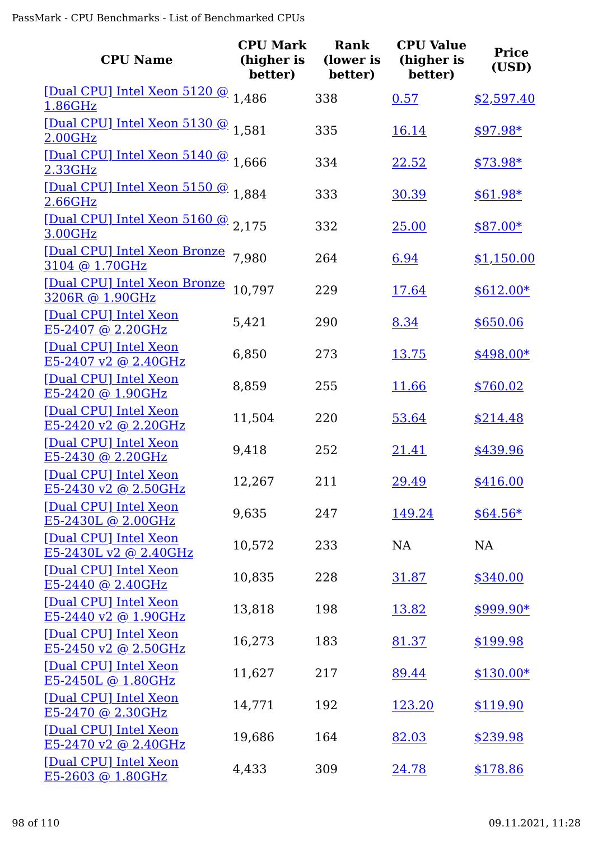| <b>CPU Name</b>                                      | <b>CPU Mark</b><br>(higher is<br>better) | <b>Rank</b><br>(lower is<br>better) | <b>CPU Value</b><br>(higher is<br>better) | <b>Price</b><br>(USD) |
|------------------------------------------------------|------------------------------------------|-------------------------------------|-------------------------------------------|-----------------------|
| [Dual CPU] Intel Xeon 5120 @ 1,486<br>1.86GHz        |                                          | 338                                 | 0.57                                      | \$2,597.40            |
| [Dual CPU] Intel Xeon 5130 @ 1,581<br>2.00GHz        |                                          | 335                                 | <u>16.14</u>                              | $$97.98*$             |
| [Dual CPU] Intel Xeon 5140 @ 1.666<br>2.33GHz        |                                          | 334                                 | 22.52                                     | $$73.98*$             |
| [Dual CPU] Intel Xeon 5150 @ 1.884<br>2.66GHz        |                                          | 333                                 | 30.39                                     | $$61.98*$             |
| [Dual CPU] Intel Xeon 5160 @ 2.175<br>3.00GHz        |                                          | 332                                 | 25.00                                     | $$87.00*$             |
| [Dual CPU] Intel Xeon Bronze 7,980<br>3104 @ 1.70GHz |                                          | 264                                 | 6.94                                      | \$1,150.00            |
| [Dual CPU] Intel Xeon Bronze<br>3206R @ 1.90GHz      | 10,797                                   | 229                                 | 17.64                                     | $$612.00*$            |
| [Dual CPU] Intel Xeon<br>E5-2407 @ 2.20GHz           | 5,421                                    | 290                                 | 8.34                                      | \$650.06              |
| [Dual CPU] Intel Xeon<br>E5-2407 v2 @ 2.40GHz        | 6,850                                    | 273                                 | 13.75                                     | $$498.00*$            |
| [Dual CPU] Intel Xeon<br>E5-2420 @ 1.90GHz           | 8,859                                    | 255                                 | 11.66                                     | \$760.02              |
| [Dual CPU] Intel Xeon<br>E5-2420 v2 @ 2.20GHz        | 11,504                                   | 220                                 | 53.64                                     | \$214.48              |
| [Dual CPU] Intel Xeon<br>E5-2430 @ 2.20GHz           | 9,418                                    | 252                                 | 21.41                                     | \$439.96              |
| [Dual CPU] Intel Xeon<br>E5-2430 v2 @ 2.50GHz        | 12,267                                   | 211                                 | 29.49                                     | \$416.00              |
| [Dual CPU] Intel Xeon<br>E5-2430L @ 2.00GHz          | 9,635                                    | 247                                 | 149.24                                    | $$64.56*$             |
| [Dual CPU] Intel Xeon<br>$E5-2430L v2 @ 2.40GHz$     | 10,572                                   | 233                                 | NA                                        | NA                    |
| [Dual CPU] Intel Xeon<br>$E5-2440$ @ 2.40GHz         | 10,835                                   | 228                                 | 31.87                                     | \$340.00              |
| [Dual CPU] Intel Xeon<br>E5-2440 v2 @ 1.90GHz        | 13,818                                   | 198                                 | <u>13.82</u>                              | $$999.90*$            |
| [Dual CPU] Intel Xeon<br>$E5-2450$ v2 @ 2.50GHz      | 16,273                                   | 183                                 | 81.37                                     | \$199.98              |
| [Dual CPU] Intel Xeon<br>E5-2450L @ 1.80GHz          | 11,627                                   | 217                                 | 89.44                                     | $$130.00*$            |
| [Dual CPU] Intel Xeon<br>E5-2470 @ 2.30GHz           | 14,771                                   | 192                                 | 123.20                                    | \$119.90              |
| [Dual CPU] Intel Xeon<br>E5-2470 v2 @ 2.40GHz        | 19,686                                   | 164                                 | 82.03                                     | \$239.98              |
| [Dual CPU] Intel Xeon<br>E5-2603 @ 1.80GHz           | 4,433                                    | 309                                 | 24.78                                     | \$178.86              |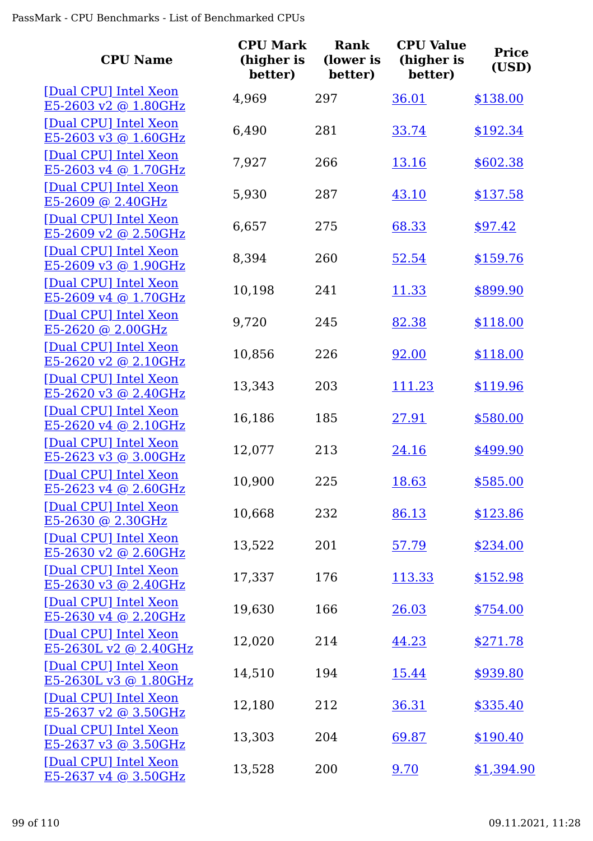| <b>CPU Name</b>                                  | <b>CPU Mark</b><br>(higher is<br>better) | <b>Rank</b><br>(lower is<br>better) | <b>CPU Value</b><br>(higher is<br>better) | <b>Price</b><br>(USD) |
|--------------------------------------------------|------------------------------------------|-------------------------------------|-------------------------------------------|-----------------------|
| [Dual CPU] Intel Xeon<br>E5-2603 v2 @ 1.80GHz    | 4,969                                    | 297                                 | 36.01                                     | \$138.00              |
| [Dual CPU] Intel Xeon<br>E5-2603 v3 @ 1.60GHz    | 6,490                                    | 281                                 | 33.74                                     | \$192.34              |
| [Dual CPU] Intel Xeon<br>E5-2603 v4 @ 1.70GHz    | 7,927                                    | 266                                 | 13.16                                     | \$602.38              |
| [Dual CPU] Intel Xeon<br>E5-2609 @ 2.40GHz       | 5,930                                    | 287                                 | 43.10                                     | \$137.58              |
| [Dual CPU] Intel Xeon<br>E5-2609 v2 @ 2.50GHz    | 6,657                                    | 275                                 | 68.33                                     | \$97.42               |
| [Dual CPU] Intel Xeon<br>E5-2609 v3 @ 1.90GHz    | 8,394                                    | 260                                 | 52.54                                     | \$159.76              |
| [Dual CPU] Intel Xeon<br>E5-2609 v4 @ 1.70GHz    | 10,198                                   | 241                                 | 11.33                                     | \$899.90              |
| [Dual CPU] Intel Xeon<br>E5-2620 @ 2.00GHz       | 9,720                                    | 245                                 | 82.38                                     | \$118.00              |
| [Dual CPU] Intel Xeon<br>$E5-2620$ v2 @ 2.10GHz  | 10,856                                   | 226                                 | 92.00                                     | \$118.00              |
| [Dual CPU] Intel Xeon<br>E5-2620 v3 @ 2.40GHz    | 13,343                                   | 203                                 | 111.23                                    | \$119.96              |
| [Dual CPU] Intel Xeon<br>E5-2620 v4 @ 2.10GHz    | 16,186                                   | 185                                 | 27.91                                     | \$580.00              |
| [Dual CPU] Intel Xeon<br>E5-2623 v3 @ 3.00GHz    | 12,077                                   | 213                                 | 24.16                                     | \$499.90              |
| [Dual CPU] Intel Xeon<br>$E5-2623$ v4 @ 2.60GHz  | 10,900                                   | 225                                 | 18.63                                     | \$585.00              |
| [Dual CPU] Intel Xeon<br>$E5-2630$ @ 2.30GHz     | 10,668                                   | 232                                 | 86.13                                     | \$123.86              |
| [Dual CPU] Intel Xeon<br>E5-2630 v2 @ 2.60GHz    | 13,522                                   | 201                                 | 57.79                                     | \$234.00              |
| [Dual CPU] Intel Xeon<br>E5-2630 v3 @ 2.40GHz    | 17,337                                   | 176                                 | 113.33                                    | \$152.98              |
| [Dual CPU] Intel Xeon<br>$E5-2630$ v4 @ 2.20GHz  | 19,630                                   | 166                                 | 26.03                                     | \$754.00              |
| [Dual CPU] Intel Xeon<br>$E5-2630L v2 @ 2.40GHz$ | 12,020                                   | 214                                 | 44.23                                     | \$271.78              |
| [Dual CPU] Intel Xeon<br>E5-2630L v3 @ 1.80GHz   | 14,510                                   | 194                                 | 15.44                                     | \$939.80              |
| [Dual CPU] Intel Xeon<br>$E5-2637$ v2 @ 3.50GHz  | 12,180                                   | 212                                 | 36.31                                     | \$335.40              |
| [Dual CPU] Intel Xeon<br>$E5-2637$ v3 @ 3.50GHz  | 13,303                                   | 204                                 | 69.87                                     | \$190.40              |
| [Dual CPU] Intel Xeon<br>E5-2637 v4 @ 3.50GHz    | 13,528                                   | 200                                 | 9.70                                      | \$1,394.90            |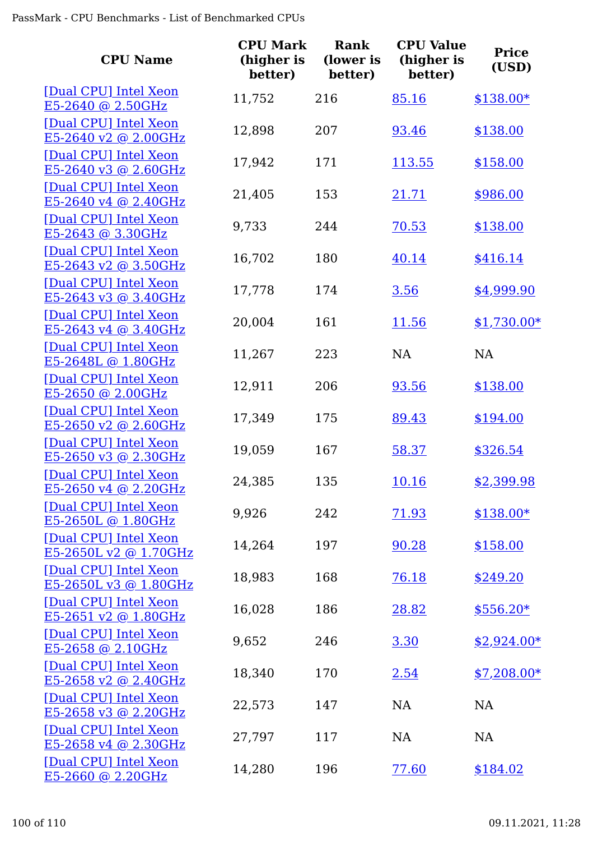| <b>CPU Name</b>                                       | <b>CPU Mark</b><br>(higher is<br>better) | <b>Rank</b><br>(lower is<br>better) | <b>CPU Value</b><br>(higher is<br>better) | <b>Price</b><br>(USD) |
|-------------------------------------------------------|------------------------------------------|-------------------------------------|-------------------------------------------|-----------------------|
| [Dual CPU] Intel Xeon<br>E5-2640 @ 2.50GHz            | 11,752                                   | 216                                 | 85.16                                     | $$138.00*$            |
| [Dual CPU] Intel Xeon<br>E5-2640 v2 @ 2.00GHz         | 12,898                                   | 207                                 | 93.46                                     | \$138.00              |
| [Dual CPU] Intel Xeon<br>$E5-2640$ v3 @ 2.60GHz       | 17,942                                   | 171                                 | 113.55                                    | \$158.00              |
| [Dual CPU] Intel Xeon<br>E5-2640 v4 @ 2.40GHz         | 21,405                                   | 153                                 | 21.71                                     | \$986.00              |
| [Dual CPU] Intel Xeon<br>E5-2643 @ 3.30GHz            | 9,733                                    | 244                                 | 70.53                                     | \$138.00              |
| [Dual CPU] Intel Xeon<br>E5-2643 v2 @ 3.50GHz         | 16,702                                   | 180                                 | 40.14                                     | \$416.14              |
| [Dual CPU] Intel Xeon<br>E5-2643 v3 @ 3.40GHz         | 17,778                                   | 174                                 | 3.56                                      | \$4,999.90            |
| [Dual CPU] Intel Xeon<br>E5-2643 v4 @ 3.40GHz         | 20,004                                   | 161                                 | 11.56                                     | $$1,730.00*$          |
| [Dual CPU] Intel Xeon<br>E5-2648L @ 1.80GHz           | 11,267                                   | 223                                 | NA                                        | <b>NA</b>             |
| [Dual CPU] Intel Xeon<br>E5-2650 @ 2.00GHz            | 12,911                                   | 206                                 | 93.56                                     | \$138.00              |
| [Dual CPU] Intel Xeon<br>E5-2650 v2 @ 2.60GHz         | 17,349                                   | 175                                 | 89.43                                     | \$194.00              |
| [Dual CPU] Intel Xeon<br>E5-2650 v3 @ 2.30GHz         | 19,059                                   | 167                                 | 58.37                                     | \$326.54              |
| [Dual CPU] Intel Xeon<br>E5-2650 v4 @ 2.20GHz         | 24,385                                   | 135                                 | <u> 10.16</u>                             | \$2,399.98            |
| [Dual CPU] Intel Xeon<br>E5-2650L @ 1.80GHz           | 9,926                                    | 242                                 | 71.93                                     | $$138.00*$            |
| [Dual CPU] Intel Xeon<br>E5-2650L v2 @ 1.70GHz        | 14,264                                   | 197                                 | 90.28                                     | \$158.00              |
| [Dual CPU] Intel Xeon<br><u>E5-2650L v3 @ 1.80GHz</u> | 18,983                                   | 168                                 | 76.18                                     | \$249.20              |
| [Dual CPU] Intel Xeon<br><u>E5-2651 v2 @ 1.80GHz</u>  | 16,028                                   | 186                                 | 28.82                                     | $$556.20*$            |
| [Dual CPU] Intel Xeon<br>E5-2658 @ 2.10GHz            | 9,652                                    | 246                                 | 3.30                                      | $$2,924.00*$          |
| [Dual CPU] Intel Xeon<br>$E5-2658$ v2 @ 2.40GHz       | 18,340                                   | 170                                 | 2.54                                      | $$7,208.00*$          |
| [Dual CPU] Intel Xeon<br><u>E5-2658 v3 @ 2.20GHz</u>  | 22,573                                   | 147                                 | NA                                        | NA                    |
| [Dual CPU] Intel Xeon<br>$E5-2658$ v4 @ 2.30GHz       | 27,797                                   | 117                                 | <b>NA</b>                                 | NA                    |
| [Dual CPU] Intel Xeon<br>$E5-2660$ @ 2.20GHz          | 14,280                                   | 196                                 | 77.60                                     | \$184.02              |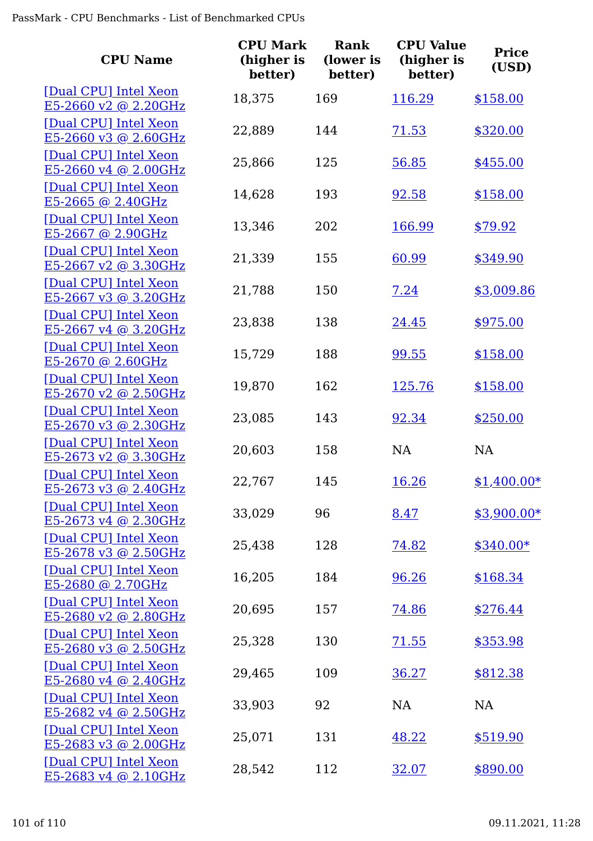| <b>CPU Name</b>                                  | <b>CPU Mark</b><br>(higher is<br>better) | <b>Rank</b><br>(lower is<br>better) | <b>CPU Value</b><br>(higher is<br>better) | <b>Price</b><br>(USD) |
|--------------------------------------------------|------------------------------------------|-------------------------------------|-------------------------------------------|-----------------------|
| [Dual CPU] Intel Xeon<br>$E5-2660$ v2 @ 2.20GHz  | 18,375                                   | 169                                 | 116.29                                    | \$158.00              |
| [Dual CPU] Intel Xeon<br>E5-2660 v3 @ 2.60GHz    | 22,889                                   | 144                                 | 71.53                                     | \$320.00              |
| [Dual CPU] Intel Xeon<br>E5-2660 v4 @ 2.00GHz    | 25,866                                   | 125                                 | 56.85                                     | \$455.00              |
| [Dual CPU] Intel Xeon<br>E5-2665 @ 2.40GHz       | 14,628                                   | 193                                 | 92.58                                     | \$158.00              |
| [Dual CPU] Intel Xeon<br>E5-2667 @ 2.90GHz       | 13,346                                   | 202                                 | 166.99                                    | \$79.92               |
| [Dual CPU] Intel Xeon<br>E5-2667 v2 @ 3.30GHz    | 21,339                                   | 155                                 | 60.99                                     | \$349.90              |
| [Dual CPU] Intel Xeon<br>$E5-2667$ v3 @ 3.20GHz  | 21,788                                   | 150                                 | 7.24                                      | \$3,009.86            |
| [Dual CPU] Intel Xeon<br>E5-2667 v4 @ 3.20GHz    | 23,838                                   | 138                                 | 24.45                                     | \$975.00              |
| [Dual CPU] Intel Xeon<br>$E5-2670$ @ 2.60GHz     | 15,729                                   | 188                                 | 99.55                                     | \$158.00              |
| [Dual CPU] Intel Xeon<br>$E5-2670$ v2 @ 2.50GHz  | 19,870                                   | 162                                 | 125.76                                    | \$158.00              |
| [Dual CPU] Intel Xeon<br>E5-2670 v3 @ 2.30GHz    | 23,085                                   | 143                                 | 92.34                                     | \$250.00              |
| [Dual CPU] Intel Xeon<br>$E5-2673$ v2 @ 3.30GHz  | 20,603                                   | 158                                 | <b>NA</b>                                 | NA                    |
| [Dual CPU] Intel Xeon<br>E5-2673 v3 @ $2.40$ GHz | 22,767                                   | 145                                 | <u>16.26</u>                              | $$1,400.00*$          |
| [Dual CPU] Intel Xeon<br>$E5-2673$ v4 @ 2.30GHz  | 33,029                                   | 96                                  | 8.47                                      | $$3,900.00*$          |
| [Dual CPU] Intel Xeon<br>E5-2678 v3 @ 2.50GHz    | 25,438                                   | 128                                 | 74.82                                     | $$340.00*$            |
| [Dual CPU] Intel Xeon<br>E5-2680 @ 2.70GHz       | 16,205                                   | 184                                 | 96.26                                     | \$168.34              |
| [Dual CPU] Intel Xeon<br>$E5-2680$ v2 @ 2.80GHz  | 20,695                                   | 157                                 | 74.86                                     | \$276.44              |
| [Dual CPU] Intel Xeon<br>$E5-2680$ v3 @ 2.50GHz  | 25,328                                   | 130                                 | 71.55                                     | \$353.98              |
| [Dual CPU] Intel Xeon<br>$E5-2680$ v4 @ 2.40GHz  | 29,465                                   | 109                                 | 36.27                                     | \$812.38              |
| [Dual CPU] Intel Xeon<br>$E5-2682$ v4 @ 2.50GHz  | 33,903                                   | 92                                  | <b>NA</b>                                 | NA                    |
| [Dual CPU] Intel Xeon<br>$E5-2683$ v3 @ 2.00GHz  | 25,071                                   | 131                                 | 48.22                                     | \$519.90              |
| [Dual CPU] Intel Xeon<br>$E5-2683$ v4 @ 2.10GHz  | 28,542                                   | 112                                 | 32.07                                     | \$890.00              |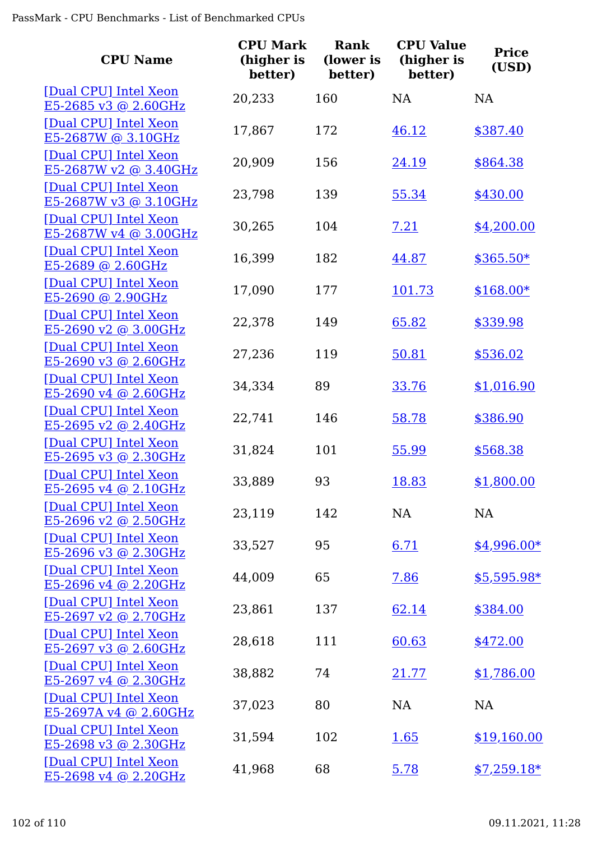| <b>CPU Name</b>                                 | <b>CPU Mark</b><br>(higher is<br>better) | <b>Rank</b><br>(lower is<br>better) | <b>CPU Value</b><br>(higher is<br>better) | <b>Price</b><br>(USD) |
|-------------------------------------------------|------------------------------------------|-------------------------------------|-------------------------------------------|-----------------------|
| [Dual CPU] Intel Xeon<br>E5-2685 v3 @ 2.60GHz   | 20,233                                   | 160                                 | <b>NA</b>                                 | <b>NA</b>             |
| [Dual CPU] Intel Xeon<br>E5-2687W @ 3.10GHz     | 17,867                                   | 172                                 | 46.12                                     | \$387.40              |
| [Dual CPU] Intel Xeon<br>E5-2687W v2 @ 3.40GHz  | 20,909                                   | 156                                 | 24.19                                     | \$864.38              |
| [Dual CPU] Intel Xeon<br>E5-2687W v3 @ 3.10GHz  | 23,798                                   | 139                                 | 55.34                                     | \$430.00              |
| [Dual CPU] Intel Xeon<br>E5-2687W v4 @ 3.00GHz  | 30,265                                   | 104                                 | 7.21                                      | \$4,200.00            |
| [Dual CPU] Intel Xeon<br>E5-2689 @ 2.60GHz      | 16,399                                   | 182                                 | 44.87                                     | $$365.50*$            |
| [Dual CPU] Intel Xeon<br>E5-2690 @ 2.90GHz      | 17,090                                   | 177                                 | 101.73                                    | $$168.00*$            |
| [Dual CPU] Intel Xeon<br>E5-2690 v2 @ 3.00GHz   | 22,378                                   | 149                                 | 65.82                                     | \$339.98              |
| [Dual CPU] Intel Xeon<br>$E5-2690$ v3 @ 2.60GHz | 27,236                                   | 119                                 | 50.81                                     | \$536.02              |
| [Dual CPU] Intel Xeon<br>E5-2690 v4 @ 2.60GHz   | 34,334                                   | 89                                  | 33.76                                     | \$1,016.90            |
| [Dual CPU] Intel Xeon<br>E5-2695 v2 @ 2.40GHz   | 22,741                                   | 146                                 | 58.78                                     | \$386.90              |
| [Dual CPU] Intel Xeon<br>$E5-2695$ v3 @ 2.30GHz | 31,824                                   | 101                                 | 55.99                                     | \$568.38              |
| [Dual CPU] Intel Xeon<br>$E5-2695$ v4 @ 2.10GHz | 33,889                                   | 93                                  | <u>18.83</u>                              | \$1,800.00            |
| [Dual CPU] Intel Xeon<br>E5-2696 v2 @ 2.50GHz   | 23,119                                   | 142                                 | NA                                        | NA                    |
| [Dual CPU] Intel Xeon<br>E5-2696 v3 @ 2.30GHz   | 33,527                                   | 95                                  | 6.71                                      | $$4,996.00*$          |
| [Dual CPU] Intel Xeon<br>E5-2696 v4 @ 2.20GHz   | 44,009                                   | 65                                  | 7.86                                      | \$5,595.98*           |
| [Dual CPU] Intel Xeon<br>$E5-2697$ v2 @ 2.70GHz | 23,861                                   | 137                                 | 62.14                                     | \$384.00              |
| [Dual CPU] Intel Xeon<br>E5-2697 v3 @ 2.60GHz   | 28,618                                   | 111                                 | 60.63                                     | \$472.00              |
| [Dual CPU] Intel Xeon<br>E5-2697 v4 @ 2.30GHz   | 38,882                                   | 74                                  | 21.77                                     | \$1,786.00            |
| [Dual CPU] Intel Xeon<br>E5-2697A v4 @ 2.60GHz  | 37,023                                   | 80                                  | NA                                        | NA                    |
| [Dual CPU] Intel Xeon<br>$E5-2698$ v3 @ 2.30GHz | 31,594                                   | 102                                 | <u>1.65</u>                               | \$19,160.00           |
| [Dual CPU] Intel Xeon<br>E5-2698 v4 @ 2.20GHz   | 41,968                                   | 68                                  | 5.78                                      | $$7,259.18*$          |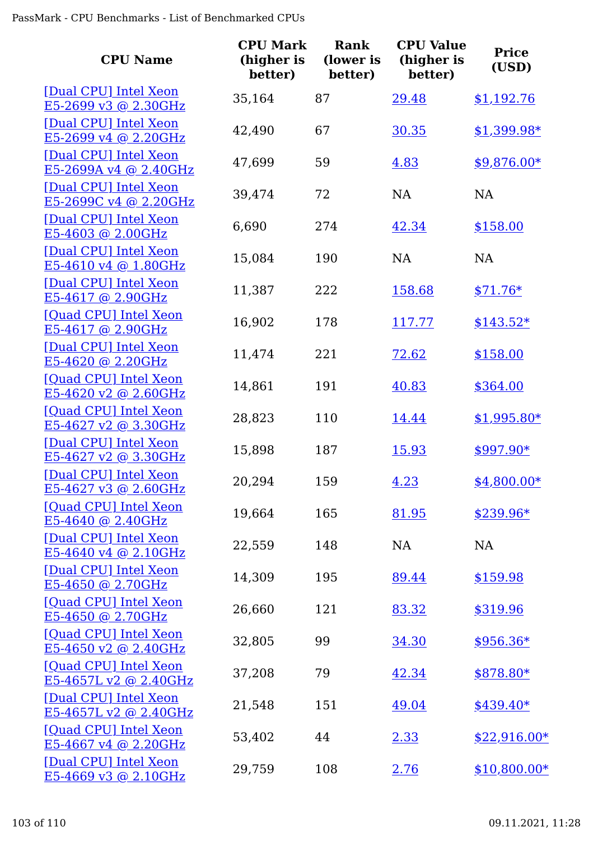| <b>CPU Name</b>                                  | <b>CPU Mark</b><br>(higher is<br>better) | Rank<br>(lower is<br>better) | <b>CPU Value</b><br>(higher is<br>better) | <b>Price</b><br>(USD) |
|--------------------------------------------------|------------------------------------------|------------------------------|-------------------------------------------|-----------------------|
| [Dual CPU] Intel Xeon<br>E5-2699 v3 @ 2.30GHz    | 35,164                                   | 87                           | 29.48                                     | \$1,192.76            |
| [Dual CPU] Intel Xeon<br>E5-2699 v4 @ 2.20GHz    | 42,490                                   | 67                           | 30.35                                     | $$1,399.98*$          |
| [Dual CPU] Intel Xeon<br>$E5-2699A v4 @ 2.40GHz$ | 47,699                                   | 59                           | 4.83                                      | $$9,876.00*$          |
| [Dual CPU] Intel Xeon<br>E5-2699C v4 @ 2.20GHz   | 39,474                                   | 72                           | <b>NA</b>                                 | <b>NA</b>             |
| [Dual CPU] Intel Xeon<br>E5-4603 @ 2.00GHz       | 6,690                                    | 274                          | 42.34                                     | \$158.00              |
| [Dual CPU] Intel Xeon<br>$E5-4610$ v4 @ 1.80GHz  | 15,084                                   | 190                          | <b>NA</b>                                 | NA                    |
| [Dual CPU] Intel Xeon<br>E5-4617 @ 2.90GHz       | 11,387                                   | 222                          | 158.68                                    | $$71.76*$             |
| [Quad CPU] Intel Xeon<br>E5-4617 @ 2.90GHz       | 16,902                                   | 178                          | 117.77                                    | $$143.52*$            |
| [Dual CPU] Intel Xeon<br>E5-4620 @ 2.20GHz       | 11,474                                   | 221                          | 72.62                                     | \$158.00              |
| [Quad CPU] Intel Xeon<br>E5-4620 v2 @ 2.60GHz    | 14,861                                   | 191                          | 40.83                                     | \$364.00              |
| [Quad CPU] Intel Xeon<br>E5-4627 v2 @ 3.30GHz    | 28,823                                   | 110                          | 14.44                                     | $$1,995.80*$          |
| [Dual CPU] Intel Xeon<br>$E5-4627$ v2 @ 3.30GHz  | 15,898                                   | 187                          | 15.93                                     | $$997.90*$            |
| [Dual CPU] Intel Xeon<br>E5-4627 v3 @ 2.60GHz    | 20,294                                   | 159                          | 4.23                                      | \$4,800.00*           |
| [Quad CPU] Intel Xeon<br>E5-4640 @ 2.40GHz       | 19,664                                   | 165                          | 81.95                                     | \$239.96*             |
| [Dual CPU] Intel Xeon<br>E5-4640 v4 @ 2.10GHz    | 22,559                                   | 148                          | NA                                        | NA                    |
| [Dual CPU] Intel Xeon<br>E5-4650 @ 2.70GHz       | 14,309                                   | 195                          | 89.44                                     | \$159.98              |
| [Quad CPU] Intel Xeon<br>$E5-4650$ @ 2.70GHz     | 26,660                                   | 121                          | 83.32                                     | \$319.96              |
| [Quad CPU] Intel Xeon<br>E5-4650 v2 @ 2.40GHz    | 32,805                                   | 99                           | 34.30                                     | $$956.36*$            |
| [Quad CPU] Intel Xeon<br>E5-4657L v2 @ 2.40GHz   | 37,208                                   | 79                           | 42.34                                     | $$878.80*$            |
| [Dual CPU] Intel Xeon<br>E5-4657L v2 @ 2.40GHz   | 21,548                                   | 151                          | 49.04                                     | $$439.40*$            |
| [Quad CPU] Intel Xeon<br>E5-4667 v4 @ 2.20GHz    | 53,402                                   | 44                           | 2.33                                      | $$22,916.00*$         |
| [Dual CPU] Intel Xeon<br>E5-4669 v3 @ 2.10GHz    | 29,759                                   | 108                          | 2.76                                      | $$10,800.00*$         |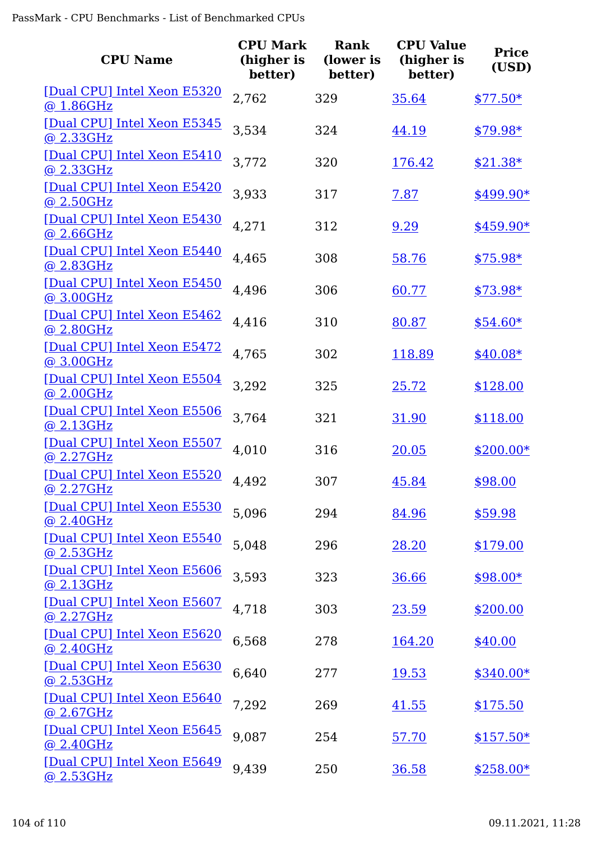| <b>CPU Name</b>                                 | <b>CPU Mark</b><br>(higher is<br>better) | <b>Rank</b><br>(lower is<br>better) | <b>CPU Value</b><br>(higher is<br>better) | <b>Price</b><br>(USD) |
|-------------------------------------------------|------------------------------------------|-------------------------------------|-------------------------------------------|-----------------------|
| [Dual CPU] Intel Xeon E5320<br>@ 1.86GHz        | 2,762                                    | 329                                 | 35.64                                     | $$77.50*$             |
| [Dual CPU] Intel Xeon E5345<br>@ 2.33GHz        | 3,534                                    | 324                                 | 44.19                                     | $$79.98*$             |
| [Dual CPU] Intel Xeon E5410<br>@ 2.33GHz        | 3,772                                    | 320                                 | 176.42                                    | $$21.38*$             |
| [Dual CPU] Intel Xeon E5420<br>@ 2.50GHz        | 3,933                                    | 317                                 | 7.87                                      | $$499.90*$            |
| [Dual CPU] Intel Xeon E5430<br>@ 2.66GHz        | 4,271                                    | 312                                 | 9.29                                      | $$459.90*$            |
| [Dual CPU] Intel Xeon E5440<br>@ 2.83GHz        | 4,465                                    | 308                                 | 58.76                                     | $$75.98*$             |
| [Dual CPU] Intel Xeon E5450<br>@ 3.00GHz        | 4,496                                    | 306                                 | 60.77                                     | $$73.98*$             |
| [Dual CPU] Intel Xeon E5462<br>@ 2.80GHz        | 4,416                                    | 310                                 | 80.87                                     | $$54.60*$             |
| [Dual CPU] Intel Xeon E5472<br>@ 3.00GHz        | 4,765                                    | 302                                 | 118.89                                    | $$40.08*$             |
| [Dual CPU] Intel Xeon E5504<br>@ 2.00GHz        | 3,292                                    | 325                                 | 25.72                                     | \$128.00              |
| [Dual CPU] Intel Xeon E5506<br>@ 2.13GHz        | 3,764                                    | 321                                 | 31.90                                     | \$118.00              |
| [Dual CPU] Intel Xeon E5507<br>@ 2.27GHz        | 4,010                                    | 316                                 | 20.05                                     | $$200.00*$            |
| [Dual CPU] Intel Xeon E5520<br><u>@ 2.27GHz</u> | 4,492                                    | 307                                 | 45.84                                     | \$98.00               |
| [Dual CPU] Intel Xeon E5530<br>@2.40GHz         | 5,096                                    | 294                                 | 84.96                                     | \$59.98               |
| [Dual CPU] Intel Xeon E5540<br>@ 2.53GHz        | 5,048                                    | 296                                 | 28.20                                     | \$179.00              |
| [Dual CPU] Intel Xeon E5606<br>@ 2.13GHz        | 3,593                                    | 323                                 | <u>36.66</u>                              | $$98.00*$             |
| [Dual CPU] Intel Xeon E5607<br>@ 2.27GHz        | 4,718                                    | 303                                 | 23.59                                     | \$200.00              |
| [Dual CPU] Intel Xeon E5620<br>@ 2.40GHz        | 6,568                                    | 278                                 | 164.20                                    | \$40.00               |
| [Dual CPU] Intel Xeon E5630<br>@ 2.53GHz        | 6,640                                    | 277                                 | <u>19.53</u>                              | $$340.00*$            |
| [Dual CPU] Intel Xeon E5640<br><u>@ 2.67GHz</u> | 7,292                                    | 269                                 | <u>41.55</u>                              | \$175.50              |
| [Dual CPU] Intel Xeon E5645<br>@ 2.40GHz        | 9,087                                    | 254                                 | 57.70                                     | $$157.50*$            |
| [Dual CPU] Intel Xeon E5649<br>@ 2.53GHz        | 9,439                                    | 250                                 | 36.58                                     | $$258.00*$            |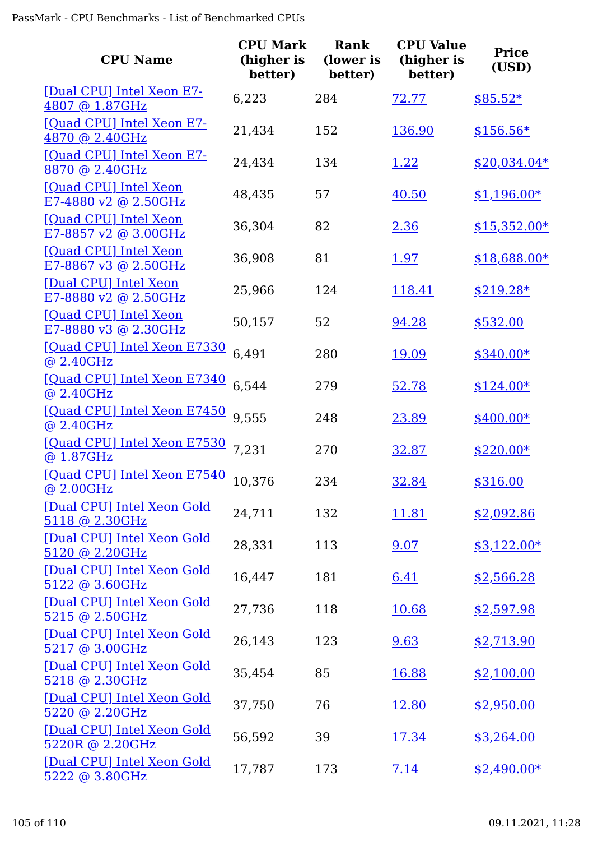| <b>CPU Name</b>                                 | <b>CPU Mark</b><br>(higher is<br>better) | <b>Rank</b><br>(lower is<br>better) | <b>CPU Value</b><br>(higher is<br>better) | <b>Price</b><br>(USD) |
|-------------------------------------------------|------------------------------------------|-------------------------------------|-------------------------------------------|-----------------------|
| [Dual CPU] Intel Xeon E7-<br>4807 @ 1.87GHz     | 6,223                                    | 284                                 | <u>72.77</u>                              | $$85.52*$             |
| [Quad CPU] Intel Xeon E7-<br>4870 @ 2.40GHz     | 21,434                                   | 152                                 | 136.90                                    | $$156.56*$            |
| [Quad CPU] Intel Xeon E7-<br>8870 @ 2.40GHz     | 24,434                                   | 134                                 | 1.22                                      | $$20,034.04*$         |
| [Quad CPU] Intel Xeon<br>E7-4880 v2 @ 2.50GHz   | 48,435                                   | 57                                  | 40.50                                     | $$1,196.00*$          |
| [Quad CPU] Intel Xeon<br>E7-8857 v2 @ 3.00GHz   | 36,304                                   | 82                                  | 2.36                                      | $$15,352.00*$         |
| [Quad CPU] Intel Xeon<br>$E7-8867$ v3 @ 2.50GHz | 36,908                                   | 81                                  | <u>1.97</u>                               | $$18,688.00*$         |
| [Dual CPU] Intel Xeon<br>E7-8880 v2 @ 2.50GHz   | 25,966                                   | 124                                 | 118.41                                    | $$219.28*$            |
| [Quad CPU] Intel Xeon<br>E7-8880 v3 @ 2.30GHz   | 50,157                                   | 52                                  | 94.28                                     | \$532.00              |
| [Quad CPU] Intel Xeon E7330<br>@ 2.40GHz        | 6,491                                    | 280                                 | 19.09                                     | $$340.00*$            |
| [Quad CPU] Intel Xeon E7340<br>@ 2.40GHz        | 6,544                                    | 279                                 | 52.78                                     | $$124.00*$            |
| [Quad CPU] Intel Xeon E7450<br>@ 2.40GHz        | 9,555                                    | 248                                 | 23.89                                     | $$400.00*$            |
| [Quad CPU] Intel Xeon E7530<br>@ 1.87GHz        | 7,231                                    | 270                                 | 32.87                                     | $$220.00*$            |
| [Quad CPU] Intel Xeon E7540<br><u>@ 2.00GHz</u> | 10.376                                   | 234                                 | <u>32.84</u>                              | \$316.00              |
| [Dual CPU] Intel Xeon Gold<br>5118 @ 2.30GHz    | 24,711                                   | 132                                 | 11.81                                     | \$2,092.86            |
| [Dual CPU] Intel Xeon Gold<br>5120 @ 2.20GHz    | 28,331                                   | 113                                 | 9.07                                      | $$3,122.00*$          |
| [Dual CPU] Intel Xeon Gold<br>5122 @ 3.60GHz    | 16,447                                   | 181                                 | 6.41                                      | \$2,566.28            |
| [Dual CPU] Intel Xeon Gold<br>5215 @ 2.50GHz    | 27,736                                   | 118                                 | 10.68                                     | \$2,597.98            |
| [Dual CPU] Intel Xeon Gold<br>5217 @ 3.00GHz    | 26,143                                   | 123                                 | 9.63                                      | \$2,713.90            |
| [Dual CPU] Intel Xeon Gold<br>5218 @ 2.30GHz    | 35,454                                   | 85                                  | 16.88                                     | \$2,100.00            |
| [Dual CPU] Intel Xeon Gold<br>5220 @ 2.20GHz    | 37,750                                   | 76                                  | 12.80                                     | \$2,950.00            |
| [Dual CPU] Intel Xeon Gold<br>5220R @ 2.20GHz   | 56,592                                   | 39                                  | 17.34                                     | \$3,264.00            |
| [Dual CPU] Intel Xeon Gold<br>5222 @ 3.80GHz    | 17,787                                   | 173                                 | 7.14                                      | $$2,490.00*$          |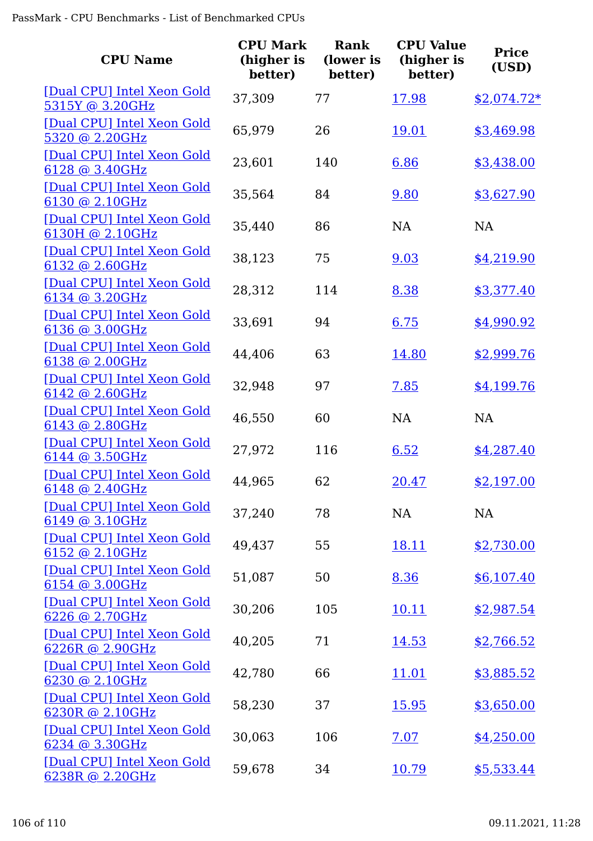| <b>CPU Name</b>                                | <b>CPU Mark</b><br>(higher is<br>better) | <b>Rank</b><br>(lower is<br>better) | <b>CPU Value</b><br>(higher is<br>better) | <b>Price</b><br>(USD) |
|------------------------------------------------|------------------------------------------|-------------------------------------|-------------------------------------------|-----------------------|
| [Dual CPU] Intel Xeon Gold<br>5315Y @ 3.20GHz  | 37,309                                   | 77                                  | 17.98                                     | <u>\$2,074.72*</u>    |
| [Dual CPU] Intel Xeon Gold<br>5320 @ 2.20GHz   | 65,979                                   | 26                                  | 19.01                                     | \$3,469.98            |
| [Dual CPU] Intel Xeon Gold<br>6128 @ 3.40GHz   | 23,601                                   | 140                                 | 6.86                                      | \$3,438.00            |
| [Dual CPU] Intel Xeon Gold<br>6130 @ 2.10GHz   | 35,564                                   | 84                                  | 9.80                                      | \$3,627.90            |
| [Dual CPU] Intel Xeon Gold<br>6130H @ 2.10GHz  | 35,440                                   | 86                                  | <b>NA</b>                                 | <b>NA</b>             |
| [Dual CPU] Intel Xeon Gold<br>$6132$ @ 2.60GHz | 38,123                                   | 75                                  | 9.03                                      | \$4,219.90            |
| [Dual CPU] Intel Xeon Gold<br>6134 @ 3.20GHz   | 28,312                                   | 114                                 | 8.38                                      | \$3,377.40            |
| [Dual CPU] Intel Xeon Gold<br>6136 @ 3.00GHz   | 33,691                                   | 94                                  | 6.75                                      | \$4,990.92            |
| [Dual CPU] Intel Xeon Gold<br>$6138$ @ 2.00GHz | 44,406                                   | 63                                  | 14.80                                     | \$2,999.76            |
| [Dual CPU] Intel Xeon Gold<br>6142 @ 2.60GHz   | 32,948                                   | 97                                  | 7.85                                      | \$4,199.76            |
| [Dual CPU] Intel Xeon Gold<br>6143 @ 2.80GHz   | 46,550                                   | 60                                  | <b>NA</b>                                 | NA                    |
| [Dual CPU] Intel Xeon Gold<br>6144 @ 3.50GHz   | 27,972                                   | 116                                 | 6.52                                      | \$4,287.40            |
| [Dual CPU] Intel Xeon Gold<br>$6148$ @ 2.40GHz | 44,965                                   | 62                                  | 20.47                                     | \$2,197.00            |
| [Dual CPU] Intel Xeon Gold<br>6149 @ 3.10GHz   | 37,240                                   | 78                                  | <b>NA</b>                                 | NA                    |
| [Dual CPU] Intel Xeon Gold<br>6152 @ 2.10GHz   | 49,437                                   | 55                                  | <u>18.11</u>                              | \$2,730.00            |
| [Dual CPU] Intel Xeon Gold<br>6154 @ 3.00GHz   | 51,087                                   | 50                                  | 8.36                                      | \$6,107.40            |
| [Dual CPU] Intel Xeon Gold<br>6226 @ 2.70GHz   | 30,206                                   | 105                                 | <u>10.11</u>                              | \$2,987.54            |
| [Dual CPU] Intel Xeon Gold<br>6226R @ 2.90GHz  | 40,205                                   | 71                                  | 14.53                                     | \$2,766.52            |
| [Dual CPU] Intel Xeon Gold<br>6230 @ 2.10GHz   | 42,780                                   | 66                                  | <u>11.01</u>                              | \$3,885.52            |
| [Dual CPU] Intel Xeon Gold<br>6230R @ 2.10GHz  | 58,230                                   | 37                                  | <u>15.95</u>                              | \$3,650.00            |
| [Dual CPU] Intel Xeon Gold<br>6234 @ 3.30GHz   | 30,063                                   | 106                                 | 7.07                                      | \$4,250.00            |
| [Dual CPU] Intel Xeon Gold<br>6238R @ 2.20GHz  | 59,678                                   | 34                                  | 10.79                                     | \$5,533.44            |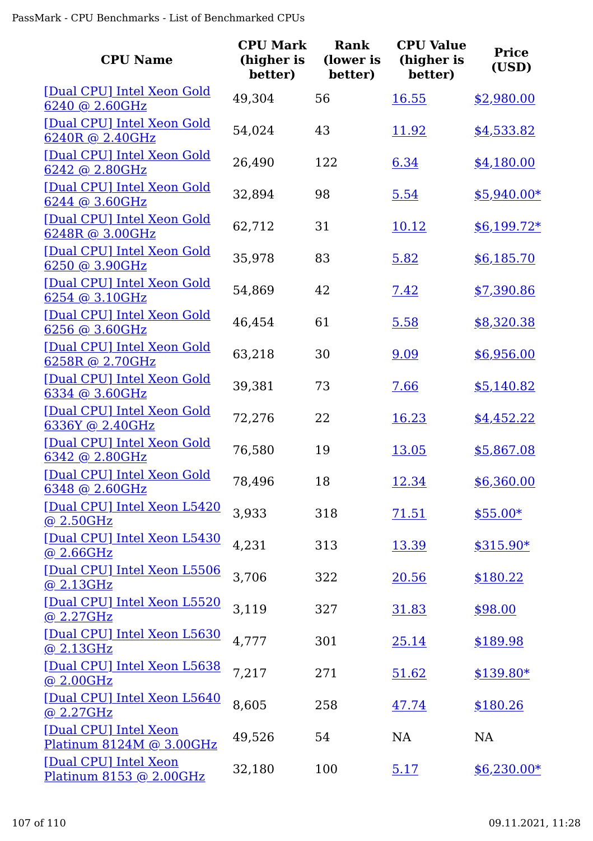| <b>CPU Name</b>                                   | <b>CPU Mark</b><br>(higher is<br>better) | Rank<br>(lower is<br>better) | <b>CPU Value</b><br>(higher is<br>better) | <b>Price</b><br>(USD) |
|---------------------------------------------------|------------------------------------------|------------------------------|-------------------------------------------|-----------------------|
| [Dual CPU] Intel Xeon Gold<br>6240 @ 2.60GHz      | 49,304                                   | 56                           | 16.55                                     | \$2,980.00            |
| [Dual CPU] Intel Xeon Gold<br>6240R @ 2.40GHz     | 54,024                                   | 43                           | 11.92                                     | \$4,533.82            |
| [Dual CPU] Intel Xeon Gold<br>6242 @ 2.80GHz      | 26,490                                   | 122                          | 6.34                                      | \$4,180.00            |
| [Dual CPU] Intel Xeon Gold<br>6244 @ 3.60GHz      | 32,894                                   | 98                           | 5.54                                      | $$5,940.00*$          |
| [Dual CPU] Intel Xeon Gold<br>6248R @ 3.00GHz     | 62,712                                   | 31                           | 10.12                                     | $$6,199.72*$          |
| [Dual CPU] Intel Xeon Gold<br>$6250$ @ 3.90GHz    | 35,978                                   | 83                           | 5.82                                      | \$6,185.70            |
| [Dual CPU] Intel Xeon Gold<br>6254 @ 3.10GHz      | 54,869                                   | 42                           | 7.42                                      | \$7,390.86            |
| [Dual CPU] Intel Xeon Gold<br>6256 @ 3.60GHz      | 46,454                                   | 61                           | 5.58                                      | \$8,320.38            |
| [Dual CPU] Intel Xeon Gold<br>6258R @ 2.70GHz     | 63,218                                   | 30                           | 9.09                                      | \$6,956.00            |
| [Dual CPU] Intel Xeon Gold<br>6334 @ 3.60GHz      | 39,381                                   | 73                           | 7.66                                      | \$5,140.82            |
| [Dual CPU] Intel Xeon Gold<br>6336Y @ 2.40GHz     | 72,276                                   | 22                           | 16.23                                     | \$4,452.22            |
| [Dual CPU] Intel Xeon Gold<br>6342 @ 2.80GHz      | 76,580                                   | 19                           | 13.05                                     | \$5,867.08            |
| [Dual CPU] Intel Xeon Gold<br>6348 @ 2.60GHz      | 78,496                                   | 18                           | <u>12.34</u>                              | \$6,360.00            |
| [Dual CPU] Intel Xeon L5420<br>@2.50GHz           | 3,933                                    | 318                          | 71.51                                     | $$55.00*$             |
| [Dual CPU] Intel Xeon L5430<br>@ 2.66GHz          | 4,231                                    | 313                          | 13.39                                     | $$315.90*$            |
| [Dual CPU] Intel Xeon L5506<br>@ 2.13GHz          | 3,706                                    | 322                          | 20.56                                     | \$180.22              |
| [Dual CPU] Intel Xeon L5520<br>@2.27GHz           | 3,119                                    | 327                          | 31.83                                     | \$98.00               |
| [Dual CPU] Intel Xeon L5630<br>@ 2.13GHz          | 4,777                                    | 301                          | 25.14                                     | \$189.98              |
| [Dual CPU] Intel Xeon L5638<br>@ 2.00GHz          | 7,217                                    | 271                          | 51.62                                     | $$139.80*$            |
| [Dual CPU] Intel Xeon L5640<br>@ 2.27GHz          | 8,605                                    | 258                          | 47.74                                     | \$180.26              |
| [Dual CPU] Intel Xeon<br>Platinum 8124M @ 3.00GHz | 49,526                                   | 54                           | NA                                        | NA                    |
| [Dual CPU] Intel Xeon<br>Platinum 8153 @ 2.00GHz  | 32,180                                   | 100                          | 5.17                                      | $$6,230.00*$          |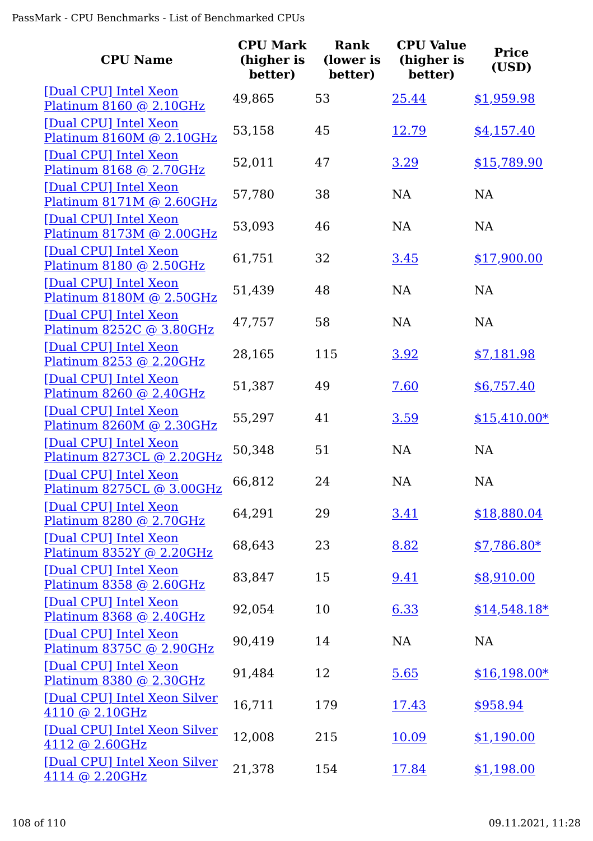| <b>CPU Name</b>                                    | <b>CPU Mark</b><br>(higher is<br>better) | Rank<br>(lower is<br>better) | <b>CPU Value</b><br>(higher is<br>better) | <b>Price</b><br>(USD) |
|----------------------------------------------------|------------------------------------------|------------------------------|-------------------------------------------|-----------------------|
| [Dual CPU] Intel Xeon<br>Platinum 8160 @ 2.10GHz   | 49,865                                   | 53                           | 25.44                                     | \$1,959.98            |
| [Dual CPU] Intel Xeon<br>Platinum 8160M @ 2.10GHz  | 53,158                                   | 45                           | <u>12.79</u>                              | \$4,157.40            |
| [Dual CPU] Intel Xeon<br>Platinum 8168 @ 2.70GHz   | 52,011                                   | 47                           | 3.29                                      | \$15,789.90           |
| [Dual CPU] Intel Xeon<br>Platinum 8171M @ 2.60GHz  | 57,780                                   | 38                           | <b>NA</b>                                 | <b>NA</b>             |
| [Dual CPU] Intel Xeon<br>Platinum 8173M @ 2.00GHz  | 53,093                                   | 46                           | <b>NA</b>                                 | NA                    |
| [Dual CPU] Intel Xeon<br>Platinum 8180 @ 2.50GHz   | 61,751                                   | 32                           | 3.45                                      | \$17,900.00           |
| [Dual CPU] Intel Xeon<br>Platinum 8180M @ 2.50GHz  | 51,439                                   | 48                           | <b>NA</b>                                 | <b>NA</b>             |
| [Dual CPU] Intel Xeon<br>Platinum 8252C @ 3.80GHz  | 47,757                                   | 58                           | <b>NA</b>                                 | NA                    |
| [Dual CPU] Intel Xeon<br>Platinum 8253 @ 2.20GHz   | 28,165                                   | 115                          | 3.92                                      | \$7,181.98            |
| [Dual CPU] Intel Xeon<br>Platinum 8260 @ 2.40GHz   | 51,387                                   | 49                           | 7.60                                      | \$6,757.40            |
| [Dual CPU] Intel Xeon<br>Platinum 8260M @ 2.30GHz  | 55,297                                   | 41                           | 3.59                                      | $$15,410.00*$         |
| [Dual CPU] Intel Xeon<br>Platinum 8273CL @ 2.20GHz | 50,348                                   | 51                           | <b>NA</b>                                 | <b>NA</b>             |
| [Dual CPU] Intel Xeon<br>Platinum 8275CL @ 3.00GHz | 66,812                                   | 24                           | NA                                        | NA                    |
| [Dual CPU] Intel Xeon<br>Platinum 8280 @ 2.70GHz   | 64,291                                   | 29                           | 3.41                                      | \$18,880.04           |
| [Dual CPU] Intel Xeon<br>Platinum 8352Y @ 2.20GHz  | 68,643                                   | 23                           | 8.82                                      | $$7,786.80*$          |
| [Dual CPU] Intel Xeon<br>Platinum 8358 @ 2.60GHz   | 83,847                                   | 15                           | 9.41                                      | \$8,910.00            |
| [Dual CPU] Intel Xeon<br>Platinum 8368 @ 2.40GHz   | 92,054                                   | 10                           | 6.33                                      | $$14,548.18*$         |
| [Dual CPU] Intel Xeon<br>Platinum 8375C @ 2.90GHz  | 90,419                                   | 14                           | NA                                        | <b>NA</b>             |
| [Dual CPU] Intel Xeon<br>Platinum 8380 @ 2.30GHz   | 91,484                                   | 12                           | 5.65                                      | $$16,198.00*$         |
| [Dual CPU] Intel Xeon Silver<br>4110 @ 2.10GHz     | 16,711                                   | 179                          | <u>17.43</u>                              | \$958.94              |
| [Dual CPU] Intel Xeon Silver<br>4112 @ 2.60GHz     | 12,008                                   | 215                          | 10.09                                     | \$1,190.00            |
| [Dual CPU] Intel Xeon Silver<br>4114 @ 2.20GHz     | 21,378                                   | 154                          | 17.84                                     | \$1,198.00            |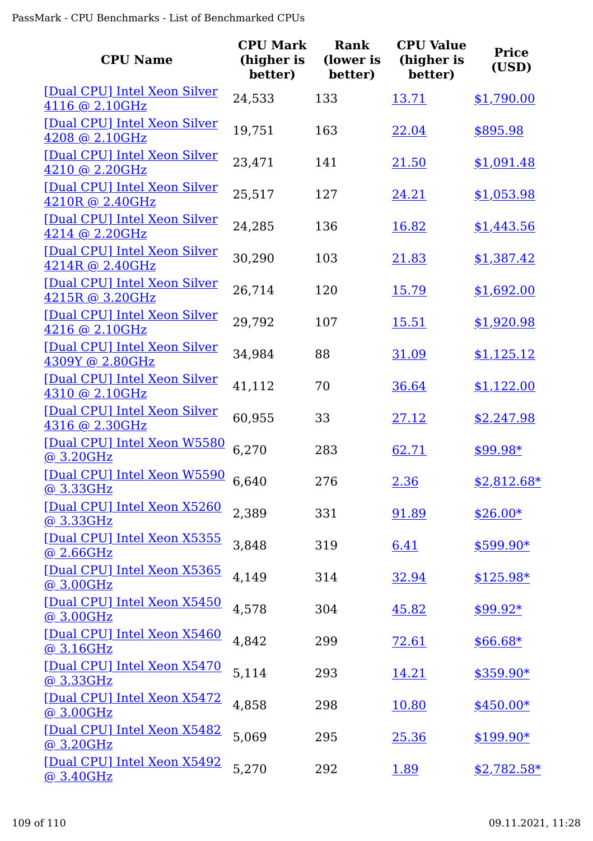| <b>CPU Name</b>                                 | <b>CPU Mark</b><br>(higher is<br>better) | Rank<br>(lower is<br>better) | <b>CPU Value</b><br>(higher is<br>better) | <b>Price</b><br>(USD) |
|-------------------------------------------------|------------------------------------------|------------------------------|-------------------------------------------|-----------------------|
| [Dual CPU] Intel Xeon Silver<br>4116 @ 2.10GHz  | 24,533                                   | 133                          | 13.71                                     | \$1,790.00            |
| [Dual CPU] Intel Xeon Silver<br>4208 @ 2.10GHz  | 19,751                                   | 163                          | 22.04                                     | \$895.98              |
| [Dual CPU] Intel Xeon Silver<br>4210 @ 2.20GHz  | 23,471                                   | 141                          | 21.50                                     | \$1,091.48            |
| [Dual CPU] Intel Xeon Silver<br>4210R @ 2.40GHz | 25,517                                   | 127                          | 24.21                                     | \$1,053.98            |
| [Dual CPU] Intel Xeon Silver<br>4214 @ 2.20GHz  | 24,285                                   | 136                          | 16.82                                     | \$1,443.56            |
| [Dual CPU] Intel Xeon Silver<br>4214R @ 2.40GHz | 30,290                                   | 103                          | 21.83                                     | \$1,387.42            |
| [Dual CPU] Intel Xeon Silver<br>4215R @ 3.20GHz | 26,714                                   | 120                          | 15.79                                     | \$1,692.00            |
| [Dual CPU] Intel Xeon Silver<br>4216 @ 2.10GHz  | 29,792                                   | 107                          | 15.51                                     | \$1,920.98            |
| [Dual CPU] Intel Xeon Silver<br>4309Y @ 2.80GHz | 34,984                                   | 88                           | 31.09                                     | \$1,125.12            |
| [Dual CPU] Intel Xeon Silver<br>4310 @ 2.10GHz  | 41,112                                   | 70                           | 36.64                                     | \$1,122.00            |
| [Dual CPU] Intel Xeon Silver<br>4316 @ 2.30GHz  | 60,955                                   | 33                           | 27.12                                     | \$2,247.98            |
| [Dual CPU] Intel Xeon W5580<br>@ 3.20GHz        | 6,270                                    | 283                          | 62.71                                     | $$99.98*$             |
| [Dual CPU] Intel Xeon W5590<br><u>@ 3.33GHz</u> | 6,640                                    | 276                          | 2.36                                      | $$2,812.68*$          |
| [Dual CPU] Intel Xeon X5260<br>@3.33GHz         | 2,389                                    | 331                          | 91.89                                     | $$26.00*$             |
| [Dual CPU] Intel Xeon X5355<br>@ 2.66GHz        | 3,848                                    | 319                          | 6.41                                      | $$599.90*$            |
| [Dual CPU] Intel Xeon X5365<br>@ 3.00GHz        | 4,149                                    | 314                          | 32.94                                     | $$125.98*$            |
| [Dual CPU] Intel Xeon X5450<br>@3.00GHz         | 4,578                                    | 304                          | 45.82                                     | $$99.92*$             |
| [Dual CPU] Intel Xeon X5460<br>@ 3.16GHz        | 4,842                                    | 299                          | <u>72.61</u>                              | $$66.68*$             |
| [Dual CPU] Intel Xeon X5470<br>@ 3.33GHz        | 5,114                                    | 293                          | 14.21                                     | $$359.90*$            |
| [Dual CPU] Intel Xeon X5472<br>@3.00GHz         | 4,858                                    | 298                          | 10.80                                     | $$450.00*$            |
| [Dual CPU] Intel Xeon X5482<br>@ 3.20GHz        | 5,069                                    | 295                          | 25.36                                     | $$199.90*$            |
| [Dual CPU] Intel Xeon X5492<br>@ 3.40GHz        | 5,270                                    | 292                          | 1.89                                      | $$2,782.58*$          |